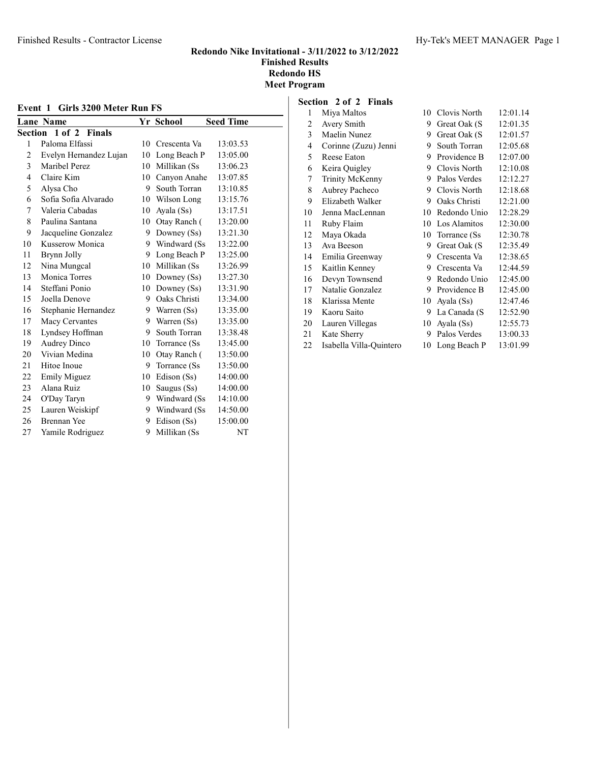| Event 1 Girls 3200 Meter Run FS |                                                   |    |                |          |  |  |
|---------------------------------|---------------------------------------------------|----|----------------|----------|--|--|
|                                 | <b>Seed Time</b><br><b>Lane Name</b><br>Yr School |    |                |          |  |  |
|                                 | Section 1 of 2 Finals                             |    |                |          |  |  |
| 1                               | Paloma Elfassi                                    | 10 | Crescenta Va   | 13:03.53 |  |  |
| $\overline{c}$                  | Evelyn Hernandez Lujan                            | 10 | Long Beach P   | 13:05.00 |  |  |
| 3                               | Maribel Perez                                     | 10 | Millikan (Ss   | 13:06.23 |  |  |
| 4                               | Claire Kim                                        | 10 | Canvon Anahe   | 13:07.85 |  |  |
| 5                               | Alysa Cho                                         |    | 9 South Torran | 13:10.85 |  |  |
| 6                               | Sofia Sofia Alvarado                              | 10 | Wilson Long    | 13:15.76 |  |  |
| 7                               | Valeria Cabadas                                   | 10 | Ayala (Ss)     | 13:17.51 |  |  |
| 8                               | Paulina Santana                                   | 10 | Otay Ranch (   | 13:20.00 |  |  |
| 9                               | Jacqueline Gonzalez                               | 9  | Downey $(Ss)$  | 13:21.30 |  |  |
| 10                              | Kusserow Monica                                   | 9  | Windward (Ss)  | 13:22.00 |  |  |
| 11                              | Brynn Jolly                                       | 9  | Long Beach P   | 13:25.00 |  |  |
| 12                              | Nina Mungcal                                      | 10 | Millikan (Ss   | 13:26.99 |  |  |
| 13                              | Monica Torres                                     | 10 | Downey $(Ss)$  | 13:27.30 |  |  |
| 14                              | Steffani Ponio                                    | 10 | Downey $(Ss)$  | 13:31.90 |  |  |
| 15                              | Joella Denove                                     | 9  | Oaks Christi   | 13:34.00 |  |  |
| 16                              | Stephanie Hernandez                               | 9  | Warren (Ss)    | 13:35.00 |  |  |
| 17                              | <b>Macy Cervantes</b>                             | 9  | Warren (Ss)    | 13:35.00 |  |  |
| 18                              | Lyndsey Hoffman                                   | 9  | South Torran   | 13:38.48 |  |  |
| 19                              | <b>Audrey Dinco</b>                               | 10 | Torrance (Ss)  | 13:45.00 |  |  |
| 20                              | Vivian Medina                                     | 10 | Otay Ranch (   | 13:50.00 |  |  |
| 21                              | Hitoe Inoue                                       | 9  | Torrance (Ss)  | 13:50.00 |  |  |
| 22                              | Emily Miguez                                      | 10 | Edison (Ss)    | 14:00.00 |  |  |
| 23                              | Alana Ruiz                                        | 10 | Saugus (Ss)    | 14:00.00 |  |  |
| 24                              | O'Day Taryn                                       | 9  | Windward (Ss)  | 14:10.00 |  |  |
| 25                              | Lauren Weiskipf                                   | 9  | Windward (Ss)  | 14:50.00 |  |  |
| 26                              | <b>Brennan Yee</b>                                | 9  | Edison (Ss)    | 15:00.00 |  |  |
| 27                              | Yamile Rodriguez                                  | 9  | Millikan (Ss   | NT       |  |  |

#### Section 2 of 2 Finals

| 1  | Miya Maltos             | 10 | Clovis North  | 12:01.14 |
|----|-------------------------|----|---------------|----------|
| 2  | Avery Smith             | 9  | Great Oak (S  | 12:01.35 |
| 3  | Maelin Nunez            | 9  | Great Oak (S) | 12:01.57 |
| 4  | Corinne (Zuzu) Jenni    | 9  | South Torran  | 12:05.68 |
| 5  | Reese Eaton             | 9  | Providence B  | 12:07.00 |
| 6  | Keira Quigley           | 9  | Clovis North  | 12:10.08 |
| 7  | Trinity McKenny         | 9  | Palos Verdes  | 12:12.27 |
| 8  | Aubrey Pacheco          | 9  | Clovis North  | 12:18.68 |
| 9  | Elizabeth Walker        | 9  | Oaks Christi  | 12:21.00 |
| 10 | Jenna MacLennan         | 10 | Redondo Unio  | 12:28.29 |
| 11 | Ruby Flaim              | 10 | Los Alamitos  | 12:30.00 |
| 12 | Maya Okada              | 10 | Torrance (Ss) | 12:30.78 |
| 13 | Ava Beeson              | 9  | Great Oak (S) | 12:35.49 |
| 14 | Emilia Greenway         | 9  | Crescenta Va  | 12:38.65 |
| 15 | Kaitlin Kenney          | 9  | Crescenta Va  | 12:44.59 |
| 16 | Devyn Townsend          | 9  | Redondo Unio  | 12:45.00 |
| 17 | Natalie Gonzalez        | 9  | Providence B  | 12:45.00 |
| 18 | Klarissa Mente          | 10 | Ayala (Ss)    | 12:47.46 |
| 19 | Kaoru Saito             | 9  | La Canada (S  | 12:52.90 |
| 20 | Lauren Villegas         | 10 | Ayala (Ss)    | 12:55.73 |
| 21 | Kate Sherry             | 9  | Palos Verdes  | 13:00.33 |
| 22 | Isabella Villa-Quintero | 10 | Long Beach P  | 13:01.99 |
|    |                         |    |               |          |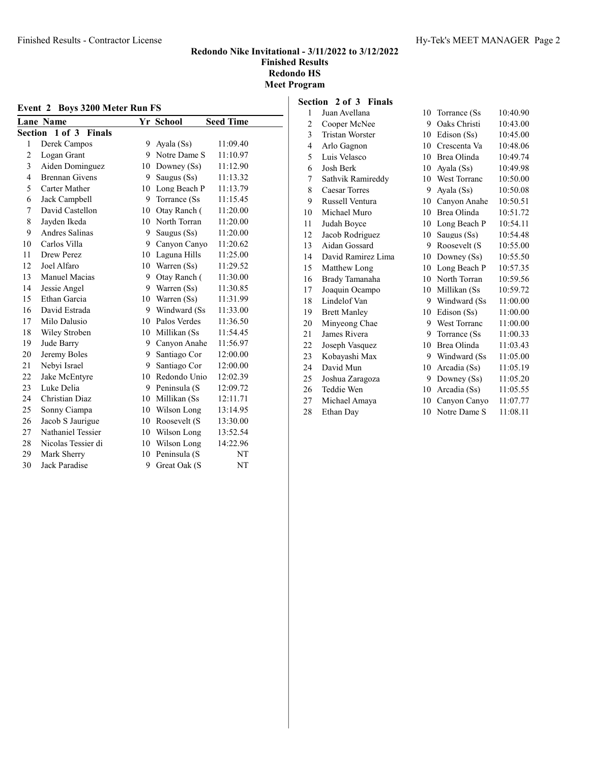| Event 2 Boys 3200 Meter Run FS |                       |    |               |                  |
|--------------------------------|-----------------------|----|---------------|------------------|
|                                | <b>Lane Name</b>      |    | Yr School     | <b>Seed Time</b> |
| Section                        | 1 of 3 Finals         |    |               |                  |
| 1                              | Derek Campos          | 9  | Ayala (Ss)    | 11:09.40         |
| $\overline{c}$                 | Logan Grant           | 9  | Notre Dame S  | 11:10.97         |
| 3                              | Aiden Dominguez       | 10 | Downey $(Ss)$ | 11:12.90         |
| 4                              | <b>Brennan Givens</b> | 9  | Saugus (Ss)   | 11:13.32         |
| 5                              | Carter Mather         | 10 | Long Beach P  | 11:13.79         |
| 6                              | Jack Campbell         | 9  | Torrance (Ss) | 11:15.45         |
| 7                              | David Castellon       | 10 | Otay Ranch (  | 11:20.00         |
| 8                              | Jayden Ikeda          | 10 | North Torran  | 11:20.00         |
| 9                              | Andres Salinas        | 9  | Saugus (Ss)   | 11:20.00         |
| 10                             | Carlos Villa          | 9  | Canyon Canyo  | 11:20.62         |
| 11                             | Drew Perez            | 10 | Laguna Hills  | 11:25.00         |
| 12                             | Joel Alfaro           | 10 | Warren (Ss)   | 11:29.52         |
| 13                             | Manuel Macias         | 9  | Otay Ranch (  | 11:30.00         |
| 14                             | Jessie Angel          | 9  | Warren (Ss)   | 11:30.85         |
| 15                             | Ethan Garcia          | 10 | Warren (Ss)   | 11:31.99         |
| 16                             | David Estrada         | 9  | Windward (Ss) | 11:33.00         |
| 17                             | Milo Dalusio          | 10 | Palos Verdes  | 11:36.50         |
| 18                             | Wiley Stroben         | 10 | Millikan (Ss  | 11:54.45         |
| 19                             | Jude Barry            | 9  | Canvon Anahe  | 11:56.97         |
| 20                             | Jeremy Boles          | 9  | Santiago Cor  | 12:00.00         |
| 21                             | Nebyi Israel          | 9  | Santiago Cor  | 12:00.00         |
| 22                             | Jake McEntyre         | 10 | Redondo Unio  | 12:02.39         |
| 23                             | Luke Delia            | 9  | Peninsula (S  | 12:09.72         |
| 24                             | Christian Diaz        | 10 | Millikan (Ss  | 12:11.71         |
| 25                             | Sonny Ciampa          | 10 | Wilson Long   | 13:14.95         |
| 26                             | Jacob S Jaurigue      | 10 | Roosevelt (S  | 13:30.00         |
| 27                             | Nathaniel Tessier     | 10 | Wilson Long   | 13:52.54         |
| 28                             | Nicolas Tessier di    | 10 | Wilson Long   | 14:22.96         |
| 29                             | Mark Sherry           | 10 | Peninsula (S  | NT               |
| 30                             | <b>Jack Paradise</b>  | 9  | Great Oak (S  | NT               |

# Section 2 of 3 Finals

| 1                       | Juan Avellana          | 10 | Torrance (Ss  | 10:40.90 |
|-------------------------|------------------------|----|---------------|----------|
| 2                       | Cooper McNee           | 9  | Oaks Christi  | 10:43.00 |
| $\overline{\mathbf{3}}$ | <b>Tristan Worster</b> | 10 | Edison (Ss)   | 10:45.00 |
| 4                       | Arlo Gagnon            | 10 | Crescenta Va  | 10:48.06 |
| 5                       | Luis Velasco           | 10 | Brea Olinda   | 10:49.74 |
| 6                       | Josh Berk              | 10 | Ayala (Ss)    | 10:49.98 |
| 7                       | Sathvik Ramireddy      | 10 | West Torranc  | 10:50.00 |
| 8                       | <b>Caesar Torres</b>   | 9  | Ayala (Ss)    | 10:50.08 |
| 9                       | Russell Ventura        | 10 | Canyon Anahe  | 10:50.51 |
| 10                      | Michael Muro           | 10 | Brea Olinda   | 10:51.72 |
| 11                      | Judah Boyce            | 10 | Long Beach P  | 10:54.11 |
| 12                      | Jacob Rodriguez        | 10 | Saugus (Ss)   | 10:54.48 |
| 13                      | Aidan Gossard          | 9  | Roosevelt (S  | 10:55.00 |
| 14                      | David Ramirez Lima     | 10 | Downey (Ss)   | 10:55.50 |
| 15                      | Matthew Long           | 10 | Long Beach P  | 10:57.35 |
| 16                      | Brady Tamanaha         | 10 | North Torran  | 10:59.56 |
| 17                      | Joaquin Ocampo         | 10 | Millikan (Ss  | 10:59.72 |
| 18                      | Lindelof Van           | 9  | Windward (Ss) | 11:00.00 |
| 19                      | <b>Brett Manley</b>    | 10 | Edison (Ss)   | 11:00.00 |
| 20                      | Minyeong Chae          | 9  | West Torranc  | 11:00.00 |
| 21                      | James Rivera           | 9  | Torrance (Ss) | 11:00.33 |
| 22                      | Joseph Vasquez         | 10 | Brea Olinda   | 11:03.43 |
| 23                      | Kobayashi Max          | 9  | Windward (Ss) | 11:05.00 |
| 24                      | David Mun              | 10 | Arcadia (Ss)  | 11:05.19 |
| 25                      | Joshua Zaragoza        | 9  | Downey (Ss)   | 11:05.20 |
| 26                      | Teddie Wen             | 10 | Arcadia (Ss)  | 11:05.55 |
| 27                      | Michael Amaya          | 10 | Canyon Canyo  | 11:07.77 |
| 28                      | Ethan Day              | 10 | Notre Dame S  | 11:08.11 |
|                         |                        |    |               |          |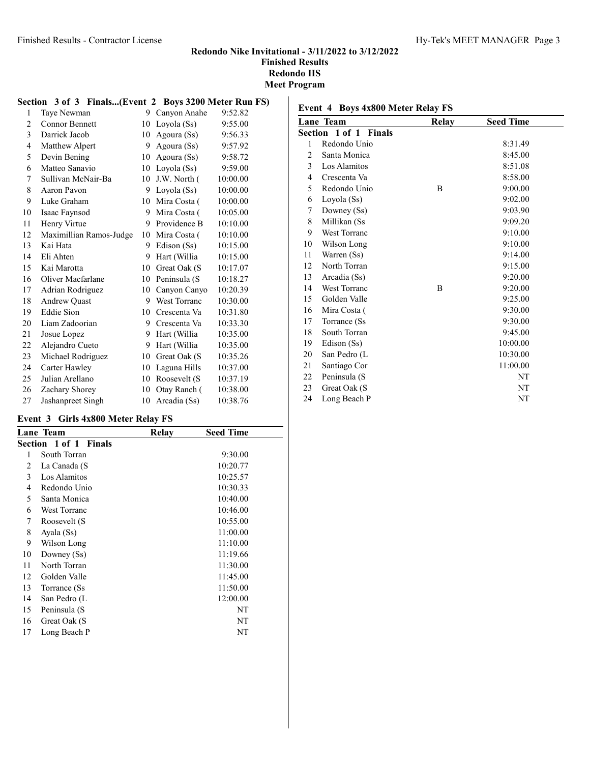#### Finished Results - Contractor License The Mass of the Hy-Tek's MEET MANAGER Page 3

#### Redondo Nike Invitational - 3/11/2022 to 3/12/2022 Finished Results Redondo HS Meet Program

#### Section 3 of 3 Finals...(Event 2 Boys 3200 Meter Run FS) 1 Taye Newman 9 Canyon Anahe 9:52.82 2 Connor Bennett 10 Loyola (Ss) 9:55.00 Darrick Jacob 10 Agoura (Ss) 9:56.33 4 Matthew Alpert 9 Agoura (Ss) 9:57.92 5 Devin Bening 10 Agoura (Ss) 9:58.72 Matteo Sanavio 10 Loyola (Ss) 9:59.00 Sullivan McNair-Ba 10 J.W. North ( 10:00.00 Aaron Pavon 9 Loyola (Ss) 10:00.00 Luke Graham 10 Mira Costa ( 10:00.00 Isaac Faynsod 9 Mira Costa ( 10:05.00 11 Henry Virtue 9 Providence B 10:10.00 12 Maximillian Ramos-Judge 10 Mira Costa ( 10:10.00 Kai Hata 9 Edison (Ss) 10:15.00 Eli Ahten 9 Hart (Willia 10:15.00 Kai Marotta 10 Great Oak (S 10:17.07 16 Oliver Macfarlane 10 Peninsula (S 10:18.27 Adrian Rodriguez 10 Canyon Canyo 10:20.39 18 Andrew Quast 9 West Torranc 10:30.00 Eddie Sion 10 Crescenta Va 10:31.80 Liam Zadoorian 9 Crescenta Va 10:33.30 21 Josue Lopez 9 Hart (Willia 10:35.00 Alejandro Cueto 9 Hart (Willia 10:35.00 23 Michael Rodriguez 10 Great Oak (S 10:35.26 24 Carter Hawley 10 Laguna Hills 10:37.00 25 Julian Arellano 10 Roosevelt (S 10:37.19 26 Zachary Shorey 10 Otay Ranch ( 10:38.00 27 Jashanpreet Singh 10 Arcadia (Ss) 10:38.76

#### Event 3 Girls 4x800 Meter Relay FS

| Relay | <b>Seed Time</b> |  |
|-------|------------------|--|
|       |                  |  |
|       | 9:30.00          |  |
|       | 10:20.77         |  |
|       | 10:25.57         |  |
|       | 10:30.33         |  |
|       | 10:40.00         |  |
|       | 10:46.00         |  |
|       | 10:55.00         |  |
|       | 11:00.00         |  |
|       | 11:10.00         |  |
|       | 11:19.66         |  |
|       | 11:30.00         |  |
|       | 11:45.00         |  |
|       | 11:50.00         |  |
|       | 12:00.00         |  |
|       | NT               |  |
|       | NT               |  |
|       | NT               |  |
|       |                  |  |

|                | <b>Lane Team</b>      | Relay | <b>Seed Time</b> |  |
|----------------|-----------------------|-------|------------------|--|
|                | Section 1 of 1 Finals |       |                  |  |
| 1              | Redondo Unio          |       | 8:31.49          |  |
| 2              | Santa Monica          |       | 8:45.00          |  |
| 3              | Los Alamitos          |       | 8:51.08          |  |
| $\overline{4}$ | Crescenta Va          |       | 8:58.00          |  |
| 5              | Redondo Unio          | B     | 9:00.00          |  |
| 6              | Loyola (Ss)           |       | 9:02.00          |  |
| 7              | Downey (Ss)           |       | 9:03.90          |  |
| 8              | Millikan (Ss          |       | 9:09.20          |  |
| 9              | West Torranc          |       | 9:10.00          |  |
| 10             | Wilson Long           |       | 9:10.00          |  |
| 11             | Warren (Ss)           |       | 9:14.00          |  |
| 12             | North Torran          |       | 9:15.00          |  |
| 13             | Arcadia (Ss)          |       | 9:20.00          |  |
| 14             | West Torranc          | B     | 9:20.00          |  |
| 15             | Golden Valle          |       | 9:25.00          |  |
| 16             | Mira Costa (          |       | 9:30.00          |  |
| 17             | Torrance (Ss          |       | 9:30.00          |  |
| 18             | South Torran          |       | 9:45.00          |  |
| 19             | Edison (Ss)           |       | 10:00.00         |  |
| 20             | San Pedro (L          |       | 10:30.00         |  |
| 21             | Santiago Cor          |       | 11:00.00         |  |
| 22             | Peninsula (S          |       | NT               |  |
| 23             | Great Oak (S          |       | NT               |  |
| 24             | Long Beach P          |       | NT               |  |

#### Event 4 Boys 4x800 Meter Relay FS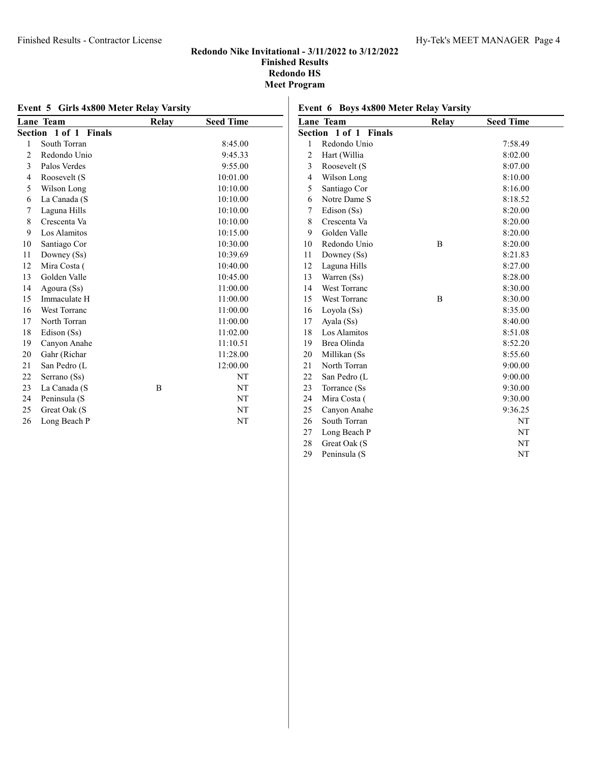# Finished Results - Contractor License Hy-Tek's MEET MANAGER Page 4

#### Redondo Nike Invitational - 3/11/2022 to 3/12/2022 Finished Results Redondo HS Meet Program

|                | Lane Team             | <b>Relay</b> | <b>Seed Time</b> |
|----------------|-----------------------|--------------|------------------|
|                | Section 1 of 1 Finals |              |                  |
| 1              | South Torran          |              | 8:45.00          |
| $\overline{c}$ | Redondo Unio          |              | 9:45.33          |
| 3              | Palos Verdes          |              | 9:55.00          |
| $\overline{4}$ | Roosevelt (S          |              | 10:01.00         |
| 5              | Wilson Long           |              | 10:10.00         |
| 6              | La Canada (S          |              | 10:10.00         |
| 7              | Laguna Hills          |              | 10:10.00         |
| 8              | Crescenta Va          |              | 10:10.00         |
| 9              | Los Alamitos          |              | 10:15.00         |
| 10             | Santiago Cor          |              | 10:30.00         |
| 11             | Downey (Ss)           |              | 10:39.69         |
| 12             | Mira Costa (          |              | 10:40.00         |
| 13             | Golden Valle          |              | 10:45.00         |
| 14             | Agoura (Ss)           |              | 11:00.00         |
| 15             | Immaculate H          |              | 11:00.00         |
| 16             | <b>West Torranc</b>   |              | 11:00.00         |
| 17             | North Torran          |              | 11:00.00         |
| 18             | Edison (Ss)           |              | 11:02.00         |
| 19             | Canyon Anahe          |              | 11:10.51         |
| 20             | Gahr (Richar          |              | 11:28.00         |
| 21             | San Pedro (L          |              | 12:00.00         |
| 22             | Serrano (Ss)          |              | NT               |
| 23             | La Canada (S          | B            | NT               |
| 24             | Peninsula (S          |              | NT               |
| 25             | Great Oak (S          |              | NT               |
| 26             | Long Beach P          |              | NT               |

|                | Lane Team           | <b>Relay</b> | <b>Seed Time</b> |  |
|----------------|---------------------|--------------|------------------|--|
| Section        | 1 of 1 Finals       |              |                  |  |
| 1              | Redondo Unio        |              | 7:58.49          |  |
| 2              | Hart (Willia        |              | 8:02.00          |  |
| 3              | Roosevelt (S        |              | 8:07.00          |  |
| $\overline{4}$ | Wilson Long         |              | 8:10.00          |  |
| 5              | Santiago Cor        |              | 8:16.00          |  |
| 6              | Notre Dame S        |              | 8:18.52          |  |
| 7              | Edison (Ss)         |              | 8:20.00          |  |
| 8              | Crescenta Va        |              | 8:20.00          |  |
| 9              | Golden Valle        |              | 8:20.00          |  |
| 10             | Redondo Unio        | B            | 8:20.00          |  |
| 11             | Downey (Ss)         |              | 8:21.83          |  |
| 12             | Laguna Hills        |              | 8:27.00          |  |
| 13             | Warren (Ss)         |              | 8:28.00          |  |
| 14             | West Torranc        |              | 8:30.00          |  |
| 15             | <b>West Torranc</b> | B            | 8:30.00          |  |
| 16             | Loyola (Ss)         |              | 8:35.00          |  |
| 17             | Ayala (Ss)          |              | 8:40.00          |  |
| 18             | Los Alamitos        |              | 8:51.08          |  |
| 19             | Brea Olinda         |              | 8:52.20          |  |
| 20             | Millikan (Ss        |              | 8:55.60          |  |
| 21             | North Torran        |              | 9:00.00          |  |
| 22             | San Pedro (L        |              | 9:00.00          |  |
| 23             | Torrance (Ss        |              | 9:30.00          |  |
| 24             | Mira Costa (        |              | 9:30.00          |  |
| 25             | Canyon Anahe        |              | 9:36.25          |  |
| 26             | South Torran        |              | NT               |  |
| 27             | Long Beach P        |              | NT               |  |
| 28             | Great Oak (S        |              | NT               |  |
| 29             | Peninsula (S        |              | NT               |  |

# Event 6 Boys 4x800 Meter Relay Varsity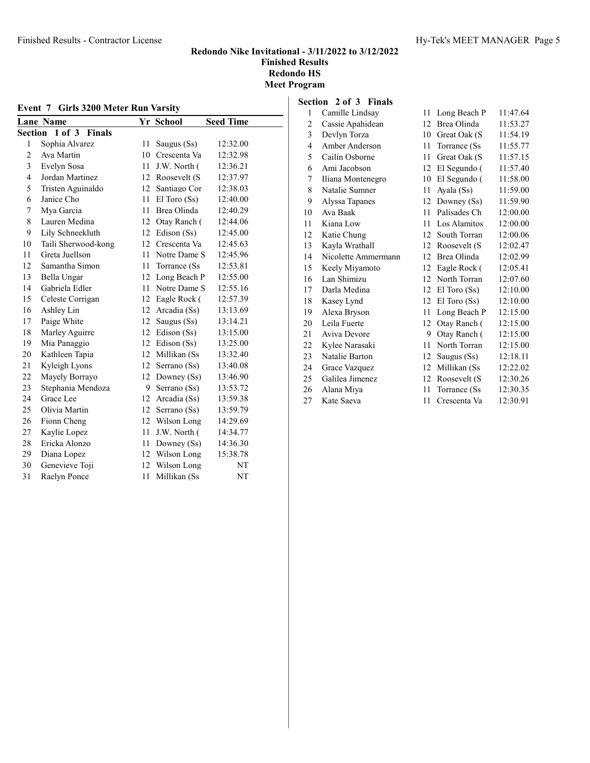| Event 7 Girls 3200 Meter Run Varsity |                             |    |                  |                  |
|--------------------------------------|-----------------------------|----|------------------|------------------|
|                                      | <b>Lane Name</b>            |    | Yr School        | <b>Seed Time</b> |
| Section                              | $1$ of $3$<br><b>Finals</b> |    |                  |                  |
| 1                                    | Sophia Alvarez              | 11 | Saugus (Ss)      | 12:32.00         |
| $\overline{c}$                       | Ava Martin                  | 10 | Crescenta Va     | 12:32.98         |
| 3                                    | Evelyn Sosa                 | 11 | J.W. North (     | 12:36.21         |
| $\overline{\mathcal{L}}$             | Jordan Martinez             | 12 | Roosevelt (S     | 12:37.97         |
| 5                                    | Tristen Aguinaldo           | 12 | Santiago Cor     | 12:38.03         |
| 6                                    | Janice Cho                  | 11 | $El$ Toro $(Ss)$ | 12:40.00         |
| 7                                    | Mya Garcia                  | 11 | Brea Olinda      | 12:40.29         |
| 8                                    | Lauren Medina               | 12 | Otay Ranch (     | 12:44.06         |
| 9                                    | Lily Schneekluth            | 12 | Edison (Ss)      | 12:45.00         |
| 10                                   | Taili Sherwood-kong         | 12 | Crescenta Va     | 12:45.63         |
| 11                                   | Greta Juellson              | 11 | Notre Dame S     | 12:45.96         |
| 12                                   | Samantha Simon              | 11 | Torrance (Ss)    | 12:53.81         |
| 13                                   | Bella Ungar                 | 12 | Long Beach P     | 12:55.00         |
| 14                                   | Gabriela Edler              | 11 | Notre Dame S     | 12:55.16         |
| 15                                   | Celeste Corrigan            | 12 | Eagle Rock (     | 12:57.39         |
| 16                                   | Ashley Lin                  | 12 | Arcadia (Ss)     | 13:13.69         |
| 17                                   | Paige White                 | 12 | Saugus (Ss)      | 13:14.21         |
| 18                                   | Marley Aguirre              | 12 | Edison (Ss)      | 13:15.00         |
| 19                                   | Mia Panaggio                | 12 | Edison (Ss)      | 13:25.00         |
| 20                                   | Kathleen Tapia              | 12 | Millikan (Ss     | 13:32.40         |
| 21                                   | Kyleigh Lyons               | 12 | Serrano (Ss)     | 13:40.08         |
| 22                                   | Mayely Borrayo              | 12 | Downey (Ss)      | 13:46.90         |
| 23                                   | Stephania Mendoza           | 9  | Serrano (Ss)     | 13:53.72         |
| 24                                   | Grace Lee                   | 12 | Arcadia (Ss)     | 13:59.38         |
| 25                                   | Olivia Martin               | 12 | Serrano (Ss)     | 13:59.79         |
| 26                                   | Fionn Cheng                 | 12 | Wilson Long      | 14:29.69         |
| 27                                   | Kaylie Lopez                | 11 | J.W. North (     | 14:34.77         |
| 28                                   | Ericka Alonzo               | 11 | Downey (Ss)      | 14:36.30         |
| 29                                   | Diana Lopez                 | 12 | Wilson Long      | 15:38.78         |
| 30                                   | Genevieve Toji              | 12 | Wilson Long      | NT               |
| 31                                   | Raelyn Ponce                | 11 | Millikan (Ss     | NT               |

# Section 2 of 3 Finals

| 1              | Camille Lindsay     | 11 | Long Beach P     | 11:47.64 |
|----------------|---------------------|----|------------------|----------|
| $\overline{2}$ | Cassie Apahidean    | 12 | Brea Olinda      | 11:53.27 |
| 3              | Devlyn Torza        | 10 | Great Oak (S     | 11:54.19 |
| $\overline{4}$ | Amber Anderson      | 11 | Torrance (Ss)    | 11:55.77 |
| 5              | Cailin Osborne      | 11 | Great Oak (S     | 11:57.15 |
| 6              | Ami Jacobson        | 12 | El Segundo (     | 11:57.40 |
| 7              | Iliana Montenegro   | 10 | El Segundo (     | 11:58.00 |
| 8              | Natalie Sumner      | 11 | Ayala (Ss)       | 11:59.00 |
| 9              | Alyssa Tapanes      | 12 | Downey (Ss)      | 11:59.90 |
| 10             | Ava Baak            | 11 | Palisades Ch     | 12:00.00 |
| 11             | Kiana Low           | 11 | Los Alamitos     | 12:00.00 |
| 12             | Katie Chung         | 12 | South Torran     | 12:00.06 |
| 13             | Kayla Wrathall      | 12 | Roosevelt (S     | 12:02.47 |
| 14             | Nicolette Ammermann | 12 | Brea Olinda      | 12:02.99 |
| 15             | Keely Miyamoto      | 12 | Eagle Rock (     | 12:05.41 |
| 16             | Lan Shimizu         | 12 | North Torran     | 12:07.60 |
| 17             | Darla Medina        | 12 | $El$ Toro $(Ss)$ | 12:10.00 |
| 18             | Kasey Lynd          | 12 | $El$ Toro $(Ss)$ | 12:10.00 |
| 19             | Alexa Bryson        | 11 | Long Beach P     | 12:15.00 |
| 20             | Leila Fuerte        | 12 | Otay Ranch (     | 12:15.00 |
| 21             | Aviva Devore        | 9  | Otay Ranch (     | 12:15.00 |
| 22             | Kylee Narasaki      | 11 | North Torran     | 12:15.00 |
| 23             | Natalie Barton      | 12 | Saugus $(Ss)$    | 12:18.11 |
| 24             | Grace Vazquez       | 12 | Millikan (Ss     | 12:22.02 |
| 25.            | Galilea Jimenez     | 12 | Roosevelt (S     | 12:30.26 |
| 26             | Alana Miya          | 11 | Torrance (Ss)    | 12:30.35 |
| 27             | Kate Saeva          | 11 | Crescenta Va     | 12:30.91 |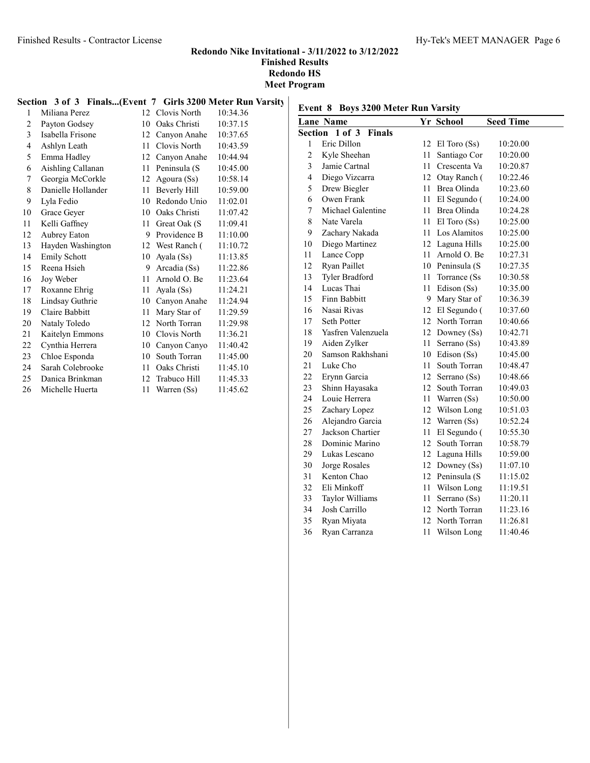#### Finished Results - Contractor License Hy-Tek's MEET MANAGER Page 6

#### Redondo Nike Invitational - 3/11/2022 to 3/12/2022 Finished Results Redondo HS Meet Program

#### Section 3 of 3 Finals...(Event 7 Girls 3200 Meter Run Varsity

| $\mathbf{1}$   | Miliana Perez       | 12 <sup>1</sup> | Clovis North    | 10:34.36 |
|----------------|---------------------|-----------------|-----------------|----------|
| $\overline{2}$ | Payton Godsey       | 10              | Oaks Christi    | 10:37.15 |
| 3              | Isabella Frisone    | 12              | Canyon Anahe    | 10:37.65 |
| 4              | Ashlyn Leath        | 11              | Clovis North    | 10:43.59 |
| 5              | Emma Hadley         | 12              | Canyon Anahe    | 10:44.94 |
| 6              | Aishling Callanan   | 11              | Peninsula (S    | 10:45.00 |
| 7              | Georgia McCorkle    | 12              | Agoura (Ss)     | 10:58.14 |
| 8              | Danielle Hollander  | 11              | Beverly Hill    | 10:59.00 |
| 9              | Lyla Fedio          | 10              | Redondo Unio    | 11:02.01 |
| 10             | Grace Geyer         | 10              | Oaks Christi    | 11:07.42 |
| 11             | Kelli Gaffney       | 11              | Great Oak (S    | 11:09.41 |
| 12             | Aubrey Eaton        | 9               | Providence B    | 11:10.00 |
| 13             | Hayden Washington   |                 | 12 West Ranch ( | 11:10.72 |
| 14             | <b>Emily Schott</b> | 10              | Ayala (Ss)      | 11:13.85 |
| 15             | Reena Hsieh         | 9               | Arcadia (Ss)    | 11:22.86 |
| 16             | Joy Weber           | 11              | Arnold O. Be    | 11:23.64 |
| 17             | Roxanne Ehrig       | 11              | Ayala (Ss)      | 11:24.21 |
| 18             | Lindsay Guthrie     | 10              | Canyon Anahe    | 11:24.94 |
| 19             | Claire Babbitt      | 11              | Mary Star of    | 11:29.59 |
| 20             | Nataly Toledo       | 12              | North Torran    | 11:29.98 |
| 21             | Kaitelyn Emmons     | 10              | Clovis North    | 11:36.21 |
| 22             | Cynthia Herrera     | 10              | Canyon Canyo    | 11:40.42 |
| 23             | Chloe Esponda       | 10              | South Torran    | 11:45.00 |
| 24             | Sarah Colebrooke    | 11              | Oaks Christi    | 11:45.10 |
| 25             | Danica Brinkman     | 12              | Trabuco Hill    | 11:45.33 |
| 26             | Michelle Huerta     | 11              | Warren (Ss)     | 11:45.62 |

# Event 8 Boys 3200 Meter Run Varsity

|                         | <b>Lane Name</b>            |      | Yr School        | <b>Seed Time</b> |
|-------------------------|-----------------------------|------|------------------|------------------|
| Section                 | $1$ of $3$<br><b>Finals</b> |      |                  |                  |
| 1                       | Eric Dillon                 | 12   | $El$ Toro $(Ss)$ | 10:20.00         |
| $\overline{c}$          | Kyle Sheehan                | 11   | Santiago Cor     | 10:20.00         |
| 3                       | Jamie Cartnal               | 11   | Crescenta Va     | 10:20.87         |
| $\overline{\mathbf{4}}$ | Diego Vizcarra              |      | 12 Otav Ranch (  | 10:22.46         |
| 5                       | Drew Biegler                | 11   | Brea Olinda      | 10:23.60         |
| 6                       | Owen Frank                  | 11   | El Segundo (     | 10:24.00         |
| 7                       | Michael Galentine           | 11   | Brea Olinda      | 10:24.28         |
| 8                       | Nate Varela                 | 11   | $El$ Toro $(Ss)$ | 10:25.00         |
| 9                       | Zachary Nakada              |      | 11 Los Alamitos  | 10:25.00         |
| 10                      | Diego Martinez              |      | 12 Laguna Hills  | 10:25.00         |
| 11                      | Lance Copp                  |      | 11 Arnold O. Be  | 10:27.31         |
| 12                      | Ryan Paillet                |      | 10 Peninsula (S  | 10:27.35         |
| 13                      | Tyler Bradford              | 11 - | Torrance (Ss)    | 10:30.58         |
| 14                      | Lucas Thai                  | 11   | Edison (Ss)      | 10:35.00         |
| 15                      | Finn Babbitt                |      | 9 Mary Star of   | 10:36.39         |
| 16                      | Nasai Rivas                 |      | 12 El Segundo (  | 10:37.60         |
| 17                      | Seth Potter                 |      | 12 North Torran  | 10:40.66         |
| 18                      | Yasfren Valenzuela          |      | 12 Downey (Ss)   | 10:42.71         |
| 19                      | Aiden Zylker                | 11   | Serrano (Ss)     | 10:43.89         |
| 20                      | Samson Rakhshani            |      | 10 Edison (Ss)   | 10:45.00         |
| 21                      | Luke Cho                    | 11   | South Torran     | 10:48.47         |
| 22                      | Erynn Garcia                | 12   | Serrano (Ss)     | 10:48.66         |
| 23                      | Shinn Hayasaka              |      | 12 South Torran  | 10:49.03         |
| 24                      | Louie Herrera               |      | 11 Warren (Ss)   | 10:50.00         |
| 25                      | Zachary Lopez               |      | 12 Wilson Long   | 10:51.03         |
| 26                      | Alejandro Garcia            |      | 12 Warren (Ss)   | 10:52.24         |
| 27                      | Jackson Chartier            | 11   | El Segundo (     | 10:55.30         |
| 28                      | Dominic Marino              | 12   | South Torran     | 10:58.79         |
| 29                      | Lukas Lescano               |      | 12 Laguna Hills  | 10:59.00         |
| 30                      | Jorge Rosales               |      | 12 Downey (Ss)   | 11:07.10         |
| 31                      | Kenton Chao                 |      | 12 Peninsula (S  | 11:15.02         |
| 32                      | Eli Minkoff                 |      | 11 Wilson Long   | 11:19.51         |
| 33                      | Taylor Williams             | 11   | Serrano (Ss)     | 11:20.11         |
| 34                      | Josh Carrillo               | 12   | North Torran     | 11:23.16         |
| 35                      | Ryan Miyata                 | 12   | North Torran     | 11:26.81         |
| 36                      | Ryan Carranza               | 11   | Wilson Long      | 11:40.46         |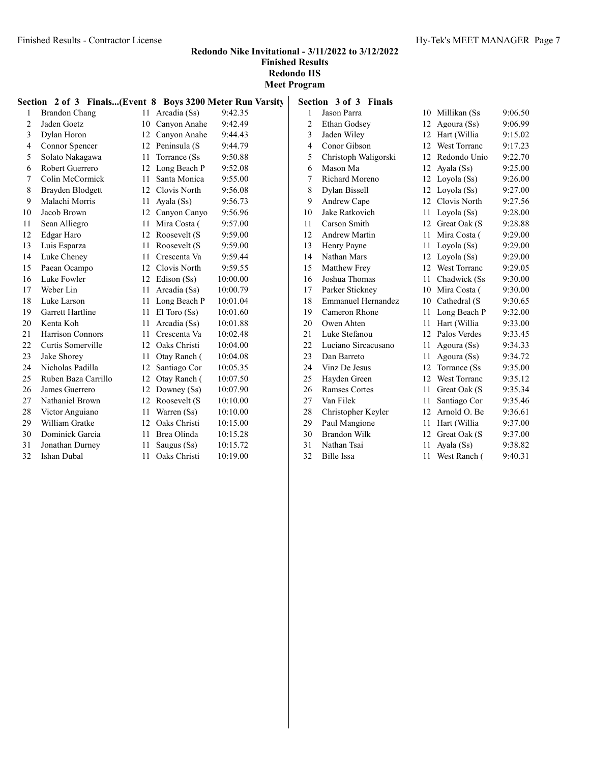|                | Section 2 of 3 Finals(Event 8 Boys 3200 Meter Run Varsity |        |                  |          |
|----------------|-----------------------------------------------------------|--------|------------------|----------|
| 1              | <b>Brandon Chang</b>                                      | 11     | Arcadia (Ss)     | 9:42.35  |
| $\overline{2}$ | Jaden Goetz                                               | 10     | Canvon Anahe     | 9:42.49  |
| 3              | Dylan Horon                                               |        | 12 Canyon Anahe  | 9:44.43  |
| 4              | Connor Spencer                                            |        | 12 Peninsula (S  | 9:44.79  |
| 5              | Solato Nakagawa                                           | 11     | Torrance (Ss)    | 9:50.88  |
| 6              | Robert Guerrero                                           | 12     | Long Beach P     | 9:52.08  |
| 7              | Colin McCormick                                           | 11     | Santa Monica     | 9:55.00  |
| 8              | Brayden Blodgett                                          |        | 12 Clovis North  | 9:56.08  |
| 9              | Malachi Morris                                            | 11     | Ayala (Ss)       | 9:56.73  |
| 10             | Jacob Brown                                               |        | 12 Canyon Canyo  | 9:56.96  |
| 11             | Sean Alliegro                                             | 11     | Mira Costa (     | 9:57.00  |
| 12             | Edgar Haro                                                | 12     | Roosevelt (S     | 9:59.00  |
| 13             | Luis Esparza                                              | 11     | Roosevelt (S     | 9:59.00  |
| 14             | Luke Cheney                                               | 11     | Crescenta Va     | 9:59.44  |
| 15             | Paean Ocampo                                              | 12     | Clovis North     | 9:59.55  |
| 16             | Luke Fowler                                               | 12     | Edison (Ss)      | 10:00.00 |
| 17             | Weber Lin                                                 | 11     | Arcadia (Ss)     | 10:00.79 |
| 18             | Luke Larson                                               | 11     | Long Beach P     | 10:01.04 |
| 19             | Garrett Hartline                                          | 11     | $El$ Toro $(Ss)$ | 10:01.60 |
| 20             | Kenta Koh                                                 | 11     | Arcadia (Ss)     | 10:01.88 |
| 21             | <b>Harrison Connors</b>                                   | $11 -$ | Crescenta Va     | 10:02.48 |
| 22             | Curtis Somerville                                         |        | 12 Oaks Christi  | 10:04.00 |
| 23             | Jake Shorey                                               | 11     | Otay Ranch (     | 10:04.08 |
| 24             | Nicholas Padilla                                          | 12     | Santiago Cor     | 10:05.35 |
| 25             | Ruben Baza Carrillo                                       |        | 12 Otay Ranch (  | 10:07.50 |
| 26             | James Guerrero                                            | 12     | Downey (Ss)      | 10:07.90 |
| 27             | Nathaniel Brown                                           | 12     | Roosevelt (S     | 10:10.00 |
| 28             | Victor Anguiano                                           | 11     | Warren (Ss)      | 10:10.00 |
| 29             | William Gratke                                            | 12     | Oaks Christi     | 10:15.00 |
| 30             | Dominick Garcia                                           | 11     | Brea Olinda      | 10:15.28 |
| 31             | Jonathan Durney                                           | 11     | Saugus (Ss)      | 10:15.72 |
| 32             | Ishan Dubal                                               | 11     | Oaks Christi     | 10:19.00 |

|                | Section 3 of 3 Finals     |                  |                     |         |
|----------------|---------------------------|------------------|---------------------|---------|
| 1              | Jason Parra               | 10               | Millikan (Ss        | 9:06.50 |
| $\overline{c}$ | Ethan Godsey              | 12 <sup>7</sup>  | Agoura (Ss)         | 9:06.99 |
| 3              | Jaden Wiley               | 12               | Hart (Willia        | 9:15.02 |
| 4              | Conor Gibson              | 12               | West Torranc        | 9:17.23 |
| 5              | Christoph Waligorski      | 12               | Redondo Unio        | 9:22.70 |
| 6              | Mason Ma                  | 12               | Ayala (Ss)          | 9:25.00 |
| 7              | Richard Moreno            | 12               | Loyola (Ss)         | 9:26.00 |
| 8              | Dylan Bissell             | 12               | Loyola (Ss)         | 9:27.00 |
| 9              | Andrew Cape               | 12               | Clovis North        | 9:27.56 |
| 10             | Jake Ratkovich            | 11               | Loyola (Ss)         | 9:28.00 |
| 11             | Carson Smith              | 12               | Great Oak (S        | 9:28.88 |
| 12             | Andrew Martin             | 11               | Mira Costa (        | 9:29.00 |
| 13             | Henry Payne               | 11               | Loyola (Ss)         | 9:29.00 |
| 14             | Nathan Mars               | 12               | Loyola (Ss)         | 9:29.00 |
| 15             | Matthew Frey              | 12 <sup>2</sup>  | West Torranc        | 9:29.05 |
| 16             | Joshua Thomas             | 11               | Chadwick (Ss)       | 9:30.00 |
| 17             | Parker Stickney           | 10               | Mira Costa (        | 9:30.00 |
| 18             | <b>Emmanuel Hernandez</b> | 10               | Cathedral (S        | 9:30.65 |
| 19             | Cameron Rhone             | 11               | Long Beach P        | 9:32.00 |
| 20             | Owen Ahten                | 11               | Hart (Willia        | 9:33.00 |
| 21             | Luke Stefanou             | 12 <sup>12</sup> | Palos Verdes        | 9:33.45 |
| 22             | Luciano Sircacusano       | 11               | Agoura (Ss)         | 9:34.33 |
| 23             | Dan Barreto               | 11               | Agoura (Ss)         | 9:34.72 |
| 24             | Vinz De Jesus             | 12 <sup>12</sup> | Torrance (Ss)       | 9:35.00 |
| 25             | Hayden Green              | 12               | <b>West Torranc</b> | 9:35.12 |
| 26             | <b>Ramses Cortes</b>      | 11               | Great Oak (S        | 9:35.34 |
| 27             | Van Filek                 | 11               | Santiago Cor        | 9:35.46 |
| 28             | Christopher Keyler        | 12               | Arnold O. Be        | 9:36.61 |
| 29             | Paul Mangione             | 11               | Hart (Willia        | 9:37.00 |
| 30             | <b>Brandon Wilk</b>       | 12               | Great Oak (S        | 9:37.00 |
| 31             | Nathan Tsai               | 11               | Ayala (Ss)          | 9:38.82 |
| 32             | <b>Bille Issa</b>         | 11               | West Ranch (        | 9:40.31 |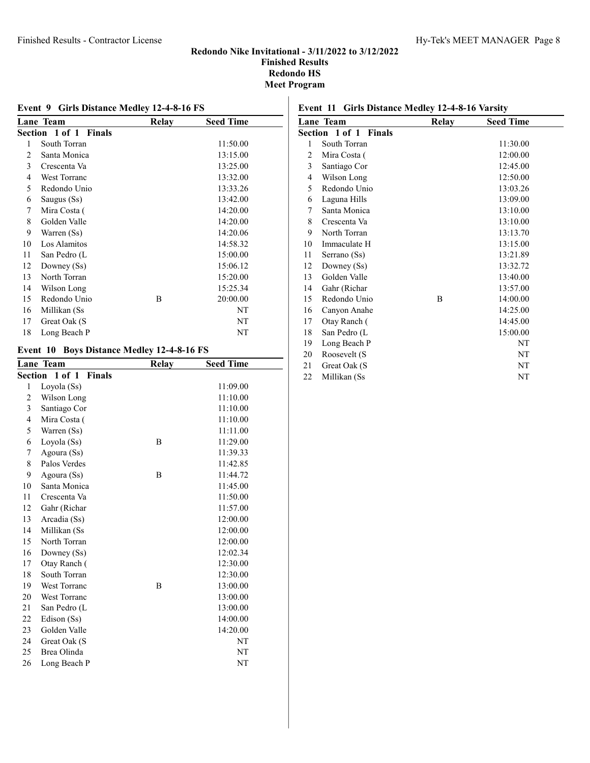#### Finished Results - Contractor License Hy-Tek's MEET MANAGER Page 8

#### Redondo Nike Invitational - 3/11/2022 to 3/12/2022 Finished Results Redondo HS Meet Program

|    | <b>Event 9 Girls Distance Medley 12-4-8-16 FS</b> |       |                  |  |  |  |
|----|---------------------------------------------------|-------|------------------|--|--|--|
|    | Lane Team                                         | Relay | <b>Seed Time</b> |  |  |  |
|    | Section 1 of 1 Finals                             |       |                  |  |  |  |
| 1  | South Torran                                      |       | 11:50.00         |  |  |  |
| 2  | Santa Monica                                      |       | 13:15.00         |  |  |  |
| 3  | Crescenta Va                                      |       | 13:25.00         |  |  |  |
| 4  | <b>West Torranc</b>                               |       | 13:32.00         |  |  |  |
| 5  | Redondo Unio                                      |       | 13:33.26         |  |  |  |
| 6  | Saugus (Ss)                                       |       | 13:42.00         |  |  |  |
| 7  | Mira Costa (                                      |       | 14:20.00         |  |  |  |
| 8  | Golden Valle                                      |       | 14:20.00         |  |  |  |
| 9  | Warren (Ss)                                       |       | 14:20.06         |  |  |  |
| 10 | Los Alamitos                                      |       | 14:58.32         |  |  |  |
| 11 | San Pedro (L                                      |       | 15:00.00         |  |  |  |
| 12 | Downey (Ss)                                       |       | 15:06.12         |  |  |  |
| 13 | North Torran                                      |       | 15:20.00         |  |  |  |
| 14 | Wilson Long                                       |       | 15:25.34         |  |  |  |
| 15 | Redondo Unio                                      | В     | 20:00.00         |  |  |  |
| 16 | Millikan (Ss                                      |       | NT               |  |  |  |
| 17 | Great Oak (S                                      |       | NT               |  |  |  |
| 18 | Long Beach P                                      |       | NT               |  |  |  |

# Event 10 Boys Distance Medley 12-4-8-16 FS

|    | <b>Lane Team</b>      | <b>Relay</b> | <b>Seed Time</b> |  |
|----|-----------------------|--------------|------------------|--|
|    | Section 1 of 1 Finals |              |                  |  |
| 1  | Loyola (Ss)           |              | 11:09.00         |  |
| 2  | Wilson Long           |              | 11:10.00         |  |
| 3  | Santiago Cor          |              | 11:10.00         |  |
| 4  | Mira Costa (          |              | 11:10.00         |  |
| 5  | Warren (Ss)           |              | 11:11.00         |  |
| 6  | Loyola (Ss)           | B            | 11:29.00         |  |
| 7  | Agoura (Ss)           |              | 11:39.33         |  |
| 8  | Palos Verdes          |              | 11:42.85         |  |
| 9  | Agoura (Ss)           | B            | 11:44.72         |  |
| 10 | Santa Monica          |              | 11:45.00         |  |
| 11 | Crescenta Va          |              | 11:50.00         |  |
| 12 | Gahr (Richar          |              | 11:57.00         |  |
| 13 | Arcadia (Ss)          |              | 12:00.00         |  |
| 14 | Millikan (Ss          |              | 12:00.00         |  |
| 15 | North Torran          |              | 12:00.00         |  |
| 16 | Downey (Ss)           |              | 12:02.34         |  |
| 17 | Otay Ranch (          |              | 12:30.00         |  |
| 18 | South Torran          |              | 12:30.00         |  |
| 19 | <b>West Torranc</b>   | B            | 13:00.00         |  |
| 20 | <b>West Torranc</b>   |              | 13:00.00         |  |
| 21 | San Pedro (L          |              | 13:00.00         |  |
| 22 | Edison (Ss)           |              | 14:00.00         |  |
| 23 | Golden Valle          |              | 14:20.00         |  |
| 24 | Great Oak (S          |              | NT               |  |
| 25 | Brea Olinda           |              | NT               |  |
| 26 | Long Beach P          |              | NT               |  |
|    |                       |              |                  |  |

# Event 11 Girls Distance Medley 12-4-8-16 Varsity

|    | Lane Team                    | Relay | <b>Seed Time</b> |
|----|------------------------------|-------|------------------|
|    | <b>Section 1 of 1 Finals</b> |       |                  |
| 1  | South Torran                 |       | 11:30.00         |
| 2  | Mira Costa (                 |       | 12:00.00         |
| 3  | Santiago Cor                 |       | 12:45.00         |
| 4  | Wilson Long                  |       | 12:50.00         |
| 5  | Redondo Unio                 |       | 13:03.26         |
| 6  | Laguna Hills                 |       | 13:09.00         |
| 7  | Santa Monica                 |       | 13:10.00         |
| 8  | Crescenta Va                 |       | 13:10.00         |
| 9  | North Torran                 |       | 13:13.70         |
| 10 | Immaculate H                 |       | 13:15.00         |
| 11 | Serrano (Ss)                 |       | 13:21.89         |
| 12 | Downey (Ss)                  |       | 13:32.72         |
| 13 | Golden Valle                 |       | 13:40.00         |
| 14 | Gahr (Richar                 |       | 13:57.00         |
| 15 | Redondo Unio                 | B     | 14:00.00         |
| 16 | Canyon Anahe                 |       | 14:25.00         |
| 17 | Otay Ranch (                 |       | 14:45.00         |
| 18 | San Pedro (L                 |       | 15:00.00         |
| 19 | Long Beach P                 |       | NT               |
| 20 | Roosevelt (S                 |       | NT               |
| 21 | Great Oak (S                 |       | NT               |
| 22 | Millikan (Ss                 |       | NT               |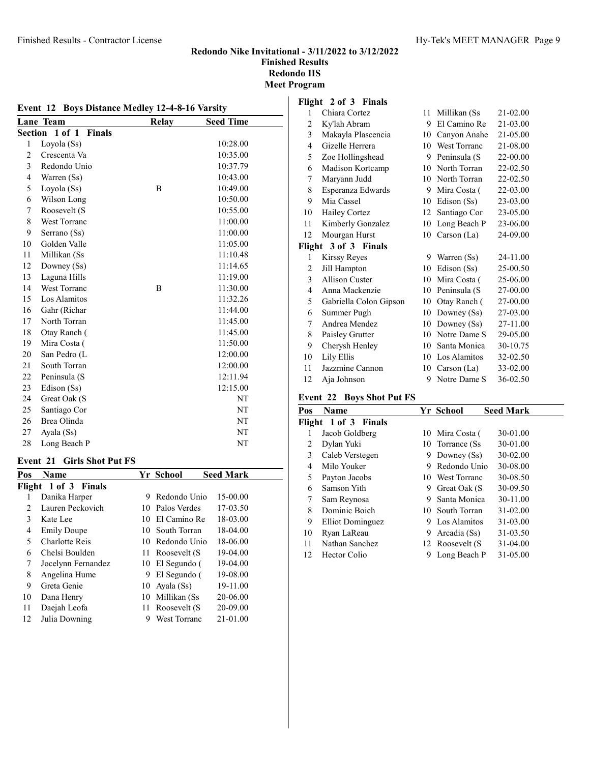#### Event 12 Boys Distance Medley 12-4-8-16 Varsity Lane Team Relay Seed Time Section 1 of 1 Finals Loyola (Ss) 10:28.00 Crescenta Va 10:35.00 Redondo Unio 10:37.79 Warren (Ss) 10:43.00 5 Loyola (Ss) B 10:49.00 Wilson Long 10:50.00 Roosevelt (S 10:55.00 West Torranc 11:00.00 Serrano (Ss) 11:00.00 Golden Valle 11:05.00 Millikan (Ss 11:10.48 Downey (Ss) 11:14.65 Laguna Hills 11:19.00 14 West Torranc B 11:30.00 Los Alamitos 11:32.26 Gahr (Richar 11:44.00 North Torran 11:45.00 Otay Ranch ( 11:45.00 Mira Costa ( 11:50.00 San Pedro (L 12:00.00 South Torran 12:00.00 Peninsula (S 12:11.94 23 Edison (Ss) 12:15.00 24 Great Oak (S NT 25 Santiago Cor NT Brea Olinda NT 27 Ayala (Ss) NT 28 Long Beach P NT

#### Event 21 Girls Shot Put FS

| Pos | Name                 |     | Yr School           | <b>Seed Mark</b> |
|-----|----------------------|-----|---------------------|------------------|
|     | Flight 1 of 3 Finals |     |                     |                  |
|     | Danika Harper        | 9   | Redondo Unio        | 15-00.00         |
| 2   | Lauren Peckovich     |     | 10 Palos Verdes     | 17-03.50         |
| 3   | Kate Lee             |     | 10 El Camino Re     | 18-03.00         |
| 4   | <b>Emily Doupe</b>   | 10. | South Torran        | $18-04.00$       |
| 5   | Charlotte Reis       |     | 10 Redondo Unio     | 18-06.00         |
| 6   | Chelsi Boulden       |     | 11 Roosevelt (S     | 19-04.00         |
| 7   | Jocelynn Fernandez   |     | 10 El Segundo (     | 19-04.00         |
| 8   | Angelina Hume        | 9   | El Segundo (        | 19-08.00         |
| 9   | Greta Genie          | 10  | Ayala (Ss)          | 19-11.00         |
| 10  | Dana Henry           | 10  | Millikan (Ss        | 20-06.00         |
| 11  | Daejah Leofa         | 11  | Roosevelt (S        | 20-09.00         |
| 12  | Julia Downing        | 9   | <b>West Torranc</b> | 21-01.00         |
|     |                      |     |                     |                  |

#### Flight 2 of 3 Finals

| $\mathbf{1}$   | Chiara Cortez          | 11 | Millikan (Ss        | 21-02.00 |
|----------------|------------------------|----|---------------------|----------|
| $\overline{c}$ | Ky'lah Abram           | 9  | El Camino Re        | 21-03.00 |
| 3              | Makayla Plascencia     | 10 | Canyon Anahe        | 21-05.00 |
| $\overline{4}$ | Gizelle Herrera        | 10 | <b>West Torranc</b> | 21-08.00 |
| 5              | Zoe Hollingshead       | 9  | Peninsula (S        | 22-00.00 |
| 6              | Madison Kortcamp       | 10 | North Torran        | 22-02.50 |
| 7              | Maryann Judd           | 10 | North Torran        | 22-02.50 |
| 8              | Esperanza Edwards      | 9  | Mira Costa (        | 22-03.00 |
| 9              | Mia Cassel             | 10 | Edison (Ss)         | 23-03.00 |
| 10             | Hailey Cortez          | 12 | Santiago Cor        | 23-05.00 |
| 11             | Kimberly Gonzalez      | 10 | Long Beach P        | 23-06.00 |
| 12             | Mourgan Hurst          | 10 | Carson (La)         | 24-09.00 |
| Flight         | 3 of 3 Finals          |    |                     |          |
| 1              | Kirssy Reyes           |    | 9 Warren (Ss)       | 24-11.00 |
| 2              | Jill Hampton           | 10 | Edison (Ss)         | 25-00.50 |
| 3              | Allison Custer         | 10 | Mira Costa (        | 25-06.00 |
| 4              | Anna Mackenzie         | 10 | Peninsula (S        | 27-00.00 |
| 5              | Gabriella Colon Gipson | 10 | Otay Ranch (        | 27-00.00 |
| 6              | Summer Pugh            | 10 | Downey (Ss)         | 27-03.00 |
| 7              | Andrea Mendez          | 10 | Downey $(Ss)$       | 27-11.00 |
| 8              | Paisley Grutter        | 10 | Notre Dame S        | 29-05.00 |
| 9              | Cherysh Henley         | 10 | Santa Monica        | 30-10.75 |
| 10             | Lily Ellis             | 10 | Los Alamitos        | 32-02.50 |
| 11             | Jazzmine Cannon        | 10 | Carson $(La)$       | 33-02.00 |
| 12             | Aia Johnson            | 9  | Notre Dame S        | 36-02.50 |

#### Event 22 Boys Shot Put FS

| Pos | Name                 |    | Yr School        | <b>Seed Mark</b> |
|-----|----------------------|----|------------------|------------------|
|     | Flight 1 of 3 Finals |    |                  |                  |
| 1   | Jacob Goldberg       |    | 10 Mira Costa (  | 30-01.00         |
| 2   | Dylan Yuki           |    | 10 Torrance (Ss) | 30-01.00         |
| 3   | Caleb Verstegen      | 9  | Downey $(Ss)$    | 30-02.00         |
| 4   | Milo Youker          | 9  | Redondo Unio     | 30-08.00         |
| 5   | Payton Jacobs        |    | 10 West Torranc  | 30-08.50         |
| 6   | Samson Yith          | 9  | Great Oak (S     | 30-09.50         |
| 7   | Sam Reynosa          | 9  | Santa Monica     | 30-11.00         |
| 8   | Dominic Boich        | 10 | South Torran     | $31 - 02.00$     |
| 9   | Elliot Dominguez     | 9. | Los Alamitos     | 31-03.00         |
| 10  | Ryan LaReau          | 9. | Arcadia (Ss)     | 31-03.50         |
| 11  | Nathan Sanchez       |    | 12 Roosevelt (S  | $31 - 04.00$     |
| 12  | Hector Colio         | 9  | Long Beach P     | 31-05.00         |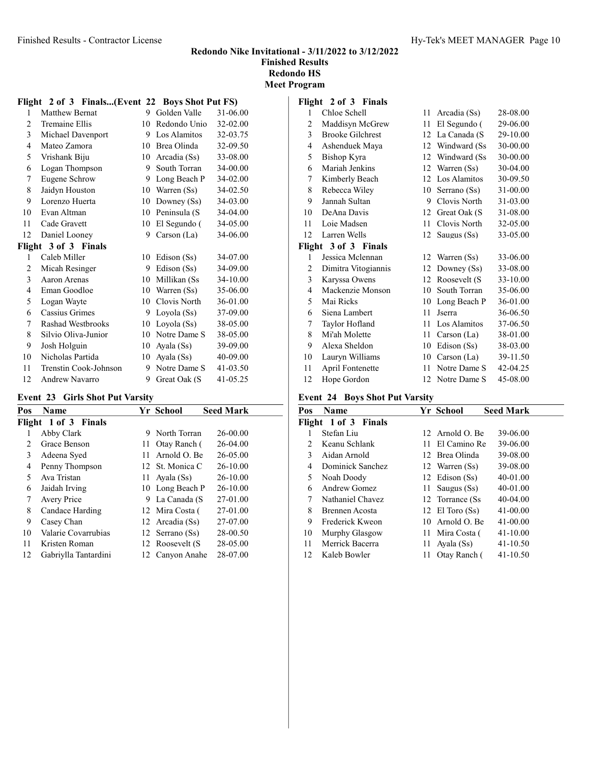Meet Program

### Flight 2 of 3 Finals...(Event 22 Boys Shot Put FS)

| 1              | Matthew Bernat        | 9  | Golden Valle  | 31-06.00 |
|----------------|-----------------------|----|---------------|----------|
| 2              | <b>Tremaine Ellis</b> | 10 | Redondo Unio  | 32-02.00 |
| 3              | Michael Davenport     | 9  | Los Alamitos  | 32-03.75 |
| 4              | Mateo Zamora          | 10 | Brea Olinda   | 32-09.50 |
| 5              | Vrishank Biju         | 10 | Arcadia (Ss)  | 33-08.00 |
| 6              | Logan Thompson        | 9  | South Torran  | 34-00.00 |
| 7              | Eugene Schrow         | 9  | Long Beach P  | 34-02.00 |
| 8              | Jaidyn Houston        | 10 | Warren (Ss)   | 34-02.50 |
| 9              | Lorenzo Huerta        | 10 | Downey $(Ss)$ | 34-03.00 |
| 10             | Evan Altman           | 10 | Peninsula (S  | 34-04.00 |
| 11             | Cade Gravett          | 10 | El Segundo (  | 34-05.00 |
| 12             | Daniel Looney         | 9  | Carson (La)   | 34-06.00 |
|                | Flight 3 of 3 Finals  |    |               |          |
| 1              | Caleb Miller          | 10 | Edison (Ss)   | 34-07.00 |
| 2              | Micah Resinger        | 9  | Edison (Ss)   | 34-09.00 |
| 3              | Aaron Arenas          | 10 | Millikan (Ss  | 34-10.00 |
| $\overline{4}$ | Eman Goodloe          | 10 | Warren (Ss)   | 35-06.00 |
| 5              | Logan Wayte           | 10 | Clovis North  | 36-01.00 |
| 6              | Cassius Grimes        | 9  | Loyola (Ss)   | 37-09.00 |
| 7              | Rashad Westbrooks     | 10 | Loyola (Ss)   | 38-05.00 |
| 8              | Silvio Oliva-Junior   | 10 | Notre Dame S  | 38-05.00 |
| 9              | Josh Holguin          | 10 | Ayala (Ss)    | 39-09.00 |
| 10             | Nicholas Partida      | 10 | Ayala (Ss)    | 40-09.00 |
| 11             | Trenstin Cook-Johnson | 9  | Notre Dame S  | 41-03.50 |
| 12             | Andrew Navarro        | 9  | Great Oak (S  | 41-05.25 |

#### Event 23 Girls Shot Put Varsity

| Pos           | <b>Name</b>          |     | Yr School       | <b>Seed Mark</b> |
|---------------|----------------------|-----|-----------------|------------------|
|               | Flight 1 of 3 Finals |     |                 |                  |
|               | Abby Clark           | 9   | North Torran    | 26-00.00         |
| $\mathcal{L}$ | Grace Benson         | 11. | Otay Ranch (    | $26-04.00$       |
| 3             | Adeena Syed          | 11. | Arnold O. Be    | 26-05.00         |
| 4             | Penny Thompson       |     | 12 St. Monica C | 26-10.00         |
| 5             | Ava Tristan          | 11  | Avala (Ss)      | 26-10.00         |
| 6             | Jaidah Irving        |     | 10 Long Beach P | 26-10.00         |
| 7             | Avery Price          |     | 9 La Canada (S  | 27-01.00         |
| 8             | Candace Harding      |     | 12 Mira Costa ( | 27-01.00         |
| 9             | Casey Chan           |     | 12 Arcadia (Ss) | 27-07.00         |
| 10            | Valarie Covarrubias  |     | 12 Serrano (Ss) | 28-00.50         |
| 11            | Kristen Roman        |     | 12 Roosevelt (S | 28-05.00         |
| 12            | Gabriylla Tantardini |     | 12 Canvon Anahe | 28-07.00         |

#### Flight 2 of 3 Finals

| 1              | Chloe Schell            | 11 | Arcadia (Ss)   | 28-08.00 |
|----------------|-------------------------|----|----------------|----------|
| 2              | Maddisyn McGrew         | 11 | El Segundo (   | 29-06.00 |
| 3              | <b>Brooke Gilchrest</b> | 12 | La Canada (S   | 29-10.00 |
| 4              | Ashenduek Maya          | 12 | Windward (Ss)  | 30-00.00 |
| 5              | Bishop Kyra             | 12 | Windward (Ss)  | 30-00.00 |
| 6              | Mariah Jenkins          | 12 | Warren (Ss)    | 30-04.00 |
| 7              | Kimberly Beach          | 12 | Los Alamitos   | 30-09.50 |
| 8              | Rebecca Wiley           | 10 | Serrano (Ss)   | 31-00.00 |
| 9              | Jannah Sultan           | 9  | Clovis North   | 31-03.00 |
| 10             | DeAna Davis             | 12 | Great Oak (S)  | 31-08.00 |
| 11             | Loie Madsen             | 11 | Clovis North   | 32-05.00 |
| 12             | Larren Wells            | 12 | Saugus (Ss)    | 33-05.00 |
|                | Flight 3 of 3 Finals    |    |                |          |
| 1              | Jessica Mclennan        | 12 | Warren (Ss)    | 33-06.00 |
| 2              | Dimitra Vitogiannis     | 12 | Downey (Ss)    | 33-08.00 |
| 3              | Karyssa Owens           | 12 | Roosevelt (S   | 33-10.00 |
| $\overline{4}$ | Mackenzie Monson        | 10 | South Torran   | 35-06.00 |
| 5              | Mai Ricks               | 10 | Long Beach P   | 36-01.00 |
| 6              | Siena Lambert           | 11 | <b>J</b> serra | 36-06.50 |
| 7              | Taylor Hofland          | 11 | Los Alamitos   | 37-06.50 |
| 8              | Mi'ah Molette           | 11 | Carson $(La)$  | 38-01.00 |
| 9              | Alexa Sheldon           | 10 | Edison (Ss)    | 38-03.00 |
| 10             | Lauryn Williams         | 10 | Carson (La)    | 39-11.50 |
| 11             | April Fontenette        | 11 | Notre Dame S   | 42-04.25 |
| 12             | Hope Gordon             | 12 | Notre Dame S   | 45-08.00 |

#### Event 24 Boys Shot Put Varsity

| Name                  |    |              | <b>Seed Mark</b>                                                                                                                                                                                                |
|-----------------------|----|--------------|-----------------------------------------------------------------------------------------------------------------------------------------------------------------------------------------------------------------|
| Flight 1 of 3 Finals  |    |              |                                                                                                                                                                                                                 |
| Stefan Liu            |    |              | 39-06.00                                                                                                                                                                                                        |
| Keanu Schlank         |    |              | 39-06.00                                                                                                                                                                                                        |
| Aidan Arnold          |    |              | 39-08.00                                                                                                                                                                                                        |
| Dominick Sanchez      |    |              | 39-08.00                                                                                                                                                                                                        |
| Noah Doody            |    |              | 40-01.00                                                                                                                                                                                                        |
| Andrew Gomez          |    |              | 40-01.00                                                                                                                                                                                                        |
| Nathaniel Chavez      |    |              | 40-04.00                                                                                                                                                                                                        |
| <b>Brennen</b> Acosta |    |              | $41 - 00.00$                                                                                                                                                                                                    |
| Frederick Kweon       |    |              | 41-00.00                                                                                                                                                                                                        |
| Murphy Glasgow        |    |              | $41 - 10.00$                                                                                                                                                                                                    |
| Merrick Bacerra       | 11 | Ayala (Ss)   | 41-10.50                                                                                                                                                                                                        |
| Kaleb Bowler          | 11 | Otay Ranch ( | 41-10.50                                                                                                                                                                                                        |
|                       |    |              | Yr School<br>12. Arnold $\Omega$ . Be<br>11 El Camino Re<br>12 Brea Olinda<br>12 Warren (Ss)<br>12 Edison (Ss)<br>11 Saugus (Ss)<br>12 Torrance (Ss)<br>12 El Toro $(Ss)$<br>10 Arnold O. Be<br>11 Mira Costa ( |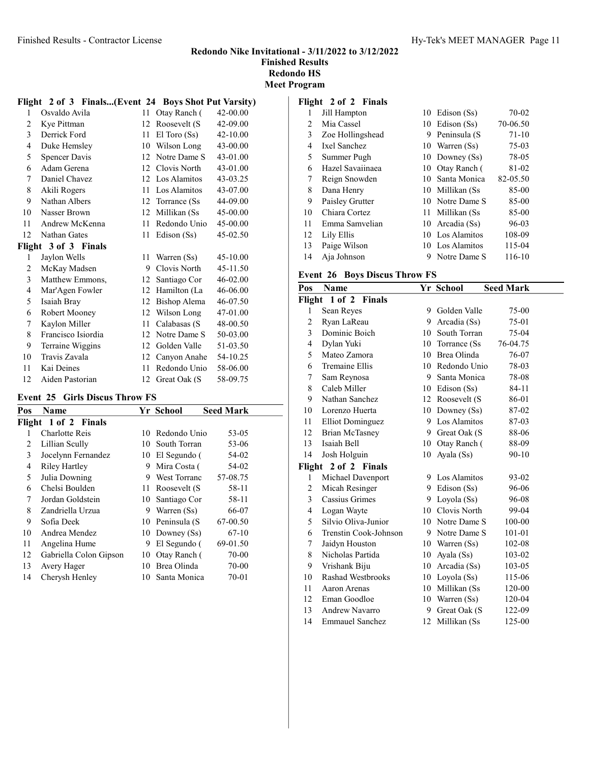Meet Program

### Flight 2 of 3 Finals...(Event 24 Boys Shot Put Varsity)

| $\mathbf{1}$ | Osvaldo Avila        | 11 | Otay Ranch (     | 42-00.00 |
|--------------|----------------------|----|------------------|----------|
| 2            | Kye Pittman          | 12 | Roosevelt (S     | 42-09.00 |
| 3            | Derrick Ford         | 11 | $El$ Toro $(Ss)$ | 42-10.00 |
| 4            | Duke Hemsley         | 10 | Wilson Long      | 43-00.00 |
| 5            | Spencer Davis        | 12 | Notre Dame S     | 43-01.00 |
| 6            | Adam Gerena          | 12 | Clovis North     | 43-01.00 |
| 7            | Daniel Chavez        | 12 | Los Alamitos     | 43-03.25 |
| 8            | Akili Rogers         | 11 | Los Alamitos     | 43-07.00 |
| 9            | Nathan Albers        | 12 | Torrance (Ss)    | 44-09.00 |
| 10           | Nasser Brown         | 12 | Millikan (Ss     | 45-00.00 |
| 11           | Andrew McKenna       | 11 | Redondo Unio     | 45-00.00 |
| 12           | Nathan Gates         | 11 | Edison (Ss)      | 45-02.50 |
|              | Flight 3 of 3 Finals |    |                  |          |
|              |                      |    |                  |          |
| 1            | Jaylon Wells         | 11 | Warren (Ss)      | 45-10.00 |
| 2            | McKay Madsen         | 9  | Clovis North     | 45-11.50 |
| 3            | Matthew Emmons,      | 12 | Santiago Cor     | 46-02.00 |
| 4            | Mar'Agen Fowler      | 12 | Hamilton (La     | 46-06.00 |
| 5            | Isaiah Bray          | 12 | Bishop Alema     | 46-07.50 |
| 6            | Robert Mooney        | 12 | Wilson Long      | 47-01.00 |
| 7            | Kaylon Miller        | 11 | Calabasas (S     | 48-00.50 |
| 8            | Francisco Isiordia   | 12 | Notre Dame S     | 50-03.00 |
| 9            | Terraine Wiggins     | 12 | Golden Valle     | 51-03.50 |
| 10           | Travis Zavala        | 12 | Canyon Anahe     | 54-10.25 |
| 11           | Kai Deines           | 11 | Redondo Unio     | 58-06.00 |

#### Event 25 Girls Discus Throw FS

| Pos | Name                   |     | Yr School           | <b>Seed Mark</b> |
|-----|------------------------|-----|---------------------|------------------|
|     | Flight 1 of 2 Finals   |     |                     |                  |
| 1   | Charlotte Reis         |     | 10 Redondo Unio     | 53-05            |
| 2   | Lillian Scully         |     | 10 South Torran     | 53-06            |
| 3   | Jocelynn Fernandez     |     | 10 El Segundo (     | 54-02            |
| 4   | Riley Hartley          | 9   | Mira Costa (        | 54-02            |
| 5   | Julia Downing          | 9   | <b>West Torranc</b> | 57-08.75         |
| 6   | Chelsi Boulden         | 11. | Roosevelt (S        | 58-11            |
| 7   | Jordan Goldstein       |     | 10 Santiago Cor     | 58-11            |
| 8   | Zandriella Urzua       | 9.  | Warren (Ss)         | 66-07            |
| 9   | Sofia Deek             |     | 10 Peninsula (S     | 67-00.50         |
| 10  | Andrea Mendez          |     | 10 Downey (Ss)      | $67-10$          |
| 11  | Angelina Hume          | 9   | El Segundo (        | 69-01.50         |
| 12  | Gabriella Colon Gipson |     | 10 Otay Ranch (     | 70-00            |
| 13  | Avery Hager            | 10  | Brea Olinda         | 70-00            |
| 14  | Cherysh Henley         |     | 10 Santa Monica     | $70 - 01$        |

# Flight 2 of 2 Finals

| 1  | Jill Hampton     |   | 10 Edison (Ss)   | $70 - 02$ |
|----|------------------|---|------------------|-----------|
| 2  | Mia Cassel       |   | 10 Edison (Ss)   | 70-06.50  |
| 3  | Zoe Hollingshead | 9 | Peninsula (S     | $71 - 10$ |
| 4  | Ixel Sanchez     |   | 10 Warren (Ss)   | $75-03$   |
| 5  | Summer Pugh      |   | 10 Downey (Ss)   | 78-05     |
| 6  | Hazel Savaiinaea |   | 10 Otay Ranch (  | 81-02     |
| 7  | Reign Snowden    |   | 10 Santa Monica  | 82-05.50  |
| 8  | Dana Henry       |   | 10 Millikan (Ss) | 85-00     |
| 9  | Paisley Grutter  |   | 10 Notre Dame S  | 85-00     |
| 10 | Chiara Cortez    |   | 11 Millikan (Ss  | 85-00     |
| 11 | Emma Samvelian   |   | 10 Arcadia (Ss)  | 96-03     |
| 12 | Lily Ellis       |   | 10 Los Alamitos  | 108-09    |
| 13 | Paige Wilson     |   | 10 Los Alamitos  | 115-04    |
| 14 | Aia Johnson      |   | 9 Notre Dame S   | 116-10    |

#### Event 26 Boys Discus Throw FS

| Pos          | <b>Name</b>             |    | Yr School        | <b>Seed Mark</b> |
|--------------|-------------------------|----|------------------|------------------|
| Flight       | 1 of 2 Finals           |    |                  |                  |
| 1            | Sean Reyes              | 9  | Golden Valle     | 75-00            |
| 2            | Ryan LaReau             | 9  | Arcadia (Ss)     | 75-01            |
| 3            | Dominic Boich           | 10 | South Torran     | 75-04            |
| 4            | Dylan Yuki              |    | 10 Torrance (Ss) | 76-04.75         |
| 5            | Mateo Zamora            |    | 10 Brea Olinda   | 76-07            |
| 6            | Tremaine Ellis          |    | 10 Redondo Unio  | 78-03            |
| 7            | Sam Reynosa             |    | 9 Santa Monica   | 78-08            |
| 8            | Caleb Miller            |    | 10 Edison (Ss)   | 84-11            |
| 9            | Nathan Sanchez          |    | 12 Roosevelt (S  | 86-01            |
| 10           | Lorenzo Huerta          |    | 10 Downey (Ss)   | 87-02            |
| 11           | <b>Elliot Dominguez</b> | 9  | Los Alamitos     | 87-03            |
| 12           | <b>Brian McTasney</b>   |    | 9 Great Oak (S   | 88-06            |
| 13           | Isaiah Bell             | 10 | Otay Ranch (     | 88-09            |
| 14           | Josh Holguin            | 10 | Ayala (Ss)       | $90 - 10$        |
| Flight       | 2 of 2 Finals           |    |                  |                  |
| $\mathbf{1}$ | Michael Davenport       |    | 9 Los Alamitos   | 93-02            |
| 2            | Micah Resinger          |    | 9 Edison (Ss)    | 96-06            |
| 3            | Cassius Grimes          |    | 9 Loyola (Ss)    | 96-08            |
| 4            | Logan Wayte             |    | 10 Clovis North  | 99-04            |
| 5            | Silvio Oliva-Junior     |    | 10 Notre Dame S  | 100-00           |
| 6            | Trenstin Cook-Johnson   |    | 9 Notre Dame S   | 101-01           |
| 7            | Jaidyn Houston          |    | 10 Warren (Ss)   | 102-08           |
| 8            | Nicholas Partida        | 10 | Ayala (Ss)       | 103-02           |
| 9            | Vrishank Biju           |    | 10 Arcadia (Ss)  | 103-05           |
| 10           | Rashad Westbrooks       | 10 | Loyola (Ss)      | 115-06           |
| 11           | Aaron Arenas            | 10 | Millikan (Ss     | 120-00           |
| 12           | Eman Goodloe            |    | 10 Warren (Ss)   | 120-04           |
| 13           | Andrew Navarro          | 9  | Great Oak (S     | 122-09           |
| 14           | <b>Emmauel Sanchez</b>  | 12 | Millikan (Ss     | 125-00           |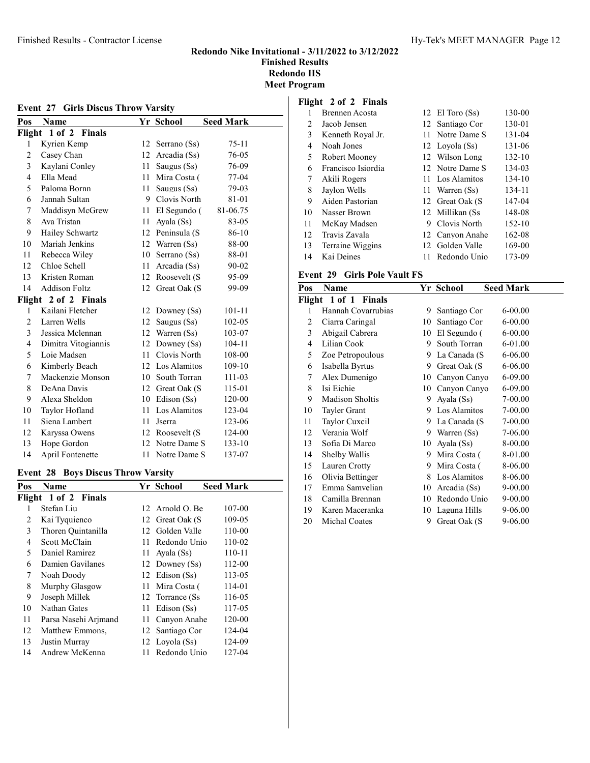| EVENT 27 GHTS DISCUS THIUW VALSILY |                      |    |                 |                  |  |
|------------------------------------|----------------------|----|-----------------|------------------|--|
| Pos                                | <b>Name</b>          |    | Yr School       | <b>Seed Mark</b> |  |
|                                    | Flight 1 of 2 Finals |    |                 |                  |  |
| 1                                  | Kyrien Kemp          | 12 | Serrano (Ss)    | $75 - 11$        |  |
| $\overline{c}$                     | Casey Chan           |    | 12 Arcadia (Ss) | 76-05            |  |
| 3                                  | Kaylani Conley       | 11 | Saugus (Ss)     | 76-09            |  |
| 4                                  | Ella Mead            | 11 | Mira Costa (    | $77-04$          |  |
| 5                                  | Paloma Bornn         | 11 | Saugus (Ss)     | 79-03            |  |
| 6                                  | Jannah Sultan        | 9. | Clovis North    | 81-01            |  |
| 7                                  | Maddisyn McGrew      | 11 | El Segundo (    | 81-06.75         |  |
| 8                                  | Ava Tristan          | 11 | Ayala (Ss)      | 83-05            |  |
| 9                                  | Hailey Schwartz      | 12 | Peninsula (S    | 86-10            |  |
| 10                                 | Mariah Jenkins       |    | 12 Warren (Ss)  | 88-00            |  |
| 11                                 | Rebecca Wiley        | 10 | Serrano (Ss)    | 88-01            |  |
| 12                                 | Chloe Schell         | 11 | Arcadia (Ss)    | 90-02            |  |
| 13                                 | Kristen Roman        |    | 12 Roosevelt (S | 95-09            |  |
| 14                                 | <b>Addison Foltz</b> | 12 | Great Oak (S    | 99-09            |  |
|                                    | Flight 2 of 2 Finals |    |                 |                  |  |
| 1                                  | Kailani Fletcher     | 12 | Downey (Ss)     | $101 - 11$       |  |
| 2                                  | Larren Wells         | 12 | Saugus (Ss)     | 102-05           |  |
| 3                                  | Jessica Mclennan     |    | 12 Warren (Ss)  | 103-07           |  |
| 4                                  | Dimitra Vitogiannis  | 12 | Downey $(Ss)$   | 104-11           |  |
| 5                                  | Loie Madsen          | 11 | Clovis North    | 108-00           |  |
| 6                                  | Kimberly Beach       |    | 12 Los Alamitos | 109-10           |  |
| 7                                  | Mackenzie Monson     | 10 | South Torran    | 111-03           |  |
| 8                                  | DeAna Davis          |    | 12 Great Oak (S | 115-01           |  |
| 9                                  | Alexa Sheldon        | 10 | Edison $(Ss)$   | 120-00           |  |
| 10                                 | Taylor Hofland       | 11 | Los Alamitos    | 123-04           |  |
| 11                                 | Siena Lambert        | 11 | <b>J</b> serra  | 123-06           |  |
| 12                                 | Karyssa Owens        | 12 | Roosevelt (S    | 124-00           |  |
| 13                                 | Hope Gordon          |    | 12 Notre Dame S | 133-10           |  |
| 14                                 | April Fontenette     | 11 | Notre Dame S    | 137-07           |  |

# Event 27 Girls Discus Throw Varsity

#### Event 28 Boys Discus Throw Varsity

| Pos | Name                 |    | Yr School        | <b>Seed Mark</b> |
|-----|----------------------|----|------------------|------------------|
|     | Flight 1 of 2 Finals |    |                  |                  |
| 1   | Stefan Liu           |    | 12 Arnold O. Be  | 107-00           |
| 2   | Kai Tyquienco        |    | 12 Great Oak (S  | 109-05           |
| 3   | Thoren Quintanilla   | 12 | Golden Valle     | 110-00           |
| 4   | Scott McClain        | 11 | Redondo Unio     | 110-02           |
| 5   | Daniel Ramirez       | 11 | Ayala (Ss)       | 110-11           |
| 6   | Damien Gavilanes     |    | 12 Downey (Ss)   | 112-00           |
| 7   | Noah Doody           |    | 12 Edison (Ss)   | 113-05           |
| 8   | Murphy Glasgow       | 11 | Mira Costa (     | 114-01           |
| 9   | Joseph Millek        |    | 12 Torrance (Ss) | 116-05           |
| 10  | Nathan Gates         | 11 | Edison (Ss)      | 117-05           |
| 11  | Parsa Nasehi Arjmand | 11 | Canyon Anahe     | 120-00           |
| 12  | Matthew Emmons,      | 12 | Santiago Cor     | 124-04           |
| 13  | Justin Murray        |    | 12 Loyola (Ss)   | 124-09           |
| 14  | Andrew McKenna       | 11 | Redondo Unio     | 127-04           |

# Flight 2 of 2 Finals

| 1  | <b>Brennen</b> Acosta |     | 12 El Toro $(Ss)$ | 130-00 |
|----|-----------------------|-----|-------------------|--------|
| 2  | Jacob Jensen          |     | 12 Santiago Cor   | 130-01 |
| 3  | Kenneth Royal Jr.     |     | 11 Notre Dame S   | 131-04 |
| 4  | Noah Jones            |     | 12 Loyola (Ss)    | 131-06 |
| 5  | Robert Mooney         |     | 12 Wilson Long    | 132-10 |
| 6  | Francisco Isiordia    |     | 12 Notre Dame S   | 134-03 |
| 7  | Akili Rogers          |     | 11 Los Alamitos   | 134-10 |
| 8  | Jaylon Wells          |     | 11 Warren (Ss)    | 134-11 |
| 9  | Aiden Pastorian       |     | 12 Great Oak (S   | 147-04 |
| 10 | Nasser Brown          |     | 12 Millikan (Ss)  | 148-08 |
| 11 | McKay Madsen          | 9   | Clovis North      | 152-10 |
| 12 | Travis Zavala         |     | 12 Canyon Anahe   | 162-08 |
| 13 | Terraine Wiggins      |     | 12 Golden Valle   | 169-00 |
| 14 | Kai Deines            | 11. | Redondo Unio      | 173-09 |

#### Event 29 Girls Pole Vault FS

| Pos | Name                   |    | Yr School    | <b>Seed Mark</b> |
|-----|------------------------|----|--------------|------------------|
|     | Flight 1 of 1 Finals   |    |              |                  |
| 1   | Hannah Covarrubias     | 9  | Santiago Cor | $6 - 00.00$      |
| 2   | Ciarra Caringal        | 10 | Santiago Cor | $6 - 00.00$      |
| 3   | Abigail Cabrera        | 10 | El Segundo ( | $6 - 00.00$      |
| 4   | Lilian Cook            | 9  | South Torran | 6-01.00          |
| 5   | Zoe Petropoulous       | 9  | La Canada (S | 6-06.00          |
| 6   | Isabella Byrtus        | 9  | Great Oak (S | 6-06.00          |
| 7   | Alex Dumenigo          | 10 | Canyon Canyo | 6-09.00          |
| 8   | Isi Eichie             | 10 | Canyon Canyo | $6 - 09.00$      |
| 9   | <b>Madison Sholtis</b> | 9  | Ayala (Ss)   | $7 - 00.00$      |
| 10  | <b>Tayler Grant</b>    | 9  | Los Alamitos | $7 - 00.00$      |
| 11  | Taylor Cuxcil          | 9  | La Canada (S | 7-00.00          |
| 12  | Verania Wolf           | 9. | Warren (Ss)  | 7-06.00          |
| 13  | Sofia Di Marco         | 10 | Ayala (Ss)   | 8-00.00          |
| 14  | Shelby Wallis          | 9  | Mira Costa ( | 8-01.00          |
| 15  | Lauren Crotty          | 9  | Mira Costa ( | 8-06.00          |
| 16  | Olivia Bettinger       | 8  | Los Alamitos | 8-06.00          |
| 17  | Emma Samvelian         | 10 | Arcadia (Ss) | $9 - 00.00$      |
| 18  | Camilla Brennan        | 10 | Redondo Unio | $9 - 00.00$      |
| 19  | Karen Maceranka        | 10 | Laguna Hills | 9-06.00          |
| 20  | Michal Coates          | 9  | Great Oak (S | 9-06.00          |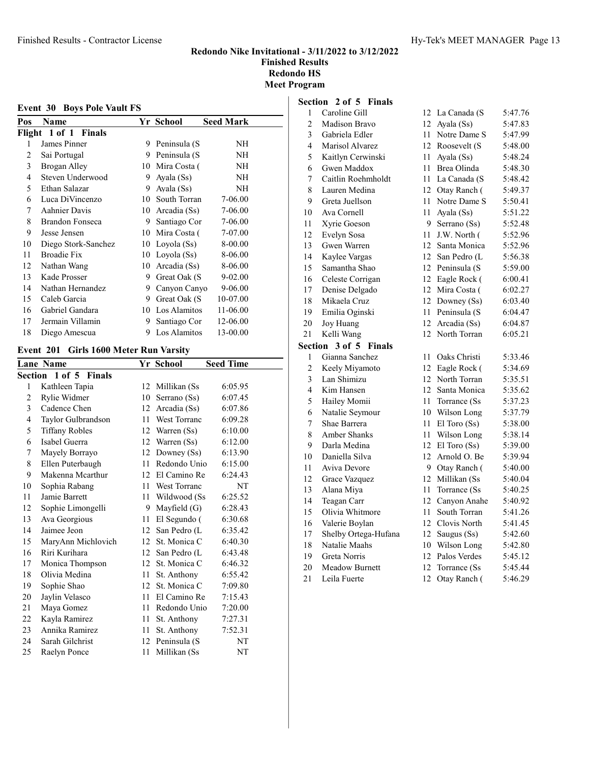| Pos    | Name                |    | Yr School    | <b>Seed Mark</b> |
|--------|---------------------|----|--------------|------------------|
| Flight | 1 of 1 Finals       |    |              |                  |
| 1      | James Pinner        | 9  | Peninsula (S | NΗ               |
| 2      | Sai Portugal        | 9  | Peninsula (S | NΗ               |
| 3      | Brogan Alley        | 10 | Mira Costa ( | NH               |
| 4      | Steven Underwood    | 9  | Ayala (Ss)   | <b>NH</b>        |
| 5      | Ethan Salazar       | 9  | Ayala (Ss)   | NH               |
| 6      | Luca DiVincenzo     | 10 | South Torran | 7-06.00          |
| 7      | Aahnier Davis       | 10 | Arcadia (Ss) | 7-06.00          |
| 8      | Brandon Fonseca     | 9  | Santiago Cor | 7-06.00          |
| 9      | Jesse Jensen        | 10 | Mira Costa ( | 7-07.00          |
| 10     | Diego Stork-Sanchez | 10 | Loyola (Ss)  | 8-00.00          |
| 11     | <b>Broadie Fix</b>  | 10 | Loyola (Ss)  | 8-06.00          |
| 12     | Nathan Wang         | 10 | Arcadia (Ss) | 8-06.00          |
| 13     | Kade Prosser        | 9  | Great Oak (S | $9 - 02.00$      |
| 14     | Nathan Hernandez    | 9  | Canyon Canyo | 9-06.00          |
| 15     | Caleb Garcia        | 9  | Great Oak (S | 10-07.00         |
| 16     | Gabriel Gandara     | 10 | Los Alamitos | 11-06.00         |
| 17     | Jermain Villamin    | 9  | Santiago Cor | 12-06.00         |
| 18     | Diego Amescua       | 9  | Los Alamitos | 13-00.00         |

# Event 201 Girls 1600 Meter Run Varsity

|    | <b>Lane Name</b>             |    | Yr School           | <b>Seed Time</b> |
|----|------------------------------|----|---------------------|------------------|
|    | <b>Section 1 of 5 Finals</b> |    |                     |                  |
| 1  | Kathleen Tapia               | 12 | Millikan (Ss        | 6:05.95          |
| 2  | Rylie Widmer                 | 10 | Serrano (Ss)        | 6:07.45          |
| 3  | Cadence Chen                 | 12 | Arcadia (Ss)        | 6:07.86          |
| 4  | Taylor Gulbrandson           | 11 | <b>West Torranc</b> | 6:09.28          |
| 5  | <b>Tiffany Robles</b>        | 12 | Warren (Ss)         | 6:10.00          |
| 6  | Isabel Guerra                | 12 | Warren (Ss)         | 6:12.00          |
| 7  | Mayely Borrayo               | 12 | Downey (Ss)         | 6:13.90          |
| 8  | Ellen Puterbaugh             | 11 | Redondo Unio        | 6:15.00          |
| 9  | Makenna Mcarthur             | 12 | El Camino Re        | 6:24.43          |
| 10 | Sophia Rabang                | 11 | <b>West Torranc</b> | NT               |
| 11 | Jamie Barrett                | 11 | Wildwood (Ss        | 6:25.52          |
| 12 | Sophie Limongelli            | 9  | Mayfield $(G)$      | 6:28.43          |
| 13 | Ava Georgious                | 11 | El Segundo (        | 6:30.68          |
| 14 | Jaimee Jeon                  | 12 | San Pedro (L        | 6:35.42          |
| 15 | MaryAnn Michlovich           | 12 | St. Monica C        | 6:40.30          |
| 16 | Riri Kurihara                | 12 | San Pedro (L        | 6:43.48          |
| 17 | Monica Thompson              | 12 | St. Monica C        | 6:46.32          |
| 18 | Olivia Medina                | 11 | St. Anthony         | 6:55.42          |
| 19 | Sophie Shao                  | 12 | St. Monica C        | 7:09.80          |
| 20 | Jaylin Velasco               | 11 | El Camino Re        | 7:15.43          |
| 21 | Maya Gomez                   | 11 | Redondo Unio        | 7:20.00          |
| 22 | Kayla Ramirez                | 11 | St. Anthony         | 7:27.31          |
| 23 | Annika Ramirez               | 11 | St. Anthony         | 7:52.31          |
| 24 | Sarah Gilchrist              | 12 | Peninsula (S        | NT               |
| 25 | Raelyn Ponce                 | 11 | Millikan (Ss        | NT               |
|    |                              |    |                     |                  |

# Section 2 of 5 Finals<br>1 Caroline Gill

| $\mathbf{1}$            | Caroline Gill                         | 12       | La Canada (S                 | 5:47.76            |
|-------------------------|---------------------------------------|----------|------------------------------|--------------------|
| $\overline{c}$          | Madison Bravo                         | 12       | Ayala (Ss)                   | 5:47.83            |
| 3                       | Gabriela Edler                        | 11       | Notre Dame S                 | 5:47.99            |
| $\overline{\mathbf{4}}$ | Marisol Alvarez                       | 12       | Roosevelt (S                 | 5:48.00            |
| 5                       | Kaitlyn Cerwinski                     | 11       | Ayala (Ss)                   | 5:48.24            |
| 6                       | Gwen Maddox                           | 11       | Brea Olinda                  | 5:48.30            |
| 7                       | Caitlin Roehmholdt                    | 11       | La Canada (S                 | 5:48.42            |
| 8                       | Lauren Medina                         | 12       | Otay Ranch (                 | 5:49.37            |
| 9                       | Greta Juellson                        | 11       | Notre Dame S                 | 5:50.41            |
| 10                      | Ava Cornell                           | 11       | Ayala (Ss)                   | 5:51.22            |
| 11                      | Xyrie Goeson                          | 9        | Serrano (Ss)                 | 5:52.48            |
| 12                      | Evelyn Sosa                           | 11       | J.W. North (                 | 5:52.96            |
| 13                      | Gwen Warren                           | 12       | Santa Monica                 | 5:52.96            |
| 14                      | Kaylee Vargas                         | 12       | San Pedro (L                 | 5:56.38            |
| 15                      | Samantha Shao                         | 12       | Peninsula (S                 | 5:59.00            |
| 16                      | Celeste Corrigan                      | 12       | Eagle Rock (                 | 6:00.41            |
| 17                      | Denise Delgado                        | 12       | Mira Costa (                 | 6:02.27            |
| 18                      | Mikaela Cruz                          | 12       | Downey (Ss)                  | 6:03.40            |
| 19                      | Emilia Oginski                        | 11       | Peninsula (S                 | 6:04.47            |
| 20                      | Joy Huang                             | 12       | Arcadia (Ss)                 | 6:04.87            |
| 21                      | Kelli Wang                            | 12       | North Torran                 | 6:05.21            |
|                         |                                       |          |                              |                    |
| Section                 | 3 of 5<br><b>Finals</b>               |          |                              |                    |
| $\mathbf{1}$            | Gianna Sanchez                        | 11       | Oaks Christi                 | 5:33.46            |
| $\overline{c}$          | Keely Miyamoto                        | 12       | Eagle Rock (                 | 5:34.69            |
| 3                       | Lan Shimizu                           | 12       | North Torran                 | 5:35.51            |
| 4                       | Kim Hansen                            | 12       | Santa Monica                 | 5:35.62            |
| 5                       | Hailey Momii                          | 11       | Torrance (Ss                 | 5:37.23            |
| 6                       | Natalie Seymour                       | 10       | Wilson Long                  | 5:37.79            |
| 7                       | Shae Barrera                          | 11       | El Toro (Ss)                 | 5:38.00            |
| 8                       | <b>Amber Shanks</b>                   | 11       | Wilson Long                  | 5:38.14            |
| 9                       | Darla Medina                          | 12       | $El$ Toro $(Ss)$             | 5:39.00            |
| 10                      | Daniella Silva                        | 12       | Arnold O. Be                 | 5:39.94            |
| 11                      | Aviva Devore                          | 9        | Otay Ranch (                 | 5:40.00            |
| 12                      | Grace Vazquez                         | 12       | Millikan (Ss                 | 5:40.04            |
| 13                      | Alana Miya                            | 11       | Torrance (Ss                 | 5:40.25            |
| 14                      | Teagan Carr                           | 12       | Canyon Anahe                 | 5:40.92            |
| 15                      | Olivia Whitmore                       | 11       | South Torran                 | 5:41.26            |
| 16                      | Valerie Boylan                        | 12       | Clovis North                 | 5:41.45            |
| 17                      | Shelby Ortega-Hufana                  | 12       | Saugus (Ss)                  | 5:42.60            |
| 18                      | Natalie Maahs                         | 10       | Wilson Long                  | 5:42.80            |
| 19<br>20                | Greta Norris<br><b>Meadow Burnett</b> | 12<br>12 | Palos Verdes<br>Torrance (Ss | 5:45.12<br>5:45.44 |

21 Leila Fuerte 12 Otay Ranch ( 5:46.29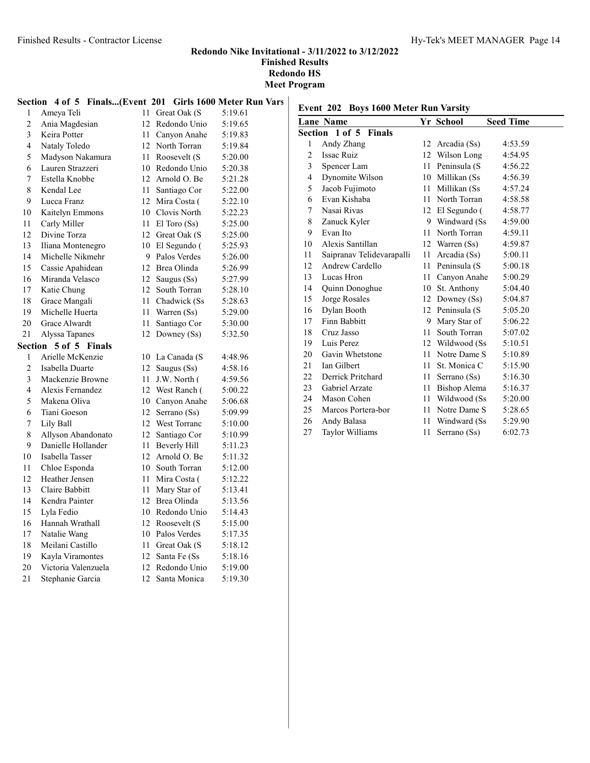#### Section 4 of 5 Finals...(Event 201 Girls 1600 Meter Run Vars

| 1              | Ameya Teli          | 11 | Great Oak (S        | 5:19.61 |
|----------------|---------------------|----|---------------------|---------|
| $\overline{c}$ | Ania Magdesian      | 12 | Redondo Unio        | 5:19.65 |
| $\overline{3}$ | Keira Potter        | 11 | Canyon Anahe        | 5:19.83 |
| $\overline{4}$ | Nataly Toledo       | 12 | North Torran        | 5:19.84 |
| 5              | Madyson Nakamura    | 11 | Roosevelt (S        | 5:20.00 |
| 6              | Lauren Strazzeri    | 10 | Redondo Unio        | 5:20.38 |
| 7              | Estella Knobbe      | 12 | Arnold O. Be        | 5:21.28 |
| 8              | Kendal Lee          | 11 | Santiago Cor        | 5:22.00 |
| 9              | Lucca Franz         | 12 | Mira Costa (        | 5:22.10 |
| 10             | Kaitelyn Emmons     |    | 10 Clovis North     | 5:22.23 |
| 11             | Carly Miller        | 11 | $El$ Toro $(Ss)$    | 5:25.00 |
| 12             | Divine Torza        | 12 | Great Oak (S        | 5:25.00 |
| 13             | Iliana Montenegro   | 10 | El Segundo (        | 5:25.93 |
| 14             | Michelle Nikmehr    | 9  | Palos Verdes        | 5:26.00 |
| 15             | Cassie Apahidean    | 12 | Brea Olinda         | 5:26.99 |
| 16             | Miranda Velasco     | 12 | Saugus (Ss)         | 5:27.99 |
| 17             | Katie Chung         | 12 | South Torran        | 5:28.10 |
| 18             | Grace Mangali       | 11 | Chadwick (Ss        | 5:28.63 |
| 19             | Michelle Huerta     | 11 | Warren (Ss)         | 5:29.00 |
| 20             | Grace Alwardt       | 11 | Santiago Cor        | 5:30.00 |
| 21             | Alyssa Tapanes      | 12 | Downey (Ss)         | 5:32.50 |
| Section        | 5 of 5 Finals       |    |                     |         |
| $\mathbf{1}$   | Arielle McKenzie    | 10 | La Canada (S        | 4:48.96 |
| $\sqrt{2}$     | Isabella Duarte     | 12 | Saugus (Ss)         | 4:58.16 |
| $\mathfrak{Z}$ | Mackenzie Browne    | 11 | J.W. North (        | 4:59.56 |
| 4              | Alexis Fernandez    | 12 | West Ranch (        | 5:00.22 |
| 5              | Makena Oliva        | 10 | Canyon Anahe        | 5:06.68 |
| 6              | Tiani Goeson        | 12 | Serrano (Ss)        | 5:09.99 |
| $\sqrt{ }$     | Lily Ball           | 12 | West Torranc        | 5:10.00 |
| 8              | Allyson Abandonato  | 12 | Santiago Cor        | 5:10.99 |
| 9              | Danielle Hollander  | 11 | <b>Beverly Hill</b> | 5:11.23 |
| $10\,$         | Isabella Tasser     | 12 | Arnold O. Be        | 5:11.32 |
| 11             | Chloe Esponda       | 10 | South Torran        | 5:12.00 |
| 12             | Heather Jensen      | 11 | Mira Costa (        | 5:12.22 |
| 13             | Claire Babbitt      | 11 | Mary Star of        | 5:13.41 |
| 14             | Kendra Painter      | 12 | Brea Olinda         | 5:13.56 |
| 15             | Lyla Fedio          | 10 | Redondo Unio        | 5:14.43 |
| 16             | Hannah Wrathall     | 12 | Roosevelt (S        | 5:15.00 |
| 17             | Natalie Wang        | 10 | Palos Verdes        | 5:17.35 |
| $18\,$         | Meilani Castillo    | 11 | Great Oak (S        | 5:18.12 |
| 19             | Kayla Viramontes    | 12 | Santa Fe (Ss        | 5:18.16 |
| 20             | Victoria Valenzuela | 12 | Redondo Unio        | 5:19.00 |
| 21             | Stephanie Garcia    | 12 | Santa Monica        | 5:19.30 |

# Event 202 Boys 1600 Meter Run Varsity

|                | <b>Lane Name</b>             |    | Yr School        | <b>Seed Time</b> |
|----------------|------------------------------|----|------------------|------------------|
|                | <b>Section 1 of 5 Finals</b> |    |                  |                  |
| $\mathbf{1}$   | Andy Zhang                   |    | 12 Arcadia (Ss)  | 4:53.59          |
| $\overline{c}$ | <b>Issac Ruiz</b>            |    | 12 Wilson Long   | 4:54.95          |
| 3              | Spencer Lam                  | 11 | Peninsula (S     | 4:56.22          |
| 4              | Dynomite Wilson              | 10 | Millikan (Ss     | 4:56.39          |
| 5              | Jacob Fujimoto               | 11 | Millikan (Ss     | 4:57.24          |
| 6              | Evan Kishaba                 |    | 11 North Torran  | 4:58.58          |
| 7              | Nasai Rivas                  | 12 | El Segundo (     | 4:58.77          |
| 8              | Zanuck Kyler                 |    | 9 Windward (Ss   | 4:59.00          |
| 9              | Evan Ito                     | 11 | North Torran     | 4:59.11          |
| 10             | Alexis Santillan             |    | 12 Warren (Ss)   | 4:59.87          |
| 11             | Saipranav Telidevarapalli    | 11 | Arcadia (Ss)     | 5:00.11          |
| 12             | Andrew Cardello              | 11 | Peninsula (S     | 5:00.18          |
| 13             | Lucas Hron                   | 11 | Canyon Anahe     | 5:00.29          |
| 14             | Quinn Donoghue               | 10 | St. Anthony      | 5:04.40          |
| 15             | Jorge Rosales                |    | 12 Downey (Ss)   | 5:04.87          |
| 16             | Dylan Booth                  |    | 12 Peninsula (S) | 5:05.20          |
| 17             | Finn Babbitt                 | 9  | Mary Star of     | 5:06.22          |
| 18             | Cruz Jasso                   | 11 | South Torran     | 5:07.02          |
| 19             | Luis Perez                   |    | 12 Wildwood (Ss) | 5:10.51          |
| 20             | Gavin Whetstone              | 11 | Notre Dame S     | 5:10.89          |
| 21             | <b>Ian Gilbert</b>           | 11 | St. Monica C     | 5:15.90          |
| 22             | Derrick Pritchard            | 11 | Serrano (Ss)     | 5:16.30          |
| 23             | Gabriel Arzate               | 11 | Bishop Alema     | 5:16.37          |
| 24             | Mason Cohen                  | 11 | Wildwood (Ss)    | 5:20.00          |
| 25             | Marcos Portera-bor           | 11 | Notre Dame S     | 5:28.65          |
| 26             | Andy Balasa                  | 11 | Windward (Ss     | 5:29.90          |
| 27             | Taylor Williams              | 11 | Serrano (Ss)     | 6:02.73          |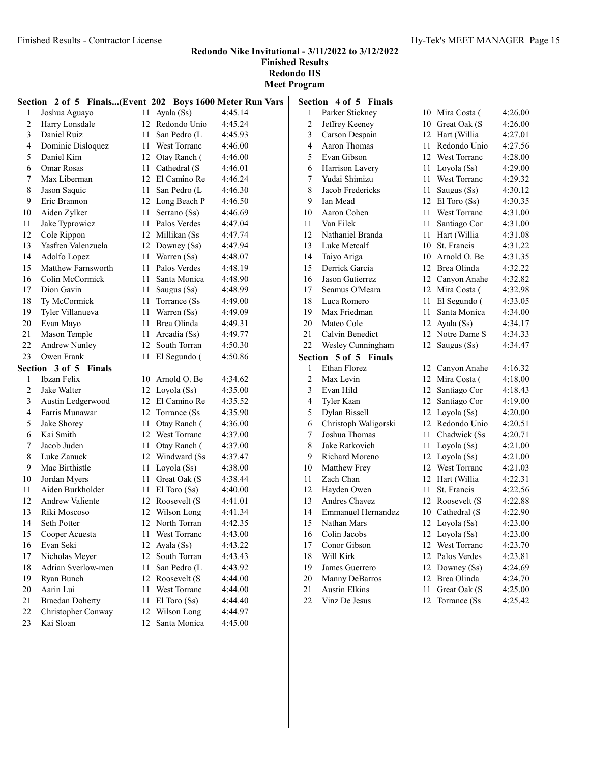Redondo Nike Invitational - 3/11/2022 to 3/12/2022 Finished Results

Redondo HS Meet Program

|                | Section 2 of 5 Finals(Event 202 Boys 1600 Meter Run Vars |    |                   |         |  |
|----------------|----------------------------------------------------------|----|-------------------|---------|--|
| 1              | Joshua Aguayo                                            |    | 11 Ayala (Ss)     | 4:45.14 |  |
| $\overline{c}$ | Harry Lonsdale                                           |    | 12 Redondo Unio   | 4:45.24 |  |
| 3              | Daniel Ruiz                                              |    | 11 San Pedro (L   | 4:45.93 |  |
| 4              | Dominic Disloquez                                        |    | 11 West Torranc   | 4:46.00 |  |
| 5              | Daniel Kim                                               |    | 12 Otay Ranch (   | 4:46.00 |  |
| 6              | <b>Omar Rosas</b>                                        |    | 11 Cathedral (S   | 4:46.01 |  |
| 7              | Max Liberman                                             |    | 12 El Camino Re   | 4:46.24 |  |
| 8              | Jason Saquic                                             |    | 11 San Pedro (L   | 4:46.30 |  |
| 9              | Eric Brannon                                             |    | 12 Long Beach P   | 4:46.50 |  |
| 10             | Aiden Zylker                                             |    | 11 Serrano (Ss)   | 4:46.69 |  |
| 11             | Jake Typrowicz                                           |    | 11 Palos Verdes   | 4:47.04 |  |
| 12             | Cole Rippon                                              |    | 12 Millikan (Ss)  | 4:47.74 |  |
| 13             | Yasfren Valenzuela                                       |    | 12 Downey (Ss)    | 4:47.94 |  |
| 14             | Adolfo Lopez                                             |    | 11 Warren (Ss)    | 4:48.07 |  |
| 15             | Matthew Farnsworth                                       |    | 11 Palos Verdes   | 4:48.19 |  |
| 16             | Colin McCormick                                          |    | 11 Santa Monica   | 4:48.90 |  |
| 17             | Dion Gavin                                               |    | 11 Saugus (Ss)    | 4:48.99 |  |
| 18             | Ty McCormick                                             |    | 11 Torrance (Ss)  | 4:49.00 |  |
| 19             | Tyler Villanueva                                         |    | 11 Warren (Ss)    | 4:49.09 |  |
| 20             | Evan Mayo                                                |    | 11 Brea Olinda    | 4:49.31 |  |
| 21             | Mason Temple                                             |    | 11 Arcadia (Ss)   | 4:49.77 |  |
| 22             | <b>Andrew Nunley</b>                                     |    | 12 South Torran   | 4:50.30 |  |
| 23             | Owen Frank                                               |    | 11 El Segundo (   | 4:50.86 |  |
|                | Section 3 of 5 Finals                                    |    |                   |         |  |
| 1              | Ibzan Felix                                              |    | 10 Arnold O. Be   | 4:34.62 |  |
| 2              | Jake Walter                                              |    | 12 Loyola (Ss)    | 4:35.00 |  |
| 3              | Austin Ledgerwood                                        |    | 12 El Camino Re   | 4:35.52 |  |
| 4              | Farris Munawar                                           |    | 12 Torrance (Ss)  | 4:35.90 |  |
| 5              | Jake Shorey                                              | 11 | Otay Ranch (      | 4:36.00 |  |
| 6              | Kai Smith                                                |    | 12 West Torranc   | 4:37.00 |  |
| 7              | Jacob Juden                                              |    | 11 Otay Ranch (   | 4:37.00 |  |
| 8              | Luke Zanuck                                              |    | 12 Windward (Ss   | 4:37.47 |  |
| 9              | Mac Birthistle                                           |    | 11 Loyola (Ss)    | 4:38.00 |  |
| 10             | Jordan Myers                                             |    | 11 Great Oak (S   | 4:38.44 |  |
| 11             | Aiden Burkholder                                         |    | 11 El Toro $(Ss)$ | 4:40.00 |  |
| 12             | <b>Andrew Valiente</b>                                   |    | 12 Roosevelt (S   | 4:41.01 |  |
| 13             | Riki Moscoso                                             |    | 12 Wilson Long    | 4:41.34 |  |
| 14             | Seth Potter                                              |    | 12 North Torran   | 4:42.35 |  |
| 15             | Cooper Acuesta                                           | 11 | West Torranc      | 4:43.00 |  |
| 16             | Evan Seki                                                | 12 | Ayala (Ss)        | 4:43.22 |  |
| 17             | Nicholas Meyer                                           | 12 | South Torran      | 4:43.43 |  |
| 18             | Adrian Sverlow-men                                       | 11 | San Pedro (L      | 4:43.92 |  |
| 19             | Ryan Bunch                                               |    | 12 Roosevelt (S   | 4:44.00 |  |
| 20             | Aarin Lui                                                | 11 | West Torranc      | 4:44.00 |  |
| 21             | <b>Braedan Doherty</b>                                   | 11 | $El$ Toro $(Ss)$  | 4:44.40 |  |
| 22             | Christopher Conway                                       |    | 12 Wilson Long    | 4:44.97 |  |
| 23             | Kai Sloan                                                |    | 12 Santa Monica   | 4:45.00 |  |

|                | Section 4 of 5 Finals     |        |                 |         |
|----------------|---------------------------|--------|-----------------|---------|
| 1              | Parker Stickney           |        | 10 Mira Costa ( | 4:26.00 |
| $\overline{c}$ | Jeffrey Keeney            |        | 10 Great Oak (S | 4:26.00 |
| 3              | Carson Despain            |        | 12 Hart (Willia | 4:27.01 |
| $\overline{4}$ | <b>Aaron Thomas</b>       | $11 -$ | Redondo Unio    | 4:27.56 |
| 5              | Evan Gibson               | 12     | West Torranc    | 4:28.00 |
| 6              | Harrison Lavery           |        | 11 Loyola (Ss)  | 4:29.00 |
| 7              | Yudai Shimizu             |        | 11 West Torranc | 4:29.32 |
| $\,$ 8 $\,$    | Jacob Fredericks          | 11     | Saugus (Ss)     | 4:30.12 |
| 9              | Ian Mead                  |        | 12 El Toro (Ss) | 4:30.35 |
| 10             | Aaron Cohen               |        | 11 West Torranc | 4:31.00 |
| 11             | Van Filek                 | 11 -   | Santiago Cor    | 4:31.00 |
| 12             | Nathaniel Branda          | 11.    | Hart (Willia    | 4:31.08 |
| 13             | Luke Metcalf              | 10     | St. Francis     | 4:31.22 |
| 14             | Taiyo Ariga               | 10     | Arnold O. Be    | 4:31.35 |
| 15             | Derrick Garcia            | 12     | Brea Olinda     | 4:32.22 |
| 16             | Jason Gutierrez           | 12     | Canyon Anahe    | 4:32.82 |
| 17             | Seamus O'Meara            | 12     | Mira Costa (    | 4:32.98 |
| 18             | Luca Romero               | 11     | El Segundo (    | 4:33.05 |
| 19             | Max Friedman              | 11     | Santa Monica    | 4:34.00 |
| 20             | Mateo Cole                |        | 12 Ayala (Ss)   | 4:34.17 |
| 21             | Calvin Benedict           |        | 12 Notre Dame S | 4:34.33 |
| 22             | Wesley Cunningham         | 12     | Saugus (Ss)     | 4:34.47 |
| Section        | 5 of 5 Finals             |        |                 |         |
| 1              | Ethan Florez              |        | 12 Canyon Anahe | 4:16.32 |
| $\overline{c}$ | Max Levin                 |        | 12 Mira Costa ( | 4:18.00 |
| 3              | Evan Hild                 | 12     | Santiago Cor    | 4:18.43 |
| 4              | Tyler Kaan                | 12     | Santiago Cor    | 4:19.00 |
| 5              | Dylan Bissell             | 12     | Loyola (Ss)     | 4:20.00 |
| 6              | Christoph Waligorski      | 12     | Redondo Unio    | 4:20.51 |
| 7              | Joshua Thomas             | 11     | Chadwick (Ss    | 4:20.71 |
| 8              | Jake Ratkovich            | 11     | Loyola (Ss)     | 4:21.00 |
| 9              | Richard Moreno            |        | 12 Loyola (Ss)  | 4:21.00 |
| 10             | Matthew Frey              |        | 12 West Torranc | 4:21.03 |
|                |                           |        |                 |         |
| 11             | Zach Chan                 |        | 12 Hart (Willia | 4:22.31 |
| 12             | Hayden Owen               | 11 -   | St. Francis     | 4:22.56 |
| 13             | <b>Andres Chavez</b>      |        | 12 Roosevelt (S | 4:22.88 |
| 14             | <b>Emmanuel Hernandez</b> |        | 10 Cathedral (S | 4:22.90 |
| 15             | Nathan Mars               |        | 12 Loyola (Ss)  | 4:23.00 |
| 16             | Colin Jacobs              |        | 12 Loyola (Ss)  | 4:23.00 |
| 17             | Conor Gibson              | 12     | West Torranc    | 4:23.70 |
| 18             | Will Kirk                 | 12     | Palos Verdes    | 4:23.81 |
| 19             | James Guerrero            | 12     | Downey (Ss)     | 4:24.69 |
| 20             | Manny DeBarros            | 12     | Brea Olinda     | 4:24.70 |
| 21             | <b>Austin Elkins</b>      | 11     | Great Oak (S    | 4:25.00 |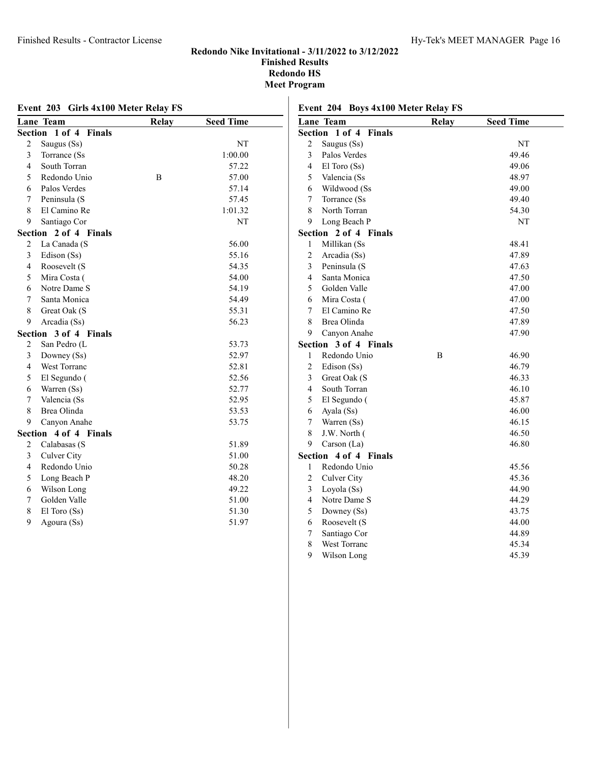|                | Event 203 Girls 4x100 Meter Relay FS |              |                  |  |  |
|----------------|--------------------------------------|--------------|------------------|--|--|
|                | Lane Team                            | <b>Relay</b> | <b>Seed Time</b> |  |  |
|                | Section 1 of 4<br><b>Finals</b>      |              |                  |  |  |
| $\overline{2}$ | Saugus (Ss)                          |              | NT               |  |  |
| 3              | Torrance (Ss                         |              | 1:00.00          |  |  |
| $\overline{4}$ | South Torran                         |              | 57.22            |  |  |
| 5              | Redondo Unio                         | В            | 57.00            |  |  |
| 6              | Palos Verdes                         |              | 57.14            |  |  |
| 7              | Peninsula (S                         |              | 57.45            |  |  |
| 8              | El Camino Re                         |              | 1:01.32          |  |  |
| 9              | Santiago Cor                         |              | NT               |  |  |
|                | Section<br>2 of 4 Finals             |              |                  |  |  |
| 2              | La Canada (S                         |              | 56.00            |  |  |
| 3              | Edison (Ss)                          |              | 55.16            |  |  |
| $\overline{4}$ | Roosevelt (S                         |              | 54.35            |  |  |
| 5              | Mira Costa (                         |              | 54.00            |  |  |
| 6              | Notre Dame S                         |              | 54.19            |  |  |
| 7              | Santa Monica                         |              | 54.49            |  |  |
| 8              | Great Oak (S                         |              | 55.31            |  |  |
| 9              | Arcadia (Ss)                         |              | 56.23            |  |  |
|                | Section<br>3 of 4 Finals             |              |                  |  |  |
| $\overline{c}$ | San Pedro (L                         |              | 53.73            |  |  |
| 3              | Downey (Ss)                          |              | 52.97            |  |  |
| $\overline{4}$ | West Torranc                         |              | 52.81            |  |  |
| 5              | El Segundo (                         |              | 52.56            |  |  |
| 6              | Warren (Ss)                          |              | 52.77            |  |  |
| 7              | Valencia (Ss                         |              | 52.95            |  |  |
| 8              | Brea Olinda                          |              | 53.53            |  |  |
| 9              | Canyon Anahe                         |              | 53.75            |  |  |
|                | 4 of 4 Finals<br>Section             |              |                  |  |  |
| 2              | Calabasas (S                         |              | 51.89            |  |  |
| 3              | Culver City                          |              | 51.00            |  |  |
| $\overline{4}$ | Redondo Unio                         |              | 50.28            |  |  |
| 5              | Long Beach P                         |              | 48.20            |  |  |
| 6              | Wilson Long                          |              | 49.22            |  |  |
| 7              | Golden Valle                         |              | 51.00            |  |  |
| 8              | El Toro (Ss)                         |              | 51.30            |  |  |
| 9              | Agoura (Ss)                          |              | 51.97            |  |  |
|                |                                      |              |                  |  |  |

| Event 204 Boys 4x100 Meter Relay FS |       |                  |  |  |  |  |
|-------------------------------------|-------|------------------|--|--|--|--|
| Lane Team                           | Relay | <b>Seed Time</b> |  |  |  |  |
| <b>Section 1 of 4 Finals</b>        |       |                  |  |  |  |  |
| 2 Saugus (Ss)                       |       | NT               |  |  |  |  |
| Palos Verdes<br>3                   |       | 49.46            |  |  |  |  |

| ∠                       | Daugus (DS)   |   | 1 Y 1 |
|-------------------------|---------------|---|-------|
| 3                       | Palos Verdes  |   | 49.46 |
| $\overline{\mathbf{4}}$ | El Toro (Ss)  |   | 49.06 |
| 5                       | Valencia (Ss  |   | 48.97 |
| 6                       | Wildwood (Ss  |   | 49.00 |
| $\overline{7}$          | Torrance (Ss  |   | 49.40 |
| 8                       | North Torran  |   | 54.30 |
| 9                       | Long Beach P  |   | NT    |
| Section                 | 2 of 4 Finals |   |       |
| 1                       | Millikan (Ss  |   | 48.41 |
| $\overline{c}$          | Arcadia (Ss)  |   | 47.89 |
| 3                       | Peninsula (S  |   | 47.63 |
| $\overline{4}$          | Santa Monica  |   | 47.50 |
| 5                       | Golden Valle  |   | 47.00 |
| 6                       | Mira Costa (  |   | 47.00 |
| 7                       | El Camino Re  |   | 47.50 |
| 8                       | Brea Olinda   |   | 47.89 |
| 9                       | Canyon Anahe  |   | 47.90 |
| <b>Section</b>          | 3 of 4 Finals |   |       |
| $\mathbf{1}$            | Redondo Unio  | B | 46.90 |
| $\sqrt{2}$              | Edison (Ss)   |   | 46.79 |
| 3                       | Great Oak (S  |   | 46.33 |
| 4                       | South Torran  |   | 46.10 |
| 5                       | El Segundo (  |   | 45.87 |
| 6                       | Ayala (Ss)    |   | 46.00 |
| $\tau$                  | Warren (Ss)   |   | 46.15 |
| 8                       | J.W. North (  |   | 46.50 |
| 9                       | Carson (La)   |   | 46.80 |
| Section                 | 4 of 4 Finals |   |       |
| 1                       | Redondo Unio  |   | 45.56 |
| $\overline{2}$          | Culver City   |   | 45.36 |
| 3                       | Loyola (Ss)   |   | 44.90 |
| 4                       | Notre Dame S  |   | 44.29 |
| 5                       | Downey (Ss)   |   | 43.75 |
| 6                       | Roosevelt (S  |   | 44.00 |
| 7                       | Santiago Cor  |   | 44.89 |
| 8                       | West Torranc  |   | 45.34 |
| 9                       | Wilson Long   |   | 45.39 |
|                         |               |   |       |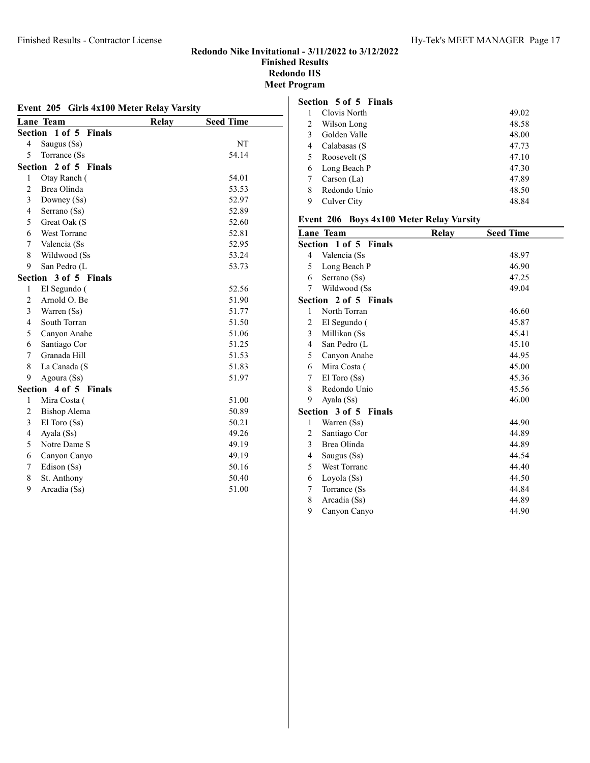#### Finished Results - Contractor License Hy-Tek's MEET MANAGER Page 17

#### Redondo Nike Invitational - 3/11/2022 to 3/12/2022 Finished Results Redondo HS Meet Program

| Event 205 Girls 4x100 Meter Relay Varsity |                             |              |                  |  |
|-------------------------------------------|-----------------------------|--------------|------------------|--|
|                                           | Lane Team                   | <b>Relay</b> | <b>Seed Time</b> |  |
| Section                                   | $1$ of $5$<br><b>Finals</b> |              |                  |  |
| 4                                         | Saugus (Ss)                 |              | NT               |  |
| 5                                         | Torrance (Ss                |              | 54.14            |  |
| Section                                   | 2 of 5 Finals               |              |                  |  |
| $\mathbf{1}$                              | Otay Ranch (                |              | 54.01            |  |
| $\overline{c}$                            | Brea Olinda                 |              | 53.53            |  |
| 3                                         | Downey (Ss)                 |              | 52.97            |  |
| $\overline{4}$                            | Serrano (Ss)                |              | 52.89            |  |
| 5                                         | Great Oak (S                |              | 52.60            |  |
| 6                                         | West Torranc                |              | 52.81            |  |
| 7                                         | Valencia (Ss                |              | 52.95            |  |
| 8                                         | Wildwood (Ss                |              | 53.24            |  |
| 9                                         | San Pedro (L                |              | 53.73            |  |
| Section                                   | 3 of 5 Finals               |              |                  |  |
| 1                                         | El Segundo (                |              | 52.56            |  |
| 2                                         | Arnold O. Be                |              | 51.90            |  |
| 3                                         | Warren (Ss)                 |              | 51.77            |  |
| $\overline{4}$                            | South Torran                |              | 51.50            |  |
| 5                                         | Canyon Anahe                |              | 51.06            |  |
| 6                                         | Santiago Cor                |              | 51.25            |  |
| 7                                         | Granada Hill                |              | 51.53            |  |
| 8                                         | La Canada (S                |              | 51.83            |  |
| 9                                         | Agoura (Ss)                 |              | 51.97            |  |
|                                           | Section 4 of 5 Finals       |              |                  |  |
| 1                                         | Mira Costa (                |              | 51.00            |  |
| $\overline{c}$                            | <b>Bishop Alema</b>         |              | 50.89            |  |
| 3                                         | El Toro (Ss)                |              | 50.21            |  |
| $\overline{4}$                            | Ayala (Ss)                  |              | 49.26            |  |
| 5                                         | Notre Dame S                |              | 49.19            |  |
| 6                                         | Canyon Canyo                |              | 49.19            |  |
| 7                                         | Edison (Ss)                 |              | 50.16            |  |
| 8                                         | St. Anthony                 |              | 50.40            |  |
| 9                                         | Arcadia (Ss)                |              | 51.00            |  |

### Section 5 of 5 Finals

|    | Clovis North | 49.02 |
|----|--------------|-------|
| 2  | Wilson Long  | 48.58 |
| 3  | Golden Valle | 48.00 |
|    | Calabasas (S | 47.73 |
| 5. | Roosevelt (S | 47.10 |
| 6  | Long Beach P | 47.30 |
|    | Carson (La)  | 47.89 |
| 8  | Redondo Unio | 48.50 |
|    | Culver City  | 48.84 |

#### Event 206 Boys 4x100 Meter Relay Varsity

|                | <b>Lane Team</b>      | Relay | <b>Seed Time</b> |  |
|----------------|-----------------------|-------|------------------|--|
|                | Section 1 of 5 Finals |       |                  |  |
| $\overline{4}$ | Valencia (Ss          |       | 48.97            |  |
| 5              | Long Beach P          |       | 46.90            |  |
| 6              | Serrano (Ss)          |       | 47.25            |  |
| 7              | Wildwood (Ss          |       | 49.04            |  |
|                | Section 2 of 5 Finals |       |                  |  |
| 1              | North Torran          |       | 46.60            |  |
| 2              | El Segundo (          |       | 45.87            |  |
| $\mathfrak{Z}$ | Millikan (Ss          |       | 45.41            |  |
| 4              | San Pedro (L          |       | 45.10            |  |
| 5              | Canyon Anahe          |       | 44.95            |  |
| 6              | Mira Costa (          |       | 45.00            |  |
| $7^{\circ}$    | $El$ Toro $(Ss)$      |       | 45.36            |  |
| 8              | Redondo Unio          |       | 45.56            |  |
| 9              | Ayala (Ss)            |       | 46.00            |  |
|                | Section 3 of 5 Finals |       |                  |  |
| 1              | Warren (Ss)           |       | 44.90            |  |
| 2              | Santiago Cor          |       | 44.89            |  |
| 3              | Brea Olinda           |       | 44.89            |  |
| $\overline{4}$ | Saugus (Ss)           |       | 44.54            |  |
| 5              | West Torranc          |       | 44.40            |  |
| 6              | Loyola (Ss)           |       | 44.50            |  |
| 7              | Torrance (Ss          |       | 44.84            |  |
| 8              | Arcadia (Ss)          |       | 44.89            |  |
| 9              | Canyon Canyo          |       | 44.90            |  |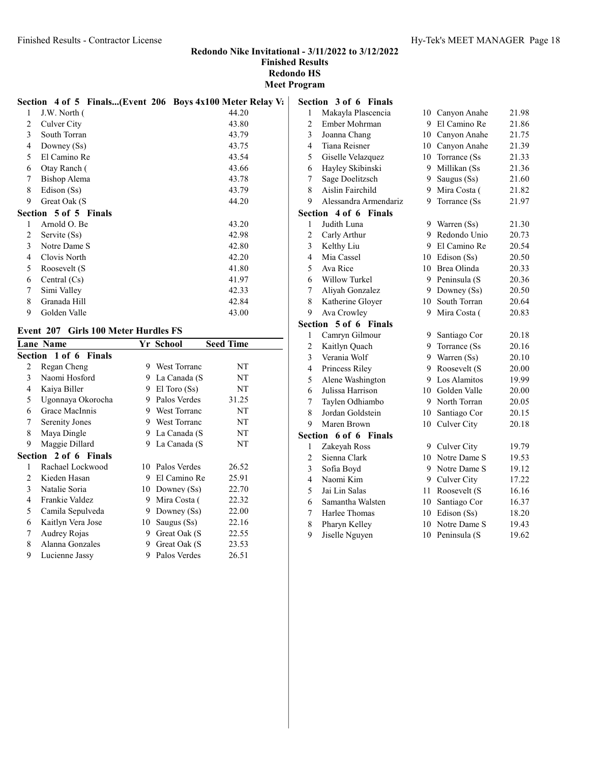|   | Section 4 of 5 Finals(Event 206 Boys 4x100 Meter Relay V: |       | Se |
|---|-----------------------------------------------------------|-------|----|
| 1 | J.W. North (                                              | 44.20 |    |
| 2 | Culver City                                               | 43.80 |    |
| 3 | South Torran                                              | 43.79 |    |
| 4 | Downey (Ss)                                               | 43.75 |    |
| 5 | El Camino Re                                              | 43.54 |    |
| 6 | Otay Ranch (                                              | 43.66 |    |
| 7 | <b>Bishop Alema</b>                                       | 43.78 |    |
| 8 | Edison (Ss)                                               | 43.79 |    |
| 9 | Great Oak (S                                              | 44.20 |    |
|   | Section 5 of 5 Finals                                     |       | Se |
| 1 | Arnold O. Be                                              | 43.20 |    |
| 2 | Servite (Ss)                                              | 42.98 |    |
| 3 | Notre Dame S                                              | 42.80 |    |
| 4 | Clovis North                                              | 42.20 |    |
| 5 | Roosevelt (S                                              | 41.80 |    |
| 6 | Central $(Cs)$                                            | 41.97 |    |
| 7 | Simi Valley                                               | 42.33 |    |
| 8 | Granada Hill                                              | 42.84 |    |
| 9 | Golden Valle                                              | 43.00 |    |

#### Event 207 Girls 100 Meter Hurdles FS

|                       |                                                                                                                                                                                                                                                                                                                                                          |                     | <b>Seed Time</b> |  |  |
|-----------------------|----------------------------------------------------------------------------------------------------------------------------------------------------------------------------------------------------------------------------------------------------------------------------------------------------------------------------------------------------------|---------------------|------------------|--|--|
| Section 1 of 6 Finals |                                                                                                                                                                                                                                                                                                                                                          |                     |                  |  |  |
|                       | 9                                                                                                                                                                                                                                                                                                                                                        | <b>West Torranc</b> | NT               |  |  |
|                       | 9                                                                                                                                                                                                                                                                                                                                                        | La Canada (S        | NT               |  |  |
|                       | 9                                                                                                                                                                                                                                                                                                                                                        | $El$ Toro $(Ss)$    | NT               |  |  |
|                       | 9                                                                                                                                                                                                                                                                                                                                                        | Palos Verdes        | 31.25            |  |  |
|                       | 9                                                                                                                                                                                                                                                                                                                                                        | <b>West Torranc</b> | NT               |  |  |
|                       | 9                                                                                                                                                                                                                                                                                                                                                        | <b>West Torranc</b> | NT               |  |  |
|                       | 9                                                                                                                                                                                                                                                                                                                                                        | La Canada (S        | NT               |  |  |
|                       | 9                                                                                                                                                                                                                                                                                                                                                        | La Canada (S        | NT               |  |  |
|                       |                                                                                                                                                                                                                                                                                                                                                          |                     |                  |  |  |
|                       | 10                                                                                                                                                                                                                                                                                                                                                       | Palos Verdes        | 26.52            |  |  |
|                       | 9                                                                                                                                                                                                                                                                                                                                                        | El Camino Re        | 25.91            |  |  |
|                       |                                                                                                                                                                                                                                                                                                                                                          | Downey $(Ss)$       | 22.70            |  |  |
|                       | 9                                                                                                                                                                                                                                                                                                                                                        | Mira Costa (        | 22.32            |  |  |
|                       | 9                                                                                                                                                                                                                                                                                                                                                        | Downey $(Ss)$       | 22.00            |  |  |
|                       | 10                                                                                                                                                                                                                                                                                                                                                       | Saugus (Ss)         | 22.16            |  |  |
|                       | 9                                                                                                                                                                                                                                                                                                                                                        | Great Oak (S        | 22.55            |  |  |
|                       | 9                                                                                                                                                                                                                                                                                                                                                        | Great Oak (S        | 23.53            |  |  |
|                       | 9                                                                                                                                                                                                                                                                                                                                                        | Palos Verdes        | 26.51            |  |  |
|                       | <b>Lane Name</b><br>Regan Cheng<br>Naomi Hosford<br>Kaiya Biller<br>Ugonnaya Okorocha<br>Grace MacInnis<br>Serenity Jones<br>Maya Dingle<br>Maggie Dillard<br>Section 2 of 6 Finals<br>Rachael Lockwood<br>Kieden Hasan<br>Natalie Soria<br>Frankie Valdez<br>Camila Sepulveda<br>Kaitlyn Vera Jose<br>Audrey Rojas<br>Alanna Gonzales<br>Lucienne Jassy |                     | Yr School<br>10  |  |  |

|                | Section 3 of 6 Finals |      |                 |       |
|----------------|-----------------------|------|-----------------|-------|
| $\mathbf{1}$   | Makayla Plascencia    | 10   | Canyon Anahe    | 21.98 |
| $\overline{c}$ | Ember Mohrman         | 9    | El Camino Re    | 21.86 |
| 3              | Joanna Chang          |      | 10 Canyon Anahe | 21.75 |
| $\overline{4}$ | Tiana Reisner         |      | 10 Canyon Anahe | 21.39 |
| 5              | Giselle Velazquez     | 10   | Torrance (Ss    | 21.33 |
| 6              | Hayley Skibinski      | 9.   | Millikan (Ss    | 21.36 |
| 7              | Sage Doelitzsch       | 9.   | Saugus (Ss)     | 21.60 |
| 8              | Aislin Fairchild      | 9    | Mira Costa (    | 21.82 |
| 9              | Alessandra Armendariz | 9    | Torrance (Ss    | 21.97 |
| Section        | 4 of 6 Finals         |      |                 |       |
| 1              | Judith Luna           |      | 9 Warren (Ss)   | 21.30 |
| $\overline{c}$ | Carly Arthur          |      | 9 Redondo Unio  | 20.73 |
| 3              | Kelthy Liu            |      | 9 El Camino Re  | 20.54 |
| $\overline{4}$ | Mia Cassel            |      | 10 Edison (Ss)  | 20.50 |
| 5              | Ava Rice              |      | 10 Brea Olinda  | 20.33 |
| 6              | Willow Turkel         | 9.   | Peninsula (S    | 20.36 |
| $\overline{7}$ | Aliyah Gonzalez       | 9.   | Downey (Ss)     | 20.50 |
| 8              | Katherine Gloyer      | 10   | South Torran    | 20.64 |
| 9              | Ava Crowley           | 9    | Mira Costa (    | 20.83 |
| Section        | 5 of 6 Finals         |      |                 |       |
| 1              | Camryn Gilmour        | 9.   | Santiago Cor    | 20.18 |
| $\overline{c}$ | Kaitlyn Quach         | 9.   | Torrance (Ss    | 20.16 |
| 3              | Verania Wolf          |      | 9 Warren (Ss)   | 20.10 |
| $\overline{4}$ | Princess Riley        |      | 9 Roosevelt (S  | 20.00 |
| 5              | Alene Washington      |      | 9 Los Alamitos  | 19.99 |
| 6              | Julissa Harrison      |      | 10 Golden Valle | 20.00 |
| 7              | Taylen Odhiambo       |      | 9 North Torran  | 20.05 |
| 8              | Jordan Goldstein      |      | 10 Santiago Cor | 20.15 |
| 9              | Maren Brown           | 10   | Culver City     | 20.18 |
|                | Section 6 of 6 Finals |      |                 |       |
| 1              | Zakeyah Ross          |      | 9 Culver City   | 19.79 |
| $\overline{c}$ | Sienna Clark          | 10   | Notre Dame S    | 19.53 |
| 3              | Sofia Boyd            | 9    | Notre Dame S    | 19.12 |
| $\overline{4}$ | Naomi Kim             | 9.   | Culver City     | 17.22 |
| 5              | Jai Lin Salas         | 11 - | Roosevelt (S    | 16.16 |
| 6              | Samantha Walsten      | 10   | Santiago Cor    | 16.37 |
| 7              | Harlee Thomas         | 10   | Edison (Ss)     | 18.20 |
| 8              | Pharyn Kelley         | 10   | Notre Dame S    | 19.43 |

9 Jiselle Nguyen 10 Peninsula (S 19.62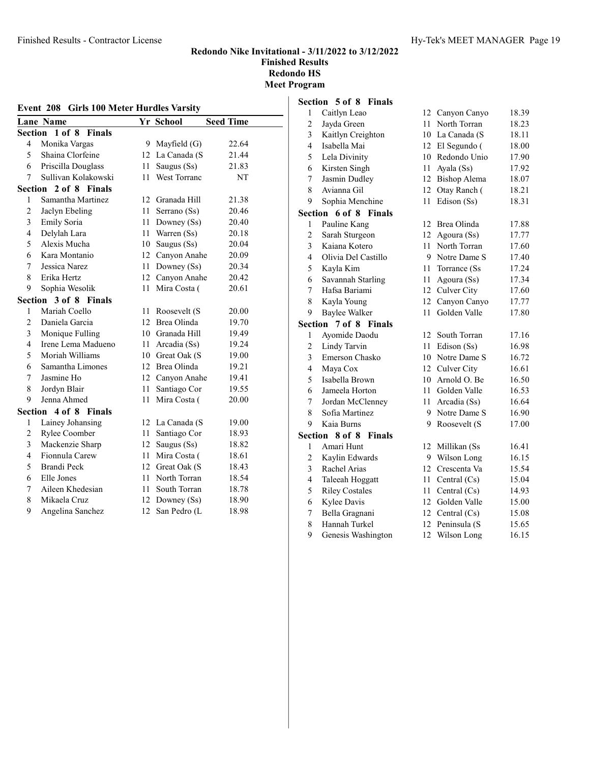| Event 208<br><b>Girls 100 Meter Hurdles Varsity</b> |                         |    |                 |                  |
|-----------------------------------------------------|-------------------------|----|-----------------|------------------|
|                                                     | <b>Lane Name</b>        |    | Yr School       | <b>Seed Time</b> |
| <b>Section</b>                                      | 1 of 8<br><b>Finals</b> |    |                 |                  |
| 4                                                   | Monika Vargas           | 9. | Mayfield $(G)$  | 22.64            |
| 5                                                   | Shaina Clorfeine        | 12 | La Canada (S    | 21.44            |
| 6                                                   | Priscilla Douglass      | 11 | Saugus (Ss)     | 21.83            |
| 7                                                   | Sullivan Kolakowski     | 11 | West Torranc    | NT               |
| Section                                             | 2 of 8 Finals           |    |                 |                  |
| 1                                                   | Samantha Martinez       | 12 | Granada Hill    | 21.38            |
| $\overline{c}$                                      | Jaclyn Ebeling          | 11 | Serrano (Ss)    | 20.46            |
| 3                                                   | Emily Soria             | 11 | Downey (Ss)     | 20.40            |
| $\overline{4}$                                      | Delylah Lara            | 11 | Warren (Ss)     | 20.18            |
| 5                                                   | Alexis Mucha            | 10 | Saugus (Ss)     | 20.04            |
| 6                                                   | Kara Montanio           | 12 | Canyon Anahe    | 20.09            |
| $\overline{7}$                                      | Jessica Narez           | 11 | Downey (Ss)     | 20.34            |
| 8                                                   | Erika Hertz             | 12 | Canyon Anahe    | 20.42            |
| 9                                                   | Sophia Wesolik          | 11 | Mira Costa (    | 20.61            |
| Section                                             | 3 of 8 Finals           |    |                 |                  |
| 1                                                   | Mariah Coello           | 11 | Roosevelt (S    | 20.00            |
| $\overline{2}$                                      | Daniela Garcia          | 12 | Brea Olinda     | 19.70            |
| 3                                                   | Monique Fulling         | 10 | Granada Hill    | 19.49            |
| $\overline{\mathcal{L}}$                            | Irene Lema Madueno      | 11 | Arcadia (Ss)    | 19.24            |
| 5                                                   | Moriah Williams         | 10 | Great Oak (S    | 19.00            |
| 6                                                   | Samantha Limones        | 12 | Brea Olinda     | 19.21            |
| $\overline{7}$                                      | Jasmine Ho              | 12 | Canyon Anahe    | 19.41            |
| 8                                                   | Jordyn Blair            | 11 | Santiago Cor    | 19.55            |
| 9                                                   | Jenna Ahmed             | 11 | Mira Costa (    | 20.00            |
| Section                                             | 4 of 8<br><b>Finals</b> |    |                 |                  |
| $\mathbf{1}$                                        | Lainey Johansing        |    | 12 La Canada (S | 19.00            |
| $\overline{c}$                                      | Rylee Coomber           | 11 | Santiago Cor    | 18.93            |
| $\overline{\mathbf{3}}$                             | Mackenzie Sharp         | 12 | Saugus (Ss)     | 18.82            |
| 4                                                   | Fionnula Carew          | 11 | Mira Costa (    | 18.61            |
| 5                                                   | <b>Brandi Peck</b>      | 12 | Great Oak (S    | 18.43            |
| 6                                                   | Elle Jones              | 11 | North Torran    | 18.54            |
| 7                                                   | Aileen Khedesian        | 11 | South Torran    | 18.78            |
| 8                                                   | Mikaela Cruz            | 12 | Downey $(Ss)$   | 18.90            |
| 9                                                   | Angelina Sanchez        | 12 | San Pedro (L    | 18.98            |

#### Section 5 of 8 Finals

| $\mathbf{1}$   | Caitlyn Leao            | 12 | Canyon Canyo   | 18.39 |
|----------------|-------------------------|----|----------------|-------|
| $\overline{c}$ | Jayda Green             | 11 | North Torran   | 18.23 |
| 3              | Kaitlyn Creighton       | 10 | La Canada (S   | 18.11 |
| $\overline{4}$ | Isabella Mai            | 12 | El Segundo (   | 18.00 |
| 5              | Lela Divinity           | 10 | Redondo Unio   | 17.90 |
| 6              | Kirsten Singh           | 11 | Ayala (Ss)     | 17.92 |
| 7              | Jasmin Dudley           | 12 | Bishop Alema   | 18.07 |
| 8              | Avianna Gil             | 12 | Otay Ranch (   | 18.21 |
| 9              | Sophia Menchine         | 11 | Edison (Ss)    | 18.31 |
| Section        | 6 of 8 Finals           |    |                |       |
| 1              | Pauline Kang            | 12 | Brea Olinda    | 17.88 |
| $\overline{c}$ | Sarah Sturgeon          | 12 | Agoura (Ss)    | 17.77 |
| 3              | Kaiana Kotero           | 11 | North Torran   | 17.60 |
| $\overline{4}$ | Olivia Del Castillo     | 9  | Notre Dame S   | 17.40 |
| 5              | Kayla Kim               | 11 | Torrance (Ss   | 17.24 |
| 6              | Savannah Starling       | 11 | Agoura (Ss)    | 17.34 |
| 7              | Hafsa Bariami           | 12 | Culver City    | 17.60 |
| 8              | Kayla Young             | 12 | Canyon Canyo   | 17.77 |
| 9              | <b>Baylee Walker</b>    | 11 | Golden Valle   | 17.80 |
| Section        | 7 of 8 Finals           |    |                |       |
| 1              | Ayomide Daodu           | 12 | South Torran   | 17.16 |
| $\overline{c}$ | Lindy Tarvin            | 11 | Edison (Ss)    | 16.98 |
| 3              | Emerson Chasko          | 10 | Notre Dame S   | 16.72 |
| $\overline{4}$ | Maya Cox                | 12 | Culver City    | 16.61 |
| 5              | Isabella Brown          | 10 | Arnold O. Be   | 16.50 |
| 6              | Jameela Horton          | 11 | Golden Valle   | 16.53 |
| $\overline{7}$ | Jordan McClenney        | 11 | Arcadia (Ss)   | 16.64 |
| 8              | Sofia Martinez          | 9  | Notre Dame S   | 16.90 |
| 9              | Kaia Burns              | 9  | Roosevelt (S   | 17.00 |
| Section        | 8 of 8<br><b>Finals</b> |    |                |       |
| 1              | Amari Hunt              | 12 | Millikan (Ss   | 16.41 |
| $\overline{c}$ | Kaylin Edwards          | 9  | Wilson Long    | 16.15 |
| 3              | Rachel Arias            | 12 | Crescenta Va   | 15.54 |
| $\overline{4}$ | Taleeah Hoggatt         | 11 | Central (Cs)   | 15.04 |
| 5              | <b>Riley Costales</b>   | 11 | Central (Cs)   | 14.93 |
| 6              | Kylee Davis             | 12 | Golden Valle   | 15.00 |
| 7              | Bella Gragnani          | 12 | Central $(Cs)$ | 15.08 |
| 8              | Hannah Turkel           | 12 | Peninsula (S   | 15.65 |
| 9              | Genesis Washington      | 12 | Wilson Long    | 16.15 |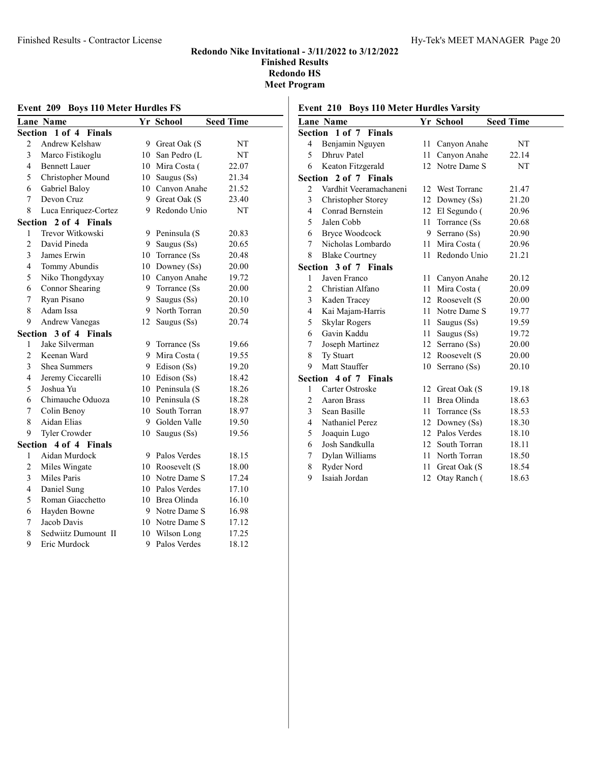| Event 209 Boys 110 Meter Hurdles FS |                         |    |                 |                  |
|-------------------------------------|-------------------------|----|-----------------|------------------|
|                                     | <b>Lane Name</b>        |    | Yr School       | <b>Seed Time</b> |
| <b>Section</b>                      | 1 of 4<br><b>Finals</b> |    |                 |                  |
| $\overline{2}$                      | Andrew Kelshaw          |    | 9 Great Oak (S  | NT               |
| 3                                   | Marco Fistikoglu        |    | 10 San Pedro (L | NT               |
| 4                                   | <b>Bennett Lauer</b>    |    | 10 Mira Costa ( | 22.07            |
| 5                                   | Christopher Mound       | 10 | Saugus (Ss)     | 21.34            |
| 6                                   | Gabriel Baloy           |    | 10 Canyon Anahe | 21.52            |
| 7                                   | Devon Cruz              |    | 9 Great Oak (S  | 23.40            |
| 8                                   | Luca Enriquez-Cortez    | 9  | Redondo Unio    | NT               |
| Section                             | 2 of 4 Finals           |    |                 |                  |
| 1                                   | Trevor Witkowski        | 9  | Peninsula (S    | 20.83            |
| $\overline{2}$                      | David Pineda            | 9  | Saugus (Ss)     | 20.65            |
| 3                                   | James Erwin             | 10 | Torrance (Ss)   | 20.48            |
| 4                                   | Tommy Abundis           | 10 | Downey (Ss)     | 20.00            |
| 5                                   | Niko Thongdyxay         |    | 10 Canyon Anahe | 19.72            |
| 6                                   | Connor Shearing         | 9  | Torrance (Ss)   | 20.00            |
| 7                                   | Ryan Pisano             | 9  | Saugus (Ss)     | 20.10            |
| 8                                   | Adam Issa               | 9  | North Torran    | 20.50            |
| 9                                   | <b>Andrew Vanegas</b>   | 12 | Saugus (Ss)     | 20.74            |
| Section                             | 3 of 4 Finals           |    |                 |                  |
| 1                                   | Jake Silverman          | 9  | Torrance (Ss)   | 19.66            |
| $\overline{2}$                      | Keenan Ward             | 9  | Mira Costa (    | 19.55            |
| 3                                   | Shea Summers            |    | 9 Edison (Ss)   | 19.20            |
| 4                                   | Jeremy Ciccarelli       | 10 | Edison (Ss)     | 18.42            |
| 5                                   | Joshua Yu               | 10 | Peninsula (S    | 18.26            |
| 6                                   | Chimauche Oduoza        | 10 | Peninsula (S    | 18.28            |
| 7                                   | Colin Benoy             | 10 | South Torran    | 18.97            |
| 8                                   | Aidan Elias             | 9  | Golden Valle    | 19.50            |
| 9                                   | Tyler Crowder           | 10 | Saugus (Ss)     | 19.56            |
|                                     | Section 4 of 4 Finals   |    |                 |                  |
| 1                                   | Aidan Murdock           | 9  | Palos Verdes    | 18.15            |
| $\overline{2}$                      | Miles Wingate           |    | 10 Roosevelt (S | 18.00            |
| 3                                   | Miles Paris             | 10 | Notre Dame S    | 17.24            |
| 4                                   | Daniel Sung             | 10 | Palos Verdes    | 17.10            |
| 5                                   | Roman Giacchetto        | 10 | Brea Olinda     | 16.10            |
| 6                                   | Hayden Bowne            | 9  | Notre Dame S    | 16.98            |
| 7                                   | Jacob Davis             | 10 | Notre Dame S    | 17.12            |
| 8                                   | Sedwiitz Dumount II     | 10 | Wilson Long     | 17.25            |
| 9                                   | Eric Murdock            | 9  | Palos Verdes    | 18.12            |

# Event 210 Boys 110 Meter Hurdles Varsity

|                         | <b>Lane Name</b>       |        | Yr School       | <b>Seed Time</b> |  |
|-------------------------|------------------------|--------|-----------------|------------------|--|
|                         | Section 1 of 7 Finals  |        |                 |                  |  |
| $\overline{4}$          | Benjamin Nguyen        | $11 -$ | Canyon Anahe    | NT               |  |
| 5                       | <b>Dhruy Patel</b>     | 11     | Canyon Anahe    | 22.14            |  |
| 6                       | Keaton Fitzgerald      |        | 12 Notre Dame S | NT               |  |
| Section                 | 2 of 7 Finals          |        |                 |                  |  |
| 2                       | Vardhit Veeramachaneni |        | 12 West Torranc | 21.47            |  |
| 3                       | Christopher Storey     | 12     | Downey $(Ss)$   | 21.20            |  |
| $\overline{\mathbf{4}}$ | Conrad Bernstein       |        | 12 El Segundo ( | 20.96            |  |
| 5                       | Jalen Cobb             | 11     | Torrance (Ss)   | 20.68            |  |
| 6                       | <b>Bryce Woodcock</b>  | 9.     | Serrano (Ss)    | 20.90            |  |
| 7                       | Nicholas Lombardo      | 11     | Mira Costa (    | 20.96            |  |
| 8                       | <b>Blake Courtney</b>  | 11     | Redondo Unio    | 21.21            |  |
|                         | Section 3 of 7 Finals  |        |                 |                  |  |
| 1                       | Javen Franco           | 11 -   | Canyon Anahe    | 20.12            |  |
| $\overline{2}$          | Christian Alfano       | 11     | Mira Costa (    | 20.09            |  |
| 3                       | Kaden Tracey           |        | 12 Roosevelt (S | 20.00            |  |
| $\overline{4}$          | Kai Majam-Harris       |        | 11 Notre Dame S | 19.77            |  |
| 5                       | Skylar Rogers          | 11 -   | Saugus (Ss)     | 19.59            |  |
| 6                       | Gavin Kaddu            | 11     | Saugus (Ss)     | 19.72            |  |
| 7                       | Joseph Martinez        |        | 12 Serrano (Ss) | 20.00            |  |
| 8                       | Ty Stuart              |        | 12 Roosevelt (S | 20.00            |  |
| 9                       | Matt Stauffer          | 10     | Serrano (Ss)    | 20.10            |  |
|                         | Section 4 of 7 Finals  |        |                 |                  |  |
| 1                       | Carter Ostroske        |        | 12 Great Oak (S | 19.18            |  |
| $\overline{2}$          | Aaron Brass            | 11     | Brea Olinda     | 18.63            |  |
| 3                       | Sean Basille           | 11     | Torrance (Ss)   | 18.53            |  |
| $\overline{4}$          | Nathaniel Perez        |        | 12 Downey (Ss)  | 18.30            |  |
| 5                       | Joaquin Lugo           |        | 12 Palos Verdes | 18.10            |  |
| 6                       | Josh Sandkulla         | 12     | South Torran    | 18.11            |  |
| 7                       | Dylan Williams         | 11     | North Torran    | 18.50            |  |
| 8                       | Ryder Nord             | 11     | Great Oak (S    | 18.54            |  |
| 9                       | Isaiah Jordan          | 12     | Otay Ranch (    | 18.63            |  |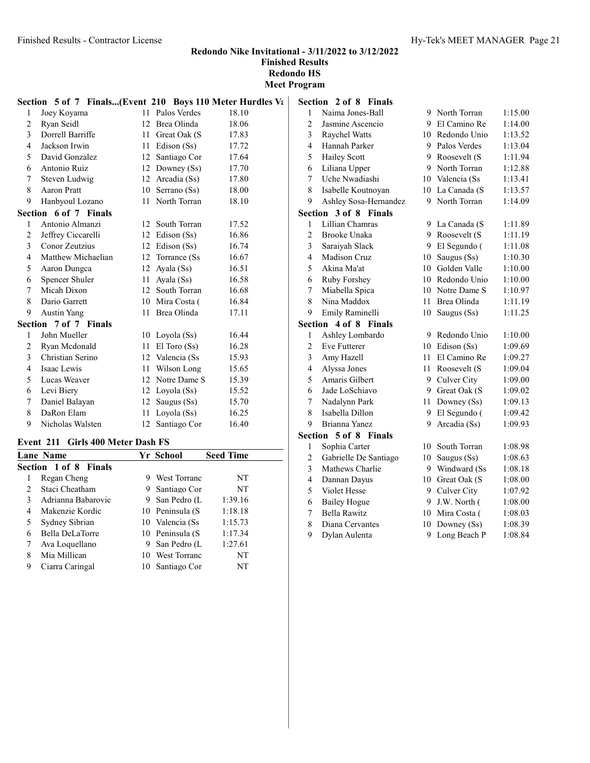Meet Program

|              | Section 5 of 7 Finals(Event 210 Boys 110 Meter Hurdles Va |    |                  |       | Se |
|--------------|-----------------------------------------------------------|----|------------------|-------|----|
| 1            | Joey Koyama                                               |    | 11 Palos Verdes  | 18.10 |    |
| 2            | Ryan Seidl                                                | 12 | Brea Olinda      | 18.06 |    |
| 3            | Dorrell Barriffe                                          |    | 11 Great Oak (S) | 17.83 |    |
| 4            | Jackson Irwin                                             |    | 11 Edison (Ss)   | 17.72 |    |
| 5            | David Gonzalez                                            |    | 12 Santiago Cor  | 17.64 |    |
| 6            | Antonio Ruiz                                              |    | 12 Downey (Ss)   | 17.70 |    |
| 7            | Steven Ludwig                                             |    | 12 Arcadia (Ss)  | 17.80 |    |
| 8            | Aaron Pratt                                               |    | 10 Serrano (Ss)  | 18.00 |    |
| 9            | Hanbyoul Lozano                                           |    | 11 North Torran  | 18.10 |    |
|              | Section 6 of 7 Finals                                     |    |                  |       | Se |
| $\mathbf{1}$ | Antonio Almanzi                                           |    | 12 South Torran  | 17.52 |    |
| 2            | Jeffrey Ciccarelli                                        |    | 12 Edison (Ss)   | 16.86 |    |
| 3            | Conor Zeutzius                                            |    | 12 Edison (Ss)   | 16.74 |    |
| 4            | Matthew Michaelian                                        |    | 12 Torrance (Ss) | 16.67 |    |
| 5            | Aaron Dungca                                              |    | 12 Ayala $(Ss)$  | 16.51 |    |
| 6            | Spencer Shuler                                            | 11 | Ayala (Ss)       | 16.58 |    |
| 7            | Micah Dixon                                               |    | 12 South Torran  | 16.68 |    |
| 8            | Dario Garrett                                             |    | 10 Mira Costa (  | 16.84 |    |
| 9            | <b>Austin Yang</b>                                        |    | 11 Brea Olinda   | 17.11 |    |
|              | Section 7 of 7 Finals                                     |    |                  |       | Se |
| 1            | John Mueller                                              |    | 10 Loyola $(Ss)$ | 16.44 |    |
| 2            | Ryan Mcdonald                                             | 11 | $El$ Toro $(Ss)$ | 16.28 |    |
| 3            | Christian Serino                                          |    | 12 Valencia (Ss. | 15.93 |    |
| 4            | Isaac Lewis                                               |    | 11 Wilson Long   | 15.65 |    |
| 5            | Lucas Weaver                                              |    | 12 Notre Dame S  | 15.39 |    |
| 6            | Levi Biery                                                |    | 12 Loyola (Ss)   | 15.52 |    |
| 7            | Daniel Balayan                                            |    | 12 Saugus (Ss)   | 15.70 |    |
| 8            | DaRon Elam                                                | 11 | Loyola (Ss)      | 16.25 |    |
| 9            | Nicholas Walsten                                          |    | 12 Santiago Cor  | 16.40 |    |

#### Event 211 Girls 400 Meter Dash FS

|   | Lane Name             |   | Yr School           | <b>Seed Time</b> |
|---|-----------------------|---|---------------------|------------------|
|   | Section 1 of 8 Finals |   |                     |                  |
|   | Regan Cheng           | 9 | <b>West Torranc</b> | NT               |
| 2 | Staci Cheatham        |   | 9 Santiago Cor      | NT               |
| 3 | Adrianna Babarovic    |   | 9 San Pedro (L      | 1:39.16          |
| 4 | Makenzie Kordic       |   | 10 Peninsula (S     | 1:18.18          |
| 5 | Sydney Sibrian        |   | 10 Valencia (Ss.    | 1:15.73          |
| 6 | Bella DeLaTorre       |   | 10 Peninsula (S     | 1:17.34          |
| 7 | Ava Loquellano        |   | 9 San Pedro (L      | 1:27.61          |
| 8 | Mia Millican          |   | 10 West Torranc     | NT               |
| 9 | Ciarra Caringal       |   | 10 Santiago Cor     | NT               |

|                         | Section 2 of 8 Finals |     |                 |         |
|-------------------------|-----------------------|-----|-----------------|---------|
| 1                       | Naima Jones-Ball      | 9   | North Torran    | 1:15.00 |
| $\overline{c}$          | Jasmine Ascencio      | 9   | El Camino Re    | 1:14.00 |
| 3                       | <b>Raychel Watts</b>  |     | 10 Redondo Unio | 1:13.52 |
| $\overline{\mathbf{4}}$ | Hannah Parker         |     | 9 Palos Verdes  | 1:13.04 |
| 5                       | <b>Hailey Scott</b>   | 9.  | Roosevelt (S    | 1:11.94 |
| 6                       | Liliana Upper         |     | 9 North Torran  | 1:12.88 |
| 7                       | Uche Nwadiashi        |     | 10 Valencia (Ss | 1:13.41 |
| 8                       | Isabelle Koutnoyan    | 10  | La Canada (S    | 1:13.57 |
| 9                       | Ashley Sosa-Hernandez | 9   | North Torran    | 1:14.09 |
| Section                 | 3 of 8 Finals         |     |                 |         |
| 1                       | Lillian Chamras       | 9   | La Canada (S    | 1:11.89 |
| $\overline{2}$          | <b>Brooke Unaka</b>   | 9   | Roosevelt (S    | 1:11.19 |
| 3                       | Saraiyah Slack        | 9   | El Segundo (    | 1:11.08 |
| $\overline{\mathbf{4}}$ | Madison Cruz          | 10  | Saugus (Ss)     | 1:10.30 |
| 5                       | Akina Ma'at           |     | 10 Golden Valle | 1:10.00 |
| 6                       | Ruby Forshey          |     | 10 Redondo Unio | 1:10.00 |
| 7                       | Miabella Spica        |     | 10 Notre Dame S | 1:10.97 |
| 8                       | Nina Maddox           | 11  | Brea Olinda     | 1:11.19 |
| 9                       | Emily Raminelli       | 10  | Saugus (Ss)     | 1:11.25 |
| Section                 | 4 of 8 Finals         |     |                 |         |
| 1                       | Ashley Lombardo       | 9   | Redondo Unio    | 1:10.00 |
| $\overline{2}$          | <b>Eve Futterer</b>   | 10  | Edison (Ss)     | 1:09.69 |
| 3                       | Amy Hazell            | 11  | El Camino Re    | 1:09.27 |
| $\overline{\mathbf{4}}$ | Alyssa Jones          | 11  | Roosevelt (S    | 1:09.04 |
| 5                       | Amaris Gilbert        | 9   | Culver City     | 1:09.00 |
| 6                       | Jade LoSchiavo        | 9   | Great Oak (S    | 1:09.02 |
| 7                       | Nadalynn Park         | 11. | Downey (Ss)     | 1:09.13 |
| 8                       | Isabella Dillon       | 9   | El Segundo (    | 1:09.42 |
| 9                       | Brianna Yanez         | 9   | Arcadia (Ss)    | 1:09.93 |
|                         | Section 5 of 8 Finals |     |                 |         |
| 1                       | Sophia Carter         | 10  | South Torran    | 1:08.98 |
| $\overline{2}$          | Gabrielle De Santiago | 10  | Saugus (Ss)     | 1:08.63 |
| 3                       | Mathews Charlie       | 9   | Windward (Ss    | 1:08.18 |
| $\overline{4}$          | Dannan Dayus          |     | 10 Great Oak (S | 1:08.00 |
| 5                       | Violet Hesse          |     | 9 Culver City   | 1:07.92 |
| 6                       | <b>Bailey Hogue</b>   | 9   | J.W. North (    | 1:08.00 |
| 7                       | <b>Bella Rawitz</b>   | 10  | Mira Costa (    | 1:08.03 |
| 8                       | Diana Cervantes       | 10  | Downey (Ss)     | 1:08.39 |

Dylan Aulenta 9 Long Beach P 1:08.84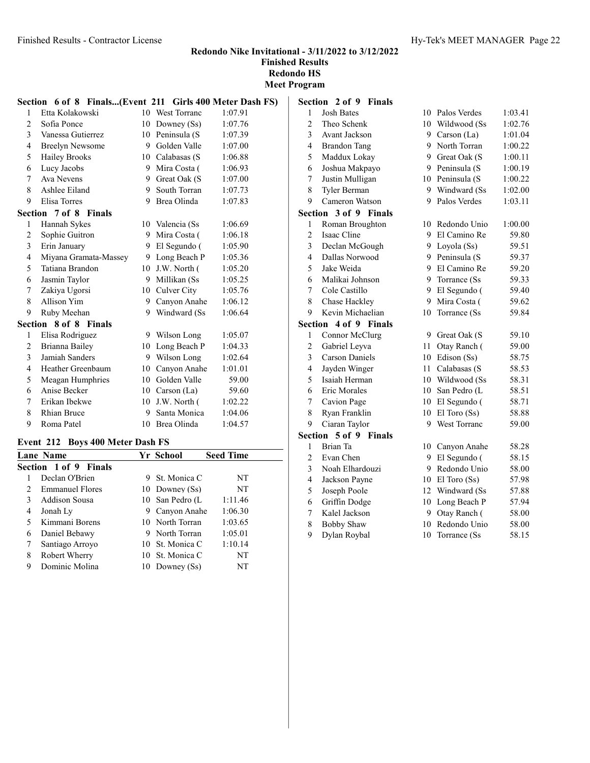Redondo Nike Invitational - 3/11/2022 to 3/12/2022 Finished Results

Redondo HS Meet Program

|                | Section 6 of 8 Finals(Event 211 Girls 400 Meter Dash FS) |    |                 |         |
|----------------|----------------------------------------------------------|----|-----------------|---------|
| 1              | Etta Kolakowski                                          |    | 10 West Torranc | 1:07.91 |
| 2              | Sofia Ponce                                              | 10 | Downey (Ss)     | 1:07.76 |
| 3              | Vanessa Gutierrez                                        |    | 10 Peninsula (S | 1:07.39 |
| $\overline{4}$ | <b>Breelyn Newsome</b>                                   |    | 9 Golden Valle  | 1:07.00 |
| 5              | <b>Hailey Brooks</b>                                     |    | 10 Calabasas (S | 1:06.88 |
| 6              | Lucy Jacobs                                              |    | 9 Mira Costa (  | 1:06.93 |
| 7              | Ava Nevens                                               |    | 9 Great Oak (S  | 1:07.00 |
| 8              | Ashlee Eiland                                            | 9  | South Torran    | 1:07.73 |
| 9              | Elisa Torres                                             |    | 9 Brea Olinda   | 1:07.83 |
|                | <b>Section 7 of 8 Finals</b>                             |    |                 |         |
| 1              | Hannah Sykes                                             |    | 10 Valencia (Ss | 1:06.69 |
| 2              | Sophie Guitron                                           | 9. | Mira Costa (    | 1:06.18 |
| 3              | Erin January                                             |    | 9 El Segundo (  | 1:05.90 |
| 4              | Miyana Gramata-Massey                                    |    | 9 Long Beach P  | 1:05.36 |
| 5              | Tatiana Brandon                                          |    | 10 J.W. North ( | 1:05.20 |
| 6              | Jasmin Taylor                                            |    | 9 Millikan (Ss  | 1:05.25 |
| 7              | Zakiya Ugorsi                                            |    | 10 Culver City  | 1:05.76 |
| 8              | Allison Yim                                              | 9. | Canyon Anahe    | 1:06.12 |
| 9              | Ruby Meehan                                              | 9  | Windward (Ss)   | 1:06.64 |
|                | Section 8 of 8 Finals                                    |    |                 |         |
| 1              | Elisa Rodriguez                                          |    | 9 Wilson Long   | 1:05.07 |
| 2              | Brianna Bailey                                           | 10 | Long Beach P    | 1:04.33 |
| 3              | Jamiah Sanders                                           |    | 9 Wilson Long   | 1:02.64 |
| 4              | Heather Greenbaum                                        | 10 | Canyon Anahe    | 1:01.01 |
| 5              | Meagan Humphries                                         |    | 10 Golden Valle | 59.00   |
| 6              | Anise Becker                                             | 10 | Carson (La)     | 59.60   |
| 7              | Erikan Ibekwe                                            | 10 | J.W. North (    | 1:02.22 |
| 8              | <b>Rhian Bruce</b>                                       | 9. | Santa Monica    | 1:04.06 |
| 9              | Roma Patel                                               |    | 10 Brea Olinda  | 1:04.57 |

#### Event 212 Boys 400 Meter Dash FS

| $= 1.11$               |  |  |                                                                                                                                                                                 |  |  |  |
|------------------------|--|--|---------------------------------------------------------------------------------------------------------------------------------------------------------------------------------|--|--|--|
| Lane Name              |  |  | <b>Seed Time</b>                                                                                                                                                                |  |  |  |
| Section 1 of 9 Finals  |  |  |                                                                                                                                                                                 |  |  |  |
| Declan O'Brien         |  |  | NT                                                                                                                                                                              |  |  |  |
| <b>Emmanuel Flores</b> |  |  | NT                                                                                                                                                                              |  |  |  |
| Addison Sousa          |  |  | 1:11.46                                                                                                                                                                         |  |  |  |
| Jonah Ly               |  |  | 1:06.30                                                                                                                                                                         |  |  |  |
| Kimmani Borens         |  |  | 1:03.65                                                                                                                                                                         |  |  |  |
| Daniel Bebawy          |  |  | 1:05.01                                                                                                                                                                         |  |  |  |
| Santiago Arroyo        |  |  | 1:10.14                                                                                                                                                                         |  |  |  |
| Robert Wherry          |  |  | NT                                                                                                                                                                              |  |  |  |
| Dominic Molina         |  |  | NT                                                                                                                                                                              |  |  |  |
|                        |  |  | Yr School<br>9 St. Monica C<br>10 Downey (Ss)<br>10 San Pedro (L<br>9 Canyon Anahe<br>10 North Torran<br>9 North Torran<br>10 St. Monica C<br>10 St. Monica C<br>10 Downey (Ss) |  |  |  |

|                         | Section 2 of 9<br><b>Finals</b> |    |                  |         |
|-------------------------|---------------------------------|----|------------------|---------|
| 1                       | <b>Josh Bates</b>               |    | 10 Palos Verdes  | 1:03.41 |
| $\overline{2}$          | Theo Schenk                     | 10 | Wildwood (Ss     | 1:02.76 |
| 3                       | Avant Jackson                   | 9  | Carson (La)      | 1:01.04 |
| $\overline{4}$          | <b>Brandon Tang</b>             | 9  | North Torran     | 1:00.22 |
| 5                       | Maddux Lokay                    | 9  | Great Oak (S     | 1:00.11 |
| 6                       | Joshua Makpayo                  | 9  | Peninsula (S     | 1:00.19 |
| 7                       | Justin Mulligan                 |    | 10 Peninsula (S  | 1:00.22 |
| 8                       | Tyler Berman                    | 9  | Windward (Ss     | 1:02.00 |
| 9                       | Cameron Watson                  | 9  | Palos Verdes     | 1:03.11 |
| Section                 | 3 of 9 Finals                   |    |                  |         |
| 1                       | Roman Broughton                 | 10 | Redondo Unio     | 1:00.00 |
| $\overline{2}$          | Isaac Cline                     | 9  | El Camino Re     | 59.80   |
| 3                       | Declan McGough                  | 9  | Loyola (Ss)      | 59.51   |
| $\overline{4}$          | Dallas Norwood                  | 9  | Peninsula (S     | 59.37   |
| 5                       | Jake Weida                      | 9  | El Camino Re     | 59.20   |
| 6                       | Malikai Johnson                 | 9  | Torrance (Ss     | 59.33   |
| 7                       | Cole Castillo                   | 9  | El Segundo (     | 59.40   |
| 8                       | Chase Hackley                   | 9  | Mira Costa (     | 59.62   |
| 9                       | Kevin Michaelian                | 10 | Torrance (Ss     | 59.84   |
| Section                 | 4 of 9 Finals                   |    |                  |         |
| 1                       | Connor McClurg                  | 9  | Great Oak (S     | 59.10   |
| $\overline{c}$          | Gabriel Leyva                   | 11 | Otay Ranch (     | 59.00   |
| 3                       | <b>Carson Daniels</b>           | 10 | Edison (Ss)      | 58.75   |
| $\overline{\mathbf{4}}$ | Jayden Winger                   | 11 | Calabasas (S     | 58.53   |
| 5                       | Isaiah Herman                   | 10 | Wildwood (Ss     | 58.31   |
| 6                       | Eric Morales                    |    | 10 San Pedro (L  | 58.51   |
| 7                       | Cavion Page                     |    | 10 El Segundo (  | 58.71   |
| 8                       | Ryan Franklin                   | 10 | $El$ Toro $(Ss)$ | 58.88   |
| 9                       | Ciaran Taylor                   | 9  | West Torranc     | 59.00   |
|                         | Section 5 of 9 Finals           |    |                  |         |
| 1                       | Brian Ta                        | 10 | Canyon Anahe     | 58.28   |
| $\overline{2}$          | Evan Chen                       | 9  | El Segundo (     | 58.15   |
| 3                       | Noah Elhardouzi                 | 9  | Redondo Unio     | 58.00   |
| $\overline{4}$          | Jackson Payne                   |    | 10 El Toro (Ss)  | 57.98   |
| 5                       | Joseph Poole                    | 12 | Windward (Ss     | 57.88   |
| 6                       | Griffin Dodge                   | 10 | Long Beach P     | 57.94   |
| 7                       | Kalel Jackson                   | 9  | Otay Ranch (     | 58.00   |
| 8                       | <b>Bobby Shaw</b>               | 10 | Redondo Unio     | 58.00   |

9 Dylan Roybal 10 Torrance (Ss 58.15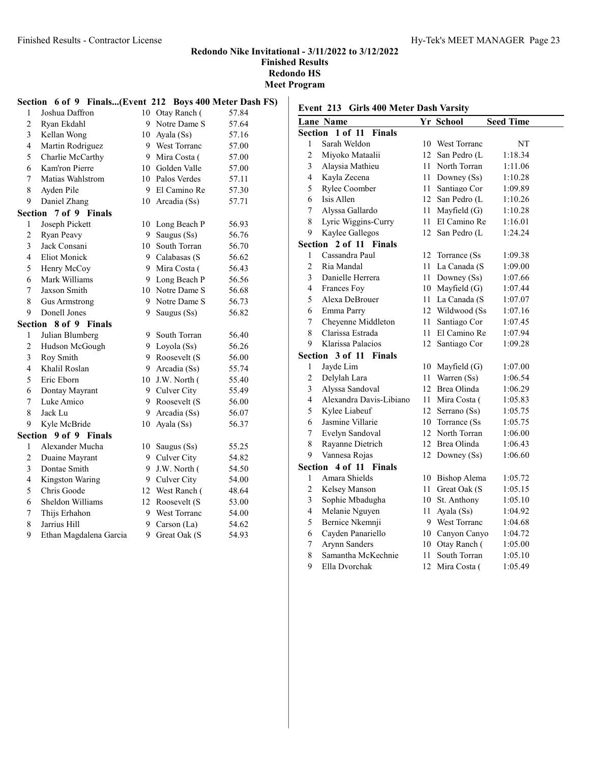6 Dontay

Section 9 of 9 Finals

#### Redondo Nike Invitational - 3/11/2022 to 3/12/2022 Finished Results Redondo HS leet Program

|                |                                                         |    |                 | 170<br>Мe |
|----------------|---------------------------------------------------------|----|-----------------|-----------|
|                | Section 6 of 9 Finals(Event 212 Boys 400 Meter Dash FS) |    |                 |           |
| 1              | Joshua Daffron                                          |    | 10 Otay Ranch ( | 57.84     |
| 2              | Ryan Ekdahl                                             |    | 9 Notre Dame S  | 57.64     |
| $\overline{3}$ | Kellan Wong                                             | 10 | Ayala (Ss)      | 57.16     |
| 4              | Martin Rodriguez                                        |    | 9 West Torranc  | 57.00     |
| 5              | Charlie McCarthy                                        |    | 9 Mira Costa (  | 57.00     |
| 6              | Kam'ron Pierre                                          |    | 10 Golden Valle | 57.00     |
| 7              | Matias Wahlstrom                                        | 10 | Palos Verdes    | 57.11     |
| 8              | Ayden Pile                                              |    | 9 El Camino Re  | 57.30     |
| 9              | Daniel Zhang                                            |    | 10 Arcadia (Ss) | 57.71     |
|                | Section 7 of 9 Finals                                   |    |                 |           |
| 1              | Joseph Pickett                                          |    | 10 Long Beach P | 56.93     |
| 2              | Ryan Peavy                                              | 9  | Saugus (Ss)     | 56.76     |
| 3              | Jack Consani                                            | 10 | South Torran    | 56.70     |
| $\overline{4}$ | <b>Eliot Monick</b>                                     |    | 9 Calabasas (S  | 56.62     |
| 5              | Henry McCoy                                             |    | 9 Mira Costa (  | 56.43     |
| 6              | Mark Williams                                           | 9  | Long Beach P    | 56.56     |
| 7              | Jaxson Smith                                            |    | 10 Notre Dame S | 56.68     |
| 8              | <b>Gus Armstrong</b>                                    |    | 9 Notre Dame S  | 56.73     |
| 9              | Donell Jones                                            | 9  | Saugus (Ss)     | 56.82     |
|                | Section 8 of 9 Finals                                   |    |                 |           |
| 1              | Julian Blumberg                                         |    | 9 South Torran  | 56.40     |
| 2              | Hudson McGough                                          | 9. | Loyola (Ss)     | 56.26     |
| 3              | Roy Smith                                               | 9  | Roosevelt (S    | 56.00     |
| 4              | Khalil Roslan                                           | 9  | Arcadia (Ss)    | 55.74     |
| 5              | Eric Eborn                                              | 10 | J.W. North (    | 55.40     |
| 6              | Dontav Mavrant                                          | 9  | Culver City     | 55.49     |

7 Luke Amico 9 Roosevelt (S 56.00 8 Jack Lu 9 Arcadia (Ss) 56.07 Kyle McBride 10 Ayala (Ss) 56.37

 Alexander Mucha 10 Saugus (Ss) 55.25 2 Duaine Mayrant 9 Culver City 54.82 Dontae Smith 9 J.W. North ( 54.50 4 Kingston Waring 9 Culver City 54.00 5 Chris Goode 12 West Ranch (48.64 6 Sheldon Williams 12 Roosevelt (S 53.00 Thijs Erhahon 9 West Torranc 54.00 8 Jarrius Hill 9 Carson (La) 54.62 9 Ethan Magdalena Garcia 9 Great Oak (S 54.93

#### Event 213 Girls 400 Meter Dash Varsity

|                         | <b>Lane Name</b>        |                 | Yr School       | <b>Seed Time</b> |
|-------------------------|-------------------------|-----------------|-----------------|------------------|
| Section                 | 1 of 11 Finals          |                 |                 |                  |
| 1                       | Sarah Weldon            | 10              | West Torranc    | NT               |
| $\overline{c}$          | Miyoko Mataalii         | 12              | San Pedro (L    | 1:18.34          |
| $\mathfrak{Z}$          | Alaysia Mathieu         | 11              | North Torran    | 1:11.06          |
| $\overline{4}$          | Kayla Zecena            | 11              | Downey (Ss)     | 1:10.28          |
| 5                       | Rylee Coomber           | 11              | Santiago Cor    | 1:09.89          |
| 6                       | Isis Allen              | 12              | San Pedro (L    | 1:10.26          |
| 7                       | Alyssa Gallardo         | 11              | Mayfield (G)    | 1:10.28          |
| 8                       | Lyric Wiggins-Curry     | 11              | El Camino Re    | 1:16.01          |
| 9                       | Kaylee Gallegos         | 12              | San Pedro (L    | 1:24.24          |
| Section                 | 2 of 11 Finals          |                 |                 |                  |
| 1                       | Cassandra Paul          | 12              | Torrance (Ss)   | 1:09.38          |
| $\overline{2}$          | Ria Mandal              | 11              | La Canada (S    | 1:09.00          |
| 3                       | Danielle Herrera        | 11              | Downey $(Ss)$   | 1:07.66          |
| 4                       | Frances Foy             |                 | 10 Mayfield (G) | 1:07.44          |
| 5                       | Alexa DeBrouer          | 11              | La Canada (S    | 1:07.07          |
| 6                       | Emma Parry              | 12              | Wildwood (Ss    | 1:07.16          |
| 7                       | Cheyenne Middleton      | 11              | Santiago Cor    | 1:07.45          |
| 8                       | Clarissa Estrada        | 11              | El Camino Re    | 1:07.94          |
| 9                       | Klarissa Palacios       | 12              | Santiago Cor    | 1:09.28          |
| Section                 | 3 of 11 Finals          |                 |                 |                  |
| 1                       | Jayde Lim               | 10              | Mayfield (G)    | 1:07.00          |
| $\boldsymbol{2}$        | Delylah Lara            | 11              | Warren (Ss)     | 1:06.54          |
| $\mathfrak{Z}$          | Alyssa Sandoval         | 12              | Brea Olinda     | 1:06.29          |
| $\overline{\mathbf{4}}$ | Alexandra Davis-Libiano | 11              | Mira Costa (    | 1:05.83          |
| 5                       | Kylee Liabeuf           | 12              | Serrano (Ss)    | 1:05.75          |
| 6                       | Jasmine Villarie        | 10              | Torrance (Ss)   | 1:05.75          |
| 7                       | Evelyn Sandoval         | 12              | North Torran    | 1:06.00          |
| 8                       | Rayanne Dietrich        | 12 <sup>2</sup> | Brea Olinda     | 1:06.43          |
| 9                       | Vannesa Rojas           | 12              | Downey (Ss)     | 1:06.60          |
| Section                 | 4 of 11 Finals          |                 |                 |                  |
| 1                       | Amara Shields           | 10              | Bishop Alema    | 1:05.72          |
| $\overline{c}$          | Kelsey Manson           | 11              | Great Oak (S    | 1:05.15          |
| 3                       | Sophie Mbadugha         | 10              | St. Anthony     | 1:05.10          |
| 4                       | Melanie Nguyen          | 11              | Ayala (Ss)      | 1:04.92          |
| 5                       | Bernice Nkemnji         |                 | 9 West Torranc  | 1:04.68          |
| 6                       | Cayden Panariello       |                 | 10 Canyon Canyo | 1:04.72          |
| 7                       | Arynn Sanders           | 10              | Otay Ranch (    | 1:05.00          |
| 8                       | Samantha McKechnie      | 11              | South Torran    | 1:05.10          |
| 9                       | Ella Dvorchak           | 12              | Mira Costa (    | 1:05.49          |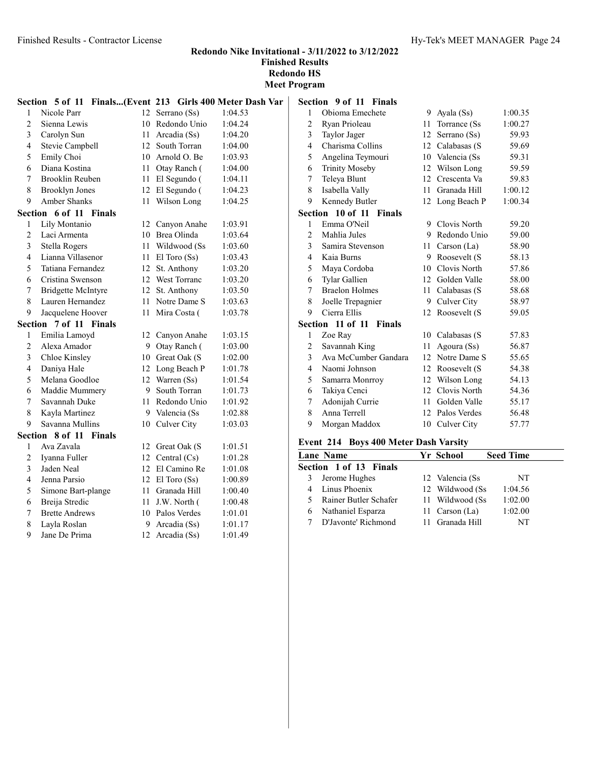Meet Program

|                         | Section 5 of 11 Finals(Event 213 Girls 400 Meter Dash Var |    |                   |         | S              |
|-------------------------|-----------------------------------------------------------|----|-------------------|---------|----------------|
| $\mathbf{1}$            | Nicole Parr                                               |    | 12 Serrano (Ss)   | 1:04.53 |                |
| $\overline{2}$          | Sienna Lewis                                              |    | 10 Redondo Unio   | 1:04.24 |                |
| 3                       | Carolyn Sun                                               |    | 11 Arcadia (Ss)   | 1:04.20 |                |
| $\overline{\mathbf{4}}$ | Stevie Campbell                                           |    | 12 South Torran   | 1:04.00 |                |
| 5                       | Emily Choi                                                |    | 10 Arnold O. Be   | 1:03.93 |                |
| 6                       | Diana Kostina                                             |    | 11 Otay Ranch (   | 1:04.00 |                |
| 7                       | Brooklin Reuben                                           |    | 11 El Segundo (   | 1:04.11 |                |
| 8                       | <b>Brooklyn Jones</b>                                     |    | 12 El Segundo (   | 1:04.23 |                |
| 9                       | <b>Amber Shanks</b>                                       |    | 11 Wilson Long    | 1:04.25 |                |
|                         | Section 6 of 11 Finals                                    |    |                   |         | S              |
| 1                       | Lily Montanio                                             |    | 12 Canyon Anahe   | 1:03.91 |                |
| 2                       | Laci Armenta                                              |    | 10 Brea Olinda    | 1:03.64 |                |
| 3                       | Stella Rogers                                             |    | 11 Wildwood (Ss   | 1:03.60 |                |
| $\overline{4}$          | Lianna Villasenor                                         |    | 11 El Toro $(Ss)$ | 1:03.43 |                |
| 5                       | Tatiana Fernandez                                         |    | 12 St. Anthony    | 1:03.20 |                |
| 6                       | Cristina Swenson                                          |    | 12 West Torranc   | 1:03.20 |                |
| 7                       | <b>Bridgette McIntyre</b>                                 |    | 12 St. Anthony    | 1:03.50 |                |
| 8                       | Lauren Hernandez                                          |    | 11 Notre Dame S   | 1:03.63 |                |
| 9                       | Jacquelene Hoover                                         |    | 11 Mira Costa (   | 1:03.78 |                |
|                         | Section 7 of 11 Finals                                    |    |                   |         | S              |
| 1                       | Emilia Lamoyd                                             |    | 12 Canyon Anahe   | 1:03.15 |                |
| $\overline{c}$          | Alexa Amador                                              |    | 9 Otay Ranch (    | 1:03.00 |                |
| 3                       | Chloe Kinsley                                             |    | 10 Great Oak (S   | 1:02.00 |                |
| 4                       | Daniya Hale                                               |    | 12 Long Beach P   | 1:01.78 |                |
| 5                       | Melana Goodloe                                            |    | 12 Warren (Ss)    | 1:01.54 |                |
| 6                       | Maddie Mummery                                            |    | 9 South Torran    | 1:01.73 |                |
| $\overline{7}$          | Savannah Duke                                             |    | 11 Redondo Unio   | 1:01.92 |                |
| 8                       | Kayla Martinez                                            |    | 9 Valencia (Ss    | 1:02.88 |                |
| 9                       | Savanna Mullins                                           |    | 10 Culver City    | 1:03.03 |                |
|                         | Section 8 of 11 Finals                                    |    |                   |         | F              |
| 1                       | Ava Zavala                                                |    | 12 Great Oak (S   | 1:01.51 |                |
| $\overline{c}$          | Iyanna Fuller                                             |    | 12 Central (Cs)   | 1:01.28 | $\overline{1}$ |
| 3                       | Jaden Neal                                                |    | 12 El Camino Re   | 1:01.08 | Ś              |
| 4                       | Jenna Parsio                                              |    | 12 El Toro (Ss)   | 1:00.89 |                |
| 5                       | Simone Bart-plange                                        |    | 11 Granada Hill   | 1:00.40 |                |
| 6                       | Breija Stredic                                            | 11 | J.W. North (      | 1:00.48 |                |
| 7                       | <b>Brette Andrews</b>                                     |    | 10 Palos Verdes   | 1:01.01 |                |
| $\,$ 8 $\,$             | Layla Roslan                                              | 9  | Arcadia (Ss)      | 1:01.17 |                |
| 9                       | Jane De Prima                                             | 12 | Arcadia (Ss)      | 1:01.49 |                |

|                | Section 9 of 11 Finals |                  |                    |         |
|----------------|------------------------|------------------|--------------------|---------|
| 1              | Obioma Emechete        | 9                | Ayala (Ss)         | 1:00.35 |
| 2              | Ryan Prioleau          | 11               | Torrance (Ss)      | 1:00.27 |
| 3              | Taylor Jager           | 12               | Serrano (Ss)       | 59.93   |
| 4              | Charisma Collins       |                  | 12 Calabasas (S    | 59.69   |
| 5              | Angelina Teymouri      | 10               | Valencia (Ss       | 59.31   |
| 6              | <b>Trinity Moseby</b>  |                  | 12 Wilson Long     | 59.59   |
| 7              | Teleya Blunt           | 12               | Crescenta Va       | 59.83   |
| 8              | Isabella Vally         | 11               | Granada Hill       | 1:00.12 |
| 9              | Kennedy Butler         | 12               | Long Beach P       | 1:00.34 |
| Section        | 10 of 11 Finals        |                  |                    |         |
| 1              | Emma O'Neil            | 9                | Clovis North       | 59.20   |
| 2              | Mahlia Jules           | 9                | Redondo Unio       | 59.00   |
| 3              | Samira Stevenson       | 11               | Carson $(La)$      | 58.90   |
| 4              | Kaia Burns             | 9                | Roosevelt (S       | 58.13   |
| 5              | Maya Cordoba           |                  | 10 Clovis North    | 57.86   |
| 6              | Tylar Gallien          | 12               | Golden Valle       | 58.00   |
| 7              | <b>Braelon Holmes</b>  | 11               | Calabasas (S       | 58.68   |
| 8              | Joelle Trepagnier      | 9                | <b>Culver City</b> | 58.97   |
| 9              | Cierra Ellis           | 12 <sup>12</sup> | Roosevelt (S       | 59.05   |
| Section        | 11 of 11 Finals        |                  |                    |         |
| 1              | Zoe Ray                | 10               | Calabasas (S       | 57.83   |
| 2              | Savannah King          | 11               | Agoura (Ss)        | 56.87   |
| 3              | Ava McCumber Gandara   | 12.              | Notre Dame S       | 55.65   |
| $\overline{4}$ | Naomi Johnson          | 12               | Roosevelt (S       | 54.38   |
| 5              | Samarra Monrroy        | 12               | Wilson Long        | 54.13   |
| 6              | Takiya Cenci           | 12               | Clovis North       | 54.36   |
| 7              | Adonijah Currie        | 11               | Golden Valle       | 55.17   |
| 8              | Anna Terrell           | 12.              | Palos Verdes       | 56.48   |
| 9              | Morgan Maddox          | 10               | Culver City        | 57.77   |

# Event 214 Boys 400 Meter Dash Varsity

|   | <b>Lane Name</b>              | Yr School        | <b>Seed Time</b> |
|---|-------------------------------|------------------|------------------|
|   | <b>Section 1 of 13 Finals</b> |                  |                  |
| 3 | Jerome Hughes                 | 12 Valencia (Ss. | NT               |
|   | Linus Phoenix                 | 12 Wildwood (Ss) | 1:04.56          |
|   | Rainer Butler Schafer         | 11 Wildwood (Ss) | 1:02.00          |
|   | Nathaniel Esparza             | 11 Carson (La)   | 1:02.00          |
|   | D'Javonte' Richmond           | 11 Granada Hill  | NT               |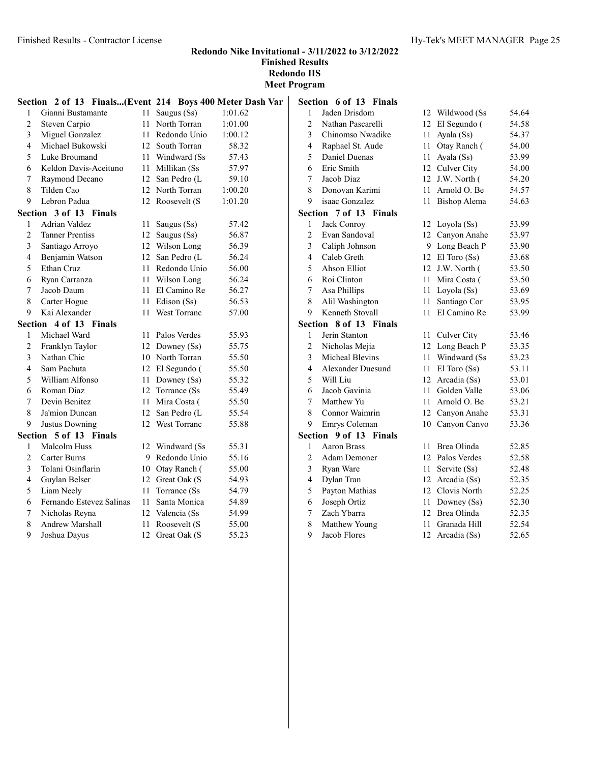|                | Section 2 of 13 Finals(Event 214 Boys 400 Meter Dash Var |        |                  |         | S |
|----------------|----------------------------------------------------------|--------|------------------|---------|---|
| 1              | Gianni Bustamante                                        | $11 -$ | Saugus (Ss)      | 1:01.62 |   |
| $\overline{c}$ | Steven Carpio                                            | 11     | North Torran     | 1:01.00 |   |
| 3              | Miguel Gonzalez                                          |        | 11 Redondo Unio  | 1:00.12 |   |
| 4              | Michael Bukowski                                         |        | 12 South Torran  | 58.32   |   |
| 5              | Luke Broumand                                            |        | 11 Windward (Ss  | 57.43   |   |
| 6              | Keldon Davis-Aceituno                                    |        | 11 Millikan (Ss  | 57.97   |   |
| 7              | Raymond Decano                                           |        | 12 San Pedro (L  | 59.10   |   |
| 8              | Tilden Cao                                               |        | 12 North Torran  | 1:00.20 |   |
| 9              | Lebron Padua                                             |        | 12 Roosevelt (S  | 1:01.20 |   |
|                | Section 3 of 13 Finals                                   |        |                  |         | S |
| 1              | Adrian Valdez                                            | 11     | Saugus (Ss)      | 57.42   |   |
| 2              | <b>Tanner Prentiss</b>                                   |        | 12 Saugus (Ss)   | 56.87   |   |
| 3              | Santiago Arroyo                                          |        | 12 Wilson Long   | 56.39   |   |
| 4              | Benjamin Watson                                          |        | 12 San Pedro (L  | 56.24   |   |
| 5              | Ethan Cruz                                               |        | 11 Redondo Unio  | 56.00   |   |
| 6              | Ryan Carranza                                            |        | 11 Wilson Long   | 56.24   |   |
| 7              | Jacob Daum                                               |        | 11 El Camino Re  | 56.27   |   |
| 8              | Carter Hogue                                             |        | 11 Edison (Ss)   | 56.53   |   |
| 9              | Kai Alexander                                            |        | 11 West Torranc  | 57.00   |   |
|                | Section 4 of 13 Finals                                   |        |                  |         | S |
| 1              | Michael Ward                                             |        | 11 Palos Verdes  | 55.93   |   |
| 2              | Franklyn Taylor                                          |        | 12 Downey (Ss)   | 55.75   |   |
| 3              | Nathan Chic                                              |        | 10 North Torran  | 55.50   |   |
| 4              | Sam Pachuta                                              |        | 12 El Segundo (  | 55.50   |   |
| 5              | William Alfonso                                          |        | 11 Downey (Ss)   | 55.32   |   |
| 6              | Roman Diaz                                               |        | 12 Torrance (Ss) | 55.49   |   |
| $\tau$         | Devin Benitez                                            |        | 11 Mira Costa (  | 55.50   |   |
| 8              | Ja'mion Duncan                                           |        | 12 San Pedro (L  | 55.54   |   |
| 9              | Justus Downing                                           |        | 12 West Torranc  | 55.88   |   |
|                | Section 5 of 13 Finals                                   |        |                  |         | S |
| 1              | Malcolm Huss                                             |        | 12 Windward (Ss) | 55.31   |   |
| 2              | Carter Burns                                             |        | 9 Redondo Unio   | 55.16   |   |
| 3              | Tolani Osinflarin                                        |        | 10 Otay Ranch (  | 55.00   |   |
| 4              | Guylan Belser                                            |        | 12 Great Oak (S  | 54.93   |   |
| 5              | Liam Neely                                               | 11     | Torrance (Ss)    | 54.79   |   |
| 6              | Fernando Estevez Salinas                                 |        | 11 Santa Monica  | 54.89   |   |
| 7              | Nicholas Reyna                                           |        | 12 Valencia (Ss) | 54.99   |   |
| 8              | <b>Andrew Marshall</b>                                   | 11     | Roosevelt (S     | 55.00   |   |
| 9              | Joshua Dayus                                             |        | 12 Great Oak (S  | 55.23   |   |
|                |                                                          |        |                  |         |   |

| Section                 | 6 of 13 Finals           |        |                 |       |
|-------------------------|--------------------------|--------|-----------------|-------|
| 1                       | Jaden Drisdom            | 12     | Wildwood (Ss    | 54.64 |
| $\overline{c}$          | Nathan Pascarelli        | 12.    | El Segundo (    | 54.58 |
| 3                       | Chinomso Nwadike         | 11     | Ayala (Ss)      | 54.37 |
| 4                       | Raphael St. Aude         | 11     | Otay Ranch (    | 54.00 |
| 5                       | Daniel Duenas            | 11     | Ayala (Ss)      | 53.99 |
| 6                       | Eric Smith               | 12     | Culver City     | 54.00 |
| 7                       | Jacob Diaz               | 12     | J.W. North (    | 54.20 |
| 8                       | Donovan Karimi           | 11     | Arnold O. Be    | 54.57 |
| 9                       | isaac Gonzalez           | 11     | Bishop Alema    | 54.63 |
|                         | Section 7 of 13 Finals   |        |                 |       |
| 1                       | Jack Conroy              | 12     | Loyola (Ss)     | 53.99 |
| $\overline{2}$          | Evan Sandoval            | 12     | Canyon Anahe    | 53.97 |
| 3                       | Caliph Johnson           | 9      | Long Beach P    | 53.90 |
| $\overline{\mathbf{4}}$ | Caleb Greth              |        | 12 El Toro (Ss) | 53.68 |
| 5                       | <b>Ahson Elliot</b>      |        | 12 J.W. North ( | 53.50 |
| 6                       | Roi Clinton              | 11     | Mira Costa (    | 53.50 |
| 7                       | Asa Phillips             | 11.    | Loyola (Ss)     | 53.69 |
| 8                       | Alil Washington          | 11     | Santiago Cor    | 53.95 |
| 9                       | Kenneth Stovall          | 11     | El Camino Re    | 53.99 |
| Section                 | 8 of 13 Finals           |        |                 |       |
| 1                       | Jerin Stanton            | $11 -$ | Culver City     | 53.46 |
| $\overline{2}$          | Nicholas Mejia           |        | 12 Long Beach P | 53.35 |
| 3                       | Micheal Blevins          | 11     | Windward (Ss    | 53.23 |
| 4                       | Alexander Duesund        | 11     | El Toro (Ss)    | 53.11 |
| 5                       | Will Liu                 | 12     | Arcadia (Ss)    | 53.01 |
| 6                       | Jacob Gavinia            | 11     | Golden Valle    | 53.06 |
| 7                       | Matthew Yu               | 11.    | Arnold O. Be    | 53.21 |
| 8                       | Connor Waimrin           | 12     | Canyon Anahe    | 53.31 |
| 9                       | Emrys Coleman            | 10     | Canyon Canyo    | 53.36 |
| Section                 | 9 of 13<br><b>Finals</b> |        |                 |       |
| 1                       | <b>Aaron Brass</b>       | 11     | Brea Olinda     | 52.85 |
| $\overline{2}$          | <b>Adam Demoner</b>      | 12     | Palos Verdes    | 52.58 |
| 3                       | Ryan Ware                | 11.    | Servite (Ss)    | 52.48 |
| $\overline{4}$          | Dylan Tran               | 12     | Arcadia (Ss)    | 52.35 |
| 5                       | Payton Mathias           | 12     | Clovis North    | 52.25 |
| 6                       | Joseph Ortiz             | 11     | Downey (Ss)     | 52.30 |
| 7                       | Zach Ybarra              | 12     | Brea Olinda     | 52.35 |

 Matthew Young 11 Granada Hill 52.54 9 Jacob Flores 12 Arcadia (Ss) 52.65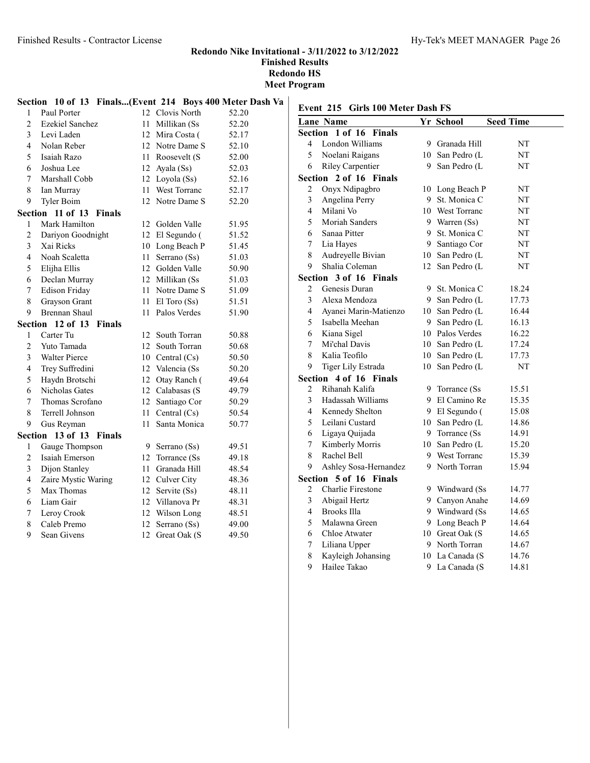# Redondo Nike Invitational - 3/11/2022 to 3/12/2022

Finished Results

Redondo HS Meet Program

|                | Section 10 of 13 Finals(Event 214 Boys 400 Meter Dash Va |    |                   |       |    |
|----------------|----------------------------------------------------------|----|-------------------|-------|----|
| $\mathbf{1}$   | Paul Porter                                              |    | 12 Clovis North   | 52.20 | E١ |
| $\overline{2}$ | <b>Ezekiel Sanchez</b>                                   |    | 11 Millikan (Ss   | 52.20 | L  |
| 3              | Levi Laden                                               |    | 12 Mira Costa (   | 52.17 | S6 |
| 4              | Nolan Reber                                              |    | 12 Notre Dame S   | 52.10 |    |
| 5              | Isaiah Razo                                              |    | 11 Roosevelt (S   | 52.00 |    |
| 6              | Joshua Lee                                               |    | 12 Ayala $(Ss)$   | 52.03 |    |
| 7              | Marshall Cobb                                            |    | 12 Loyola (Ss)    | 52.16 | S6 |
| 8              | Ian Murray                                               |    | 11 West Torranc   | 52.17 |    |
| 9              | Tyler Boim                                               |    | 12 Notre Dame S   | 52.20 |    |
|                | Section 11 of 13 Finals                                  |    |                   |       |    |
| 1              | Mark Hamilton                                            |    | 12 Golden Valle   | 51.95 |    |
| 2              | Dariyon Goodnight                                        | 12 | El Segundo (      | 51.52 |    |
| 3              | Xai Ricks                                                |    | 10 Long Beach P   | 51.45 |    |
| $\overline{4}$ | Noah Scaletta                                            | 11 | Serrano (Ss)      | 51.03 |    |
| 5              | Elijha Ellis                                             |    | 12 Golden Valle   | 50.90 |    |
| 6              | Declan Murray                                            |    | 12 Millikan (Ss   | 51.03 | Sε |
| 7              | <b>Edison Friday</b>                                     |    | 11 Notre Dame S   | 51.09 |    |
| 8              | Grayson Grant                                            |    | 11 El Toro $(Ss)$ | 51.51 |    |
| 9              | <b>Brennan Shaul</b>                                     |    | 11 Palos Verdes   | 51.90 |    |
|                | Section 12 of 13 Finals                                  |    |                   |       |    |
| 1              | Carter Tu                                                | 12 | South Torran      | 50.88 |    |
| $\overline{c}$ | Yuto Tamada                                              |    | 12 South Torran   | 50.68 |    |
| 3              | Walter Pierce                                            |    | 10 Central $(Cs)$ | 50.50 |    |
| 4              | Trey Suffredini                                          |    | 12 Valencia (Ss   | 50.20 |    |
| 5              | Haydn Brotschi                                           |    | 12 Otay Ranch (   | 49.64 | Sε |
| 6              | Nicholas Gates                                           |    | 12 Calabasas (S   | 49.79 |    |
| $\overline{7}$ | Thomas Scrofano                                          |    | 12 Santiago Cor   | 50.29 |    |
| 8              | Terrell Johnson                                          | 11 | Central $(Cs)$    | 50.54 |    |
| 9              | Gus Reyman                                               | 11 | Santa Monica      | 50.77 |    |
|                | Section 13 of 13 Finals                                  |    |                   |       |    |
| 1              | Gauge Thompson                                           |    | 9 Serrano (Ss)    | 49.51 |    |
| $\overline{c}$ | Isaiah Emerson                                           |    | 12 Torrance (Ss)  | 49.18 |    |
| 3              | Dijon Stanley                                            | 11 | Granada Hill      | 48.54 |    |
| 4              | Zaire Mystic Waring                                      |    | 12 Culver City    | 48.36 | Sε |
| 5              | Max Thomas                                               |    | 12 Servite (Ss)   | 48.11 |    |
| 6              | Liam Gair                                                |    | 12 Villanova Pr   | 48.31 |    |
| 7              | Leroy Crook                                              |    | 12 Wilson Long    | 48.51 |    |
| 8              | Caleb Premo                                              | 12 | Serrano (Ss)      | 49.00 |    |
| 9              | Sean Givens                                              | 12 | Great Oak (S      | 49.50 |    |

# Event 215 Girls 100 Meter Dash FS

|                         | <b>Lane Name</b>         |    | Yr School       | <b>Seed Time</b> |  |  |
|-------------------------|--------------------------|----|-----------------|------------------|--|--|
|                         | Section 1 of 16 Finals   |    |                 |                  |  |  |
| 4                       | London Williams          |    | 9 Granada Hill  | NT               |  |  |
| 5                       | Noelani Raigans          |    | 10 San Pedro (L | NT               |  |  |
| 6                       | <b>Riley Carpentier</b>  |    | 9 San Pedro (L  | NT               |  |  |
| Section                 | 2 of 16 Finals           |    |                 |                  |  |  |
| 2                       | Onyx Ndipagbro           |    | 10 Long Beach P | NT               |  |  |
| 3                       | Angelina Perry           |    | 9 St. Monica C  | NT               |  |  |
| $\overline{4}$          | Milani Vo                |    | 10 West Torranc | NT               |  |  |
| 5                       | Moriah Sanders           |    | 9 Warren (Ss)   | NT               |  |  |
| 6                       | Sanaa Pitter             | 9  | St. Monica C    | NT               |  |  |
| 7                       | Lia Hayes                | 9  | Santiago Cor    | NT               |  |  |
| $\,$ 8 $\,$             | Audreyelle Bivian        |    | 10 San Pedro (L | NT               |  |  |
| 9                       | Shalia Coleman           |    | 12 San Pedro (L | NT               |  |  |
|                         | Section 3 of 16 Finals   |    |                 |                  |  |  |
| 2                       | Genesis Duran            |    | 9 St. Monica C  | 18.24            |  |  |
| 3                       | Alexa Mendoza            |    | 9 San Pedro (L  | 17.73            |  |  |
| $\overline{\mathbf{4}}$ | Ayanei Marin-Matienzo    |    | 10 San Pedro (L | 16.44            |  |  |
| 5                       | Isabella Meehan          |    | 9 San Pedro (L  | 16.13            |  |  |
| 6                       | Kiana Sigel              |    | 10 Palos Verdes | 16.22            |  |  |
| 7                       | Mi'chal Davis            |    | 10 San Pedro (L | 17.24            |  |  |
| 8                       | Kalia Teofilo            |    | 10 San Pedro (L | 17.73            |  |  |
| 9                       | Tiger Lily Estrada       | 10 | San Pedro (L    | NT               |  |  |
| Section                 | 4 of 16 Finals           |    |                 |                  |  |  |
| $\overline{2}$          | Rihanah Kalifa           |    | 9 Torrance (Ss  | 15.51            |  |  |
| 3                       | Hadassah Williams        |    | 9 El Camino Re  | 15.35            |  |  |
| $\overline{\mathbf{4}}$ | Kennedy Shelton          |    | 9 El Segundo (  | 15.08            |  |  |
| 5                       | Leilani Custard          |    | 10 San Pedro (L | 14.86            |  |  |
| 6                       | Ligaya Quijada           |    | 9 Torrance (Ss) | 14.91            |  |  |
| 7                       | Kimberly Morris          |    | 10 San Pedro (L | 15.20            |  |  |
| 8                       | Rachel Bell              |    | 9 West Torranc  | 15.39            |  |  |
| 9                       | Ashley Sosa-Hernandez    |    | 9 North Torran  | 15.94            |  |  |
| Section                 | 5 of 16 Finals           |    |                 |                  |  |  |
| 2                       | <b>Charlie Firestone</b> |    | 9 Windward (Ss  | 14.77            |  |  |
| 3                       | Abigail Hertz            |    | 9 Canyon Anahe  | 14.69            |  |  |
| $\overline{4}$          | <b>Brooks Illa</b>       |    | 9 Windward (Ss) | 14.65            |  |  |
| 5                       | Malawna Green            |    | 9 Long Beach P  | 14.64            |  |  |
| 6                       | Chloe Atwater            |    | 10 Great Oak (S | 14.65            |  |  |
| 7                       | Liliana Upper            |    | 9 North Torran  | 14.67            |  |  |
| 8                       | Kayleigh Johansing       |    | 10 La Canada (S | 14.76            |  |  |
| 9                       | Hailee Takao             | 9  | La Canada (S    | 14.81            |  |  |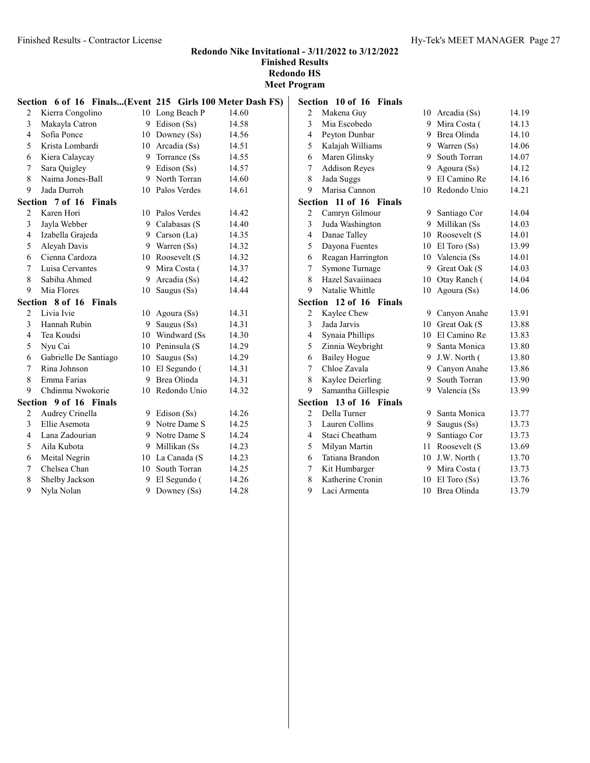#### Redondo Nike Invitational - 3/11/2022 to 3/12/2022 Finished Results

Redondo HS Meet Program

|                         | Section 6 of 16 Finals(Event 215 Girls 100 Meter Dash FS) |    |                 |       |
|-------------------------|-----------------------------------------------------------|----|-----------------|-------|
| 2                       | Kierra Congolino                                          |    | 10 Long Beach P | 14.60 |
| 3                       | Makayla Catron                                            |    | 9 Edison (Ss)   | 14.58 |
| $\overline{4}$          | Sofia Ponce                                               |    | 10 Downey (Ss)  | 14.56 |
| 5                       | Krista Lombardi                                           |    | 10 Arcadia (Ss) | 14.51 |
| 6                       | Kiera Calaycay                                            |    | 9 Torrance (Ss) | 14.55 |
| 7                       | Sara Quigley                                              |    | 9 Edison (Ss)   | 14.57 |
| 8                       | Naima Jones-Ball                                          |    | 9 North Torran  | 14.60 |
| 9                       | Jada Durroh                                               |    | 10 Palos Verdes | 14.61 |
|                         | Section 7 of 16<br>Finals                                 |    |                 |       |
| $\overline{c}$          | Karen Hori                                                |    | 10 Palos Verdes | 14.42 |
| 3                       | Jayla Webber                                              |    | 9 Calabasas (S  | 14.40 |
| $\overline{\mathbf{4}}$ | Izabella Grajeda                                          |    | 9 Carson (La)   | 14.35 |
| 5                       | Aleyah Davis                                              |    | 9 Warren (Ss)   | 14.32 |
| 6                       | Cienna Cardoza                                            |    | 10 Roosevelt (S | 14.32 |
| 7                       | Luisa Cervantes                                           |    | 9 Mira Costa (  | 14.37 |
| 8                       | Sabiha Ahmed                                              |    | 9 Arcadia (Ss)  | 14.42 |
| 9                       | Mia Flores                                                | 10 | Saugus (Ss)     | 14.44 |
|                         | Section 8 of 16 Finals                                    |    |                 |       |
| $\overline{2}$          | Livia Ivie                                                | 10 | Agoura (Ss)     | 14.31 |
| 3                       | Hannah Rubin                                              |    | 9 Saugus (Ss)   | 14.31 |
| 4                       | Tea Koudsi                                                |    | 10 Windward (Ss | 14.30 |
| 5                       | Nyu Cai                                                   |    | 10 Peninsula (S | 14.29 |
| 6                       | Gabrielle De Santiago                                     |    | 10 Saugus (Ss)  | 14.29 |
| 7                       | Rina Johnson                                              |    | 10 El Segundo ( | 14.31 |
| 8                       | Emma Farias                                               |    | 9 Brea Olinda   | 14.31 |
| 9                       | Chdinma Nwokorie                                          |    | 10 Redondo Unio | 14.32 |
|                         | Section 9 of 16 Finals                                    |    |                 |       |
| 2                       | Audrey Crinella                                           |    | 9 Edison (Ss)   | 14.26 |
| 3                       | Ellie Asemota                                             |    | 9 Notre Dame S  | 14.25 |
| 4                       | Lana Zadourian                                            |    | 9 Notre Dame S  | 14.24 |
| 5                       | Aila Kubota                                               |    | 9 Millikan (Ss  | 14.23 |
| 6                       | Meital Negrin                                             |    | 10 La Canada (S | 14.23 |
| 7                       | Chelsea Chan                                              |    | 10 South Torran | 14.25 |
| 8                       | Shelby Jackson                                            |    | 9 El Segundo (  | 14.26 |
| 9                       | Nyla Nolan                                                | 9. | Downey (Ss)     | 14.28 |

|                         | Section 10 of 16<br>Finals |    |                 |       |
|-------------------------|----------------------------|----|-----------------|-------|
| $\overline{c}$          | Makena Guy                 |    | 10 Arcadia (Ss) | 14.19 |
| 3                       | Mia Escobedo               | 9  | Mira Costa (    | 14.13 |
| $\overline{4}$          | Peyton Dunbar              | 9  | Brea Olinda     | 14.10 |
| 5                       | Kalajah Williams           | 9  | Warren (Ss)     | 14.06 |
| 6                       | Maren Glinsky              | 9  | South Torran    | 14.07 |
| 7                       | <b>Addison Reyes</b>       | 9  | Agoura (Ss)     | 14.12 |
| 8                       | Jada Suggs                 | 9  | El Camino Re    | 14.16 |
| 9                       | Marisa Cannon              | 10 | Redondo Unio    | 14.21 |
| Section                 | 11 of 16 Finals            |    |                 |       |
| 2                       | Camryn Gilmour             |    | 9 Santiago Cor  | 14.04 |
| 3                       | Juda Washington            |    | 9 Millikan (Ss  | 14.03 |
| $\overline{\mathbf{4}}$ | Danae Talley               |    | 10 Roosevelt (S | 14.01 |
| 5                       | Dayona Fuentes             | 10 | El Toro (Ss)    | 13.99 |
| 6                       | Reagan Harrington          | 10 | Valencia (Ss    | 14.01 |
| 7                       | Symone Turnage             | 9  | Great Oak (S    | 14.03 |
| 8                       | Hazel Savaiinaea           | 10 | Otay Ranch (    | 14.04 |
| 9                       | Natalie Whittle            | 10 | Agoura (Ss)     | 14.06 |
| Section                 | 12 of 16 Finals            |    |                 |       |
| 2                       | Kaylee Chew                | 9  | Canyon Anahe    | 13.91 |
| $\overline{\mathbf{3}}$ | Jada Jarvis                |    | 10 Great Oak (S | 13.88 |
| $\overline{4}$          | Synaia Phillips            |    | 10 El Camino Re | 13.83 |
| 5                       | Zinnia Weybright           |    | 9 Santa Monica  | 13.80 |
| 6                       | <b>Bailey Hogue</b>        | 9. | J.W. North (    | 13.80 |
| 7                       | Chloe Zavala               |    | 9 Canyon Anahe  | 13.86 |
| 8                       | Kaylee Deierling           | 9  | South Torran    | 13.90 |
| 9                       | Samantha Gillespie         | 9  | Valencia (Ss    | 13.99 |
| <b>Section</b>          | 13 of 16 Finals            |    |                 |       |
| 2                       | Della Turner               | 9  | Santa Monica    | 13.77 |
| 3                       | Lauren Collins             | 9  | Saugus (Ss)     | 13.73 |
| $\overline{4}$          | Staci Cheatham             |    | 9 Santiago Cor  | 13.73 |
| 5                       | Milyan Martin              | 11 | Roosevelt (S    | 13.69 |
| 6                       | Tatiana Brandon            |    | 10 J.W. North ( | 13.70 |
| 7                       | Kit Humbarger              | 9  | Mira Costa (    | 13.73 |
| 8                       | Katherine Cronin           | 10 | El Toro (Ss)    | 13.76 |
| 9                       | Laci Armenta               | 10 | Brea Olinda     | 13.79 |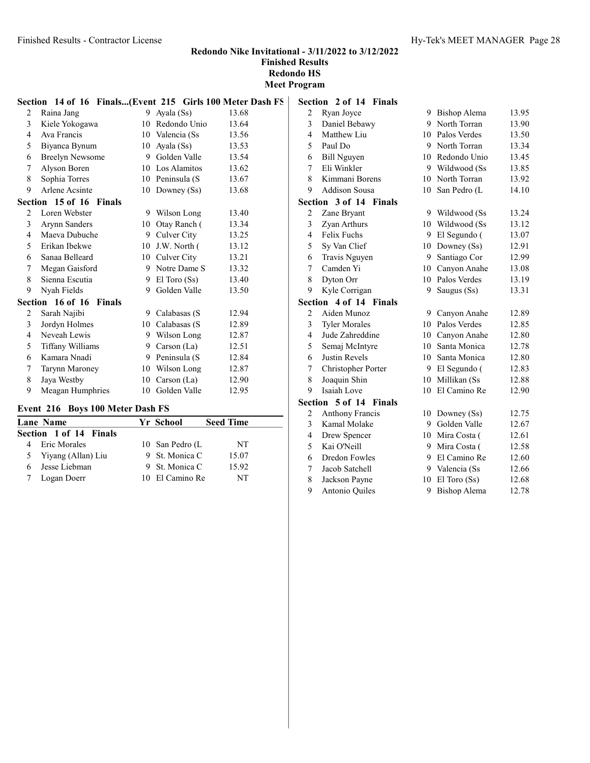Meet Program

|                | Section 14 of 16 Finals(Event 215 Girls 100 Meter Dash FS |    |                     |       |
|----------------|-----------------------------------------------------------|----|---------------------|-------|
| 2              | Raina Jang                                                |    | 9 Ayala (Ss)        | 13.68 |
| 3              | Kiele Yokogawa                                            | 10 | Redondo Unio        | 13.64 |
| $\overline{4}$ | Ava Francis                                               |    | 10 Valencia (Ss)    | 13.56 |
| 5              | Biyanca Bynum                                             | 10 | Ayala (Ss)          | 13.53 |
| 6              | Breelyn Newsome                                           |    | 9 Golden Valle      | 13.54 |
| 7              | Alyson Boren                                              |    | 10 Los Alamitos     | 13.62 |
| 8              | Sophia Torres                                             |    | 10 Peninsula (S     | 13.67 |
| 9              | <b>Arlene Acsinte</b>                                     |    | 10 Downey (Ss)      | 13.68 |
|                | Section 15 of 16 Finals                                   |    |                     |       |
| 2              | Loren Webster                                             |    | 9 Wilson Long       | 13.40 |
| $\mathfrak{Z}$ | Arynn Sanders                                             | 10 | Otay Ranch (        | 13.34 |
| 4              | Maeva Dubuche                                             | 9  | Culver City         | 13.25 |
| 5              | Erikan Ibekwe                                             |    | $10$ J.W. North $($ | 13.12 |
| 6              | Sanaa Belleard                                            |    | 10 Culver City      | 13.21 |
| 7              | Megan Gaisford                                            |    | 9 Notre Dame S      | 13.32 |
| 8              | Sienna Escutia                                            | 9  | El Toro (Ss)        | 13.40 |
| 9              | Nyah Fields                                               | 9  | Golden Valle        | 13.50 |
|                | Section 16 of 16<br><b>Finals</b>                         |    |                     |       |
| 2              | Sarah Najibi                                              |    | 9 Calabasas (S      | 12.94 |
| 3              | Jordyn Holmes                                             |    | 10 Calabasas (S     | 12.89 |
| 4              | Neveah Lewis                                              | 9  | Wilson Long         | 12.87 |
| 5              | Tiffany Williams                                          |    | 9 Carson (La)       | 12.51 |
| 6              | Kamara Nnadi                                              |    | 9 Peninsula (S      | 12.84 |
| 7              | Tarynn Maroney                                            | 10 | Wilson Long         | 12.87 |
| 8              | Jaya Westby                                               |    | 10 Carson $(La)$    | 12.90 |
| 9              | Meagan Humphries                                          |    | 10 Golden Valle     | 12.95 |

# Event 216 Boys 100 Meter Dash FS

|   | $\frac{1}{2}$ . $\frac{1}{2}$ . $\frac{1}{2}$ . $\frac{1}{2}$ . $\frac{1}{2}$ . $\frac{1}{2}$ . $\frac{1}{2}$ . $\frac{1}{2}$ . $\frac{1}{2}$ . $\frac{1}{2}$ . $\frac{1}{2}$ . |  |                 |                  |  |  |
|---|---------------------------------------------------------------------------------------------------------------------------------------------------------------------------------|--|-----------------|------------------|--|--|
|   | <b>Lane Name</b>                                                                                                                                                                |  | Yr School       | <b>Seed Time</b> |  |  |
|   | <b>Section 1 of 14 Finals</b>                                                                                                                                                   |  |                 |                  |  |  |
|   | Eric Morales                                                                                                                                                                    |  | 10 San Pedro (L | NT               |  |  |
|   | 5 Yiyang (Allan) Liu                                                                                                                                                            |  | 9 St. Monica C  | 15.07            |  |  |
| 6 | Jesse Liebman                                                                                                                                                                   |  | 9 St. Monica C  | 15.92            |  |  |
|   | Logan Doerr                                                                                                                                                                     |  | 10 El Camino Re | NT               |  |  |

|                | Section 2 of 14 Finals           |    |                 |       |
|----------------|----------------------------------|----|-----------------|-------|
| $\overline{2}$ | Ryan Joyce                       |    | 9 Bishop Alema  | 13.95 |
| 3              | Daniel Bebawy                    | 9  | North Torran    | 13.90 |
| $\overline{4}$ | Matthew Liu                      |    | 10 Palos Verdes | 13.50 |
| 5              | Paul Do                          |    | 9 North Torran  | 13.34 |
| 6              | <b>Bill Nguyen</b>               |    | 10 Redondo Unio | 13.45 |
| 7              | Eli Winkler                      |    | 9 Wildwood (Ss  | 13.85 |
| 8              | Kimmani Borens                   |    | 10 North Torran | 13.92 |
| 9              | <b>Addison Sousa</b>             | 10 | San Pedro (L    | 14.10 |
|                | Section 3 of 14 Finals           |    |                 |       |
| $\overline{c}$ | Zane Bryant                      |    | 9 Wildwood (Ss  | 13.24 |
| 3              | Zyan Arthurs                     |    | 10 Wildwood (Ss | 13.12 |
| $\overline{4}$ | Felix Fuchs                      |    | 9 El Segundo (  | 13.07 |
| 5              | Sy Van Clief                     |    | 10 Downey (Ss)  | 12.91 |
| 6              | Travis Nguyen                    |    | 9 Santiago Cor  | 12.99 |
| 7              | Camden Yi                        |    | 10 Canyon Anahe | 13.08 |
| 8              | Dyton Orr                        |    | 10 Palos Verdes | 13.19 |
| 9              | Kyle Corrigan                    | 9  | Saugus (Ss)     | 13.31 |
|                | Section 4 of 14 Finals           |    |                 |       |
| $\overline{c}$ | Aiden Munoz                      |    | 9 Canyon Anahe  | 12.89 |
| 3              | <b>Tyler Morales</b>             |    | 10 Palos Verdes | 12.85 |
| $\overline{4}$ | Jude Zahreddine                  |    | 10 Canyon Anahe | 12.80 |
| 5              | Semaj McIntyre                   | 10 | Santa Monica    | 12.78 |
| 6              | <b>Justin Revels</b>             | 10 | Santa Monica    | 12.80 |
| 7              | Christopher Porter               | 9  | El Segundo (    | 12.83 |
| 8              | Joaquin Shin                     |    | 10 Millikan (Ss | 12.88 |
| 9              | Isaiah Love                      |    | 10 El Camino Re | 12.90 |
|                | Section 5 of 14<br><b>Finals</b> |    |                 |       |
| $\overline{c}$ | <b>Anthony Francis</b>           |    | 10 Downey (Ss)  | 12.75 |
| 3              | Kamal Molake                     | 9. | Golden Valle    | 12.67 |
| $\overline{4}$ | Drew Spencer                     |    | 10 Mira Costa ( | 12.61 |
| 5              | Kai O'Neill                      |    | 9 Mira Costa (  | 12.58 |
| 6              | Dredon Fowles                    |    | 9 El Camino Re  | 12.60 |
| 7              | Jacob Satchell                   |    | 9 Valencia (Ss  | 12.66 |
| 8              | Jackson Payne                    | 10 | El Toro (Ss)    | 12.68 |

Antonio Quiles 9 Bishop Alema 12.78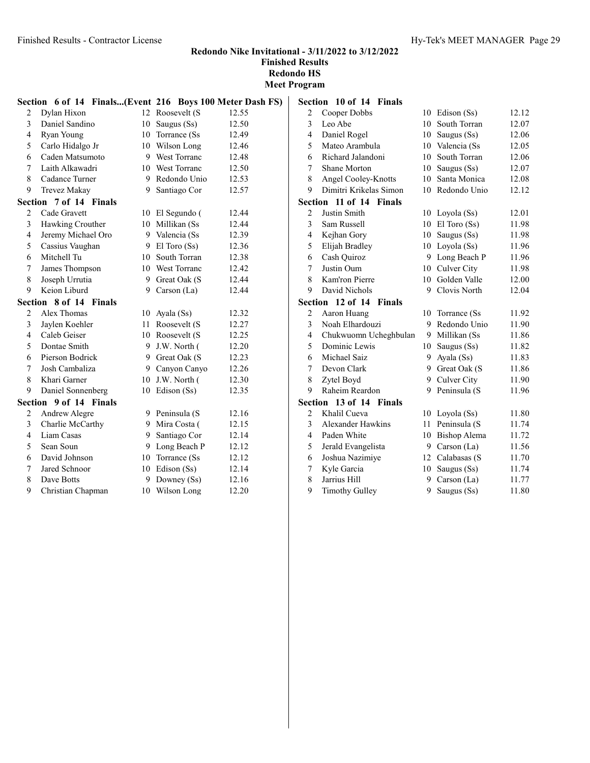#### Redondo Nike Invitational - 3/11/2022 to 3/12/2022 Finished Results

Redondo HS

Meet Program

|                | Section 6 of 14 Finals(Event 216 Boys 100 Meter Dash FS) |    |                  |       |
|----------------|----------------------------------------------------------|----|------------------|-------|
| 2              | Dylan Hixon                                              |    | 12 Roosevelt (S  | 12.55 |
| 3              | Daniel Sandino                                           |    | 10 Saugus (Ss)   | 12.50 |
| 4              | Ryan Young                                               |    | 10 Torrance (Ss) | 12.49 |
| 5              | Carlo Hidalgo Jr                                         |    | 10 Wilson Long   | 12.46 |
| 6              | Caden Matsumoto                                          |    | 9 West Torranc   | 12.48 |
| $\overline{7}$ | Laith Alkawadri                                          |    | 10 West Torranc  | 12.50 |
| 8              | Cadance Turner                                           |    | 9 Redondo Unio   | 12.53 |
| 9              | Trevez Makay                                             |    | 9 Santiago Cor   | 12.57 |
|                | Section 7 of 14 Finals                                   |    |                  |       |
| 2              | Cade Gravett                                             |    | 10 El Segundo (  | 12.44 |
| 3              | Hawking Crouther                                         |    | 10 Millikan (Ss  | 12.44 |
| 4              | Jeremy Michael Oro                                       |    | 9 Valencia (Ss   | 12.39 |
| 5              | Cassius Vaughan                                          |    | 9 El Toro (Ss)   | 12.36 |
| 6              | Mitchell Tu                                              |    | 10 South Torran  | 12.38 |
| 7              | James Thompson                                           |    | 10 West Torranc  | 12.42 |
| 8              | Joseph Urrutia                                           |    | 9 Great Oak (S   | 12.44 |
| 9              | Keion Liburd                                             | 9  | Carson (La)      | 12.44 |
|                | Section 8 of 14 Finals                                   |    |                  |       |
| $\overline{2}$ | Alex Thomas                                              |    | 10 Ayala $(Ss)$  | 12.32 |
| 3              | Jaylen Koehler                                           |    | 11 Roosevelt (S  | 12.27 |
| $\overline{4}$ | Caleb Geiser                                             |    | 10 Roosevelt (S  | 12.25 |
| 5              | Dontae Smith                                             |    | 9 J.W. North (   | 12.20 |
| 6              | Pierson Bodrick                                          |    | 9 Great Oak (S   | 12.23 |
| 7              | Josh Cambaliza                                           |    | 9 Canyon Canyo   | 12.26 |
| 8              | Khari Garner                                             |    | 10 J.W. North (  | 12.30 |
| 9              | Daniel Sonnenberg                                        |    | 10 Edison (Ss)   | 12.35 |
|                | Section 9 of 14 Finals                                   |    |                  |       |
| 2              | Andrew Alegre                                            |    | 9 Peninsula (S   | 12.16 |
| 3              | Charlie McCarthy                                         |    | 9 Mira Costa (   | 12.15 |
| 4              | Liam Casas                                               | 9. | Santiago Cor     | 12.14 |
| 5              | Sean Soun                                                | 9  | Long Beach P     | 12.12 |
| 6              | David Johnson                                            |    | 10 Torrance (Ss) | 12.12 |
| 7              | Jared Schnoor                                            |    | 10 Edison (Ss)   | 12.14 |
| 8              | Dave Botts                                               | 9. | Downey $(Ss)$    | 12.16 |
| 9              | Christian Chapman                                        |    | 10 Wilson Long   | 12.20 |

|                         | Section 10 of 14 Finals           |    |                 |       |
|-------------------------|-----------------------------------|----|-----------------|-------|
| 2                       | Cooper Dobbs                      |    | 10 Edison (Ss)  | 12.12 |
| 3                       | Leo Abe                           | 10 | South Torran    | 12.07 |
| $\overline{4}$          | Daniel Rogel                      |    | 10 Saugus (Ss)  | 12.06 |
| 5                       | Mateo Arambula                    |    | 10 Valencia (Ss | 12.05 |
| 6                       | Richard Jalandoni                 | 10 | South Torran    | 12.06 |
| 7                       | <b>Shane Morton</b>               | 10 | Saugus (Ss)     | 12.07 |
| 8                       | Angel Cooley-Knotts               | 10 | Santa Monica    | 12.08 |
| 9                       | Dimitri Krikelas Simon            | 10 | Redondo Unio    | 12.12 |
| <b>Section</b>          | 11 of 14 Finals                   |    |                 |       |
| $\overline{2}$          | Justin Smith                      |    | 10 Loyola (Ss)  | 12.01 |
| $\overline{\mathbf{3}}$ | Sam Russell                       |    | 10 El Toro (Ss) | 11.98 |
| $\overline{4}$          | Kejhan Gory                       |    | 10 Saugus (Ss)  | 11.98 |
| 5                       | Elijah Bradley                    |    | 10 Loyola (Ss)  | 11.96 |
| 6                       | Cash Quiroz                       | 9  | Long Beach P    | 11.96 |
| 7                       | Justin Oum                        |    | 10 Culver City  | 11.98 |
| 8                       | Kam'ron Pierre                    | 10 | Golden Valle    | 12.00 |
| 9                       | David Nichols                     | 9  | Clovis North    | 12.04 |
|                         | Section 12 of 14<br><b>Finals</b> |    |                 |       |
| 2                       | Aaron Huang                       | 10 | Torrance (Ss)   | 11.92 |
| 3                       | Noah Elhardouzi                   | 9  | Redondo Unio    | 11.90 |
| 4                       | Chukwuomn Ucheghbulan             | 9  | Millikan (Ss    | 11.86 |
| 5                       | Dominic Lewis                     |    | 10 Saugus (Ss)  | 11.82 |
| 6                       | Michael Saiz                      | 9  | Ayala (Ss)      | 11.83 |
| 7                       | Devon Clark                       |    | 9 Great Oak (S  | 11.86 |
| 8                       | Zytel Boyd                        | 9  | Culver City     | 11.90 |
| 9                       | Raheim Reardon                    | 9  | Peninsula (S    | 11.96 |
| <b>Section</b>          | 13 of 14<br><b>Finals</b>         |    |                 |       |
| $\overline{2}$          | Khalil Cueva                      | 10 | Loyola (Ss)     | 11.80 |
| 3                       | <b>Alexander Hawkins</b>          | 11 | Peninsula (S    | 11.74 |
| 4                       | Paden White                       | 10 | Bishop Alema    | 11.72 |
| 5                       | Jerald Evangelista                | 9  | Carson $(La)$   | 11.56 |
| 6                       | Joshua Nazimiye                   |    | 12 Calabasas (S | 11.70 |
| 7                       | Kyle Garcia                       |    | 10 Saugus (Ss)  | 11.74 |
| 8                       | Jarrius Hill                      | 9  | Carson (La)     | 11.77 |
| 9                       | <b>Timothy Gulley</b>             | 9  | Saugus (Ss)     | 11.80 |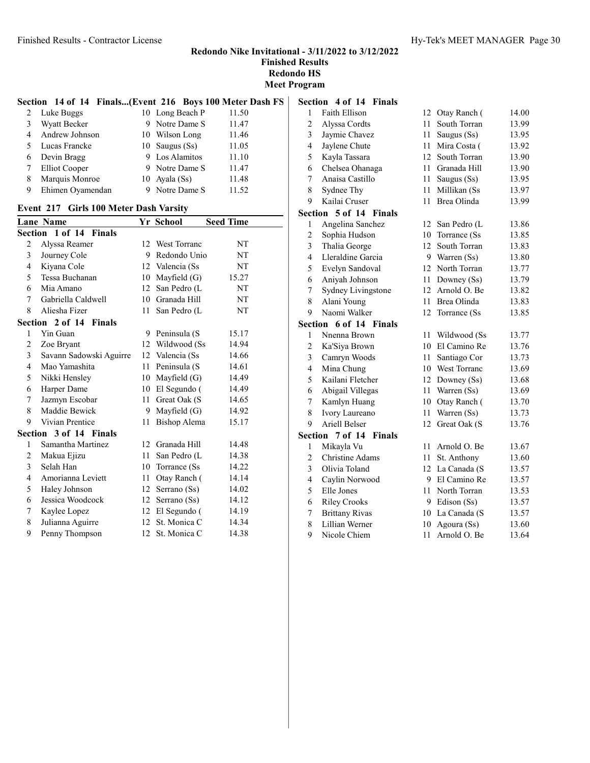Meet Program

#### Section 14 of 14 Finals...(Event 216 Boys 100 Meter Dash FS)

| 2 | Luke Buggs          | 10 Long Beach P  | 11.50 |
|---|---------------------|------------------|-------|
| 3 | <b>Wyatt Becker</b> | 9 Notre Dame S   | 11.47 |
| 4 | Andrew Johnson      | 10 Wilson Long   | 11.46 |
| 5 | Lucas Francke       | 10 Saugus $(Ss)$ | 11.05 |
| 6 | Devin Bragg         | 9 Los Alamitos   | 11.10 |
| 7 | Elliot Cooper       | 9 Notre Dame S   | 11.47 |
| 8 | Marquis Monroe      | 10 Ayala $(Ss)$  | 11.48 |
| 9 | Ehimen Oyamendan    | 9 Notre Dame S   | 11.52 |
|   |                     |                  |       |

#### Event 217 Girls 100 Meter Dash Varsity

|                | Lane Name               |                  | Yr School           | <b>Seed Time</b> |
|----------------|-------------------------|------------------|---------------------|------------------|
|                | Section 1 of 14 Finals  |                  |                     |                  |
| 2              | Alyssa Reamer           | 12               | <b>West Torranc</b> | NT               |
| 3              | Journey Cole            | 9                | Redondo Unio        | NT               |
| $\overline{4}$ | Kiyana Cole             |                  | 12 Valencia (Ss     | NT               |
| 5              | Tessa Buchanan          | 10               | Mayfield $(G)$      | 15.27            |
| 6              | Mia Amano               | 12               | San Pedro (L        | NT               |
| 7              | Gabriella Caldwell      | 10               | Granada Hill        | NT               |
| 8              | Aliesha Fizer           | 11               | San Pedro (L        | NT               |
|                | Section 2 of 14 Finals  |                  |                     |                  |
| 1              | Yin Guan                | 9.               | Peninsula (S        | 15.17            |
| $\overline{2}$ | Zoe Bryant              | 12               | Wildwood (Ss        | 14.94            |
| 3              | Savann Sadowski Aguirre | 12               | Valencia (Ss        | 14.66            |
| $\overline{4}$ | Mao Yamashita           | 11               | Peninsula (S        | 14.61            |
| 5              | Nikki Hensley           | 10               | Mayfield (G)        | 14.49            |
| 6              | Harper Dame             | 10               | El Segundo (        | 14.49            |
| 7              | Jazmyn Escobar          | 11               | Great Oak (S        | 14.65            |
| 8              | Maddie Bewick           | 9                | Mayfield $(G)$      | 14.92            |
| 9              | Vivian Prentice         | 11               | Bishop Alema        | 15.17            |
|                | Section 3 of 14 Finals  |                  |                     |                  |
| 1              | Samantha Martinez       | 12 <sup>1</sup>  | Granada Hill        | 14.48            |
| $\overline{2}$ | Makua Ejizu             | 11               | San Pedro (L        | 14.38            |
| 3              | Selah Han               | 10               | Torrance (Ss        | 14.22            |
| $\overline{4}$ | Amorianna Leviett       | 11               | Otay Ranch (        | 14.14            |
| 5              | Haley Johnson           | 12               | Serrano (Ss)        | 14.02            |
| 6              | Jessica Woodcock        | 12               | Serrano (Ss)        | 14.12            |
| 7              | Kaylee Lopez            | 12               | El Segundo (        | 14.19            |
| 8              | Julianna Aguirre        | 12 <sup>12</sup> | St. Monica C        | 14.34            |
| 9              | Penny Thompson          | 12               | St. Monica C        | 14.38            |

|                         | Section 4 of 14 Finals           |                 |                 |       |
|-------------------------|----------------------------------|-----------------|-----------------|-------|
| 1                       | Faith Ellison                    |                 | 12 Otay Ranch ( | 14.00 |
| $\overline{c}$          | Alyssa Cordts                    | 11              | South Torran    | 13.99 |
| 3                       | Jaymie Chavez                    | 11              | Saugus (Ss)     | 13.95 |
| $\overline{\mathbf{4}}$ | Jaylene Chute                    |                 | 11 Mira Costa ( | 13.92 |
| 5                       | Kayla Tassara                    | 12 <sup>1</sup> | South Torran    | 13.90 |
| 6                       | Chelsea Ohanaga                  |                 | 11 Granada Hill | 13.90 |
| 7                       | Anaisa Castillo                  | 11 -            | Saugus (Ss)     | 13.95 |
| 8                       | Sydnee Thy                       | 11-             | Millikan (Ss    | 13.97 |
| 9                       | Kailai Cruser                    | 11              | Brea Olinda     | 13.99 |
|                         | Section 5 of 14 Finals           |                 |                 |       |
| 1                       | Angelina Sanchez                 | 12              | San Pedro (L    | 13.86 |
| $\overline{c}$          | Sophia Hudson                    | 10              | Torrance (Ss    | 13.85 |
| 3                       | Thalia George                    | 12              | South Torran    | 13.83 |
| $\overline{\mathbf{4}}$ | Lleraldine Garcia                |                 | 9 Warren (Ss)   | 13.80 |
| 5                       | Evelyn Sandoval                  |                 | 12 North Torran | 13.77 |
| 6                       | Aniyah Johnson                   |                 | 11 Downey (Ss)  | 13.79 |
| 7                       | Sydney Livingstone               |                 | 12 Arnold O. Be | 13.82 |
| 8                       | Alani Young                      |                 | 11 Brea Olinda  | 13.83 |
| 9                       | Naomi Walker                     | 12              | Torrance (Ss)   | 13.85 |
| Section                 | 6 of 14 Finals                   |                 |                 |       |
| 1                       | Nnenna Brown                     | 11 -            | Wildwood (Ss    | 13.77 |
| $\overline{c}$          | Ka'Siya Brown                    |                 | 10 El Camino Re | 13.76 |
| 3                       | Camryn Woods                     | 11 -            | Santiago Cor    | 13.73 |
| $\overline{4}$          | Mina Chung                       |                 | 10 West Torranc | 13.69 |
| 5                       | Kailani Fletcher                 |                 | 12 Downey (Ss)  | 13.68 |
| 6                       | Abigail Villegas                 | 11 -            | Warren (Ss)     | 13.69 |
| 7                       | Kamlyn Huang                     |                 | 10 Otay Ranch ( | 13.70 |
| 8                       | Ivory Laureano                   | 11              | Warren (Ss)     | 13.73 |
| 9                       | Ariell Belser                    | 12              | Great Oak (S    | 13.76 |
|                         | Section 7 of 14<br><b>Finals</b> |                 |                 |       |
| 1                       | Mikayla Vu                       | 11              | Arnold O. Be    | 13.67 |
| $\overline{c}$          | Christine Adams                  | 11              | St. Anthony     | 13.60 |
| 3                       | Olivia Toland                    |                 | 12 La Canada (S | 13.57 |
| 4                       | Caylin Norwood                   |                 | 9 El Camino Re  | 13.57 |
| 5                       | Elle Jones                       | 11 <sup>1</sup> | North Torran    | 13.53 |
| 6                       | <b>Riley Crooks</b>              |                 | 9 Edison (Ss)   | 13.57 |
| 7                       | <b>Brittany Rivas</b>            | 10              | La Canada (S    | 13.57 |
| 8                       | Lillian Werner                   | 10              | Agoura (Ss)     | 13.60 |

9 Nicole Chiem 11 Arnold O. Be 13.64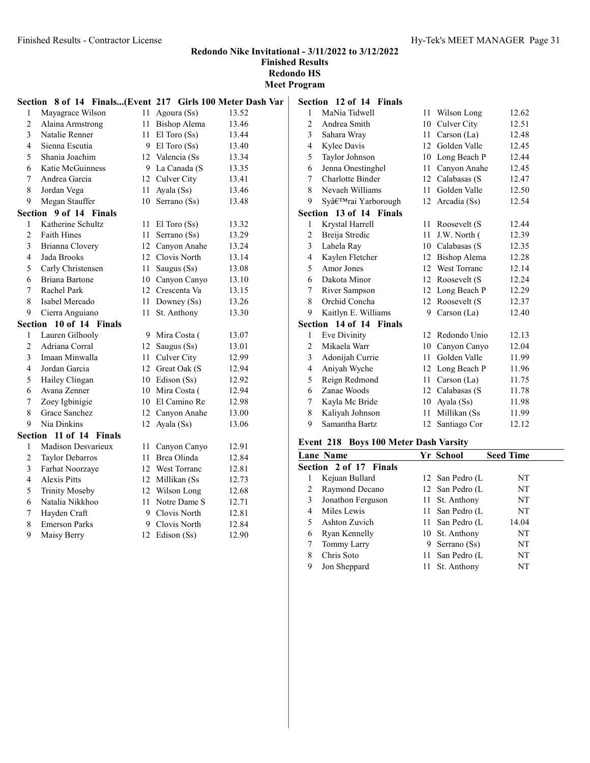#### Redondo Nike Invitational - 3/11/2022 to 3/12/2022 Finished Results

Redondo HS Meet Program

|                | Section 8 of 14 Finals(Event 217 Girls 100 Meter Dash Var |    |                  |       | S         |
|----------------|-----------------------------------------------------------|----|------------------|-------|-----------|
| 1              | Mayagrace Wilson                                          |    | 11 Agoura (Ss)   | 13.52 |           |
| 2              | Alaina Armstrong                                          |    | 11 Bishop Alema  | 13.46 |           |
| 3              | Natalie Renner                                            | 11 | El Toro (Ss)     | 13.44 |           |
| 4              | Sienna Escutia                                            |    | 9 El Toro (Ss)   | 13.40 |           |
| 5              | Shania Joachim                                            |    | 12 Valencia (Ss  | 13.34 |           |
| 6              | Katie McGuinness                                          |    | 9 La Canada (S   | 13.35 |           |
| 7              | Andrea Garcia                                             |    | 12 Culver City   | 13.41 |           |
| 8              | Jordan Vega                                               | 11 | Ayala (Ss)       | 13.46 |           |
| 9              | Megan Stauffer                                            |    | 10 Serrano (Ss)  | 13.48 |           |
|                | Section 9 of 14 Finals                                    |    |                  |       | S         |
| 1              | Katherine Schultz                                         | 11 | $El$ Toro $(Ss)$ | 13.32 |           |
| $\overline{c}$ | <b>Faith Hines</b>                                        | 11 | Serrano (Ss)     | 13.29 |           |
| 3              | Brianna Clovery                                           |    | 12 Canyon Anahe  | 13.24 |           |
| 4              | Jada Brooks                                               |    | 12 Clovis North  | 13.14 |           |
| 5              | Carly Christensen                                         |    | 11 Saugus (Ss)   | 13.08 |           |
| 6              | Briana Bartone                                            |    | 10 Canyon Canyo  | 13.10 |           |
| 7              | Rachel Park                                               |    | 12 Crescenta Va  | 13.15 |           |
| 8              | Isabel Mercado                                            |    | 11 Downey (Ss)   | 13.26 |           |
| 9              | Cierra Anguiano                                           | 11 | St. Anthony      | 13.30 |           |
|                | Section 10 of 14 Finals                                   |    |                  |       | S         |
| 1              | Lauren Gilhooly                                           |    | 9 Mira Costa (   | 13.07 |           |
| $\overline{2}$ | Adriana Corral                                            |    | 12 Saugus (Ss)   | 13.01 |           |
| 3              | Imaan Minwalla                                            |    | 11 Culver City   | 12.99 |           |
| 4              | Jordan Garcia                                             |    | 12 Great Oak (S  | 12.94 |           |
| 5              | Hailey Clingan                                            |    | 10 Edison (Ss)   | 12.92 |           |
| 6              | Avana Zenner                                              |    | 10 Mira Costa (  | 12.94 |           |
| 7              | Zoey Igbinigie                                            |    | 10 El Camino Re  | 12.98 |           |
| 8              | Grace Sanchez                                             |    | 12 Canyon Anahe  | 13.00 |           |
| 9              | Nia Dinkins                                               |    | 12 Ayala (Ss)    | 13.06 |           |
|                | Section 11 of 14 Finals                                   |    |                  |       | F         |
| 1              | Madison Desvarieux                                        | 11 | Canyon Canyo     | 12.91 |           |
| $\overline{c}$ | Taylor Debarros                                           |    | 11 Brea Olinda   | 12.84 | I         |
| 3              | Farhat Noorzaye                                           |    | 12 West Torranc  | 12.81 | $\bar{s}$ |
| $\overline{4}$ | <b>Alexis Pitts</b>                                       |    | 12 Millikan (Ss) | 12.73 |           |
| 5              | <b>Trinity Moseby</b>                                     |    | 12 Wilson Long   | 12.68 |           |
| 6              | Natalia Nikkhoo                                           | 11 | Notre Dame S     | 12.71 |           |
| 7              | Hayden Craft                                              |    | 9 Clovis North   | 12.81 |           |
| 8              | <b>Emerson Parks</b>                                      |    | 9 Clovis North   | 12.84 |           |
| 9              | Maisy Berry                                               |    | 12 Edison (Ss)   | 12.90 |           |

|                | Section 12 of 14 Finals |    |                 |       |
|----------------|-------------------------|----|-----------------|-------|
| 1              | MaNia Tidwell           | 11 | Wilson Long     | 12.62 |
| $\overline{c}$ | Andrea Smith            | 10 | Culver City     | 12.51 |
| 3              | Sahara Wray             | 11 | Carson $(La)$   | 12.48 |
| 4              | Kylee Davis             | 12 | Golden Valle    | 12.45 |
| 5              | Taylor Johnson          |    | 10 Long Beach P | 12.44 |
| 6              | Jenna Onestinghel       | 11 | Canyon Anahe    | 12.45 |
| 7              | <b>Charlotte Binder</b> |    | 12 Calabasas (S | 12.47 |
| 8              | Nevaeh Williams         | 11 | Golden Valle    | 12.50 |
| 9              | Sy'rai Yarborough       | 12 | Arcadia (Ss)    | 12.54 |
|                | Section 13 of 14 Finals |    |                 |       |
| 1              | Krystal Harrell         | 11 | Roosevelt (S    | 12.44 |
| $\overline{2}$ | Breija Stredic          | 11 | J.W. North (    | 12.39 |
| 3              | Lahela Ray              |    | 10 Calabasas (S | 12.35 |
| $\overline{4}$ | Kaylen Fletcher         | 12 | Bishop Alema    | 12.28 |
| 5              | Amor Jones              |    | 12 West Torranc | 12.14 |
| 6              | Dakota Minor            | 12 | Roosevelt (S    | 12.24 |
| 7              | River Sampson           | 12 | Long Beach P    | 12.29 |
| 8              | Orchid Concha           | 12 | Roosevelt (S    | 12.37 |
| 9              | Kaitlyn E. Williams     | 9  | Carson $(La)$   | 12.40 |
| Section        | 14 of 14 Finals         |    |                 |       |
| 1              | Eve Divinity            | 12 | Redondo Unio    | 12.13 |
| 2              | Mikaela Warr            | 10 | Canyon Canyo    | 12.04 |
| 3              | Adonijah Currie         | 11 | Golden Valle    | 11.99 |
| $\overline{4}$ | Aniyah Wyche            |    | 12 Long Beach P | 11.96 |
| 5              | Reign Redmond           | 11 | Carson $(La)$   | 11.75 |
| 6              | Zanae Woods             | 12 | Calabasas (S    | 11.78 |
| 7              | Kayla Mc Bride          | 10 | Ayala (Ss)      | 11.98 |
| 8              | Kaliyah Johnson         | 11 | Millikan (Ss    | 11.99 |
| 9              | Samantha Bartz          | 12 | Santiago Cor    | 12.12 |

# Event 218 Boys 100 Meter Dash Varsity

|   | Lane Name              | Yr School       | <b>Seed Time</b> |
|---|------------------------|-----------------|------------------|
|   | Section 2 of 17 Finals |                 |                  |
|   | Kejuan Bullard         | 12 San Pedro (L | NT               |
| 2 | Raymond Decano         | 12 San Pedro (L | NT               |
| 3 | Jonathon Ferguson      | 11 St. Anthony  | NT               |
| 4 | Miles Lewis            | 11 San Pedro (L | NT.              |
| 5 | Ashton Zuvich          | 11 San Pedro (L | 14.04            |
| 6 | Ryan Kennelly          | 10 St. Anthony  | NT               |
|   | Tommy Larry            | 9 Serrano (Ss)  | NT               |
| 8 | Chris Soto             | 11 San Pedro (L | NT               |
| 9 | Jon Sheppard           | St. Anthony     | NT               |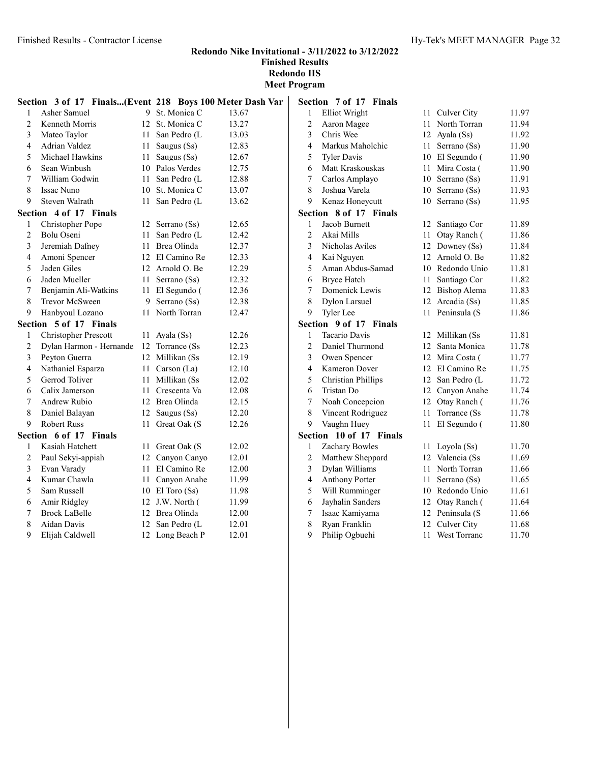|                | Section 3 of 17 Finals(Event 218 Boys 100 Meter Dash Var |      |                 |       | S |
|----------------|----------------------------------------------------------|------|-----------------|-------|---|
| $\mathbf{1}$   | Asher Samuel                                             |      | 9 St. Monica C  | 13.67 |   |
| $\overline{2}$ | Kenneth Morris                                           |      | 12 St. Monica C | 13.27 |   |
| 3              | Mateo Taylor                                             |      | 11 San Pedro (L | 13.03 |   |
| 4              | Adrian Valdez                                            |      | 11 Saugus (Ss)  | 12.83 |   |
| 5              | Michael Hawkins                                          |      | 11 Saugus (Ss)  | 12.67 |   |
| 6              | Sean Winbush                                             |      | 10 Palos Verdes | 12.75 |   |
| 7              | William Godwin                                           |      | 11 San Pedro (L | 12.88 |   |
| 8              | Issac Nuno                                               |      | 10 St. Monica C | 13.07 |   |
| 9              | Steven Walrath                                           | 11 - | San Pedro (L    | 13.62 |   |
|                | Section 4 of 17 Finals                                   |      |                 |       | S |
| 1              | Christopher Pope                                         | 12   | Serrano (Ss)    | 12.65 |   |
| 2              | Bolu Oseni                                               | 11   | San Pedro (L    | 12.42 |   |
| 3              | Jeremiah Dafney                                          |      | 11 Brea Olinda  | 12.37 |   |
| 4              | Amoni Spencer                                            |      | 12 El Camino Re | 12.33 |   |
| 5              | Jaden Giles                                              |      | 12 Arnold O. Be | 12.29 |   |
| 6              | Jaden Mueller                                            |      | 11 Serrano (Ss) | 12.32 |   |
| 7              | Benjamin Ali-Watkins                                     |      | 11 El Segundo ( | 12.36 |   |
| 8              | Trevor McSween                                           |      | 9 Serrano (Ss)  | 12.38 |   |
| 9              | Hanbyoul Lozano                                          |      | 11 North Torran | 12.47 |   |
|                | Section 5 of 17 Finals                                   |      |                 |       | S |
| 1              | <b>Christopher Prescott</b>                              |      | 11 Ayala $(Ss)$ | 12.26 |   |
| $\overline{c}$ | Dylan Harmon - Hernande                                  |      | 12 Torrance (Ss | 12.23 |   |
| 3              | Peyton Guerra                                            |      | 12 Millikan (Ss | 12.19 |   |
| 4              | Nathaniel Esparza                                        |      | 11 Carson (La)  | 12.10 |   |
| 5              | Gerrod Toliver                                           |      | 11 Millikan (Ss | 12.02 |   |
| 6              | Calix Jamerson                                           |      | 11 Crescenta Va | 12.08 |   |
| $\overline{7}$ | Andrew Rubio                                             |      | 12 Brea Olinda  | 12.15 |   |
| 8              | Daniel Balayan                                           | 12   | Saugus (Ss)     | 12.20 |   |
| 9              | <b>Robert Russ</b>                                       | 11   | Great Oak (S    | 12.26 |   |
|                | Section 6 of 17 Finals                                   |      |                 |       | S |
| 1              | Kasiah Hatchett                                          |      | 11 Great Oak (S | 12.02 |   |
| $\overline{c}$ | Paul Sekyi-appiah                                        |      | 12 Canyon Canyo | 12.01 |   |
| 3              | Evan Varady                                              |      | 11 El Camino Re | 12.00 |   |
| 4              | Kumar Chawla                                             |      | 11 Canyon Anahe | 11.99 |   |
| 5              | Sam Russell                                              |      | 10 El Toro (Ss) | 11.98 |   |
| 6              | Amir Ridgley                                             |      | 12 J.W. North ( | 11.99 |   |
| 7              | <b>Brock LaBelle</b>                                     |      | 12 Brea Olinda  | 12.00 |   |
| 8              | Aidan Davis                                              |      | 12 San Pedro (L | 12.01 |   |
| 9              | Elijah Caldwell                                          |      | 12 Long Beach P | 12.01 |   |

|                  | Section 7 of 17 Finals    |    |                 |       |
|------------------|---------------------------|----|-----------------|-------|
| 1                | <b>Elliot Wright</b>      | 11 | Culver City     | 11.97 |
| $\overline{c}$   | Aaron Magee               | 11 | North Torran    | 11.94 |
| 3                | Chris Wee                 | 12 | Ayala (Ss)      | 11.92 |
| 4                | Markus Maholchic          | 11 | Serrano (Ss)    | 11.90 |
| 5                | <b>Tyler Davis</b>        | 10 | El Segundo (    | 11.90 |
| 6                | Matt Kraskouskas          | 11 | Mira Costa (    | 11.90 |
| $\overline{7}$   | Carlos Amplayo            | 10 | Serrano (Ss)    | 11.91 |
| 8                | Joshua Varela             | 10 | Serrano (Ss)    | 11.93 |
| 9                | Kenaz Honeycutt           | 10 | Serrano (Ss)    | 11.95 |
| <b>Section</b>   | 8 of 17 Finals            |    |                 |       |
| 1                | Jacob Burnett             | 12 | Santiago Cor    | 11.89 |
| $\overline{c}$   | Akai Mills                | 11 | Otay Ranch (    | 11.86 |
| 3                | Nicholas Aviles           | 12 | Downey (Ss)     | 11.84 |
| 4                | Kai Nguyen                |    | 12 Arnold O. Be | 11.82 |
| 5                | Aman Abdus-Samad          |    | 10 Redondo Unio | 11.81 |
| 6                | <b>Bryce Hatch</b>        | 11 | Santiago Cor    | 11.82 |
| 7                | Domenick Lewis            |    | 12 Bishop Alema | 11.83 |
| 8                | <b>Dylon Larsuel</b>      | 12 | Arcadia (Ss)    | 11.85 |
| 9                | <b>Tyler</b> Lee          | 11 | Peninsula (S    | 11.86 |
| <b>Section</b>   | 9 of 17 Finals            |    |                 |       |
| 1                | Tacario Davis             | 12 | Millikan (Ss    | 11.81 |
| $\overline{2}$   | Daniel Thurmond           | 12 | Santa Monica    | 11.78 |
| 3                | Owen Spencer              |    | 12 Mira Costa ( | 11.77 |
| 4                | <b>Kameron Dover</b>      |    | 12 El Camino Re | 11.75 |
| 5                | <b>Christian Phillips</b> | 12 | San Pedro (L    | 11.72 |
| 6                | Tristan Do                | 12 | Canyon Anahe    | 11.74 |
| 7                | Noah Concepcion           | 12 | Otay Ranch (    | 11.76 |
| 8                | Vincent Rodriguez         | 11 | Torrance (Ss    | 11.78 |
| 9                | Vaughn Huey               | 11 | El Segundo (    | 11.80 |
| Section          | 10 of 17<br>Finals        |    |                 |       |
| 1                | Zachary Bowles            | 11 | Loyola (Ss)     | 11.70 |
| $\overline{c}$   | Matthew Sheppard          |    | 12 Valencia (Ss | 11.69 |
| 3                | Dylan Williams            | 11 | North Torran    | 11.66 |
| $\overline{4}$   | <b>Anthony Potter</b>     | 11 | Serrano (Ss)    | 11.65 |
| 5                | Will Rumminger            | 10 | Redondo Unio    | 11.61 |
| 6                | Jayhalin Sanders          | 12 | Otay Ranch (    | 11.64 |
| $\boldsymbol{7}$ | Isaac Kamiyama            |    | 12 Peninsula (S | 11.66 |
| 8                | Ryan Franklin             | 12 | Culver City     | 11.68 |
| 9                | Philip Ogbuehi            | 11 | West Torranc    | 11.70 |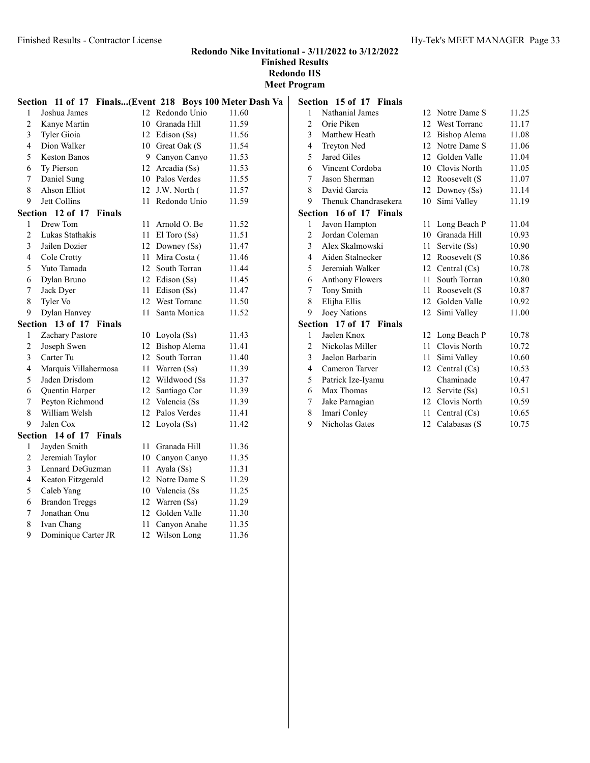Redondo Nike Invitational - 3/11/2022 to 3/12/2022 Finished Results

Redondo HS Meet Program

|                | Section 11 of 17 Finals(Event 218 Boys 100 Meter Dash Va |    |                  |       | S <sub>6</sub> |
|----------------|----------------------------------------------------------|----|------------------|-------|----------------|
| $\mathbf{1}$   | Joshua James                                             |    | 12 Redondo Unio  | 11.60 |                |
| $\overline{2}$ | Kanye Martin                                             |    | 10 Granada Hill  | 11.59 |                |
| 3              | Tyler Gioia                                              |    | 12 Edison (Ss)   | 11.56 |                |
| $\overline{4}$ | Dion Walker                                              |    | 10 Great Oak (S  | 11.54 |                |
| 5              | <b>Keston Banos</b>                                      |    | 9 Canyon Canyo   | 11.53 |                |
| 6              | Ty Pierson                                               |    | 12 Arcadia (Ss)  | 11.53 |                |
| 7              | Daniel Sung                                              |    | 10 Palos Verdes  | 11.55 |                |
| 8              | Ahson Elliot                                             |    | 12 J.W. North (  | 11.57 |                |
| 9              | Jett Collins                                             |    | 11 Redondo Unio  | 11.59 |                |
|                | Section 12 of 17 Finals                                  |    |                  |       | S <sub>6</sub> |
| 1              | Drew Tom                                                 | 11 | Arnold O. Be     | 11.52 |                |
| $\overline{c}$ | Lukas Stathakis                                          | 11 | $El$ Toro $(Ss)$ | 11.51 |                |
| 3              | Jailen Dozier                                            |    | 12 Downey (Ss)   | 11.47 |                |
| $\overline{4}$ | Cole Crotty                                              | 11 | Mira Costa (     | 11.46 |                |
| 5              | Yuto Tamada                                              |    | 12 South Torran  | 11.44 |                |
| 6              | Dylan Bruno                                              |    | 12 Edison (Ss)   | 11.45 |                |
| 7              | Jack Dyer                                                |    | 11 Edison (Ss)   | 11.47 |                |
| 8              | Tyler Vo                                                 |    | 12 West Torranc  | 11.50 |                |
| 9              | Dylan Hanvey                                             | 11 | Santa Monica     | 11.52 |                |
|                | Section 13 of 17 Finals                                  |    |                  |       | S <sub>6</sub> |
| 1              | Zachary Pastore                                          |    | 10 Loyola (Ss)   | 11.43 |                |
| $\mathbf{2}$   | Joseph Swen                                              |    | 12 Bishop Alema  | 11.41 |                |
| 3              | Carter Tu                                                |    | 12 South Torran  | 11.40 |                |
| $\overline{4}$ | Marquis Villahermosa                                     |    | 11 Warren (Ss)   | 11.39 |                |
| 5              | Jaden Drisdom                                            |    | 12 Wildwood (Ss) | 11.37 |                |
| 6              | Quentin Harper                                           |    | 12 Santiago Cor  | 11.39 |                |
| 7              | Peyton Richmond                                          |    | 12 Valencia (Ss) | 11.39 |                |
| 8              | William Welsh                                            |    | 12 Palos Verdes  | 11.41 |                |
| 9              | Jalen Cox                                                |    | 12 Loyola (Ss)   | 11.42 |                |
|                | Section 14 of 17 Finals                                  |    |                  |       |                |
| 1              | Jayden Smith                                             | 11 | Granada Hill     | 11.36 |                |
| 2              | Jeremiah Taylor                                          |    | 10 Canyon Canyo  | 11.35 |                |
| 3              | Lennard DeGuzman                                         |    | 11 Ayala $(Ss)$  | 11.31 |                |
| 4              | Keaton Fitzgerald                                        |    | 12 Notre Dame S  | 11.29 |                |
| 5              | Caleb Yang                                               |    | 10 Valencia (Ss  | 11.25 |                |
| 6              | <b>Brandon Treggs</b>                                    |    | 12 Warren (Ss)   | 11.29 |                |
| 7              | Jonathan Onu                                             |    | 12 Golden Valle  | 11.30 |                |
| 8              | Ivan Chang                                               | 11 | Canyon Anahe     | 11.35 |                |
| 9              | Dominique Carter JR                                      | 12 | Wilson Long      | 11.36 |                |

| Section        | 15 of 17 Finals                   |    |                     |       |
|----------------|-----------------------------------|----|---------------------|-------|
| 1              | Nathanial James                   | 12 | Notre Dame S        | 11.25 |
| 2              | Orie Piken                        | 12 | <b>West Torranc</b> | 11.17 |
| 3              | Matthew Heath                     | 12 | Bishop Alema        | 11.08 |
| 4              | Treyton Ned                       |    | 12 Notre Dame S     | 11.06 |
| 5              | Jared Giles                       | 12 | Golden Valle        | 11.04 |
| 6              | Vincent Cordoba                   |    | 10 Clovis North     | 11.05 |
| 7              | Jason Sherman                     | 12 | Roosevelt (S        | 11.07 |
| 8              | David Garcia                      |    | 12 Downey (Ss)      | 11.14 |
| 9              | Thenuk Chandrasekera              | 10 | Simi Valley         | 11.19 |
|                | <b>Section 16 of 17 Finals</b>    |    |                     |       |
| 1              | Javon Hampton                     | 11 | Long Beach P        | 11.04 |
| 2              | Jordan Coleman                    | 10 | Granada Hill        | 10.93 |
| 3              | Alex Skalmowski                   | 11 | Servite (Ss)        | 10.90 |
| $\overline{4}$ | Aiden Stalnecker                  |    | 12 Roosevelt (S     | 10.86 |
| 5              | Jeremiah Walker                   | 12 | Central $(Cs)$      | 10.78 |
| 6              | <b>Anthony Flowers</b>            | 11 | South Torran        | 10.80 |
| 7              | Tony Smith                        | 11 | Roosevelt (S        | 10.87 |
| 8              | Elijha Ellis                      | 12 | Golden Valle        | 10.92 |
| 9              | Joey Nations                      | 12 | Simi Valley         | 11.00 |
|                | Section 17 of 17<br><b>Finals</b> |    |                     |       |
| 1              | Jaelen Knox                       | 12 | Long Beach P        | 10.78 |
| 2              | Nickolas Miller                   | 11 | Clovis North        | 10.72 |
| 3              | Jaelon Barbarin                   | 11 | Simi Valley         | 10.60 |
| 4              | Cameron Tarver                    | 12 | Central $(Cs)$      | 10.53 |
| 5              | Patrick Ize-Iyamu                 |    | Chaminade           | 10.47 |
| 6              | Max Thomas                        | 12 | Servite (Ss)        | 10.51 |
| 7              | Jake Parnagian                    | 12 | Clovis North        | 10.59 |
| 8              | Imari Conley                      | 11 | Central $(Cs)$      | 10.65 |
| 9              | Nicholas Gates                    | 12 | Calabasas (S        | 10.75 |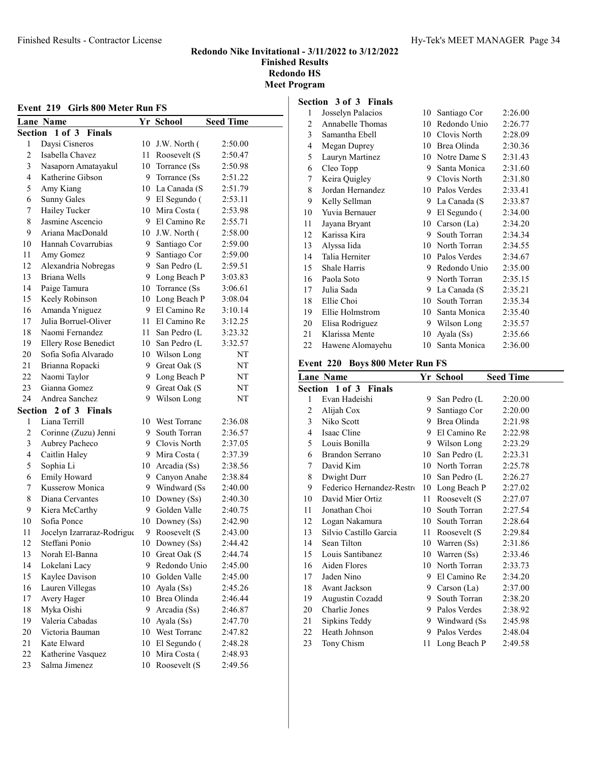#### Finished Results - Contractor License Hy-Tek's MEET MANAGER Page 34

#### Redondo Nike Invitational - 3/11/2022 to 3/12/2022 Finished Results Redondo HS Meet Program

| Event 219 Girls 800 Meter Run FS |                             |    |                 |                  |
|----------------------------------|-----------------------------|----|-----------------|------------------|
|                                  | <b>Lane Name</b>            |    | Yr School       | <b>Seed Time</b> |
| Section                          | $1$ of $3$<br><b>Finals</b> |    |                 |                  |
| 1                                | Daysi Cisneros              | 10 | J.W. North (    | 2:50.00          |
| $\overline{c}$                   | Isabella Chavez             | 11 | Roosevelt (S    | 2:50.47          |
| 3                                | Nasaporn Amatayakul         | 10 | Torrance (Ss)   | 2:50.98          |
| 4                                | Katherine Gibson            |    | 9 Torrance (Ss) | 2:51.22          |
| 5                                | Amy Kiang                   |    | 10 La Canada (S | 2:51.79          |
| 6                                | <b>Sunny Gales</b>          |    | 9 El Segundo (  | 2:53.11          |
| 7                                | Hailey Tucker               |    | 10 Mira Costa ( | 2:53.98          |
| 8                                | Jasmine Ascencio            | 9  | El Camino Re    | 2:55.71          |
| 9                                | Ariana MacDonald            | 10 | J.W. North (    | 2:58.00          |
| 10                               | Hannah Covarrubias          | 9. | Santiago Cor    | 2:59.00          |
| 11                               | Amy Gomez                   | 9  | Santiago Cor    | 2:59.00          |
| 12                               | Alexandria Nobregas         | 9  | San Pedro (L    | 2:59.51          |
| 13                               | Briana Wells                | 9  | Long Beach P    | 3:03.83          |
| 14                               | Paige Tamura                | 10 | Torrance (Ss    | 3:06.61          |
| 15                               | Keely Robinson              | 10 | Long Beach P    | 3:08.04          |
| 16                               | Amanda Yniguez              | 9  | El Camino Re    | 3:10.14          |
| 17                               | Julia Borruel-Oliver        | 11 | El Camino Re    | 3:12.25          |
| 18                               | Naomi Fernandez             | 11 | San Pedro (L    | 3:23.32          |
| 19                               | <b>Ellery Rose Benedict</b> | 10 | San Pedro (L    | 3:32.57          |
| 20                               | Sofia Sofia Alvarado        | 10 | Wilson Long     | NT               |
| 21                               | Brianna Ropacki             | 9. | Great Oak (S    | NT               |
| 22                               | Naomi Taylor                | 9. | Long Beach P    | NT               |
| 23                               | Gianna Gomez                | 9  | Great Oak (S    | NT               |
| 24                               | Andrea Sanchez              | 9  | Wilson Long     | NT               |
| Section                          | 2 of 3 Finals               |    |                 |                  |
| 1                                | Liana Terrill               | 10 | West Torranc    | 2:36.08          |
| 2                                | Corinne (Zuzu) Jenni        | 9. | South Torran    | 2:36.57          |
| 3                                | Aubrey Pacheco              | 9. | Clovis North    | 2:37.05          |
| 4                                | Caitlin Haley               |    | 9 Mira Costa (  | 2:37.39          |
| 5                                | Sophia Li                   | 10 | Arcadia (Ss)    | 2:38.56          |
| 6                                | Emily Howard                | 9  | Canyon Anahe    | 2:38.84          |
| 7                                | Kusserow Monica             |    | 9 Windward (Ss) | 2:40.00          |
| 8                                | Diana Cervantes             |    | 10 Downey (Ss)  | 2:40.30          |
| 9                                | Kiera McCarthy              | 9. | Golden Valle    | 2:40.75          |
| 10                               | Sofia Ponce                 | 10 | Downey $(Ss)$   | 2:42.90          |
| 11                               | Jocelyn Izarraraz-Rodrigue  |    | 9 Roosevelt (S  | 2:43.00          |
| 12                               | Steffani Ponio              | 10 | Downey (Ss)     | 2:44.42          |
| 13                               | Norah El-Banna              | 10 | Great Oak (S    | 2:44.74          |
| 14                               | Lokelani Lacy               | 9. | Redondo Unio    | 2:45.00          |
| 15                               | Kaylee Davison              | 10 | Golden Valle    | 2:45.00          |
| 16                               | Lauren Villegas             | 10 | Ayala (Ss)      | 2:45.26          |
| 17                               | Avery Hager                 | 10 | Brea Olinda     | 2:46.44          |
| 18                               | Myka Oishi                  | 9. | Arcadia (Ss)    | 2:46.87          |
| 19                               | Valeria Cabadas             | 10 | Ayala (Ss)      | 2:47.70          |
| 20                               | Victoria Bauman             | 10 | West Torranc    | 2:47.82          |
| 21                               | Kate Elward                 | 10 | El Segundo (    | 2:48.28          |
| 22                               | Katherine Vasquez           | 10 | Mira Costa (    | 2:48.93          |
| 23                               | Salma Jimenez               | 10 | Roosevelt (S    | 2:49.56          |
|                                  |                             |    |                 |                  |

#### Section 3 of 3 Finals

| Josselyn Palacios | 10 | Santiago Cor | 2:26.00 |
|-------------------|----|--------------|---------|
| Annabelle Thomas  | 10 | Redondo Unio | 2:26.77 |
| Samantha Ebell    | 10 | Clovis North | 2:28.09 |
| Megan Duprey      | 10 | Brea Olinda  | 2:30.36 |
| Lauryn Martinez   | 10 | Notre Dame S | 2:31.43 |
| Cleo Topp         | 9  | Santa Monica | 2:31.60 |
| Keira Quigley     | 9  | Clovis North | 2:31.80 |
| Jordan Hernandez  | 10 | Palos Verdes | 2:33.41 |
| Kelly Sellman     | 9  | La Canada (S | 2:33.87 |
| Yuvia Bernauer    | 9  | El Segundo ( | 2:34.00 |
| Jayana Bryant     | 10 | Carson (La)  | 2:34.20 |
| Karissa Kira      | 9  | South Torran | 2:34.34 |
| Alyssa Iida       | 10 | North Torran | 2:34.55 |
| Talia Herniter    | 10 | Palos Verdes | 2:34.67 |
| Shale Harris      | 9  | Redondo Unio | 2:35.00 |
| Paola Soto        | 9  | North Torran | 2:35.15 |
| Julia Sada        | 9  | La Canada (S | 2:35.21 |
| Ellie Choi        | 10 | South Torran | 2:35.34 |
| Ellie Holmstrom   | 10 | Santa Monica | 2:35.40 |
| Elisa Rodriguez   | 9  | Wilson Long  | 2:35.57 |
| Klarissa Mente    | 10 | Ayala (Ss)   | 2:35.66 |
| Hawene Alomayehu  | 10 | Santa Monica | 2:36.00 |
|                   |    |              |         |

#### Event 220 Boys 800 Meter Run FS

|    | Lane Name                 |    | Yr School       | <b>Seed Time</b> |
|----|---------------------------|----|-----------------|------------------|
|    | Section 1 of 3 Finals     |    |                 |                  |
| 1  | Evan Hadeishi             |    | 9 San Pedro (L  | 2:20.00          |
| 2  | Alijah Cox                | 9. | Santiago Cor    | 2:20.00          |
| 3  | Niko Scott                |    | 9 Brea Olinda   | 2:21.98          |
| 4  | Isaac Cline               |    | 9 El Camino Re  | 2:22.98          |
| 5  | Louis Bonilla             |    | 9 Wilson Long   | 2:23.29          |
| 6  | Brandon Serrano           | 10 | San Pedro (L    | 2:23.31          |
| 7  | David Kim                 |    | 10 North Torran | 2:25.78          |
| 8  | Dwight Durr               | 10 | San Pedro (L    | 2:26.27          |
| 9  | Federico Hernandez-Restro | 10 | Long Beach P    | 2:27.02          |
| 10 | David Mier Ortiz          | 11 | Roosevelt (S    | 2:27.07          |
| 11 | Jonathan Choi             | 10 | South Torran    | 2:27.54          |
| 12 | Logan Nakamura            | 10 | South Torran    | 2:28.64          |
| 13 | Silvio Castillo Garcia    | 11 | Roosevelt (S    | 2:29.84          |
| 14 | Sean Tilton               |    | 10 Warren (Ss)  | 2:31.86          |
| 15 | Louis Santibanez          |    | 10 Warren (Ss)  | 2:33.46          |
| 16 | Aiden Flores              |    | 10 North Torran | 2:33.73          |
| 17 | Jaden Nino                |    | 9 El Camino Re  | 2:34.20          |
| 18 | Avant Jackson             | 9. | Carson (La)     | 2:37.00          |
| 19 | Augustin Cozadd           | 9. | South Torran    | 2:38.20          |
| 20 | Charlie Jones             |    | 9 Palos Verdes  | 2:38.92          |
| 21 | Sipkins Teddy             |    | 9 Windward (Ss  | 2:45.98          |
| 22 | Heath Johnson             | 9  | Palos Verdes    | 2:48.04          |
| 23 | Tony Chism                | 11 | Long Beach P    | 2:49.58          |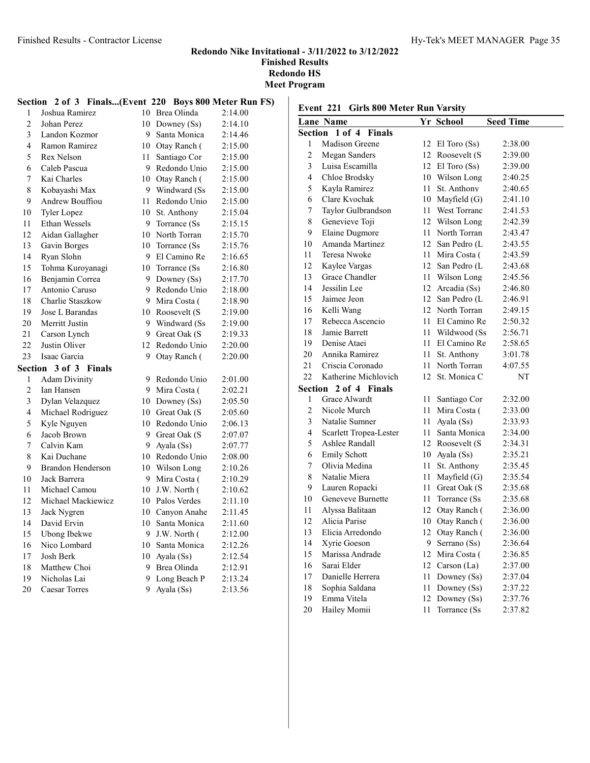# Finished Results - Contractor License Hy-Tek's MEET MANAGER Page 35

#### Redondo Nike Invitational - 3/11/2022 to 3/12/2022 Finished Results Redondo HS Meet Program

| Section                  | $2$ of $3$               |        |                | Finals(Event 220 Boys 800 Meter Run FS) |
|--------------------------|--------------------------|--------|----------------|-----------------------------------------|
| 1                        | Joshua Ramirez           |        | 10 Brea Olinda | 2:14.00                                 |
| $\overline{2}$           | Johan Perez              | 10     | Downey (Ss)    | 2:14.10                                 |
| 3                        | Landon Kozmor            | 9      | Santa Monica   | 2:14.46                                 |
| $\overline{\mathcal{L}}$ | Ramon Ramirez            | 10     | Otay Ranch (   | 2:15.00                                 |
| 5                        | Rex Nelson               | 11     | Santiago Cor   | 2:15.00                                 |
| 6                        | Caleb Pascua             | 9      | Redondo Unio   | 2:15.00                                 |
| 7                        | Kai Charles              | 10     | Otay Ranch (   | 2:15.00                                 |
| 8                        | Kobayashi Max            | 9      | Windward (Ss)  | 2:15.00                                 |
| 9                        | Andrew Bouffiou          | 11     | Redondo Unio   | 2:15.00                                 |
| 10                       | <b>Tyler Lopez</b>       | 10     | St. Anthony    | 2:15.04                                 |
| 11                       | Ethan Wessels            | 9      | Torrance (Ss)  | 2:15.15                                 |
| 12                       | Aidan Gallagher          | 10     | North Torran   | 2:15.70                                 |
| 13                       | Gavin Borges             | 10     | Torrance (Ss)  | 2:15.76                                 |
| 14                       | Ryan Slohn               | 9      | El Camino Re   | 2:16.65                                 |
| 15                       | Tohma Kuroyanagi         | 10     | Torrance (Ss)  | 2:16.80                                 |
| 16                       | Benjamin Correa          | 9      | Downey (Ss)    | 2:17.70                                 |
| 17                       | Antonio Caruso           | 9      | Redondo Unio   | 2:18.00                                 |
| 18                       | Charlie Staszkow         | 9      | Mira Costa (   | 2:18.90                                 |
| 19                       | Jose L Barandas          | 10     | Roosevelt (S   | 2:19.00                                 |
| 20                       | Merritt Justin           | 9      | Windward (Ss   | 2:19.00                                 |
| 21                       | Carson Lynch             | 9      | Great Oak (S   | 2:19.33                                 |
| 22                       | Justin Oliver            | 12     | Redondo Unio   | 2:20.00                                 |
| 23                       | Isaac Garcia             | 9      | Otay Ranch (   | 2:20.00                                 |
| Section                  | 3 of 3 Finals            |        |                |                                         |
| 1                        | <b>Adam Divinity</b>     | 9      | Redondo Unio   | 2:01.00                                 |
| $\overline{2}$           | Ian Hansen               | 9      | Mira Costa (   | 2:02.21                                 |
| $\overline{3}$           | Dylan Velazquez          | 10     | Downey $(Ss)$  | 2:05.50                                 |
| 4                        | Michael Rodriguez        | 10     | Great Oak (S   | 2:05.60                                 |
| 5                        | Kyle Nguyen              | 10     | Redondo Unio   | 2:06.13                                 |
| 6                        | Jacob Brown              | 9      | Great Oak (S   | 2:07.07                                 |
| 7                        | Calvin Kam               | 9      | Ayala (Ss)     | 2:07.77                                 |
| 8                        | Kai Duchane              | 10     | Redondo Unio   | 2:08.00                                 |
| 9                        | <b>Brandon Henderson</b> | $10\,$ | Wilson Long    | 2:10.26                                 |
| 10                       | Jack Barrera             | 9      | Mira Costa (   | 2:10.29                                 |
| 11                       | Michael Camou            | 10     | J.W. North (   | 2:10.62                                 |
| 12                       | Michael Mackiewicz       | $10\,$ | Palos Verdes   | 2:11.10                                 |
| 13                       | Jack Nygren              | 10     | Canyon Anahe   | 2:11.45                                 |
| 14                       | David Ervin              | 10     | Santa Monica   | 2:11.60                                 |
| 15                       | <b>Ubong Ibekwe</b>      | 9      | J.W. North (   | 2:12.00                                 |
| 16                       | Nico Lombard             | 10     | Santa Monica   | 2:12.26                                 |
| 17                       | Josh Berk                | 10     | Ayala (Ss)     | 2:12.54                                 |
| 18                       | Matthew Choi             | 9      | Brea Olinda    | 2:12.91                                 |
| 19                       | Nicholas Lai             | 9      | Long Beach P   | 2:13.24                                 |
| 20                       | <b>Caesar Torres</b>     | 9      | Ayala (Ss)     | 2:13.56                                 |

# Event 221 Girls 800 Meter Run Varsity

|                                    | <b>Lane Name</b>       |     | Yr School         | <b>Seed Time</b> |  |  |  |  |
|------------------------------------|------------------------|-----|-------------------|------------------|--|--|--|--|
| Section<br>1 of 4<br><b>Finals</b> |                        |     |                   |                  |  |  |  |  |
| 1                                  | Madison Greene         | 12  | El Toro (Ss)      | 2:38.00          |  |  |  |  |
| $\overline{c}$                     | Megan Sanders          |     | 12 Roosevelt (S   | 2:39.00          |  |  |  |  |
| 3                                  | Luisa Escamilla        |     | 12 El Toro $(Ss)$ | 2:39.00          |  |  |  |  |
| $\overline{4}$                     | Chloe Brodsky          |     | 10 Wilson Long    | 2:40.25          |  |  |  |  |
| 5                                  | Kayla Ramirez          | 11- | St. Anthony       | 2:40.65          |  |  |  |  |
| 6                                  | Clare Kvochak          |     | 10 Mayfield (G)   | 2:41.10          |  |  |  |  |
| 7                                  | Taylor Gulbrandson     | 11  | West Torranc      | 2:41.53          |  |  |  |  |
| 8                                  | Genevieve Toji         |     | 12 Wilson Long    | 2:42.39          |  |  |  |  |
| 9                                  | <b>Elaine Dugmore</b>  | 11. | North Torran      | 2:43.47          |  |  |  |  |
| 10                                 | Amanda Martinez        |     | 12 San Pedro (L   | 2:43.55          |  |  |  |  |
| 11                                 | Teresa Nwoke           |     | 11 Mira Costa (   | 2:43.59          |  |  |  |  |
| 12                                 | Kaylee Vargas          |     | 12 San Pedro (L   | 2:43.68          |  |  |  |  |
| 13                                 | Grace Chandler         | 11  | Wilson Long       | 2:45.56          |  |  |  |  |
| 14                                 | Jessilin Lee           |     | 12 Arcadia (Ss)   | 2:46.80          |  |  |  |  |
| 15                                 | Jaimee Jeon            |     | 12 San Pedro (L   | 2:46.91          |  |  |  |  |
| 16                                 | Kelli Wang             |     | 12 North Torran   | 2:49.15          |  |  |  |  |
| 17                                 | Rebecca Ascencio       | 11  | El Camino Re      | 2:50.32          |  |  |  |  |
| 18                                 | Jamie Barrett          | 11  | Wildwood (Ss      | 2:56.71          |  |  |  |  |
| 19                                 | Denise Ataei           | 11  | El Camino Re      | 2:58.65          |  |  |  |  |
| 20                                 | Annika Ramirez         | 11- | St. Anthony       | 3:01.78          |  |  |  |  |
| 21                                 | Criscia Coronado       | 11  | North Torran      | 4:07.55          |  |  |  |  |
| 22                                 | Katherine Michlovich   | 12  | St. Monica C      | NT               |  |  |  |  |
|                                    | Section 2 of 4 Finals  |     |                   |                  |  |  |  |  |
| 1                                  | <b>Grace Alwardt</b>   | 11  | Santiago Cor      | 2:32.00          |  |  |  |  |
| $\overline{c}$                     | Nicole Murch           | 11  | Mira Costa (      | 2:33.00          |  |  |  |  |
| 3                                  | Natalie Sumner         | 11  | Ayala (Ss)        | 2:33.93          |  |  |  |  |
| $\overline{4}$                     | Scarlett Tropea-Lester | 11  | Santa Monica      | 2:34.00          |  |  |  |  |
| 5                                  | Ashlee Randall         | 12  | Roosevelt (S      | 2:34.31          |  |  |  |  |
| 6                                  | <b>Emily Schott</b>    |     | 10 Ayala (Ss)     | 2:35.21          |  |  |  |  |
| 7                                  | Olivia Medina          | 11  | St. Anthony       | 2:35.45          |  |  |  |  |
| 8                                  | Natalie Miera          | 11- | Mayfield $(G)$    | 2:35.54          |  |  |  |  |
| 9                                  | Lauren Ropacki         | 11  | Great Oak (S      | 2:35.68          |  |  |  |  |
| 10                                 | Geneveve Burnette      | 11- | Torrance (Ss)     | 2:35.68          |  |  |  |  |
| 11                                 | Alyssa Balitaan        | 12  | Otay Ranch (      | 2:36.00          |  |  |  |  |
| 12                                 | Alicia Parise          |     | 10 Otay Ranch (   | 2:36.00          |  |  |  |  |
| 13                                 | Elicia Arredondo       |     | 12 Otay Ranch (   | 2:36.00          |  |  |  |  |
| 14                                 | Xyrie Goeson           | 9   | Serrano (Ss)      | 2:36.64          |  |  |  |  |
| 15                                 | Marissa Andrade        |     | 12 Mira Costa (   | 2:36.85          |  |  |  |  |
| 16                                 | Sarai Elder            |     | 12 Carson (La)    | 2:37.00          |  |  |  |  |
| 17                                 | Danielle Herrera       | 11  | Downey (Ss)       | 2:37.04          |  |  |  |  |
| 18                                 | Sophia Saldana         | 11  | Downey (Ss)       | 2:37.22          |  |  |  |  |
| 19                                 | Emma Vitela            | 12  | Downey (Ss)       | 2:37.76          |  |  |  |  |
| 20                                 | Hailey Momii           | 11  | Torrance (Ss      | 2:37.82          |  |  |  |  |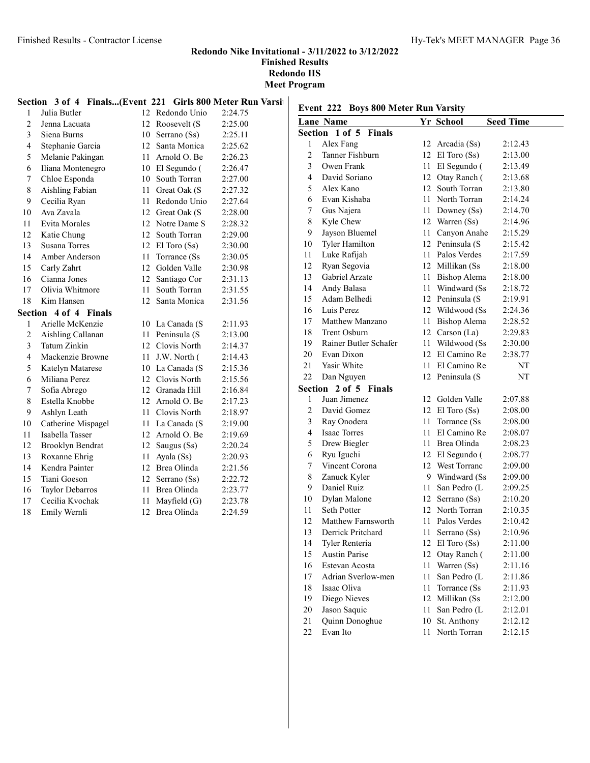|                |                                                            |                  |                  | <b>Meet P</b> |
|----------------|------------------------------------------------------------|------------------|------------------|---------------|
|                | Section 3 of 4 Finals(Event 221 Girls 800 Meter Run Varsit |                  |                  |               |
| 1              | Julia Butler                                               |                  | 12 Redondo Unio  | 2:24.75       |
| $\overline{c}$ | Jenna Lacuata                                              | 12               | Roosevelt (S     | 2:25.00       |
| 3              | Siena Burns                                                | 10               | Serrano (Ss)     | 2:25.11       |
| $\overline{4}$ | Stephanie Garcia                                           |                  | 12 Santa Monica  | 2:25.62       |
| 5              | Melanie Pakingan                                           | 11               | Arnold O. Be     | 2:26.23       |
| 6              | Iliana Montenegro                                          |                  | 10 El Segundo (  | 2:26.47       |
| 7              | Chloe Esponda                                              | 10               | South Torran     | 2:27.00       |
| 8              | Aishling Fabian                                            | 11               | Great Oak (S     | 2:27.32       |
| 9              | Cecilia Ryan                                               | 11               | Redondo Unio     | 2:27.64       |
| 10             | Ava Zavala                                                 |                  | 12 Great Oak (S  | 2:28.00       |
| 11             | <b>Evita Morales</b>                                       |                  | 12 Notre Dame S  | 2:28.32       |
| 12             | Katie Chung                                                | 12 <sup>7</sup>  | South Torran     | 2:29.00       |
| 13             | <b>Susana Torres</b>                                       | 12               | $El$ Toro $(Ss)$ | 2:30.00       |
| 14             | Amber Anderson                                             | 11               | Torrance (Ss)    | 2:30.05       |
| 15             | Carly Zahrt                                                | 12 <sup>12</sup> | Golden Valle     | 2:30.98       |
| 16             | Cianna Jones                                               | 12               | Santiago Cor     | 2:31.13       |
| 17             | Olivia Whitmore                                            | 11               | South Torran     | 2:31.55       |
| 18             | Kim Hansen                                                 | 12               | Santa Monica     | 2:31.56       |
| Section        | 4 of 4 Finals                                              |                  |                  |               |
| $\mathbf{1}$   | Arielle McKenzie                                           |                  | 10 La Canada (S  | 2:11.93       |
| 2              | Aishling Callanan                                          |                  | 11 Peninsula (S  | 2:13.00       |
| 3              | Tatum Zinkin                                               |                  | 12 Clovis North  | 2:14.37       |
| $\overline{4}$ | Mackenzie Browne                                           | 11               | J.W. North (     | 2:14.43       |
| 5              | Katelyn Matarese                                           | 10               | La Canada (S     | 2:15.36       |
| 6              | Miliana Perez                                              |                  | 12 Clovis North  | 2:15.56       |
| 7              | Sofia Abrego                                               |                  | 12 Granada Hill  | 2:16.84       |
| 8              | Estella Knobbe                                             | 12               | Arnold O. Be     | 2:17.23       |
| 9              | Ashlyn Leath                                               | 11               | Clovis North     | 2:18.97       |
| 10             | Catherine Mispagel                                         | 11               | La Canada (S     | 2:19.00       |
| 11             | Isabella Tasser                                            |                  | 12 Arnold O. Be  | 2:19.69       |
| 12             | Brooklyn Bendrat                                           | 12               | Saugus (Ss)      | 2:20.24       |
| 13             | Roxanne Ehrig                                              | 11               | Ayala (Ss)       | 2:20.93       |

 Kendra Painter 12 Brea Olinda 2:21.56 Tiani Goeson 12 Serrano (Ss) 2:22.72 Taylor Debarros 11 Brea Olinda 2:23.77 Cecilia Kvochak 11 Mayfield (G) 2:23.78 Emily Wernli 12 Brea Olinda 2:24.59

| Event 222 Boys 800 Meter Run Varsity |                         |      |                   |                  |
|--------------------------------------|-------------------------|------|-------------------|------------------|
|                                      | <b>Lane Name</b>        |      | Yr School         | <b>Seed Time</b> |
| Section                              | 1 of 5<br><b>Finals</b> |      |                   |                  |
| 1                                    | Alex Fang               |      | 12 Arcadia (Ss)   | 2:12.43          |
| $\mathfrak{2}$                       | Tanner Fishburn         |      | 12 El Toro (Ss)   | 2:13.00          |
| 3                                    | Owen Frank              |      | 11 El Segundo (   | 2:13.49          |
| $\overline{4}$                       | David Soriano           |      | 12 Otay Ranch (   | 2:13.68          |
| 5                                    | Alex Kano               |      | 12 South Torran   | 2:13.80          |
| 6                                    | Evan Kishaba            |      | 11 North Torran   | 2:14.24          |
| 7                                    | Gus Najera              |      | 11 Downey (Ss)    | 2:14.70          |
| 8                                    | Kyle Chew               |      | 12 Warren (Ss)    | 2:14.96          |
| 9                                    | Jayson Bluemel          |      | 11 Canyon Anahe   | 2:15.29          |
| 10                                   | Tyler Hamilton          |      | 12 Peninsula (S   | 2:15.42          |
| 11                                   | Luke Rafijah            |      | 11 Palos Verdes   | 2:17.59          |
| 12                                   | Ryan Segovia            |      | 12 Millikan (Ss   | 2:18.00          |
| 13                                   | Gabriel Arzate          |      | 11 Bishop Alema   | 2:18.00          |
| 14                                   | Andy Balasa             |      | 11 Windward (Ss   | 2:18.72          |
| 15                                   | Adam Belhedi            |      | 12 Peninsula (S   | 2:19.91          |
| 16                                   | Luis Perez              |      | 12 Wildwood (Ss   | 2:24.36          |
| 17                                   | Matthew Manzano         |      | 11 Bishop Alema   | 2:28.52          |
| 18                                   | Trent Osburn            |      | 12 Carson (La)    | 2:29.83          |
| 19                                   | Rainer Butler Schafer   |      | 11 Wildwood (Ss   | 2:30.00          |
| 20                                   | Evan Dixon              |      | 12 El Camino Re   | 2:38.77          |
| 21                                   | Yasir White             |      | 11 El Camino Re   | NT               |
| 22                                   | Dan Nguyen              |      | 12 Peninsula (S   | NT               |
| Section                              | 2 of 5 Finals           |      |                   |                  |
| 1                                    | Juan Jimenez            | 12   | Golden Valle      | 2:07.88          |
| $\overline{c}$                       | David Gomez             |      | 12 El Toro $(Ss)$ | 2:08.00          |
| 3                                    | Ray Onodera             | 11 - | Torrance (Ss)     | 2:08.00          |
| $\overline{4}$                       | <b>Isaac Torres</b>     | 11.  | El Camino Re      | 2:08.07          |
| 5                                    | Drew Biegler            |      | 11 Brea Olinda    | 2:08.23          |
| 6                                    | Ryu Iguchi              |      | 12 El Segundo (   | 2:08.77          |
| 7                                    | Vincent Corona          |      | 12 West Torranc   | 2:09.00          |
| 8                                    | Zanuck Kyler            |      | 9 Windward (Ss)   | 2:09.00          |
| 9                                    | Daniel Ruiz             | 11 - | San Pedro (L      | 2:09.25          |
| 10                                   | Dylan Malone            |      | 12 Serrano (Ss)   | 2:10.20          |
| 11                                   | Seth Potter             |      | 12 North Torran   | 2:10.35          |
| 12                                   | Matthew Farnsworth      |      | 11 Palos Verdes   | 2:10.42          |
| 13                                   | Derrick Pritchard       |      | 11 Serrano (Ss)   | 2:10.96          |
| 14                                   | Tyler Renteria          | 12   | El Toro (Ss)      | 2:11.00          |
| 15                                   | <b>Austin Parise</b>    | 12   | Otay Ranch (      | 2:11.00          |
| 16                                   | Estevan Acosta          | 11   | Warren (Ss)       | 2:11.16          |
| 17                                   | Adrian Sverlow-men      | 11   | San Pedro (L      | 2:11.86          |
| 18                                   | Isaac Oliva             | 11   | Torrance (Ss      | 2:11.93          |
| 19                                   | Diego Nieves            | 12   | Millikan (Ss      | 2:12.00          |
| 20                                   | Jason Saquic            | 11   | San Pedro (L      | 2:12.01          |
| 21                                   | Quinn Donoghue          | 10   | St. Anthony       | 2:12.12          |
| 22                                   | Evan Ito                | 11   | North Torran      | 2:12.15          |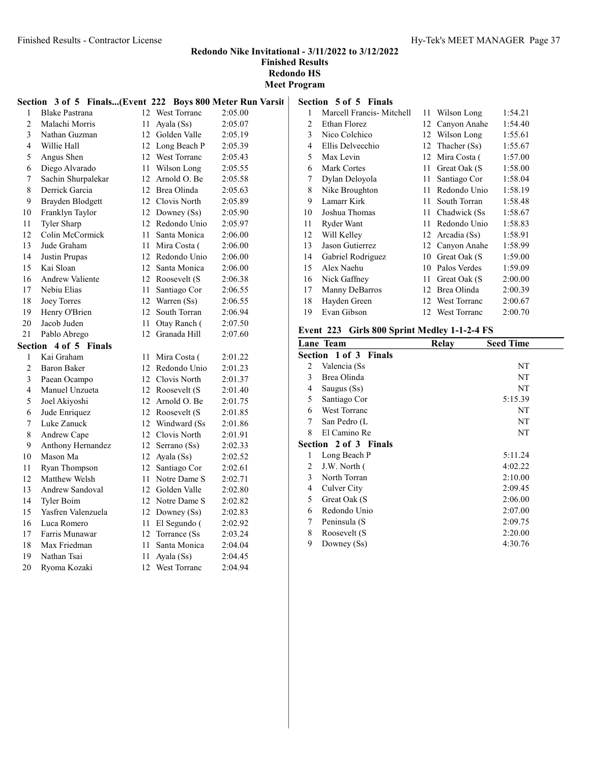# Redondo Nike Invitational - 3/11/2022 to 3/12/2022 Finished Results

Redondo HS Meet Program

|                |                        |                  |                  | Section 3 of 5 Finals(Event 222 Boys 800 Meter Run Varsit |
|----------------|------------------------|------------------|------------------|-----------------------------------------------------------|
| 1              | <b>Blake Pastrana</b>  |                  | 12 West Torranc  | 2:05.00                                                   |
| $\overline{2}$ | Malachi Morris         | 11               | Ayala (Ss)       | 2:05.07                                                   |
| 3              | Nathan Guzman          |                  | 12 Golden Valle  | 2:05.19                                                   |
| 4              | Willie Hall            |                  | 12 Long Beach P  | 2:05.39                                                   |
| 5              | Angus Shen             |                  | 12 West Torranc  | 2:05.43                                                   |
| 6              | Diego Alvarado         |                  | 11 Wilson Long   | 2:05.55                                                   |
| 7              | Sachin Shurpalekar     |                  | 12 Arnold O. Be  | 2:05.58                                                   |
| 8              | Derrick Garcia         |                  | 12 Brea Olinda   | 2:05.63                                                   |
| 9              | Brayden Blodgett       |                  | 12 Clovis North  | 2:05.89                                                   |
| 10             | Franklyn Taylor        |                  | 12 Downey (Ss)   | 2:05.90                                                   |
| 11             | Tyler Sharp            |                  | 12 Redondo Unio  | 2:05.97                                                   |
| 12             | Colin McCormick        | 11               | Santa Monica     | 2:06.00                                                   |
| 13             | Jude Graham            | 11               | Mira Costa (     | 2:06.00                                                   |
| 14             | Justin Prupas          |                  | 12 Redondo Unio  | 2:06.00                                                   |
| 15             | Kai Sloan              | 12               | Santa Monica     | 2:06.00                                                   |
| 16             | <b>Andrew Valiente</b> |                  | 12 Roosevelt (S  | 2:06.38                                                   |
| 17             | Nebiu Elias            | 11               | Santiago Cor     | 2:06.55                                                   |
| 18             | Joey Torres            |                  | 12 Warren (Ss)   | 2:06.55                                                   |
| 19             | Henry O'Brien          | 12               | South Torran     | 2:06.94                                                   |
| 20             | Jacob Juden            | 11               | Otay Ranch (     | 2:07.50                                                   |
| 21             | Pablo Abrego           | 12 <sup>12</sup> | Granada Hill     | 2:07.60                                                   |
| Section        | 4 of 5 Finals          |                  |                  |                                                           |
| 1              | Kai Graham             | 11               | Mira Costa (     | 2:01.22                                                   |
| $\overline{c}$ | <b>Baron Baker</b>     |                  | 12 Redondo Unio  | 2:01.23                                                   |
| 3              | Paean Ocampo           |                  | 12 Clovis North  | 2:01.37                                                   |
| 4              | Manuel Unzueta         |                  | 12 Roosevelt (S  | 2:01.40                                                   |
| 5              | Joel Akiyoshi          |                  | 12 Arnold O. Be  | 2:01.75                                                   |
| 6              | Jude Enriquez          |                  | 12 Roosevelt (S  | 2:01.85                                                   |
| 7              | Luke Zanuck            |                  | 12 Windward (Ss) | 2:01.86                                                   |
| 8              | Andrew Cape            |                  | 12 Clovis North  | 2:01.91                                                   |
| 9              | Anthony Hernandez      |                  | 12 Serrano (Ss)  | 2:02.33                                                   |
| 10             | Mason Ma               |                  | 12 Ayala (Ss)    | 2:02.52                                                   |
| 11             | Ryan Thompson          | 12               | Santiago Cor     | 2:02.61                                                   |
| 12             | Matthew Welsh          |                  | 11 Notre Dame S  | 2:02.71                                                   |
| 13             | <b>Andrew Sandoval</b> |                  | 12 Golden Valle  | 2:02.80                                                   |
| 14             | Tyler Boim             |                  | 12 Notre Dame S  | 2:02.82                                                   |
| 15             | Yasfren Valenzuela     |                  | 12 Downey (Ss)   | 2:02.83                                                   |
| 16             | Luca Romero            |                  | 11 El Segundo (  | 2:02.92                                                   |
| 17             | Farris Munawar         |                  | 12 Torrance (Ss) | 2:03.24                                                   |
| 18             | Max Friedman           | 11               | Santa Monica     | 2:04.04                                                   |
| 19             | Nathan Tsai            | 11 -             | Ayala (Ss)       | 2:04.45                                                   |
| 20             | Ryoma Kozaki           | 12               | West Torranc     | 2:04.94                                                   |

# Section 5 of 5 Finals

| 1  | Marcell Francis- Mitchell | 11 | Wilson Long         | 1:54.21 |
|----|---------------------------|----|---------------------|---------|
| 2  | Ethan Florez              | 12 | Canyon Anahe        | 1:54.40 |
| 3  | Nico Colchico             | 12 | Wilson Long         | 1:55.61 |
| 4  | Ellis Delvecchio          | 12 | Thacher (Ss)        | 1:55.67 |
| 5  | Max Levin                 | 12 | Mira Costa (        | 1:57.00 |
| 6  | <b>Mark Cortes</b>        | 11 | Great Oak (S        | 1:58.00 |
| 7  | Dylan Deloyola            | 11 | Santiago Cor        | 1:58.04 |
| 8  | Nike Broughton            | 11 | Redondo Unio        | 1:58.19 |
| 9  | Lamarr Kirk               | 11 | South Torran        | 1:58.48 |
| 10 | Joshua Thomas             | 11 | Chadwick (Ss)       | 1:58.67 |
| 11 | Ryder Want                | 11 | Redondo Unio        | 1:58.83 |
| 12 | Will Kelley               | 12 | Arcadia (Ss)        | 1:58.91 |
| 13 | Jason Gutierrez           | 12 | Canyon Anahe        | 1:58.99 |
| 14 | Gabriel Rodriguez         | 10 | Great Oak (S        | 1:59.00 |
| 15 | Alex Naehu                | 10 | Palos Verdes        | 1:59.09 |
| 16 | Nick Gaffney              | 11 | Great Oak (S        | 2:00.00 |
| 17 | Manny DeBarros            | 12 | Brea Olinda         | 2:00.39 |
| 18 | Hayden Green              | 12 | <b>West Torranc</b> | 2:00.67 |
| 19 | Evan Gibson               | 12 | West Torranc        | 2:00.70 |

# Event 223 Girls 800 Sprint Medley 1-1-2-4 FS

|   | Lane Team             | Relay | <b>Seed Time</b> |
|---|-----------------------|-------|------------------|
|   | Section 1 of 3 Finals |       |                  |
| 2 | Valencia (Ss          |       | NT               |
| 3 | Brea Olinda           |       | NT               |
| 4 | Saugus (Ss)           |       | NT               |
| 5 | Santiago Cor          |       | 5:15.39          |
| 6 | <b>West Torranc</b>   |       | NT               |
| 7 | San Pedro (L          |       | NT               |
| 8 | El Camino Re          |       | NT               |
|   | Section 2 of 3 Finals |       |                  |
| 1 | Long Beach P          |       | 5:11.24          |
| 2 | J.W. North (          |       | 4:02.22          |
| 3 | North Torran          |       | 2:10.00          |
| 4 | Culver City           |       | 2:09.45          |
| 5 | Great Oak (S          |       | 2:06.00          |
| 6 | Redondo Unio          |       | 2:07.00          |
| 7 | Peninsula (S          |       | 2:09.75          |
| 8 | Roosevelt (S          |       | 2:20.00          |
| 9 | Downey (Ss)           |       | 4:30.76          |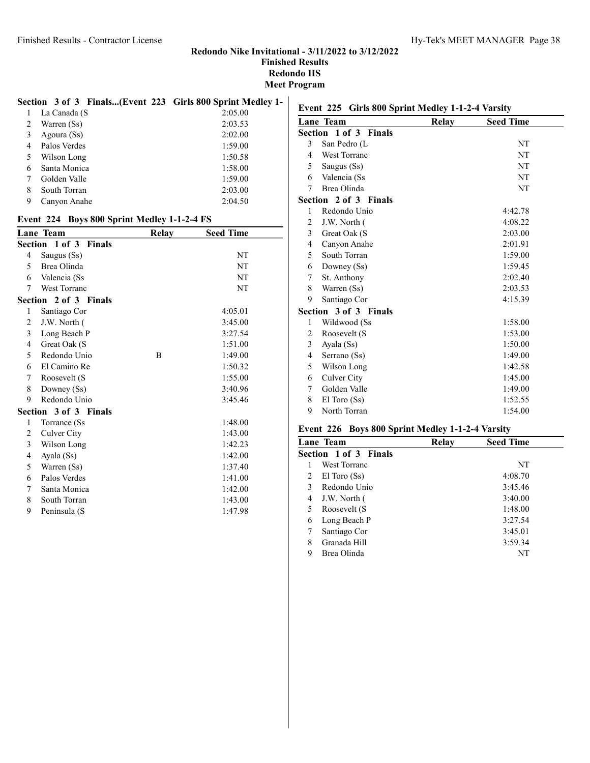#### Section 3 of 3 Finals...(Event 223 Girls 800 Sprint Medley 1-

|   | La Canada (S | 2:05.00 |
|---|--------------|---------|
| 2 | Warren (Ss)  | 2:03.53 |
| 3 | Agoura (Ss)  | 2:02.00 |
| 4 | Palos Verdes | 1:59.00 |
|   | Wilson Long  | 1:50.58 |
| 6 | Santa Monica | 1:58.00 |
|   | Golden Valle | 1:59.00 |
| 8 | South Torran | 2:03.00 |
| 9 | Canyon Anahe | 2:04.50 |

#### Event 224 Boys 800 Sprint Medley 1-1-2-4 FS

|   | Lane Team             | <b>Relay</b> | <b>Seed Time</b> |
|---|-----------------------|--------------|------------------|
|   | Section 1 of 3 Finals |              |                  |
| 4 | Saugus (Ss)           |              | NT               |
| 5 | Brea Olinda           |              | NT               |
| 6 | Valencia (Ss          |              | NT               |
| 7 | <b>West Torranc</b>   |              | NT               |
|   | Section 2 of 3 Finals |              |                  |
| 1 | Santiago Cor          |              | 4:05.01          |
| 2 | J.W. North (          |              | 3:45.00          |
| 3 | Long Beach P          |              | 3:27.54          |
| 4 | Great Oak (S          |              | 1:51.00          |
| 5 | Redondo Unio          | B            | 1:49.00          |
| 6 | El Camino Re          |              | 1:50.32          |
| 7 | Roosevelt (S          |              | 1:55.00          |
| 8 | Downey (Ss)           |              | 3:40.96          |
| 9 | Redondo Unio          |              | 3:45.46          |
|   | Section 3 of 3 Finals |              |                  |
| 1 | Torrance (Ss          |              | 1:48.00          |
| 2 | Culver City           |              | 1:43.00          |
| 3 | Wilson Long           |              | 1:42.23          |
| 4 | Ayala (Ss)            |              | 1:42.00          |
| 5 | Warren (Ss)           |              | 1:37.40          |
| 6 | Palos Verdes          |              | 1:41.00          |
| 7 | Santa Monica          |              | 1:42.00          |
| 8 | South Torran          |              | 1:43.00          |
| 9 | Peninsula (S          |              | 1:47.98          |
|   |                       |              |                  |

# Event 225 Girls 800 Sprint Medley 1-1-2-4 Varsity

|                | Lane Team             | Relay | <b>Seed Time</b> |
|----------------|-----------------------|-------|------------------|
|                | Section 1 of 3 Finals |       |                  |
| 3              | San Pedro (L          |       | NT               |
| $\overline{4}$ | <b>West Torranc</b>   |       | NT               |
| 5              | Saugus (Ss)           |       | NT               |
| 6              | Valencia (Ss          |       | NT               |
| 7              | Brea Olinda           |       | NT               |
|                | Section 2 of 3 Finals |       |                  |
| 1              | Redondo Unio          |       | 4:42.78          |
| 2              | J.W. North (          |       | 4:08.22          |
| 3              | Great Oak (S          |       | 2:03.00          |
| 4              | Canyon Anahe          |       | 2:01.91          |
| 5              | South Torran          |       | 1:59.00          |
| 6              | Downey (Ss)           |       | 1:59.45          |
| 7              | St. Anthony           |       | 2:02.40          |
| 8              | Warren (Ss)           |       | 2:03.53          |
| 9              | Santiago Cor          |       | 4:15.39          |
|                | Section 3 of 3 Finals |       |                  |
| 1              | Wildwood (Ss          |       | 1:58.00          |
| 2              | Roosevelt (S          |       | 1:53.00          |
| 3              | Ayala (Ss)            |       | 1:50.00          |
| 4              | Serrano (Ss)          |       | 1:49.00          |
| 5              | Wilson Long           |       | 1:42.58          |
| 6              | Culver City           |       | 1:45.00          |
| 7              | Golden Valle          |       | 1:49.00          |
| 8              | $El$ Toro $(Ss)$      |       | 1:52.55          |
| 9              | North Torran          |       | 1:54.00          |
|                |                       |       |                  |

#### Event 226 Boys 800 Sprint Medley 1-1-2-4 Varsity

| Lane Team             | Relay | <b>Seed Time</b> |  |
|-----------------------|-------|------------------|--|
| Section 1 of 3 Finals |       |                  |  |
| West Torranc          |       | NT               |  |
| 2<br>$El$ Toro $(Ss)$ |       | 4:08.70          |  |
| Redondo Unio<br>3     |       | 3:45.46          |  |
| J.W. North (<br>4     |       | 3:40.00          |  |
| Roosevelt (S<br>5     |       | 1:48.00          |  |
| Long Beach P<br>6     |       | 3:27.54          |  |
| Santiago Cor          |       | 3:45.01          |  |
| Granada Hill<br>8     |       | 3:59.34          |  |
| 9<br>Brea Olinda      |       | NT               |  |
|                       |       |                  |  |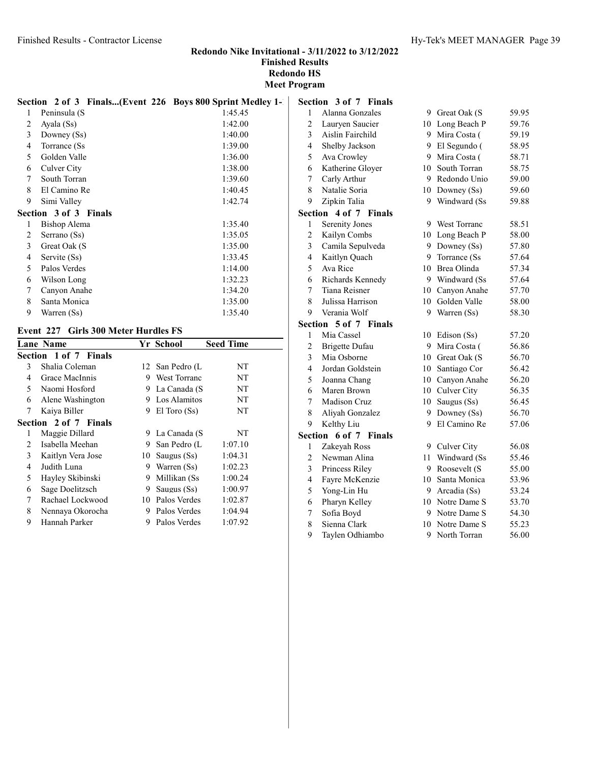|   | Section 2 of 3 Finals(Event 226 Boys 800 Sprint Medley 1- |         |   | Section 3 |
|---|-----------------------------------------------------------|---------|---|-----------|
| 1 | Peninsula (S                                              | 1:45.45 | 1 | Alan      |
| 2 | Ayala (Ss)                                                | 1:42.00 | 2 | Laur      |
| 3 | Downey (Ss)                                               | 1:40.00 | 3 | Aisli     |
| 4 | Torrance (Ss)                                             | 1:39.00 | 4 | Shell     |
| 5 | Golden Valle                                              | 1:36.00 | 5 | Ava (     |
| 6 | Culver City                                               | 1:38.00 | 6 | Kath      |
| 7 | South Torran                                              | 1:39.60 | 7 | Carly     |
| 8 | El Camino Re                                              | 1:40.45 | 8 | Nata      |
| 9 | Simi Valley                                               | 1:42.74 | 9 | Zipk      |
|   | <b>Section 3 of 3 Finals</b>                              |         |   | Section 4 |
| 1 | Bishop Alema                                              | 1:35.40 | 1 | Serei     |
| 2 | Serrano (Ss)                                              | 1:35.05 | 2 | Kaily     |
| 3 | Great Oak (S                                              | 1:35.00 | 3 | Cam       |
| 4 | Servite (Ss)                                              | 1:33.45 | 4 | Kaitl     |
| 5 | Palos Verdes                                              | 1:14.00 | 5 | Ava l     |
| 6 | Wilson Long                                               | 1:32.23 | 6 | Rich      |
| 7 | Canyon Anahe                                              | 1:34.20 | 7 | Tiana     |
| 8 | Santa Monica                                              | 1:35.00 | 8 | Julis:    |
| 9 | Warren (Ss)                                               | 1:35.40 | 9 | Vera      |

#### Event 227 Girls 300 Meter Hurdles FS

|   | <b>Lane Name</b>      |    | Yr School           | <b>Seed Time</b> |
|---|-----------------------|----|---------------------|------------------|
|   | Section 1 of 7 Finals |    |                     |                  |
| 3 | Shalia Coleman        |    | 12 San Pedro (L     | NT               |
| 4 | Grace MacInnis        | 9  | <b>West Torranc</b> | NT               |
| 5 | Naomi Hosford         | 9  | La Canada (S        | NT               |
| 6 | Alene Washington      | 9  | Los Alamitos        | NT               |
| 7 | Kaiya Biller          | 9  | $El$ Toro $(Ss)$    | NT               |
|   | Section 2 of 7 Finals |    |                     |                  |
| 1 | Maggie Dillard        |    | 9 La Canada (S      | NT               |
| 2 | Isabella Meehan       | 9. | San Pedro (L        | 1:07.10          |
| 3 | Kaitlyn Vera Jose     | 10 | Saugus (Ss)         | 1:04.31          |
| 4 | Judith Luna           | 9  | Warren (Ss)         | 1:02.23          |
| 5 | Hayley Skibinski      | 9  | Millikan (Ss        | 1:00.24          |
| 6 | Sage Doelitzsch       | 9  | Saugus $(Ss)$       | 1:00.97          |
| 7 | Rachael Lockwood      | 10 | Palos Verdes        | 1:02.87          |
| 8 | Nennaya Okorocha      | 9. | Palos Verdes        | 1:04.94          |
| 9 | Hannah Parker         | 9  | Palos Verdes        | 1:07.92          |
|   |                       |    |                     |                  |

|                         | Section 3 of 7 Finals   |    |                 |       |
|-------------------------|-------------------------|----|-----------------|-------|
| 1                       | Alanna Gonzales         |    | 9 Great Oak (S  | 59.95 |
| $\overline{c}$          | Lauryen Saucier         |    | 10 Long Beach P | 59.76 |
| 3                       | Aislin Fairchild        |    | 9 Mira Costa (  | 59.19 |
| $\overline{4}$          | Shelby Jackson          |    | 9 El Segundo (  | 58.95 |
| 5                       | Ava Crowley             |    | 9 Mira Costa (  | 58.71 |
| 6                       | Katherine Gloyer        |    | 10 South Torran | 58.75 |
| 7                       | Carly Arthur            | 9. | Redondo Unio    | 59.00 |
| 8                       | Natalie Soria           |    | 10 Downey (Ss)  | 59.60 |
| 9                       | Zipkin Talia            | 9  | Windward (Ss    | 59.88 |
|                         | Section 4 of 7 Finals   |    |                 |       |
| 1                       | <b>Serenity Jones</b>   |    | 9 West Torranc  | 58.51 |
| $\overline{2}$          | Kailyn Combs            |    | 10 Long Beach P | 58.00 |
| 3                       | Camila Sepulveda        |    | 9 Downey (Ss)   | 57.80 |
| $\overline{4}$          | Kaitlyn Quach           |    | 9 Torrance (Ss) | 57.64 |
| 5                       | Ava Rice                |    | 10 Brea Olinda  | 57.34 |
| 6                       | Richards Kennedy        |    | 9 Windward (Ss  | 57.64 |
| 7                       | Tiana Reisner           |    | 10 Canyon Anahe | 57.70 |
| 8                       | Julissa Harrison        |    | 10 Golden Valle | 58.00 |
| 9                       | Verania Wolf            | 9  | Warren (Ss)     | 58.30 |
| Section                 | 5 of 7<br><b>Finals</b> |    |                 |       |
| 1                       | Mia Cassel              | 10 | Edison (Ss)     | 57.20 |
| $\overline{c}$          | <b>Brigette Dufau</b>   | 9  | Mira Costa (    | 56.86 |
| 3                       | Mia Osborne             |    | 10 Great Oak (S | 56.70 |
| $\overline{\mathbf{4}}$ | Jordan Goldstein        | 10 | Santiago Cor    | 56.42 |
| 5                       | Joanna Chang            |    | 10 Canvon Anahe | 56.20 |
| 6                       | Maren Brown             |    | 10 Culver City  | 56.35 |
| 7                       | Madison Cruz            |    | 10 Saugus (Ss)  | 56.45 |
| 8                       | Aliyah Gonzalez         |    | 9 Downey (Ss)   | 56.70 |
| 9                       | Kelthy Liu              | 9  | El Camino Re    | 57.06 |
|                         | Section 6 of 7 Finals   |    |                 |       |
| 1                       | Zakeyah Ross            |    | 9 Culver City   | 56.08 |
| $\overline{c}$          | Newman Alina            | 11 | Windward (Ss    | 55.46 |
| 3                       | Princess Riley          | 9  | Roosevelt (S    | 55.00 |
| $\overline{4}$          | Fayre McKenzie          |    | 10 Santa Monica | 53.96 |
| 5                       | Yong-Lin Hu             |    | 9 Arcadia (Ss)  | 53.24 |
| 6                       | Pharyn Kelley           |    | 10 Notre Dame S | 53.70 |
| 7                       | Sofia Boyd              | 9  | Notre Dame S    | 54.30 |
| 8                       | Sienna Clark            | 10 | Notre Dame S    | 55.23 |

Taylen Odhiambo 9 North Torran 56.00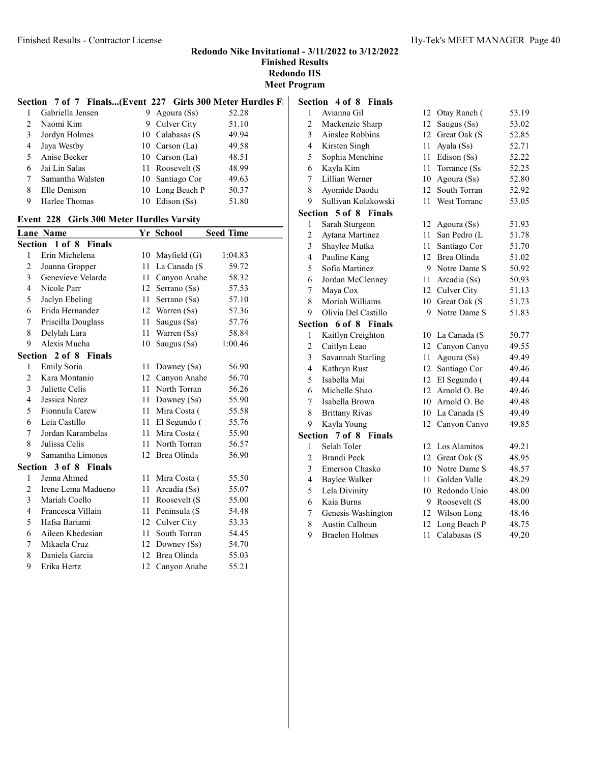|                    |  |               | Section 7 of 7 Finals(Event 227 Girls 300 Meter Hurdles F. |  |
|--------------------|--|---------------|------------------------------------------------------------|--|
| 1 Gabriella Jensen |  | 9 Agoura (Ss) | 52.28                                                      |  |

|         | Suottellu velisell | $2.1$ = 0.000 $0.001$ | ----  |
|---------|--------------------|-----------------------|-------|
| $2^{1}$ | Naomi Kim          | 9 Culver City         | 51.10 |
| 3       | Jordyn Holmes      | 10 Calabasas (S       | 49.94 |
| 4       | Jaya Westby        | 10 Carson (La)        | 49.58 |
| $5 -$   | Anise Becker       | 10 Carson (La)        | 48.51 |
| 6.      | Jai Lin Salas      | 11 Roosevelt (S       | 48.99 |
|         | Samantha Walsten   | 10 Santiago Cor       | 49.63 |
| 8       | Elle Denison       | 10 Long Beach P       | 50.37 |
|         | Harlee Thomas      | 10 Edison (Ss)        | 51.80 |

#### Event 228 Girls 300 Meter Hurdles Varsity

|                | <b>Lane Name</b>      |    | Yr School      | <b>Seed Time</b> |
|----------------|-----------------------|----|----------------|------------------|
|                | Section 1 of 8 Finals |    |                |                  |
| 1              | Erin Michelena        | 10 | Mayfield $(G)$ | 1:04.83          |
| 2              | Joanna Gropper        | 11 | La Canada (S   | 59.72            |
| 3              | Genevieve Velarde     | 11 | Canyon Anahe   | 58.32            |
| $\overline{4}$ | Nicole Parr           | 12 | Serrano (Ss)   | 57.53            |
| 5              | Jaclyn Ebeling        | 11 | Serrano (Ss)   | 57.10            |
| 6              | Frida Hernandez       | 12 | Warren (Ss)    | 57.36            |
| 7              | Priscilla Douglass    | 11 | Saugus (Ss)    | 57.76            |
| 8              | Delylah Lara          | 11 | Warren (Ss)    | 58.84            |
| 9              | Alexis Mucha          | 10 | Saugus (Ss)    | 1:00.46          |
|                | Section 2 of 8 Finals |    |                |                  |
| 1              | <b>Emily Soria</b>    | 11 | Downey (Ss)    | 56.90            |
| $\overline{2}$ | Kara Montanio         | 12 | Canyon Anahe   | 56.70            |
| 3              | Juliette Celis        | 11 | North Torran   | 56.26            |
| $\overline{4}$ | Jessica Narez         | 11 | Downey (Ss)    | 55.90            |
| 5              | Fionnula Carew        | 11 | Mira Costa (   | 55.58            |
| 6              | Leia Castillo         | 11 | El Segundo (   | 55.76            |
| 7              | Jordan Karambelas     | 11 | Mira Costa (   | 55.90            |
| 8              | Julissa Celis         | 11 | North Torran   | 56.57            |
| 9              | Samantha Limones      | 12 | Brea Olinda    | 56.90            |
|                | Section 3 of 8 Finals |    |                |                  |
| 1              | Jenna Ahmed           | 11 | Mira Costa (   | 55.50            |
| 2              | Irene Lema Madueno    | 11 | Arcadia (Ss)   | 55.07            |
| 3              | Mariah Coello         | 11 | Roosevelt (S   | 55.00            |
| 4              | Francesca Villain     | 11 | Peninsula (S   | 54.48            |
| 5              | Hafsa Bariami         | 12 | Culver City    | 53.33            |
| 6              | Aileen Khedesian      | 11 | South Torran   | 54.45            |
| 7              | Mikaela Cruz          | 12 | Downey (Ss)    | 54.70            |
| 8              | Daniela Garcia        | 12 | Brea Olinda    | 55.03            |
| 9              | Erika Hertz           | 12 | Canyon Anahe   | 55.21            |

| Section 4 of 8 Finals |  |  |  |  |
|-----------------------|--|--|--|--|
|-----------------------|--|--|--|--|

| 1                       | Avianna Gil           | 12 | Otay Ranch (    | 53.19 |
|-------------------------|-----------------------|----|-----------------|-------|
| $\overline{c}$          | Mackenzie Sharp       | 12 | Saugus (Ss)     | 53.02 |
| $\overline{\mathbf{3}}$ | Ainslee Robbins       | 12 | Great Oak (S    | 52.85 |
| $\overline{4}$          | Kirsten Singh         | 11 | Ayala (Ss)      | 52.71 |
| 5                       | Sophia Menchine       | 11 | Edison (Ss)     | 52.22 |
| 6                       | Kayla Kim             | 11 | Torrance (Ss    | 52.25 |
| 7                       | Lillian Werner        | 10 | Agoura (Ss)     | 52.80 |
| 8                       | Ayomide Daodu         | 12 | South Torran    | 52.92 |
| 9                       | Sullivan Kolakowski   | 11 | West Torranc    | 53.05 |
|                         | Section 5 of 8 Finals |    |                 |       |
| $\mathbf{1}$            | Sarah Sturgeon        |    | 12 Agoura (Ss)  | 51.93 |
| $\overline{c}$          | Aytana Martinez       | 11 | San Pedro (L    | 51.78 |
| $\overline{\mathbf{3}}$ | Shaylee Mutka         | 11 | Santiago Cor    | 51.70 |
| $\overline{4}$          | Pauline Kang          |    | 12 Brea Olinda  | 51.02 |
| 5                       | Sofia Martinez        | 9  | Notre Dame S    | 50.92 |
| 6                       | Jordan McClenney      | 11 | Arcadia (Ss)    | 50.93 |
| $\overline{7}$          | Maya Cox              |    | 12 Culver City  | 51.13 |
| 8                       | Moriah Williams       |    | 10 Great Oak (S | 51.73 |
| 9                       | Olivia Del Castillo   | 9  | Notre Dame S    | 51.83 |
| Section                 | 6 of 8 Finals         |    |                 |       |
| 1                       | Kaitlyn Creighton     | 10 | La Canada (S    | 50.77 |
| $\overline{c}$          | Caitlyn Leao          | 12 | Canyon Canyo    | 49.55 |
| 3                       | Savannah Starling     | 11 | Agoura (Ss)     | 49.49 |
| $\overline{\mathbf{4}}$ | Kathryn Rust          | 12 | Santiago Cor    | 49.46 |
| 5                       | Isabella Mai          | 12 | El Segundo (    | 49.44 |
| 6                       | Michelle Shao         | 12 | Arnold O. Be    | 49.46 |
| $\overline{7}$          | Isabella Brown        |    | 10 Arnold O. Be | 49.48 |
| 8                       | <b>Brittany Rivas</b> |    | 10 La Canada (S | 49.49 |
| 9                       | Kayla Young           | 12 | Canyon Canyo    | 49.85 |
|                         | Section 7 of 8 Finals |    |                 |       |
| $\mathbf{1}$            | Selah Toler           |    | 12 Los Alamitos | 49.21 |
| $\overline{c}$          | <b>Brandi Peck</b>    |    | 12 Great Oak (S | 48.95 |
| 3                       | Emerson Chasko        |    | 10 Notre Dame S | 48.57 |
| 4                       | Baylee Walker         | 11 | Golden Valle    | 48.29 |
| 5                       | Lela Divinity         |    | 10 Redondo Unio | 48.00 |
| 6                       | Kaia Burns            | 9  | Roosevelt (S    | 48.00 |
| 7                       | Genesis Washington    | 12 | Wilson Long     | 48.46 |
| 8                       | <b>Austin Calhoun</b> | 12 | Long Beach P    | 48.75 |
| 9                       | <b>Braelon Holmes</b> | 11 | Calabasas (S    | 49.20 |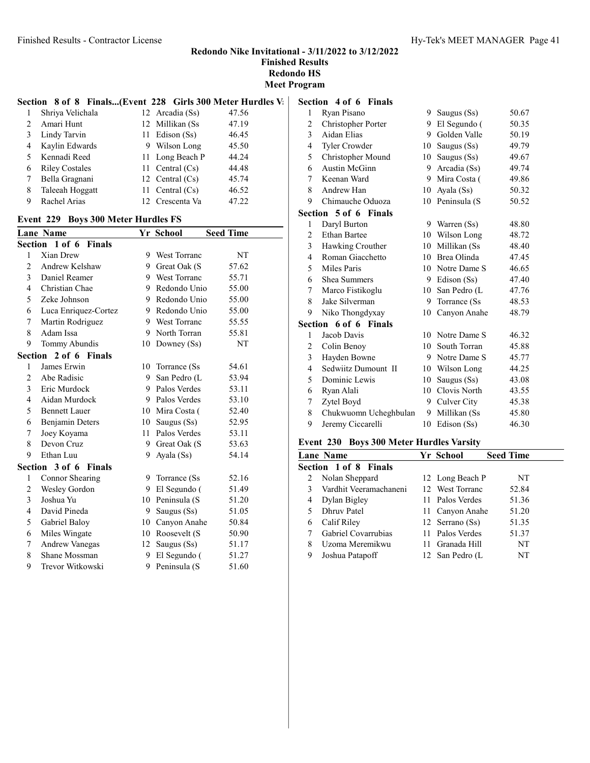#### Section 8 of 8 Finals...(Event 228 Girls 300 Meter Hurdles V:

|    | Shriya Velichala      | 12 Arcadia (Ss)   | 47.56 |
|----|-----------------------|-------------------|-------|
|    | Amari Hunt            | 12 Millikan (Ss   | 47.19 |
| 3  | Lindy Tarvin          | 11 Edison (Ss)    | 46.45 |
| 4  | Kaylin Edwards        | 9 Wilson Long     | 45.50 |
| 5. | Kennadi Reed          | 11 Long Beach P   | 44.24 |
| 6  | <b>Riley Costales</b> | 11 Central $(Cs)$ | 44.48 |
|    | Bella Gragnani        | 12 Central $(Cs)$ | 45.74 |
| 8  | Taleeah Hoggatt       | 11 Central $(Cs)$ | 46.52 |
| 9  | Rachel Arias          | 12 Crescenta Va   | 47.22 |

#### Event 229 Boys 300 Meter Hurdles FS

|                | <b>Lane Name</b>                |    | Yr School           | <b>Seed Time</b> |
|----------------|---------------------------------|----|---------------------|------------------|
|                | Section 1 of 6 Finals           |    |                     |                  |
| 1              | Xian Drew                       | 9  | <b>West Torranc</b> | NT               |
| $\overline{2}$ | Andrew Kelshaw                  | 9  | Great Oak (S        | 57.62            |
| 3              | Daniel Reamer                   |    | 9 West Torranc      | 55.71            |
| 4              | Christian Chae                  | 9  | Redondo Unio        | 55.00            |
| 5              | Zeke Johnson                    |    | 9 Redondo Unio      | 55.00            |
| 6              | Luca Enriquez-Cortez            | 9  | Redondo Unio        | 55.00            |
| 7              | Martin Rodriguez                | 9  | <b>West Torranc</b> | 55.55            |
| 8              | Adam Issa                       | 9  | North Torran        | 55.81            |
| 9              | Tommy Abundis                   | 10 | Downey $(Ss)$       | NT               |
|                | Section 2 of 6 Finals           |    |                     |                  |
| 1              | James Erwin                     | 10 | Torrance (Ss        | 54.61            |
| $\overline{2}$ | Abe Radisic                     | 9  | San Pedro (L        | 53.94            |
| 3              | Eric Murdock                    | 9  | Palos Verdes        | 53.11            |
| 4              | Aidan Murdock                   | 9  | Palos Verdes        | 53.10            |
| 5              | <b>Bennett Lauer</b>            | 10 | Mira Costa (        | 52.40            |
| 6              | Benjamin Deters                 | 10 | Saugus (Ss)         | 52.95            |
| 7              | Joey Koyama                     | 11 | Palos Verdes        | 53.11            |
| 8              | Devon Cruz                      | 9  | Great Oak (S        | 53.63            |
| 9              | Ethan Luu                       | 9  | Ayala (Ss)          | 54.14            |
|                | Section 3 of 6<br><b>Finals</b> |    |                     |                  |
| 1              | Connor Shearing                 | 9  | Torrance (Ss)       | 52.16            |
| 2              | Wesley Gordon                   | 9  | El Segundo (        | 51.49            |
| 3              | Joshua Yu                       | 10 | Peninsula (S        | 51.20            |
| 4              | David Pineda                    | 9  | Saugus (Ss)         | 51.05            |
| 5              | Gabriel Baloy                   | 10 | Canyon Anahe        | 50.84            |
| 6              | Miles Wingate                   | 10 | Roosevelt (S        | 50.90            |
| 7              | <b>Andrew Vanegas</b>           | 12 | Saugus (Ss)         | 51.17            |
| 8              | Shane Mossman                   | 9  | El Segundo (        | 51.27            |
| 9              | Trevor Witkowski                | 9  | Peninsula (S        | 51.60            |

#### Section 4 of 6 Finals

| 1              | Ryan Pisano           | 9. | Saugus (Ss)   | 50.67 |
|----------------|-----------------------|----|---------------|-------|
| 2              | Christopher Porter    | 9  | El Segundo (  | 50.35 |
| 3              | Aidan Elias           | 9  | Golden Valle  | 50.19 |
| 4              | <b>Tyler Crowder</b>  | 10 | Saugus (Ss)   | 49.79 |
| 5              | Christopher Mound     | 10 | Saugus (Ss)   | 49.67 |
| 6              | Austin McGinn         | 9. | Arcadia (Ss)  | 49.74 |
| 7              | Keenan Ward           | 9  | Mira Costa (  | 49.86 |
| 8              | Andrew Han            | 10 | Ayala (Ss)    | 50.32 |
| 9              | Chimauche Oduoza      | 10 | Peninsula (S  | 50.52 |
|                | Section 5 of 6 Finals |    |               |       |
| 1              | Daryl Burton          | 9. | Warren (Ss)   | 48.80 |
| 2              | <b>Ethan Bartee</b>   | 10 | Wilson Long   | 48.72 |
| 3              | Hawking Crouther      | 10 | Millikan (Ss  | 48.40 |
| $\overline{4}$ | Roman Giacchetto      | 10 | Brea Olinda   | 47.45 |
| 5              | Miles Paris           | 10 | Notre Dame S  | 46.65 |
| 6              | Shea Summers          | 9  | Edison (Ss)   | 47.40 |
| 7              | Marco Fistikoglu      | 10 | San Pedro (L  | 47.76 |
| 8              | Jake Silverman        | 9  | Torrance (Ss) | 48.53 |
| 9              | Niko Thongdyxay       | 10 | Canyon Anahe  | 48.79 |
|                | Section 6 of 6 Finals |    |               |       |
| 1              | Jacob Davis           | 10 | Notre Dame S  | 46.32 |
| 2              | Colin Benoy           | 10 | South Torran  | 45.88 |
| 3              | Hayden Bowne          | 9  | Notre Dame S  | 45.77 |
| $\overline{4}$ | Sedwiitz Dumount II   | 10 | Wilson Long   | 44.25 |
| 5              | Dominic Lewis         | 10 | Saugus (Ss)   | 43.08 |
| 6              | Ryan Alali            | 10 | Clovis North  | 43.55 |
| 7              | Zytel Boyd            | 9  | Culver City   | 45.38 |
| 8              | Chukwuomn Ucheghbulan | 9  | Millikan (Ss  | 45.80 |
| 9              | Jeremy Ciccarelli     | 10 | Edison (Ss)   | 46.30 |

#### Event 230 Boys 300 Meter Hurdles Varsity

|   | Lane Name              | Yr School       | <b>Seed Time</b> |
|---|------------------------|-----------------|------------------|
|   | Section 1 of 8 Finals  |                 |                  |
| 2 | Nolan Sheppard         | 12 Long Beach P | NT               |
| 3 | Vardhit Veeramachaneni | 12 West Torranc | 52.84            |
| 4 | Dylan Bigley           | 11 Palos Verdes | 51.36            |
| 5 | Dhruy Patel            | 11 Canyon Anahe | 51.20            |
| 6 | Calif Riley            | 12 Serrano (Ss) | 51.35            |
|   | Gabriel Covarrubias    | 11 Palos Verdes | 51.37            |
| 8 | Uzoma Meremikwu        | 11 Granada Hill | NT               |
| 9 | Joshua Patapoff        | 12 San Pedro (L | NT               |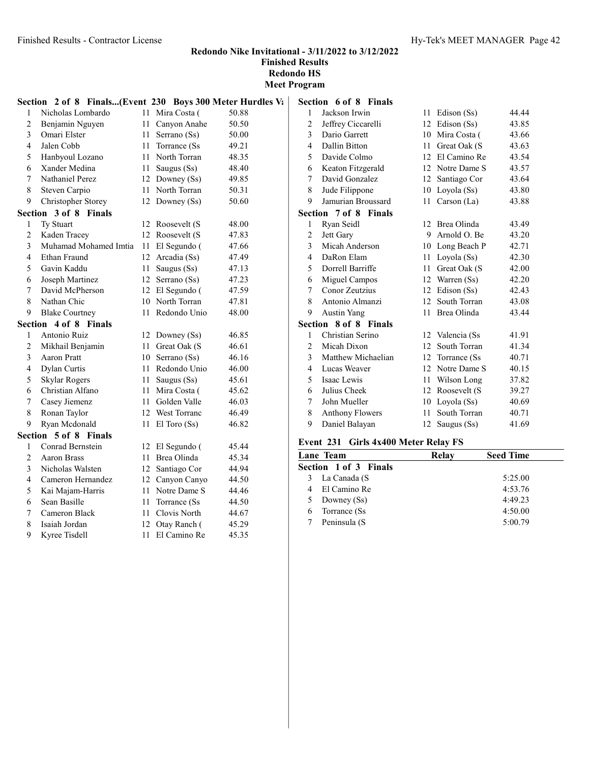|                | Section 2 of 8 Finals(Event 230 Boys 300 Meter Hurdles V: |      |                  |       | Se |
|----------------|-----------------------------------------------------------|------|------------------|-------|----|
| 1              | Nicholas Lombardo                                         |      | 11 Mira Costa (  | 50.88 |    |
| $\overline{c}$ | Benjamin Nguyen                                           | 11 - | Canyon Anahe     | 50.50 |    |
| 3              | Omari Elster                                              |      | 11 Serrano (Ss)  | 50.00 |    |
| 4              | Jalen Cobb                                                |      | 11 Torrance (Ss  | 49.21 |    |
| 5              | Hanbyoul Lozano                                           |      | 11 North Torran  | 48.35 |    |
| 6              | Xander Medina                                             |      | 11 Saugus (Ss)   | 48.40 |    |
| 7              | Nathaniel Perez                                           |      | 12 Downey (Ss)   | 49.85 |    |
| 8              | Steven Carpio                                             |      | 11 North Torran  | 50.31 |    |
| 9              | Christopher Storey                                        |      | 12 Downey (Ss)   | 50.60 |    |
|                | Section 3 of 8 Finals                                     |      |                  |       | Se |
| 1              | Ty Stuart                                                 |      | 12 Roosevelt (S  | 48.00 |    |
| $\overline{c}$ | Kaden Tracey                                              |      | 12 Roosevelt (S  | 47.83 |    |
| 3              | Muhamad Mohamed Imtia                                     |      | 11 El Segundo (  | 47.66 |    |
| 4              | Ethan Fraund                                              |      | 12 Arcadia (Ss)  | 47.49 |    |
| 5              | Gavin Kaddu                                               | 11 - | Saugus $(Ss)$    | 47.13 |    |
| 6              | Joseph Martinez                                           |      | 12 Serrano (Ss)  | 47.23 |    |
| 7              | David McPherson                                           |      | 12 El Segundo (  | 47.59 |    |
| 8              | Nathan Chic                                               |      | 10 North Torran  | 47.81 |    |
| 9              | <b>Blake Courtney</b>                                     |      | 11 Redondo Unio  | 48.00 |    |
|                | Section 4 of 8 Finals                                     |      |                  |       | Se |
| 1              | Antonio Ruiz                                              |      | 12 Downey (Ss)   | 46.85 |    |
| 2              | Mikhail Benjamin                                          |      | 11 Great Oak (S) | 46.61 |    |
| 3              | Aaron Pratt                                               |      | 10 Serrano (Ss)  | 46.16 |    |
| 4              | Dylan Curtis                                              |      | 11 Redondo Unio  | 46.00 |    |
| 5              | <b>Skylar Rogers</b>                                      |      | 11 Saugus (Ss)   | 45.61 |    |
| 6              | Christian Alfano                                          |      | 11 Mira Costa (  | 45.62 |    |
| 7              | Casey Jiemenz                                             |      | 11 Golden Valle  | 46.03 |    |
| 8              | Ronan Taylor                                              |      | 12 West Torranc  | 46.49 |    |
| 9              | Ryan Mcdonald                                             |      | 11 El Toro (Ss)  | 46.82 |    |
|                | Section 5 of 8 Finals                                     |      |                  |       |    |
| 1              | Conrad Bernstein                                          |      | 12 El Segundo (  | 45.44 | Ev |
| 2              | Aaron Brass                                               |      | 11 Brea Olinda   | 45.34 | La |
| 3              | Nicholas Walsten                                          |      | 12 Santiago Cor  | 44.94 | Se |
| 4              | Cameron Hernandez                                         |      | 12 Canyon Canyo  | 44.50 |    |
| 5              | Kai Majam-Harris                                          |      | 11 Notre Dame S  | 44.46 |    |
| 6              | Sean Basille                                              |      | 11 Torrance (Ss) | 44.50 |    |
| 7              | Cameron Black                                             |      | 11 Clovis North  | 44.67 |    |
| 8              | Isaiah Jordan                                             |      | 12 Otay Ranch (  | 45.29 |    |
| 9              | Kyree Tisdell                                             | 11 - | El Camino Re     | 45.35 |    |
|                |                                                           |      |                  |       |    |

|                | <b>Section</b> 6 of 8 Finals |    |               |       |
|----------------|------------------------------|----|---------------|-------|
| 1              | Jackson Irwin                | 11 | Edison (Ss)   | 44.44 |
| 2              | Jeffrey Ciccarelli           | 12 | Edison (Ss)   | 43.85 |
| 3              | Dario Garrett                | 10 | Mira Costa (  | 43.66 |
| $\overline{4}$ | Dallin Bitton                | 11 | Great Oak (S  | 43.63 |
| 5              | Davide Colmo                 | 12 | El Camino Re  | 43.54 |
| 6              | Keaton Fitzgerald            | 12 | Notre Dame S  | 43.57 |
| 7              | David Gonzalez               | 12 | Santiago Cor  | 43.64 |
| 8              | Jude Filippone               | 10 | Loyola (Ss)   | 43.80 |
| 9              | Jamurian Broussard           | 11 | Carson $(La)$ | 43.88 |
|                | Section 7 of 8 Finals        |    |               |       |
| 1              | Ryan Seidl                   | 12 | Brea Olinda   | 43.49 |
| 2              | Jett Gary                    | 9  | Arnold O. Be  | 43.20 |
| 3              | Micah Anderson               | 10 | Long Beach P  | 42.71 |
| $\overline{4}$ | DaRon Elam                   | 11 | Loyola (Ss)   | 42.30 |
| 5              | Dorrell Barriffe             | 11 | Great Oak (S  | 42.00 |
| 6              | Miguel Campos                | 12 | Warren (Ss)   | 42.20 |
| 7              | Conor Zeutzius               | 12 | Edison (Ss)   | 42.43 |
| 8              | Antonio Almanzi              | 12 | South Torran  | 43.08 |
| 9              | <b>Austin Yang</b>           | 11 | Brea Olinda   | 43.44 |
| Section        | 8 of 8 Finals                |    |               |       |
| 1              | Christian Serino             | 12 | Valencia (Ss  | 41.91 |
| $\overline{2}$ | Micah Dixon                  | 12 | South Torran  | 41.34 |
| 3              | Matthew Michaelian           | 12 | Torrance (Ss) | 40.71 |
| $\overline{4}$ | Lucas Weaver                 | 12 | Notre Dame S  | 40.15 |
| 5              | Isaac Lewis                  | 11 | Wilson Long   | 37.82 |
| 6              | Julius Cheek                 | 12 | Roosevelt (S  | 39.27 |
| 7              | John Mueller                 | 10 | Loyola (Ss)   | 40.69 |
| 8              | <b>Anthony Flowers</b>       | 11 | South Torran  | 40.71 |
| 9              | Daniel Balayan               | 12 | Saugus (Ss)   | 41.69 |

# Event 231 Girls 4x400 Meter Relay FS

| Lane Team                    | Relav | <b>Seed Time</b> |  |
|------------------------------|-------|------------------|--|
| <b>Section 1 of 3 Finals</b> |       |                  |  |
| La Canada (S<br>3            |       | 5:25.00          |  |
| El Camino Re                 |       | 4:53.76          |  |
| Downey (Ss)                  |       | 4:49.23          |  |
| Torrance (Ss)                |       | 4:50.00          |  |
| Peninsula (S                 |       | 5:00.79          |  |
|                              |       |                  |  |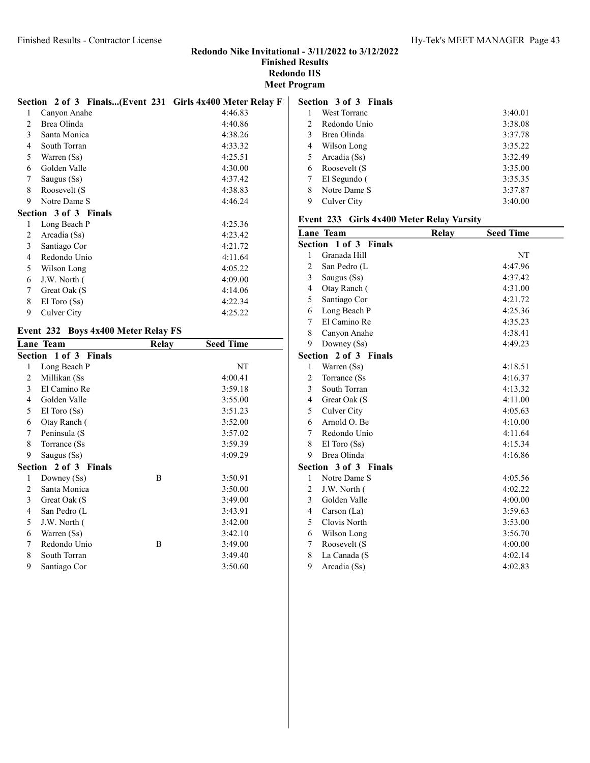|   | Section 2 of 3 Finals(Event 231 Girls 4x400 Meter Relay F. |         |
|---|------------------------------------------------------------|---------|
| 1 | Canyon Anahe                                               | 4:46.83 |
| 2 | Brea Olinda                                                | 4:40.86 |
| 3 | Santa Monica                                               | 4:38.26 |
| 4 | South Torran                                               | 4:33.32 |
| 5 | Warren (Ss)                                                | 4:25.51 |
| 6 | Golden Valle                                               | 4:30.00 |
| 7 | Saugus (Ss)                                                | 4:37.42 |
| 8 | Roosevelt (S                                               | 4:38.83 |
| 9 | Notre Dame S                                               | 4:46.24 |
|   | Section 3 of 3 Finals                                      |         |
| 1 | Long Beach P                                               | 4:25.36 |
| 2 | Arcadia (Ss)                                               | 4:23.42 |
| 3 | Santiago Cor                                               | 4:21.72 |
| 4 | Redondo Unio                                               | 4:11.64 |
| 5 | Wilson Long                                                | 4:05.22 |
| 6 | J.W. North (                                               | 4:09.00 |
| 7 | Great Oak (S                                               | 4:14.06 |
| 8 | $El$ Toro $(Ss)$                                           | 4:22.34 |
| 9 | Culver City                                                | 4:25.22 |

#### Event 232 Boys 4x400 Meter Relay FS

|   | Lane Team             | Relay | <b>Seed Time</b> |
|---|-----------------------|-------|------------------|
|   | Section 1 of 3 Finals |       |                  |
| 1 | Long Beach P          |       | NT               |
| 2 | Millikan (Ss          |       | 4:00.41          |
| 3 | El Camino Re          |       | 3:59.18          |
| 4 | Golden Valle          |       | 3:55.00          |
| 5 | $El$ Toro $(Ss)$      |       | 3:51.23          |
| 6 | Otay Ranch (          |       | 3:52.00          |
| 7 | Peninsula (S          |       | 3:57.02          |
| 8 | Torrance (Ss          |       | 3:59.39          |
| 9 | Saugus (Ss)           |       | 4:09.29          |
|   | Section 2 of 3 Finals |       |                  |
| 1 | Downey (Ss)           | В     | 3:50.91          |
| 2 | Santa Monica          |       | 3:50.00          |
| 3 | Great Oak (S          |       | 3:49.00          |
| 4 | San Pedro (L          |       | 3:43.91          |
| 5 | J.W. North (          |       | 3:42.00          |
| 6 | Warren (Ss)           |       | 3:42.10          |
| 7 | Redondo Unio          | В     | 3:49.00          |
| 8 | South Torran          |       | 3:49.40          |
| 9 | Santiago Cor          |       | 3:50.60          |

|   | <b>Section 3 of 3 Finals</b> |         |
|---|------------------------------|---------|
|   | West Torranc                 | 3:40.01 |
|   | Redondo Unio                 | 3:38.08 |
| 3 | Brea Olinda                  | 3:37.78 |
| 4 | Wilson Long                  | 3:35.22 |
| 5 | Arcadia (Ss)                 | 3:32.49 |
| 6 | Roosevelt (S                 | 3:35.00 |
|   | El Segundo (                 | 3:35.35 |
| 8 | Notre Dame S                 | 3:37.87 |
| 9 | Culver City                  | 3:40.00 |

#### Event 233 Girls 4x400 Meter Relay Varsity

|                | Section 1 of 3 Finals |         |  |
|----------------|-----------------------|---------|--|
| 1              | Granada Hill          | NT      |  |
| $\overline{2}$ | San Pedro (L          | 4:47.96 |  |
| 3              | Saugus (Ss)           | 4:37.42 |  |
| 4              | Otay Ranch (          | 4:31.00 |  |
| 5              | Santiago Cor          | 4:21.72 |  |
| 6              | Long Beach P          | 4:25.36 |  |
| 7              | El Camino Re          | 4:35.23 |  |
| 8              | Canyon Anahe          | 4:38.41 |  |
| 9              | Downey (Ss)           | 4:49.23 |  |
|                | Section 2 of 3 Finals |         |  |
| 1              | Warren (Ss)           | 4:18.51 |  |
| 2              | Torrance (Ss)         | 4:16.37 |  |
| 3              | South Torran          | 4:13.32 |  |
| 4              | Great Oak (S          | 4:11.00 |  |
| 5              | Culver City           | 4:05.63 |  |
| 6              | Arnold O. Be          | 4:10.00 |  |
| 7              | Redondo Unio          | 4:11.64 |  |
| 8              | $El$ Toro $(Ss)$      | 4:15.34 |  |
| 9              | Brea Olinda           | 4:16.86 |  |
|                | Section 3 of 3 Finals |         |  |
| 1              | Notre Dame S          | 4:05.56 |  |
| 2              | J.W. North (          | 4:02.22 |  |
| 3              | Golden Valle          | 4:00.00 |  |
| 4              | Carson $(La)$         | 3:59.63 |  |
| 5              | Clovis North          | 3:53.00 |  |
| 6              | Wilson Long           | 3:56.70 |  |
| 7              | Roosevelt (S          | 4:00.00 |  |
| 8              | La Canada (S          | 4:02.14 |  |
| 9              | Arcadia (Ss)          | 4:02.83 |  |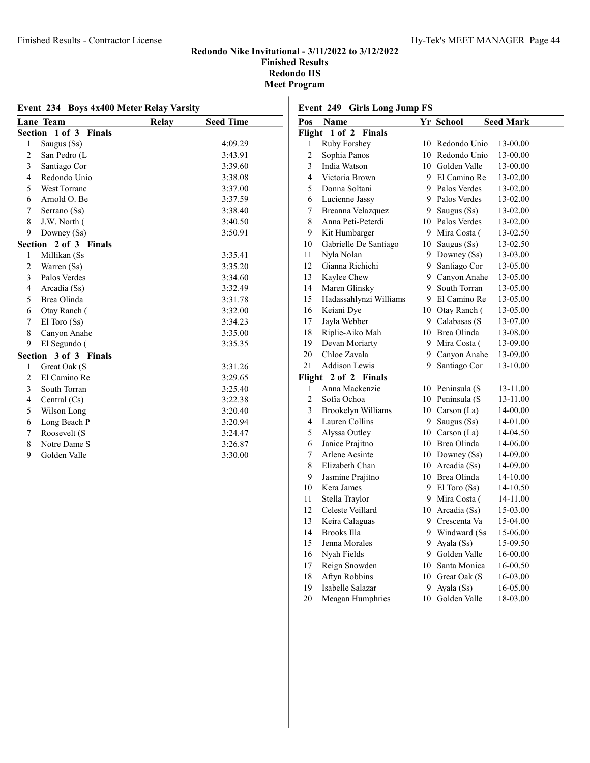| Event 234 Boys 4x400 Meter Relay Varsity |                                 |       |                  |  |
|------------------------------------------|---------------------------------|-------|------------------|--|
|                                          | Lane Team                       | Relay | <b>Seed Time</b> |  |
|                                          | Section 1 of 3<br><b>Finals</b> |       |                  |  |
| $\mathbf{1}$                             | Saugus (Ss)                     |       | 4:09.29          |  |
| $\overline{c}$                           | San Pedro (L                    |       | 3:43.91          |  |
| 3                                        | Santiago Cor                    |       | 3:39.60          |  |
| $\overline{4}$                           | Redondo Unio                    |       | 3:38.08          |  |
| 5                                        | West Torranc                    |       | 3:37.00          |  |
| 6                                        | Arnold O. Be                    |       | 3:37.59          |  |
| 7                                        | Serrano (Ss)                    |       | 3:38.40          |  |
| 8                                        | J.W. North (                    |       | 3:40.50          |  |
| 9                                        | Downey (Ss)                     |       | 3:50.91          |  |
|                                          | Section 2 of 3 Finals           |       |                  |  |
| 1                                        | Millikan (Ss                    |       | 3:35.41          |  |
| $\overline{2}$                           | Warren (Ss)                     |       | 3:35.20          |  |
| 3                                        | Palos Verdes                    |       | 3:34.60          |  |
| 4                                        | Arcadia (Ss)                    |       | 3:32.49          |  |
| 5                                        | Brea Olinda                     |       | 3:31.78          |  |
| 6                                        | Otay Ranch (                    |       | 3:32.00          |  |
| 7                                        | El Toro (Ss)                    |       | 3:34.23          |  |
| 8                                        | Canyon Anahe                    |       | 3:35.00          |  |
| 9                                        | El Segundo (                    |       | 3:35.35          |  |
|                                          | Section 3 of 3 Finals           |       |                  |  |
| 1                                        | Great Oak (S                    |       | 3:31.26          |  |
| 2                                        | El Camino Re                    |       | 3:29.65          |  |
| 3                                        | South Torran                    |       | 3:25.40          |  |
| $\overline{4}$                           | Central $(Cs)$                  |       | 3:22.38          |  |
| 5                                        | Wilson Long                     |       | 3:20.40          |  |
| 6                                        | Long Beach P                    |       | 3:20.94          |  |
| 7                                        | Roosevelt (S                    |       | 3:24.47          |  |
| 8                                        | Notre Dame S                    |       | 3:26.87          |  |
| 9                                        | Golden Valle                    |       | 3:30.00          |  |

# Event 249 Girls Long Jump FS<br>Pos Name

| Pos                     | Name                      |    | Yr School        | <b>Seed Mark</b> |
|-------------------------|---------------------------|----|------------------|------------------|
| Flight                  | 1 of 2<br><b>Finals</b>   |    |                  |                  |
| 1                       | Ruby Forshey              | 10 | Redondo Unio     | 13-00.00         |
| $\overline{c}$          | Sophia Panos              |    | 10 Redondo Unio  | 13-00.00         |
| 3                       | India Watson              |    | 10 Golden Valle  | 13-00.00         |
| $\overline{\mathbf{4}}$ | Victoria Brown            | 9. | El Camino Re     | 13-02.00         |
| 5                       | Donna Soltani             |    | 9 Palos Verdes   | 13-02.00         |
| 6                       | Lucienne Jassy            |    | 9 Palos Verdes   | 13-02.00         |
| 7                       | Breanna Velazquez         |    | 9 Saugus (Ss)    | 13-02.00         |
| 8                       | Anna Peti-Peterdi         |    | 10 Palos Verdes  | 13-02.00         |
| 9                       | Kit Humbarger             |    | 9 Mira Costa (   | 13-02.50         |
| 10                      | Gabrielle De Santiago     |    | 10 Saugus (Ss)   | 13-02.50         |
| 11                      | Nyla Nolan                | 9  | Downey (Ss)      | 13-03.00         |
| 12                      | Gianna Richichi           | 9. | Santiago Cor     | 13-05.00         |
| 13                      | Kaylee Chew               |    | 9 Canvon Anahe   | 13-05.00         |
| 14                      | Maren Glinsky             | 9  | South Torran     | 13-05.00         |
| 15                      | Hadassahlynzi Williams    |    | 9 El Camino Re   | 13-05.00         |
| 16                      | Keiani Dye                |    | 10 Otay Ranch (  | 13-05.00         |
| 17                      | Jayla Webber              |    | 9 Calabasas (S   | 13-07.00         |
| 18                      | Riplie-Aiko Mah           |    | 10 Brea Olinda   | 13-08.00         |
| 19                      | Devan Moriarty            |    | 9 Mira Costa (   | 13-09.00         |
| 20                      | Chloe Zavala              |    | 9 Canyon Anahe   | 13-09.00         |
| 21                      | <b>Addison Lewis</b>      | 9  | Santiago Cor     | 13-10.00         |
| Flight                  | 2 of 2 Finals             |    |                  |                  |
| 1                       | Anna Mackenzie            |    | 10 Peninsula (S  | 13-11.00         |
| $\overline{2}$          | Sofia Ochoa               |    | 10 Peninsula (S  | 13-11.00         |
| 3                       | <b>Brookelyn Williams</b> |    | 10 Carson (La)   | 14-00.00         |
| 4                       | Lauren Collins            |    | 9 Saugus (Ss)    | 14-01.00         |
| 5                       | Alyssa Outley             |    | 10 Carson (La)   | 14-04.50         |
| 6                       | Janice Prajitno           |    | 10 Brea Olinda   | 14-06.00         |
| 7                       | Arlene Acsinte            |    | 10 Downey (Ss)   | 14-09.00         |
| 8                       | Elizabeth Chan            |    | 10 Arcadia (Ss)  | 14-09.00         |
| 9                       | Jasmine Prajitno          |    | 10 Brea Olinda   | 14-10.00         |
| 10                      | Kera James                |    | 9 El Toro $(Ss)$ | 14-10.50         |
| 11                      | Stella Traylor            |    | 9 Mira Costa (   | 14-11.00         |
| 12                      | Celeste Veillard          |    | 10 Arcadia (Ss)  | 15-03.00         |
| 13                      | Keira Calaguas            |    | 9 Crescenta Va   | 15-04.00         |
| 14                      | Brooks Illa               |    | 9 Windward (Ss   | 15-06.00         |
| 15                      | Jenna Morales             | 9  | Ayala (Ss)       | 15-09.50         |
| 16                      | Nyah Fields               |    | 9 Golden Valle   | 16-00.00         |
| 17                      | Reign Snowden             |    | 10 Santa Monica  | 16-00.50         |
| 18                      | Aftyn Robbins             |    | 10 Great Oak (S  | 16-03.00         |
| 19                      | Isabelle Salazar          | 9  | Ayala (Ss)       | 16-05.00         |
| 20                      | Meagan Humphries          | 10 | Golden Valle     | 18-03.00         |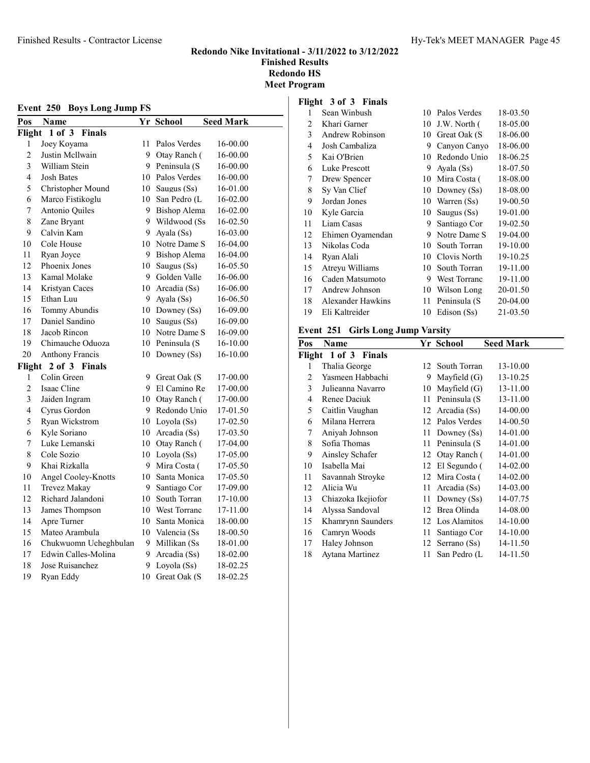| Hy-Tek's MEET MANAGER Page 45 |  |
|-------------------------------|--|
|-------------------------------|--|

# Flight 3 of 3 Finals

| <b>Boys Long Jump FS</b><br>Event 250 |                             |    |                 |                  |
|---------------------------------------|-----------------------------|----|-----------------|------------------|
| Pos                                   | <b>Name</b>                 |    | Yr School       | <b>Seed Mark</b> |
| Flight                                | $1$ of $3$<br><b>Finals</b> |    |                 |                  |
| 1                                     | Joey Koyama                 | 11 | Palos Verdes    | 16-00.00         |
| $\overline{2}$                        | Justin Mcllwain             |    | 9 Otay Ranch (  | 16-00.00         |
| 3                                     | William Stein               |    | 9 Peninsula (S  | 16-00.00         |
| $\overline{4}$                        | <b>Josh Bates</b>           |    | 10 Palos Verdes | 16-00.00         |
| 5                                     | Christopher Mound           |    | 10 Saugus (Ss)  | 16-01.00         |
| 6                                     | Marco Fistikoglu            |    | 10 San Pedro (L | 16-02.00         |
| 7                                     | Antonio Quiles              |    | 9 Bishop Alema  | 16-02.00         |
| 8                                     | Zane Bryant                 |    | 9 Wildwood (Ss  | 16-02.50         |
| 9                                     | Calvin Kam                  |    | 9 Ayala (Ss)    | 16-03.00         |
| 10                                    | Cole House                  |    | 10 Notre Dame S | 16-04.00         |
| 11                                    | Ryan Joyce                  |    | 9 Bishop Alema  | 16-04.00         |
| 12                                    | Phoenix Jones               |    | 10 Saugus (Ss)  | 16-05.50         |
| 13                                    | Kamal Molake                |    | 9 Golden Valle  | 16-06.00         |
| 14                                    | Kristyan Caces              |    | 10 Arcadia (Ss) | 16-06.00         |
| 15                                    | Ethan Luu                   |    | 9 Ayala (Ss)    | 16-06.50         |
| 16                                    | Tommy Abundis               |    | 10 Downey (Ss)  | 16-09.00         |
| 17                                    | Daniel Sandino              |    | 10 Saugus (Ss)  | 16-09.00         |
| 18                                    | Jacob Rincon                |    | 10 Notre Dame S | 16-09.00         |
| 19                                    | Chimauche Oduoza            |    | 10 Peninsula (S | 16-10.00         |
| 20                                    | Anthony Francis             | 10 | Downey (Ss)     | 16-10.00         |
| Flight                                | 2 of 3 Finals               |    |                 |                  |
| 1                                     | Colin Green                 |    | 9 Great Oak (S  | 17-00.00         |
| $\overline{c}$                        | Isaac Cline                 |    | 9 El Camino Re  | 17-00.00         |
| 3                                     | Jaiden Ingram               |    | 10 Otay Ranch ( | 17-00.00         |
| 4                                     | Cyrus Gordon                |    | 9 Redondo Unio  | 17-01.50         |
| 5                                     | Ryan Wickstrom              |    | 10 Loyola (Ss)  | 17-02.50         |
| 6                                     | Kyle Soriano                |    | 10 Arcadia (Ss) | 17-03.50         |
| $\overline{7}$                        | Luke Lemanski               |    | 10 Otay Ranch ( | 17-04.00         |
| 8                                     | Cole Sozio                  |    | 10 Loyola (Ss)  | 17-05.00         |
| 9                                     | Khai Rizkalla               |    | 9 Mira Costa (  | 17-05.50         |
| 10                                    | Angel Cooley-Knotts         |    | 10 Santa Monica | 17-05.50         |
| 11                                    | Trevez Makay                | 9. | Santiago Cor    | 17-09.00         |
| 12                                    | Richard Jalandoni           |    | 10 South Torran | 17-10.00         |
| 13                                    | James Thompson              |    | 10 West Torranc | 17-11.00         |
| 14                                    | Apre Turner                 | 10 | Santa Monica    | 18-00.00         |
| 15                                    | Mateo Arambula              |    | 10 Valencia (Ss | 18-00.50         |
| 16                                    | Chukwuomn Ucheghbulan       | 9  | Millikan (Ss    | 18-01.00         |
| 17                                    | Edwin Calles-Molina         | 9  | Arcadia (Ss)    | 18-02.00         |
| 18                                    | Jose Ruisanchez             | 9  | Loyola (Ss)     | 18-02.25         |
| 19                                    | Ryan Eddy                   | 10 | Great Oak (S    | 18-02.25         |

| 1  | Sean Winbush      | 10 | Palos Verdes  | 18-03.50 |
|----|-------------------|----|---------------|----------|
| 2  | Khari Garner      | 10 | J.W. North (  | 18-05.00 |
| 3  | Andrew Robinson   | 10 | Great Oak (S  | 18-06.00 |
| 4  | Josh Cambaliza    | 9  | Canyon Canyo  | 18-06.00 |
| 5  | Kai O'Brien       | 10 | Redondo Unio  | 18-06.25 |
| 6  | Luke Prescott     | 9  | Ayala (Ss)    | 18-07.50 |
| 7  | Drew Spencer      | 10 | Mira Costa (  | 18-08.00 |
| 8  | Sy Van Clief      | 10 | Downey $(Ss)$ | 18-08.00 |
| 9  | Jordan Jones      | 10 | Warren (Ss)   | 19-00.50 |
| 10 | Kyle Garcia       | 10 | Saugus (Ss)   | 19-01.00 |
| 11 | Liam Casas        | 9  | Santiago Cor  | 19-02.50 |
| 12 | Ehimen Oyamendan  | 9  | Notre Dame S  | 19-04.00 |
| 13 | Nikolas Coda      | 10 | South Torran  | 19-10.00 |
| 14 | Ryan Alali        | 10 | Clovis North  | 19-10.25 |
| 15 | Atreyu Williams   | 10 | South Torran  | 19-11.00 |
| 16 | Caden Matsumoto   | 9  | West Torranc  | 19-11.00 |
| 17 | Andrew Johnson    | 10 | Wilson Long   | 20-01.50 |
| 18 | Alexander Hawkins | 11 | Peninsula (S  | 20-04.00 |
| 19 | Eli Kaltreider    | 10 | Edison (Ss)   | 21-03.50 |
|    |                   |    |               |          |

# Event 251 Girls Long Jump Varsity

| Pos | Name                 |      | Yr School       | <b>Seed Mark</b> |
|-----|----------------------|------|-----------------|------------------|
|     | Flight 1 of 3 Finals |      |                 |                  |
| 1   | Thalia George        |      | 12 South Torran | 13-10.00         |
| 2   | Yasmeen Habbachi     | 9    | Mayfield (G)    | 13-10.25         |
| 3   | Julieanna Navarro    | 10   | Mayfield (G)    | 13-11.00         |
| 4   | Renee Daciuk         | 11   | Peninsula (S    | 13-11.00         |
| 5   | Caitlin Vaughan      |      | 12 Arcadia (Ss) | 14-00.00         |
| 6   | Milana Herrera       |      | 12 Palos Verdes | 14-00.50         |
| 7   | Aniyah Johnson       | 11   | Downey (Ss)     | 14-01.00         |
| 8   | Sofia Thomas         | 11   | Peninsula (S    | 14-01.00         |
| 9   | Ainsley Schafer      |      | 12 Otay Ranch ( | 14-01.00         |
| 10  | Isabella Mai         |      | 12 El Segundo ( | 14-02.00         |
| 11  | Savannah Stroyke     |      | 12 Mira Costa ( | 14-02.00         |
| 12  | Alicia Wu            | 11   | Arcadia (Ss)    | 14-03.00         |
| 13  | Chiazoka Ikejiofor   | 11   | Downey (Ss)     | 14-07.75         |
| 14  | Alyssa Sandoval      |      | 12 Brea Olinda  | 14-08.00         |
| 15  | Khamrynn Saunders    |      | 12 Los Alamitos | 14-10.00         |
| 16  | Camryn Woods         | 11   | Santiago Cor    | 14-10.00         |
| 17  | Haley Johnson        |      | 12 Serrano (Ss) | 14-11.50         |
| 18  | Aytana Martinez      | 11 - | San Pedro (L    | 14-11.50         |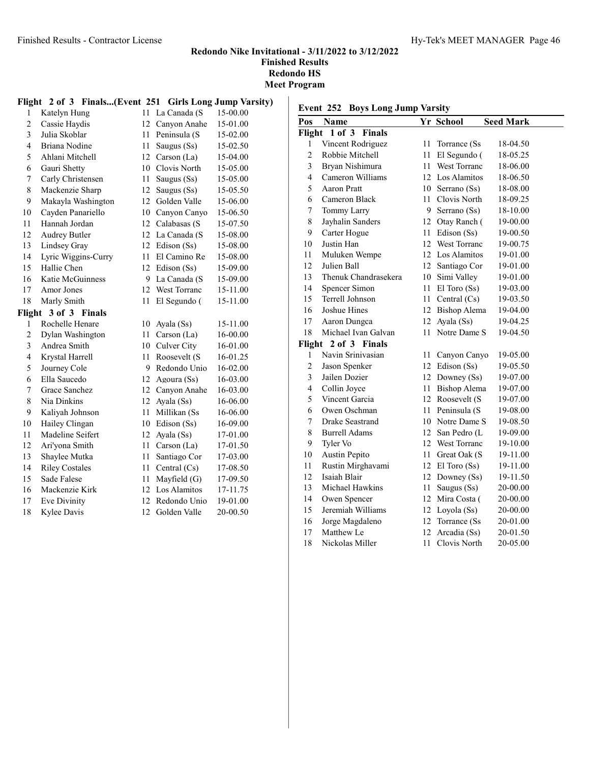#### Finished Results - Contractor License Hy-Tek's MEET MANAGER Page 46

#### Redondo Nike Invitational - 3/11/2022 to 3/12/2022 Finished Results Redondo HS Meet Program

|                | Flight 2 of 3         |    | Finals(Event 251 Girls Long Jump Varsity) |          |
|----------------|-----------------------|----|-------------------------------------------|----------|
| 1              | Katelyn Hung          | 11 | La Canada (S                              | 15-00.00 |
| $\overline{c}$ | Cassie Haydis         | 12 | Canyon Anahe                              | 15-01.00 |
| 3              | Julia Skoblar         | 11 | Peninsula (S                              | 15-02.00 |
| $\overline{4}$ | Briana Nodine         | 11 | Saugus (Ss)                               | 15-02.50 |
| 5              | Ahlani Mitchell       | 12 | Carson (La)                               | 15-04.00 |
| 6              | Gauri Shetty          | 10 | Clovis North                              | 15-05.00 |
| 7              | Carly Christensen     | 11 | Saugus (Ss)                               | 15-05.00 |
| 8              | Mackenzie Sharp       | 12 | Saugus (Ss)                               | 15-05.50 |
| 9              | Makayla Washington    | 12 | Golden Valle                              | 15-06.00 |
| 10             | Cayden Panariello     | 10 | Canyon Canyo                              | 15-06.50 |
| 11             | Hannah Jordan         | 12 | Calabasas (S                              | 15-07.50 |
| 12             | <b>Audrey Butler</b>  | 12 | La Canada (S                              | 15-08.00 |
| 13             | Lindsey Gray          | 12 | Edison (Ss)                               | 15-08.00 |
| 14             | Lyric Wiggins-Curry   | 11 | El Camino Re                              | 15-08.00 |
| 15             | Hallie Chen           | 12 | Edison (Ss)                               | 15-09.00 |
| 16             | Katie McGuinness      | 9  | La Canada (S                              | 15-09.00 |
| 17             | Amor Jones            | 12 | <b>West Torranc</b>                       | 15-11.00 |
| 18             | Marly Smith           | 11 | El Segundo (                              | 15-11.00 |
| Flight         | 3 of 3 Finals         |    |                                           |          |
| 1              | Rochelle Henare       | 10 | Ayala (Ss)                                | 15-11.00 |
| 2              | Dylan Washington      | 11 | Carson (La)                               | 16-00.00 |
| 3              | Andrea Smith          | 10 | Culver City                               | 16-01.00 |
| 4              | Krystal Harrell       | 11 | Roosevelt (S                              | 16-01.25 |
| 5              | Journey Cole          | 9  | Redondo Unio                              | 16-02.00 |
| 6              | Ella Saucedo          | 12 | Agoura (Ss)                               | 16-03.00 |
| 7              | Grace Sanchez         | 12 | Canyon Anahe                              | 16-03.00 |
| 8              | Nia Dinkins           | 12 | Ayala (Ss)                                | 16-06.00 |
| 9              | Kaliyah Johnson       | 11 | Millikan (Ss                              | 16-06.00 |
| 10             | Hailey Clingan        | 10 | Edison (Ss)                               | 16-09.00 |
| 11             | Madeline Seifert      | 12 | Ayala (Ss)                                | 17-01.00 |
| 12             | Ari'yona Smith        | 11 | Carson (La)                               | 17-01.50 |
| 13             | Shaylee Mutka         | 11 | Santiago Cor                              | 17-03.00 |
| 14             | <b>Riley Costales</b> | 11 | Central $(Cs)$                            | 17-08.50 |
| 15             | Sade Falese           | 11 | Mayfield (G)                              | 17-09.50 |
| 16             | Mackenzie Kirk        | 12 | Los Alamitos                              | 17-11.75 |
| 17             | Eve Divinity          | 12 | Redondo Unio                              | 19-01.00 |
| 18             | Kylee Davis           | 12 | Golden Valle                              | 20-00.50 |

| <b>Boys Long Jump Varsity</b><br>Event 252 |                         |                 |                     |                  |  |
|--------------------------------------------|-------------------------|-----------------|---------------------|------------------|--|
| Pos                                        | <b>Name</b>             |                 | Yr School           | <b>Seed Mark</b> |  |
| Flight                                     | 1 of 3<br><b>Finals</b> |                 |                     |                  |  |
| 1                                          | Vincent Rodriguez       | 11              | Torrance (Ss        | 18-04.50         |  |
| $\overline{2}$                             | Robbie Mitchell         | 11              | El Segundo (        | 18-05.25         |  |
| 3                                          | Bryan Nishimura         | 11              | West Torranc        | 18-06.00         |  |
| 4                                          | Cameron Williams        |                 | 12 Los Alamitos     | 18-06.50         |  |
| 5                                          | Aaron Pratt             | 10              | Serrano (Ss)        | 18-08.00         |  |
| 6                                          | Cameron Black           | 11              | Clovis North        | 18-09.25         |  |
| 7                                          | Tommy Larry             | 9.              | Serrano (Ss)        | 18-10.00         |  |
| 8                                          | Jayhalin Sanders        | 12              | Otay Ranch (        | 19-00.00         |  |
| 9                                          | Carter Hogue            | 11-             | Edison (Ss)         | 19-00.50         |  |
| 10                                         | Justin Han              |                 | 12 West Torranc     | 19-00.75         |  |
| 11                                         | Muluken Wempe           |                 | 12 Los Alamitos     | 19-01.00         |  |
| 12                                         | Julien Ball             |                 | 12 Santiago Cor     | 19-01.00         |  |
| 13                                         | Thenuk Chandrasekera    | 10              | Simi Valley         | 19-01.00         |  |
| 14                                         | Spencer Simon           | 11              | $El$ Toro $(Ss)$    | 19-03.00         |  |
| 15                                         | Terrell Johnson         | 11 -            | Central (Cs)        | 19-03.50         |  |
| 16                                         | Joshue Hines            |                 | 12 Bishop Alema     | 19-04.00         |  |
| 17                                         | Aaron Dungca            |                 | 12 Ayala (Ss)       | 19-04.25         |  |
| 18                                         | Michael Ivan Galvan     | 11              | Notre Dame S        | 19-04.50         |  |
|                                            | Flight 2 of 3 Finals    |                 |                     |                  |  |
| 1                                          | Navin Srinivasian       | $11 -$          | Canyon Canyo        | 19-05.00         |  |
| $\overline{c}$                             | Jason Spenker           |                 | 12 Edison (Ss)      | 19-05.50         |  |
| 3                                          | Jailen Dozier           | 12              | Downey (Ss)         | 19-07.00         |  |
| $\overline{4}$                             | Collin Joyce            | 11.             | <b>Bishop Alema</b> | 19-07.00         |  |
| 5                                          | Vincent Garcia          |                 | 12 Roosevelt (S     | 19-07.00         |  |
| 6                                          | Owen Oschman            |                 | 11 Peninsula (S     | 19-08.00         |  |
| $\overline{7}$                             | Drake Seastrand         |                 | 10 Notre Dame S     | 19-08.50         |  |
| 8                                          | <b>Burrell Adams</b>    | 12              | San Pedro (L        | 19-09.00         |  |
| 9                                          | Tyler Vo                | 12              | West Torranc        | 19-10.00         |  |
| 10                                         | Austin Pepito           | 11              | Great Oak (S        | 19-11.00         |  |
| 11                                         | Rustin Mirghavami       | 12              | $El$ Toro $(Ss)$    | 19-11.00         |  |
| 12                                         | Isaiah Blair            |                 | 12 Downey (Ss)      | 19-11.50         |  |
| 13                                         | Michael Hawkins         | 11-             | Saugus (Ss)         | 20-00.00         |  |
| 14                                         | Owen Spencer            |                 | 12 Mira Costa (     | 20-00.00         |  |
| 15                                         | Jeremiah Williams       |                 | 12 Loyola (Ss)      | 20-00.00         |  |
| 16                                         | Jorge Magdaleno         |                 | 12 Torrance (Ss)    | 20-01.00         |  |
| 17                                         | Matthew Le              | 12 <sup>2</sup> | Arcadia (Ss)        | 20-01.50         |  |
| 18                                         | Nickolas Miller         | 11              | Clovis North        | 20-05.00         |  |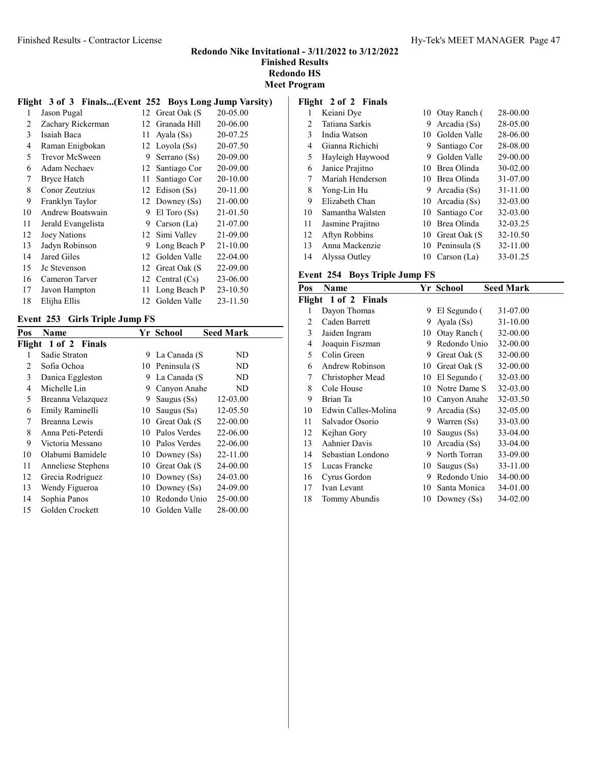Meet Program

|  |  | Flight 3 of 3 Finals(Event 252 Boys Long Jump Varsity) |  |
|--|--|--------------------------------------------------------|--|
|  |  |                                                        |  |

| 1  | Jason Pugal        |    | 12 Great Oak (S   | 20-05.00 |
|----|--------------------|----|-------------------|----------|
| 2  | Zachary Rickerman  | 12 | Granada Hill      | 20-06.00 |
| 3  | Isaiah Baca        | 11 | Ayala (Ss)        | 20-07.25 |
| 4  | Raman Enigbokan    | 12 | Loyola (Ss)       | 20-07.50 |
| 5  | Trevor McSween     | 9  | Serrano (Ss)      | 20-09.00 |
| 6  | Adam Nechaev       | 12 | Santiago Cor      | 20-09.00 |
| 7  | Bryce Hatch        | 11 | Santiago Cor      | 20-10.00 |
| 8  | Conor Zeutzius     | 12 | Edison (Ss)       | 20-11.00 |
| 9  | Franklyn Taylor    | 12 | Downey $(Ss)$     | 21-00.00 |
| 10 | Andrew Boatswain   | 9  | $El$ Toro $(Ss)$  | 21-01.50 |
| 11 | Jerald Evangelista | 9  | Carson (La)       | 21-07.00 |
| 12 | Joey Nations       | 12 | Simi Valley       | 21-09.00 |
| 13 | Jadyn Robinson     | 9  | Long Beach P      | 21-10.00 |
| 14 | Jared Giles        | 12 | Golden Valle      | 22-04.00 |
| 15 | Jc Stevenson       | 12 | Great Oak (S)     | 22-09.00 |
| 16 | Cameron Tarver     |    | 12 Central $(Cs)$ | 23-06.00 |
| 17 | Javon Hampton      | 11 | Long Beach P      | 23-10.50 |
| 18 | Elijha Ellis       | 12 | Golden Valle      | 23-11.50 |
|    |                    |    |                   |          |

#### Event 253 Girls Triple Jump FS

| Pos    | <b>Name</b>        |    | Yr School        | <b>Seed Mark</b> |
|--------|--------------------|----|------------------|------------------|
| Flight | 1 of 2 Finals      |    |                  |                  |
| 1      | Sadie Straton      | 9. | La Canada (S     | ND               |
| 2      | Sofia Ochoa        |    | 10 Peninsula (S  | ND               |
| 3      | Danica Eggleston   | 9  | La Canada (S     | ND               |
| 4      | Michelle Lin       | 9  | Canyon Anahe     | ND               |
| 5      | Breanna Velazquez  | 9  | Saugus $(Ss)$    | 12-03.00         |
| 6      | Emily Raminelli    | 10 | Saugus (Ss)      | 12-05.50         |
| 7      | Breanna Lewis      | 10 | Great Oak (S)    | 22-00.00         |
| 8      | Anna Peti-Peterdi  | 10 | Palos Verdes     | 22-06.00         |
| 9      | Victoria Messano   | 10 | Palos Verdes     | 22-06.00         |
| 10     | Olabumi Bamidele   |    | 10 Downey (Ss)   | 22-11.00         |
| 11     | Anneliese Stephens |    | 10 Great Oak (S) | 24-00.00         |
| 12     | Grecia Rodriguez   | 10 | Downey (Ss)      | 24-03.00         |
| 13     | Wendy Figueroa     | 10 | Downey $(Ss)$    | 24-09.00         |
| 14     | Sophia Panos       | 10 | Redondo Unio     | 25-00.00         |
| 15     | Golden Crockett    | 10 | Golden Valle     | 28-00.00         |

#### Flight 2 of 2 Finals

| 1  | Keiani Dye       | 10 | Otav Ranch (    | 28-00.00 |
|----|------------------|----|-----------------|----------|
| 2  | Tatiana Sarkis   | 9  | Arcadia (Ss)    | 28-05.00 |
| 3  | India Watson     | 10 | Golden Valle    | 28-06.00 |
| 4  | Gianna Richichi  | 9. | Santiago Cor    | 28-08.00 |
| 5  | Hayleigh Haywood | 9  | Golden Valle    | 29-00.00 |
| 6  | Janice Prajitno  | 10 | Brea Olinda     | 30-02.00 |
| 7  | Mariah Henderson |    | 10 Brea Olinda  | 31-07.00 |
| 8  | Yong-Lin Hu      | 9  | Arcadia (Ss)    | 31-11.00 |
| 9  | Elizabeth Chan   |    | 10 Arcadia (Ss) | 32-03.00 |
| 10 | Samantha Walsten |    | 10 Santiago Cor | 32-03.00 |
| 11 | Jasmine Prajitno | 10 | Brea Olinda     | 32-03.25 |
| 12 | Aftyn Robbins    |    | 10 Great Oak (S | 32-10.50 |
| 13 | Anna Mackenzie   |    | 10 Peninsula (S | 32-11.00 |
| 14 | Alyssa Outley    | 10 | Carson $(La)$   | 33-01.25 |

# Event 254 Boys Triple Jump FS

| Name                 |    |              | <b>Seed Mark</b>                |
|----------------------|----|--------------|---------------------------------|
| Flight 1 of 2 Finals |    |              |                                 |
| Dayon Thomas         | 9  | El Segundo ( | 31-07.00                        |
| Caden Barrett        | 9  | Ayala (Ss)   | 31-10.00                        |
| Jaiden Ingram        | 10 | Otay Ranch ( | 32-00.00                        |
| Joaquin Fiszman      | 9  | Redondo Unio | 32-00.00                        |
| Colin Green          | 9  | Great Oak (S | 32-00.00                        |
| Andrew Robinson      | 10 | Great Oak (S | 32-00.00                        |
| Christopher Mead     | 10 |              | 32-03.00                        |
| Cole House           | 10 | Notre Dame S | 32-03.00                        |
| Brian Ta             | 10 | Canyon Anahe | 32-03.50                        |
| Edwin Calles-Molina  | 9  | Arcadia (Ss) | 32-05.00                        |
| Salvador Osorio      | 9  | Warren (Ss)  | 33-03.00                        |
| Kejhan Gory          | 10 | Saugus (Ss)  | 33-04.00                        |
| <b>Aahnier Davis</b> |    | Arcadia (Ss) | 33-04.00                        |
| Sebastian Londono    | 9  | North Torran | 33-09.00                        |
| Lucas Francke        | 10 | Saugus (Ss)  | 33-11.00                        |
| Cyrus Gordon         | 9  | Redondo Unio | 34-00.00                        |
| Ivan Levant          | 10 | Santa Monica | 34-01.00                        |
| Tommy Abundis        | 10 | Downey (Ss)  | 34-02.00                        |
|                      |    |              | Yr School<br>El Segundo (<br>10 |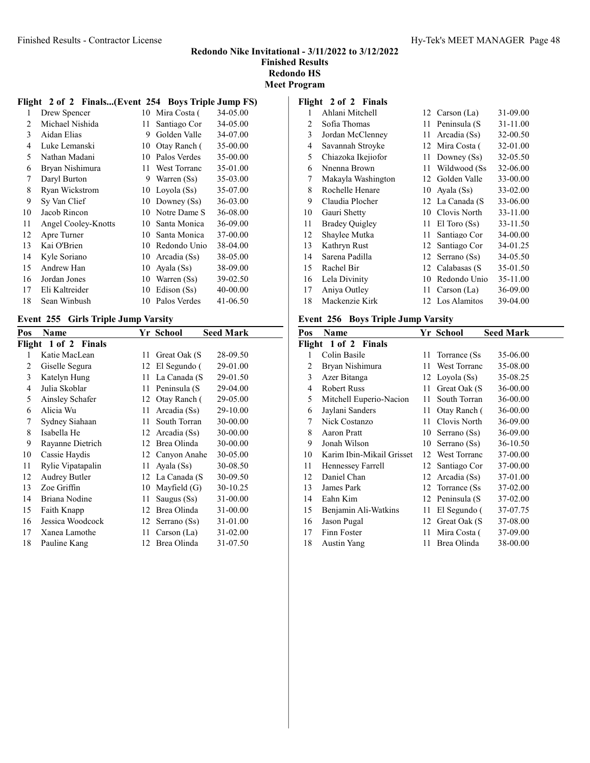# Redondo Nike Invitational - 3/11/2022 to 3/12/2022 Finished Results

Redondo HS Meet Program

#### Flight 2 of 2 Finals...(Event 254 Boys Triple Jump FS)

| 1  | Drew Spencer        | 10 | Mira Costa (        | 34-05.00 |
|----|---------------------|----|---------------------|----------|
| 2  | Michael Nishida     | 11 | Santiago Cor        | 34-05.00 |
| 3  | Aidan Elias         | 9  | Golden Valle        | 34-07.00 |
| 4  | Luke Lemanski       | 10 | Otay Ranch (        | 35-00.00 |
| 5  | Nathan Madani       | 10 | Palos Verdes        | 35-00.00 |
| 6  | Bryan Nishimura     | 11 | <b>West Torranc</b> | 35-01.00 |
| 7  | Daryl Burton        | 9  | Warren (Ss)         | 35-03.00 |
| 8  | Ryan Wickstrom      | 10 | Loyola (Ss)         | 35-07.00 |
| 9  | Sy Van Clief        | 10 | Downey (Ss)         | 36-03.00 |
| 10 | Jacob Rincon        | 10 | Notre Dame S        | 36-08.00 |
| 11 | Angel Cooley-Knotts | 10 | Santa Monica        | 36-09.00 |
| 12 | Apre Turner         | 10 | Santa Monica        | 37-00.00 |
| 13 | Kai O'Brien         | 10 | Redondo Unio        | 38-04.00 |
| 14 | Kyle Soriano        | 10 | Arcadia (Ss)        | 38-05.00 |
| 15 | Andrew Han          | 10 | Ayala (Ss)          | 38-09.00 |
| 16 | Jordan Jones        | 10 | Warren (Ss)         | 39-02.50 |
| 17 | Eli Kaltreider      | 10 | Edison (Ss)         | 40-00.00 |
| 18 | Sean Winbush        | 10 | Palos Verdes        | 41-06.50 |
|    |                     |    |                     |          |

#### Event 255 Girls Triple Jump Varsity

| Pos | Name                 |    | Yr School       | <b>Seed Mark</b> |
|-----|----------------------|----|-----------------|------------------|
|     | Flight 1 of 2 Finals |    |                 |                  |
| 1   | Katie MacLean        | 11 | Great Oak (S    | 28-09.50         |
| 2   | Giselle Segura       | 12 | El Segundo (    | 29-01.00         |
| 3   | Katelyn Hung         | 11 | La Canada (S    | 29-01.50         |
| 4   | Julia Skoblar        | 11 | Peninsula (S    | 29-04.00         |
| 5   | Ainsley Schafer      | 12 | Otay Ranch (    | 29-05.00         |
| 6   | Alicia Wu            | 11 | Arcadia (Ss)    | 29-10.00         |
| 7   | Sydney Siahaan       | 11 | South Torran    | 30-00.00         |
| 8   | Isabella He          | 12 | Arcadia (Ss)    | 30-00.00         |
| 9   | Rayanne Dietrich     | 12 | Brea Olinda     | 30-00.00         |
| 10  | Cassie Haydis        | 12 | Canyon Anahe    | 30-05.00         |
| 11  | Rylie Vipatapalin    | 11 | Ayala (Ss)      | 30-08.50         |
| 12  | Audrey Butler        |    | 12 La Canada (S | 30-09.50         |
| 13  | Zoe Griffin          | 10 | Mayfield $(G)$  | 30-10.25         |
| 14  | Briana Nodine        | 11 | Saugus (Ss)     | 31-00.00         |
| 15  | Faith Knapp          | 12 | Brea Olinda     | 31-00.00         |
| 16  | Jessica Woodcock     | 12 | Serrano (Ss)    | 31-01.00         |
| 17  | Xanea Lamothe        | 11 | Carson(La)      | 31-02.00         |
| 18  | Pauline Kang         | 12 | Brea Olinda     | 31-07.50         |
|     |                      |    |                 |                  |

#### Flight 2 of 2 Finals

| 1  | Ahlani Mitchell       |    | 12 Carson (La)   | 31-09.00 |
|----|-----------------------|----|------------------|----------|
| 2  | Sofia Thomas          | 11 | Peninsula (S     | 31-11.00 |
| 3  | Jordan McClenney      | 11 | Arcadia (Ss)     | 32-00.50 |
| 4  | Savannah Stroyke      | 12 | Mira Costa (     | 32-01.00 |
| 5  | Chiazoka Ikejiofor    | 11 | Downey $(Ss)$    | 32-05.50 |
| 6  | Nnenna Brown          | 11 | Wildwood (Ss)    | 32-06.00 |
| 7  | Makayla Washington    | 12 | Golden Valle     | 33-00.00 |
| 8  | Rochelle Henare       | 10 | Ayala (Ss)       | 33-02.00 |
| 9  | Claudia Plocher       |    | 12 La Canada (S  | 33-06.00 |
| 10 | Gauri Shetty          | 10 | Clovis North     | 33-11.00 |
| 11 | <b>Bradey Quigley</b> | 11 | $El$ Toro $(Ss)$ | 33-11.50 |
| 12 | Shaylee Mutka         | 11 | Santiago Cor     | 34-00.00 |
| 13 | Kathryn Rust          | 12 | Santiago Cor     | 34-01.25 |
| 14 | Sarena Padilla        | 12 | Serrano (Ss)     | 34-05.50 |
| 15 | Rachel Bir            |    | 12 Calabasas (S  | 35-01.50 |
| 16 | Lela Divinity         | 10 | Redondo Unio     | 35-11.00 |
| 17 | Aniya Outley          | 11 | Carson $(La)$    | 36-09.00 |
| 18 | Mackenzie Kirk        |    | 12 Los Alamitos  | 39-04.00 |
|    |                       |    |                  |          |

#### Event 256 Boys Triple Jump Varsity

| Pos | Name                      |    | Yr School           | <b>Seed Mark</b> |
|-----|---------------------------|----|---------------------|------------------|
|     | Flight 1 of 2 Finals      |    |                     |                  |
| 1   | Colin Basile              | 11 | Torrance (Ss)       | 35-06.00         |
| 2   | Bryan Nishimura           | 11 | West Torranc        | 35-08.00         |
| 3   | Azer Bitanga              |    | 12 Loyola (Ss)      | 35-08.25         |
| 4   | <b>Robert Russ</b>        | 11 | Great Oak (S        | 36-00.00         |
| 5   | Mitchell Euperio-Nacion   | 11 | South Torran        | 36-00.00         |
| 6   | Jaylani Sanders           | 11 | Otay Ranch (        | 36-00.00         |
| 7   | Nick Costanzo             | 11 | Clovis North        | 36-09.00         |
| 8   | Aaron Pratt               | 10 | Serrano (Ss)        | 36-09.00         |
| 9   | Jonah Wilson              | 10 | Serrano (Ss)        | 36-10.50         |
| 10  | Karim Ibin-Mikail Grisset | 12 | <b>West Torranc</b> | 37-00.00         |
| 11  | Hennessey Farrell         | 12 | Santiago Cor        | 37-00.00         |
| 12  | Daniel Chan               | 12 | Arcadia (Ss)        | 37-01.00         |
| 13  | James Park                | 12 | Torrance (Ss)       | 37-02.00         |
| 14  | Eahn Kim                  | 12 | Peninsula (S        | 37-02.00         |
| 15  | Benjamin Ali-Watkins      | 11 | El Segundo (        | 37-07.75         |
| 16  | Jason Pugal               | 12 | Great Oak (S)       | 37-08.00         |
| 17  | Finn Foster               | 11 | Mira Costa (        | 37-09.00         |
| 18  | <b>Austin Yang</b>        | 11 | Brea Olinda         | 38-00.00         |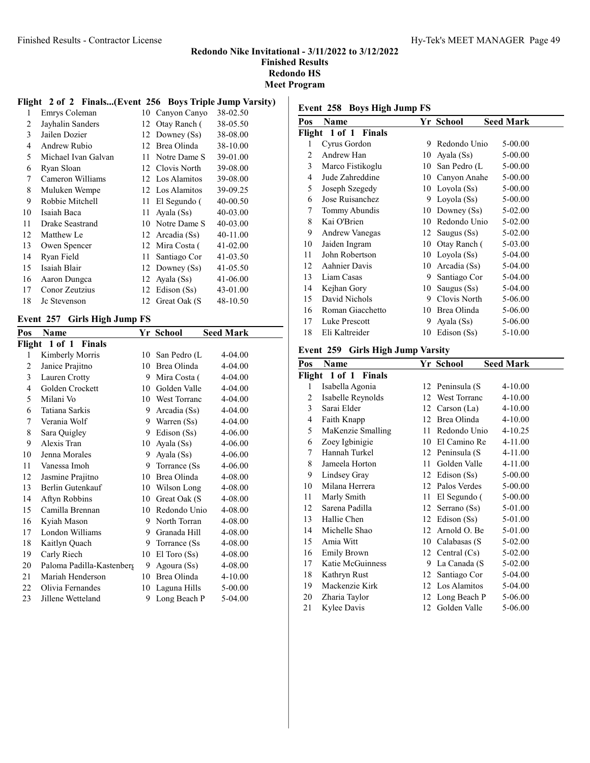#### Finished Results - Contractor License Hy-Tek's MEET MANAGER Page 49

#### Redondo Nike Invitational - 3/11/2022 to 3/12/2022 Finished Results Redondo HS

Meet Program

#### Flight 2 of 2 Finals...(Event 256 Boys Triple Jump Varsity)

| 1  | Emrys Coleman       | 10 | Canyon Canyo    | 38-02.50 |
|----|---------------------|----|-----------------|----------|
| 2  | Jayhalin Sanders    | 12 | Otay Ranch (    | 38-05.50 |
| 3  | Jailen Dozier       | 12 | Downey (Ss)     | 38-08.00 |
| 4  | Andrew Rubio        |    | 12 Brea Olinda  | 38-10.00 |
| 5  | Michael Ivan Galvan | 11 | Notre Dame S    | 39-01.00 |
| 6  | Ryan Sloan          |    | 12 Clovis North | 39-08.00 |
| 7  | Cameron Williams    | 12 | Los Alamitos    | 39-08.00 |
| 8  | Muluken Wempe       |    | 12 Los Alamitos | 39-09.25 |
| 9  | Robbie Mitchell     | 11 | El Segundo (    | 40-00.50 |
| 10 | Isaiah Baca         | 11 | Ayala (Ss)      | 40-03.00 |
| 11 | Drake Seastrand     | 10 | Notre Dame S    | 40-03.00 |
| 12 | Matthew Le          |    | 12 Arcadia (Ss) | 40-11.00 |
| 13 | Owen Spencer        | 12 | Mira Costa (    | 41-02.00 |
| 14 | Ryan Field          | 11 | Santiago Cor    | 41-03.50 |
| 15 | Isaiah Blair        | 12 | Downey (Ss)     | 41-05.50 |
| 16 | Aaron Dungca        | 12 | Ayala (Ss)      | 41-06.00 |
| 17 | Conor Zeutzius      |    | 12 Edison (Ss)  | 43-01.00 |
| 18 | Jc Stevenson        | 12 | Great Oak (S    | 48-10.50 |
|    |                     |    |                 |          |

#### Event 257 Girls High Jump FS

| Pos | Name                      |    | Yr School           | <b>Seed Mark</b> |
|-----|---------------------------|----|---------------------|------------------|
|     | Flight 1 of 1 Finals      |    |                     |                  |
| 1   | Kimberly Morris           | 10 | San Pedro (L        | 4-04.00          |
| 2   | Janice Prajitno           | 10 | Brea Olinda         | 4-04.00          |
| 3   | Lauren Crotty             | 9  | Mira Costa (        | $4 - 04.00$      |
| 4   | Golden Crockett           | 10 | Golden Valle        | 4-04.00          |
| 5   | Milani Vo                 | 10 | <b>West Torranc</b> | $4 - 04.00$      |
| 6   | Tatiana Sarkis            | 9  | Arcadia (Ss)        | 4-04.00          |
| 7   | Verania Wolf              | 9  | Warren (Ss)         | $4 - 04.00$      |
| 8   | Sara Quigley              | 9  | Edison (Ss)         | 4-06.00          |
| 9   | Alexis Tran               | 10 | Ayala (Ss)          | 4-06.00          |
| 10  | Jenna Morales             | 9  | Ayala (Ss)          | 4-06.00          |
| 11  | Vanessa Imoh              | 9  | Torrance (Ss)       | 4-06.00          |
| 12  | Jasmine Prajitno          | 10 | Brea Olinda         | 4-08.00          |
| 13  | Berlin Gutenkauf          | 10 | Wilson Long         | 4-08.00          |
| 14  | Aftyn Robbins             | 10 | Great Oak (S        | 4-08.00          |
| 15  | Camilla Brennan           | 10 | Redondo Unio        | 4-08.00          |
| 16  | Kyiah Mason               | 9  | North Torran        | 4-08.00          |
| 17  | London Williams           | 9  | Granada Hill        | 4-08.00          |
| 18  | Kaitlyn Quach             | 9  | Torrance (Ss)       | 4-08.00          |
| 19  | Carly Riech               | 10 | $El$ Toro $(Ss)$    | 4-08.00          |
| 20  | Paloma Padilla-Kastenberg | 9  | Agoura (Ss)         | 4-08.00          |
| 21  | Mariah Henderson          | 10 | Brea Olinda         | $4 - 10.00$      |
| 22  | Olivia Fernandes          | 10 | Laguna Hills        | 5-00.00          |
| 23  | Jillene Wetteland         | 9  | Long Beach P        | 5-04.00          |

#### Event 258 Boys High Jump FS

| Name             |                      |               |                                |                  |
|------------------|----------------------|---------------|--------------------------------|------------------|
|                  |                      |               |                                |                  |
| Cyrus Gordon     | 9                    | Redondo Unio  | 5-00.00                        |                  |
| Andrew Han       | 10                   | Ayala (Ss)    | 5-00.00                        |                  |
| Marco Fistikoglu | 10                   | San Pedro (L  | 5-00.00                        |                  |
| Jude Zahreddine  | 10                   | Canyon Anahe  | 5-00.00                        |                  |
| Joseph Szegedy   | 10                   | Loyola (Ss)   | 5-00.00                        |                  |
| Jose Ruisanchez  | 9                    | Loyola (Ss)   | 5-00.00                        |                  |
| Tommy Abundis    | 10                   | Downey $(Ss)$ | 5-02.00                        |                  |
| Kai O'Brien      | 10                   | Redondo Unio  | 5-02.00                        |                  |
| Andrew Vanegas   |                      | Saugus (Ss)   | 5-02.00                        |                  |
| Jaiden Ingram    | 10                   | Otay Ranch (  | 5-03.00                        |                  |
| John Robertson   | 10                   |               | 5-04.00                        |                  |
| Aahnier Davis    | 10                   | Arcadia (Ss)  | 5-04.00                        |                  |
| Liam Casas       | 9                    | Santiago Cor  | 5-04.00                        |                  |
| Kejhan Gory      | 10                   | Saugus (Ss)   | 5-04.00                        |                  |
| David Nichols    | 9                    | Clovis North  | 5-06.00                        |                  |
| Roman Giacchetto | 10                   | Brea Olinda   | 5-06.00                        |                  |
| Luke Prescott    | 9                    | Ayala (Ss)    | 5-06.00                        |                  |
| Eli Kaltreider   | 10                   | Edison (Ss)   | $5 - 10.00$                    |                  |
|                  | Flight 1 of 1 Finals |               | Yr School<br>12<br>Loyola (Ss) | <b>Seed Mark</b> |

# Event 259 Girls High Jump Varsity

| Pos | Name                 |    | Yr School           | <b>Seed Mark</b> |
|-----|----------------------|----|---------------------|------------------|
|     | Flight 1 of 1 Finals |    |                     |                  |
| 1   | Isabella Agonia      |    | 12 Peninsula (S     | $4 - 10.00$      |
| 2   | Isabelle Reynolds    | 12 | <b>West Torranc</b> | $4 - 10.00$      |
| 3   | Sarai Elder          | 12 | Carson (La)         | $4 - 10.00$      |
| 4   | Faith Knapp          | 12 | Brea Olinda         | $4 - 10.00$      |
| 5   | MaKenzie Smalling    | 11 | Redondo Unio        | $4 - 10.25$      |
| 6   | Zoey Igbinigie       | 10 | El Camino Re        | 4-11.00          |
| 7   | Hannah Turkel        |    | 12 Peninsula (S     | 4-11.00          |
| 8   | Jameela Horton       | 11 | Golden Valle        | 4-11.00          |
| 9   | Lindsey Gray         | 12 | Edison (Ss)         | 5-00.00          |
| 10  | Milana Herrera       | 12 | Palos Verdes        | 5-00.00          |
| 11  | Marly Smith          | 11 | El Segundo (        | 5-00.00          |
| 12  | Sarena Padilla       |    | 12 Serrano (Ss)     | 5-01.00          |
| 13  | Hallie Chen          | 12 | Edison (Ss)         | 5-01.00          |
| 14  | Michelle Shao        | 12 | Arnold O. Be        | 5-01.00          |
| 15  | Amia Witt            | 10 | Calabasas (S        | 5-02.00          |
| 16  | Emily Brown          |    | 12 Central $(Cs)$   | 5-02.00          |
| 17  | Katie McGuinness     | 9  | La Canada (S        | 5-02.00          |
| 18  | Kathryn Rust         | 12 | Santiago Cor        | 5-04.00          |
| 19  | Mackenzie Kirk       | 12 | Los Alamitos        | 5-04.00          |
| 20  | Zharia Taylor        | 12 | Long Beach P        | 5-06.00          |
| 21  | Kylee Davis          |    | 12 Golden Valle     | 5-06.00          |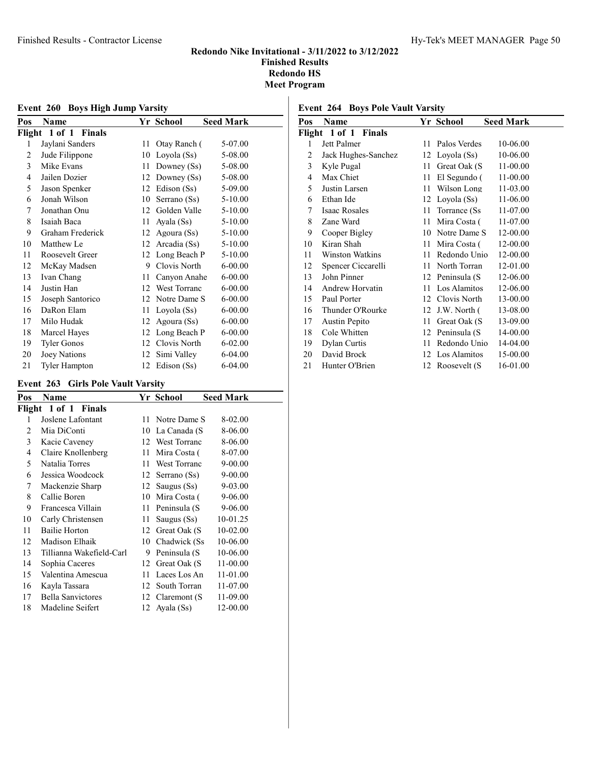| Event 260 Boys High Jump Varsity |                    |    |                     |                  |  |
|----------------------------------|--------------------|----|---------------------|------------------|--|
| Pos                              | Name               |    | Yr School           | <b>Seed Mark</b> |  |
| Flight                           | 1 of 1 Finals      |    |                     |                  |  |
| 1                                | Jaylani Sanders    | 11 | Otay Ranch (        | 5-07.00          |  |
| 2                                | Jude Filippone     | 10 | Loyola (Ss)         | 5-08.00          |  |
| 3                                | Mike Evans         | 11 | Downey (Ss)         | 5-08.00          |  |
| 4                                | Jailen Dozier      | 12 | Downey (Ss)         | 5-08.00          |  |
| 5                                | Jason Spenker      | 12 | Edison (Ss)         | 5-09.00          |  |
| 6                                | Jonah Wilson       | 10 | Serrano (Ss)        | $5 - 10.00$      |  |
| 7                                | Jonathan Onu       | 12 | Golden Valle        | 5-10.00          |  |
| 8                                | Isaiah Baca        | 11 | Ayala (Ss)          | 5-10.00          |  |
| 9                                | Graham Frederick   | 12 | Agoura (Ss)         | 5-10.00          |  |
| 10                               | Matthew Le         | 12 | Arcadia (Ss)        | $5 - 10.00$      |  |
| 11                               | Roosevelt Greer    | 12 | Long Beach P        | 5-10.00          |  |
| 12                               | McKay Madsen       | 9  | Clovis North        | $6 - 00.00$      |  |
| 13                               | Ivan Chang         | 11 | Canyon Anahe        | $6 - 00.00$      |  |
| 14                               | Justin Han         | 12 | <b>West Torranc</b> | $6 - 00.00$      |  |
| 15                               | Joseph Santorico   | 12 | Notre Dame S        | $6 - 00.00$      |  |
| 16                               | DaRon Elam         | 11 | Loyola (Ss)         | $6 - 00.00$      |  |
| 17                               | Milo Hudak         | 12 | Agoura (Ss)         | $6 - 00.00$      |  |
| 18                               | Marcel Hayes       | 12 | Long Beach P        | $6 - 00.00$      |  |
| 19                               | <b>Tyler Gonos</b> | 12 | Clovis North        | $6 - 02.00$      |  |
| 20                               | Joey Nations       | 12 | Simi Valley         | 6-04.00          |  |

21 Tyler Hampton 12 Edison (Ss) 6-04.00

#### Event 263 Girls Pole Vault Varsity

| Pos | Name                     |     | Yr School        | <b>Seed Mark</b> |
|-----|--------------------------|-----|------------------|------------------|
|     | Flight 1 of 1 Finals     |     |                  |                  |
| 1   | Joslene Lafontant        | 11. | Notre Dame S     | 8-02.00          |
| 2   | Mia DiConti              | 10  | La Canada (S     | 8-06.00          |
| 3   | Kacie Caveney            |     | 12 West Torranc  | 8-06.00          |
| 4   | Claire Knollenberg       | 11  | Mira Costa (     | 8-07.00          |
| 5   | Natalia Torres           | 11  | West Torranc     | 9-00.00          |
| 6   | Jessica Woodcock         | 12  | Serrano (Ss)     | 9-00.00          |
| 7   | Mackenzie Sharp          |     | 12 Saugus (Ss)   | 9-03.00          |
| 8   | Callie Boren             | 10  | Mira Costa (     | 9-06.00          |
| 9   | Francesca Villain        | 11  | Peninsula (S     | 9-06.00          |
| 10  | Carly Christensen        | 11  | Saugus (Ss)      | 10-01.25         |
| 11  | Bailie Horton            |     | 12 Great Oak (S) | 10-02.00         |
| 12  | Madison Elhaik           |     | 10 Chadwick (Ss) | 10-06.00         |
| 13  | Tillianna Wakefield-Carl | 9   | Peninsula (S     | 10-06.00         |
| 14  | Sophia Caceres           | 12  | Great Oak (S     | 11-00.00         |
| 15  | Valentina Amescua        | 11  | Laces Los An     | 11-01.00         |
| 16  | Kayla Tassara            | 12  | South Torran     | 11-07.00         |
| 17  | Bella Sanvictores        |     | 12 Claremont (S) | 11-09.00         |
| 18  | Madeline Seifert         |     | 12 Ayala (Ss)    | 12-00.00         |

# Event 264 Boys Pole Vault Varsity

| Pos | Name                 |    | Yr School         | <b>Seed Mark</b> |
|-----|----------------------|----|-------------------|------------------|
|     | Flight 1 of 1 Finals |    |                   |                  |
| 1   | Jett Palmer          | 11 | Palos Verdes      | 10-06.00         |
| 2   | Jack Hughes-Sanchez  |    | 12 Loyola (Ss)    | 10-06.00         |
| 3   | Kyle Pugal           | 11 | Great Oak (S      | 11-00.00         |
| 4   | Max Chiet            | 11 | El Segundo (      | 11-00.00         |
| 5   | Justin Larsen        | 11 | Wilson Long       | 11-03.00         |
| 6   | Ethan Ide            |    | 12 Loyola (Ss)    | 11-06.00         |
| 7   | Isaac Rosales        | 11 | Torrance (Ss      | 11-07.00         |
| 8   | Zane Ward            | 11 | Mira Costa (      | 11-07.00         |
| 9   | Cooper Bigley        |    | 10 Notre Dame S   | 12-00.00         |
| 10  | Kiran Shah           | 11 | Mira Costa (      | 12-00.00         |
| 11  | Winston Watkins      | 11 | Redondo Unio      | 12-00.00         |
| 12  | Spencer Ciccarelli   | 11 | North Torran      | 12-01.00         |
| 13  | John Pinner          |    | 12 Peninsula (S   | 12-06.00         |
| 14  | Andrew Horvatin      |    | 11 Los Alamitos   | 12-06.00         |
| 15  | Paul Porter          |    | 12 Clovis North   | 13-00.00         |
| 16  | Thunder O'Rourke     |    | 12 J.W. North $($ | 13-08.00         |
| 17  | Austin Pepito        | 11 | Great Oak (S      | 13-09.00         |
| 18  | Cole Whitten         |    | 12 Peninsula (S   | 14-00.00         |
| 19  | Dylan Curtis         | 11 | Redondo Unio      | 14-04.00         |
| 20  | David Brock          |    | 12 Los Alamitos   | 15-00.00         |
| 21  | Hunter O'Brien       |    | 12 Roosevelt (S   | 16-01.00         |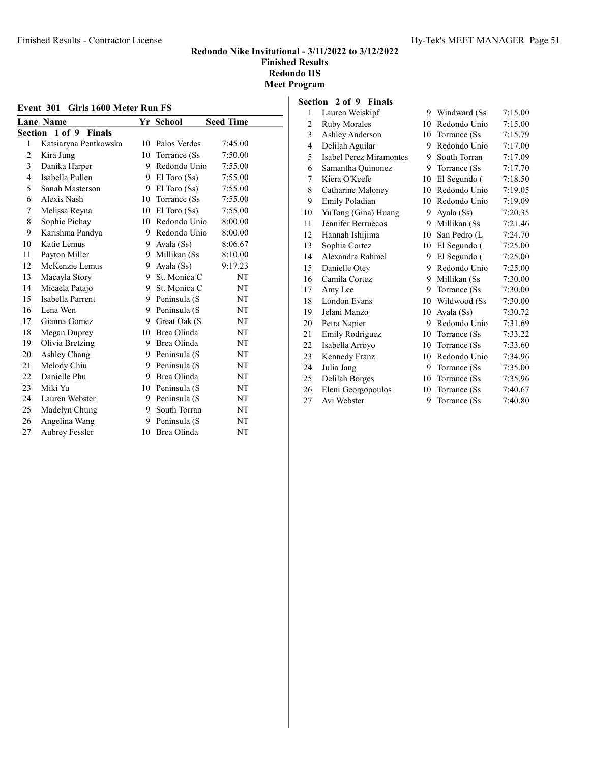#### Finished Results - Contractor License Hy-Tek's MEET MANAGER Page 51

#### Redondo Nike Invitational - 3/11/2022 to 3/12/2022 Finished Results Redondo HS Meet Program

| Event 301 Girls 1600 Meter Run FS |                       |    |                  |                  |  |
|-----------------------------------|-----------------------|----|------------------|------------------|--|
|                                   | <b>Lane Name</b>      |    | Yr School        | <b>Seed Time</b> |  |
|                                   | Section 1 of 9 Finals |    |                  |                  |  |
| 1                                 | Katsiaryna Pentkowska | 10 | Palos Verdes     | 7:45.00          |  |
| 2                                 | Kira Jung             | 10 | Torrance (Ss)    | 7:50.00          |  |
| 3                                 | Danika Harper         | 9  | Redondo Unio     | 7:55.00          |  |
| $\overline{4}$                    | Isabella Pullen       |    | 9 El Toro $(Ss)$ | 7:55.00          |  |
| 5                                 | Sanah Masterson       |    | 9 El Toro $(Ss)$ | 7:55.00          |  |
| 6                                 | Alexis Nash           |    | 10 Torrance (Ss) | 7:55.00          |  |
| 7                                 | Melissa Reyna         | 10 | $El$ Toro $(Ss)$ | 7:55.00          |  |
| 8                                 | Sophie Pichay         |    | 10 Redondo Unio  | 8:00.00          |  |
| 9                                 | Karishma Pandya       |    | 9 Redondo Unio   | 8:00.00          |  |
| 10                                | Katie Lemus           |    | 9 Ayala (Ss)     | 8:06.67          |  |
| 11                                | Payton Miller         | 9  | Millikan (Ss     | 8:10.00          |  |
| 12                                | McKenzie Lemus        | 9  | Ayala (Ss)       | 9:17.23          |  |
| 13                                | Macayla Story         | 9  | St. Monica C     | NT               |  |
| 14                                | Micaela Patajo        | 9  | St. Monica C     | NT               |  |
| 15                                | Isabella Parrent      |    | 9 Peninsula (S   | NT               |  |
| 16                                | Lena Wen              | 9  | Peninsula (S     | NT               |  |
| 17                                | Gianna Gomez          |    | 9 Great Oak (S   | NT               |  |
| 18                                | Megan Duprey          |    | 10 Brea Olinda   | NT               |  |
| 19                                | Olivia Bretzing       |    | 9 Brea Olinda    | NT               |  |
| 20                                | Ashley Chang          |    | 9 Peninsula (S   | NT               |  |
| 21                                | Melody Chiu           | 9  | Peninsula (S     | NT               |  |
| 22                                | Danielle Phu          |    | 9 Brea Olinda    | NT               |  |
| 23                                | Miki Yu               |    | 10 Peninsula (S  | NT               |  |
| 24                                | Lauren Webster        |    | 9 Peninsula (S   | NT               |  |
| 25                                | Madelyn Chung         | 9  | South Torran     | NT               |  |
| 26                                | Angelina Wang         |    | 9 Peninsula (S   | NT               |  |
| 27                                | <b>Aubrey Fessler</b> |    | 10 Brea Olinda   | NT               |  |
|                                   |                       |    |                  |                  |  |

#### Section 2 of 9 Finals

| 1              | Lauren Weiskipf                | 9  | Windward (Ss  | 7:15.00 |
|----------------|--------------------------------|----|---------------|---------|
| $\overline{2}$ | <b>Ruby Morales</b>            | 10 | Redondo Unio  | 7:15.00 |
| 3              | Ashley Anderson                | 10 | Torrance (Ss) | 7:15.79 |
| 4              | Delilah Aguilar                | 9. | Redondo Unio  | 7:17.00 |
| 5              | <b>Isabel Perez Miramontes</b> | 9  | South Torran  | 7:17.09 |
| 6              | Samantha Quinonez              | 9  | Torrance (Ss) | 7:17.70 |
| 7              | Kiera O'Keefe                  | 10 | El Segundo (  | 7:18.50 |
| 8              | Catharine Maloney              | 10 | Redondo Unio  | 7:19.05 |
| 9              | Emily Poladian                 | 10 | Redondo Unio  | 7:19.09 |
| 10             | YuTong (Gina) Huang            | 9. | Ayala (Ss)    | 7:20.35 |
| 11             | Jennifer Berruecos             | 9  | Millikan (Ss  | 7:21.46 |
| 12             | Hannah Ishijima                | 10 | San Pedro (L  | 7:24.70 |
| 13             | Sophia Cortez                  | 10 | El Segundo (  | 7:25.00 |
| 14             | Alexandra Rahmel               | 9. | El Segundo (  | 7:25.00 |
| 15             | Danielle Otey                  | 9. | Redondo Unio  | 7:25.00 |
| 16             | Camila Cortez                  | 9. | Millikan (Ss  | 7:30.00 |
| 17             | Amy Lee                        | 9  | Torrance (Ss) | 7:30.00 |
| 18             | London Evans                   | 10 | Wildwood (Ss) | 7:30.00 |
| 19             | Jelani Manzo                   | 10 | Ayala (Ss)    | 7:30.72 |
| 20             | Petra Napier                   | 9  | Redondo Unio  | 7:31.69 |
| 21             | Emily Rodriguez                | 10 | Torrance (Ss) | 7:33.22 |
| 22             | Isabella Arroyo                | 10 | Torrance (Ss) | 7:33.60 |
| 23.            | Kennedy Franz                  | 10 | Redondo Unio  | 7:34.96 |
| 24             | Julia Jang                     | 9  | Torrance (Ss) | 7:35.00 |
| 25.            | Delilah Borges                 | 10 | Torrance (Ss) | 7:35.96 |
| 26             | Eleni Georgopoulos             | 10 | Torrance (Ss) | 7:40.67 |
| 27             | Avi Webster                    | 9  | Torrance (Ss) | 7:40.80 |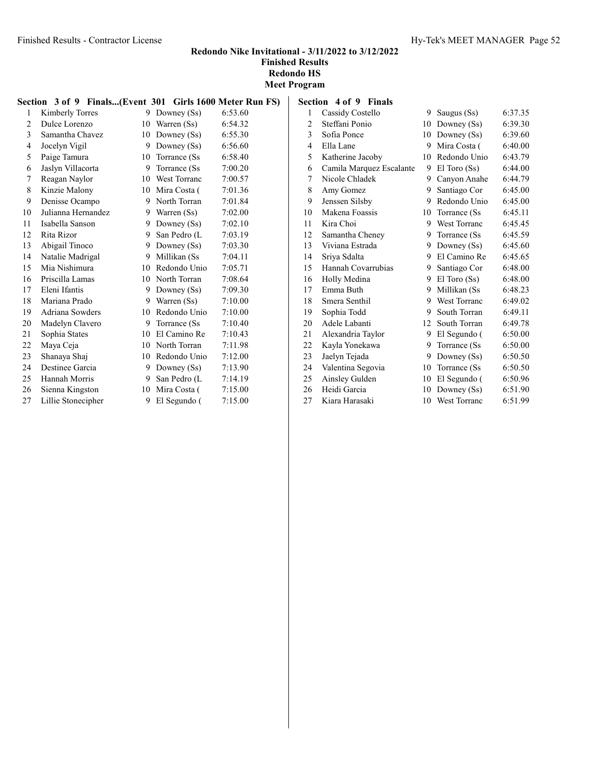#### Redondo Nike Invitational - 3/11/2022 to 3/12/2022 Finished Results

Redondo HS

| <b>Meet Program</b> |  |
|---------------------|--|
|---------------------|--|

|    | Section 3 of 9 Finals(Event 301 Girls 1600 Meter Run FS) |    |                     |         |
|----|----------------------------------------------------------|----|---------------------|---------|
| 1  | Kimberly Torres                                          |    | 9 Downey (Ss)       | 6:53.60 |
| 2  | Dulce Lorenzo                                            | 10 | Warren (Ss)         | 6:54.32 |
| 3  | Samantha Chavez                                          | 10 | Downey $(Ss)$       | 6:55.30 |
| 4  | Jocelyn Vigil                                            | 9  | Downey (Ss)         | 6:56.60 |
| 5  | Paige Tamura                                             | 10 | Torrance (Ss)       | 6:58.40 |
| 6  | Jaslyn Villacorta                                        |    | 9 Torrance (Ss)     | 7:00.20 |
| 7  | Reagan Naylor                                            | 10 | <b>West Torranc</b> | 7:00.57 |
| 8  | Kinzie Malony                                            |    | 10 Mira Costa (     | 7:01.36 |
| 9  | Denisse Ocampo                                           |    | 9 North Torran      | 7:01.84 |
| 10 | Julianna Hernandez                                       | 9. | Warren (Ss)         | 7:02.00 |
| 11 | Isabella Sanson                                          | 9  | Downey $(Ss)$       | 7:02.10 |
| 12 | Rita Rizor                                               | 9  | San Pedro (L        | 7:03.19 |
| 13 | Abigail Tinoco                                           | 9  | Downey $(Ss)$       | 7:03.30 |
| 14 | Natalie Madrigal                                         |    | 9 Millikan (Ss)     | 7:04.11 |
| 15 | Mia Nishimura                                            |    | 10 Redondo Unio     | 7:05.71 |
| 16 | Priscilla Lamas                                          |    | 10 North Torran     | 7:08.64 |
| 17 | Eleni Ifantis                                            | 9  | Downey $(Ss)$       | 7:09.30 |
| 18 | Mariana Prado                                            |    | 9 Warren (Ss)       | 7:10.00 |
| 19 | Adriana Sowders                                          | 10 | Redondo Unio        | 7:10.00 |
| 20 | Madelyn Clavero                                          |    | 9 Torrance (Ss)     | 7:10.40 |
| 21 | Sophia States                                            |    | 10 El Camino Re     | 7:10.43 |
| 22 | Maya Ceja                                                | 10 | North Torran        | 7:11.98 |
| 23 | Shanaya Shaj                                             | 10 | Redondo Unio        | 7:12.00 |
| 24 | Destinee Garcia                                          |    | 9 Downey (Ss)       | 7:13.90 |
| 25 | Hannah Morris                                            |    | 9 San Pedro (L      | 7:14.19 |
| 26 | Sienna Kingston                                          | 10 | Mira Costa (        | 7:15.00 |
| 27 | Lillie Stonecipher                                       | 9  | El Segundo (        | 7:15.00 |

| Section 4 of 9 Finals |                            |  |
|-----------------------|----------------------------|--|
|                       | $1 \quad$ Cosaid: Costalla |  |

| 1              | Cassidy Costello         | 9  | Saugus (Ss)         | 6:37.35 |
|----------------|--------------------------|----|---------------------|---------|
| $\overline{c}$ | Steffani Ponio           | 10 | Downey $(Ss)$       | 6:39.30 |
| 3              | Sofia Ponce              | 10 | Downey (Ss)         | 6:39.60 |
| 4              | Ella Lane                | 9  | Mira Costa (        | 6:40.00 |
| 5              | Katherine Jacoby         | 10 | Redondo Unio        | 6:43.79 |
| 6              | Camila Marquez Escalante | 9  | El Toro (Ss)        | 6:44.00 |
| 7              | Nicole Chladek           | 9  | Canyon Anahe        | 6:44.79 |
| 8              | Amy Gomez                | 9  | Santiago Cor        | 6:45.00 |
| 9              | Jenssen Silsby           | 9  | Redondo Unio        | 6:45.00 |
| 10             | Makena Foassis           | 10 | Torrance (Ss)       | 6:45.11 |
| 11             | Kira Choi                | 9  | West Torranc        | 6:45.45 |
| 12             | Samantha Cheney          | 9  | Torrance (Ss)       | 6:45.59 |
| 13             | Viviana Estrada          | 9  | Downey $(Ss)$       | 6:45.60 |
| 14             | Sriya Sdalta             | 9  | El Camino Re        | 6:45.65 |
| 15             | Hannah Covarrubias       | 9  | Santiago Cor        | 6:48.00 |
| 16             | Holly Medina             | 9  | $El$ Toro $(Ss)$    | 6:48.00 |
| 17             | Emma Buth                | 9  | Millikan (Ss        | 6:48.23 |
| 18             | Smera Senthil            | 9  | West Torranc        | 6:49.02 |
| 19             | Sophia Todd              | 9  | South Torran        | 6:49.11 |
| 20             | Adele Labanti            | 12 | South Torran        | 6:49.78 |
| 21             | Alexandria Taylor        | 9  | El Segundo (        | 6:50.00 |
| 22             | Kayla Yonekawa           | 9  | Torrance (Ss)       | 6:50.00 |
| 23             | Jaelyn Tejada            | 9  | Downey $(Ss)$       | 6:50.50 |
| 24             | Valentina Segovia        | 10 | Torrance (Ss)       | 6:50.50 |
| 25             | Ainsley Gulden           | 10 | El Segundo (        | 6:50.96 |
| 26             | Heidi Garcia             | 10 | Downey (Ss)         | 6:51.90 |
| 27             | Kiara Harasaki           | 10 | <b>West Torranc</b> | 6:51.99 |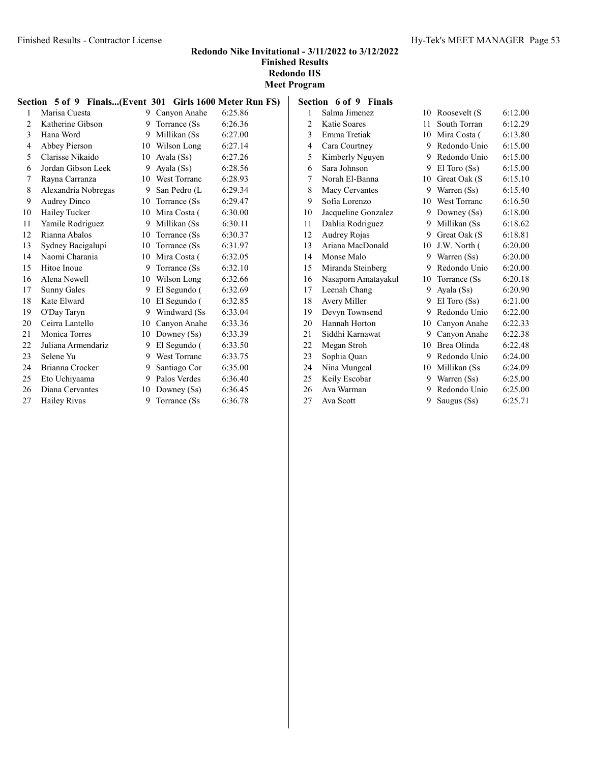# Redondo Nike Invitational - 3/11/2022 to 3/12/2022 Finished Results

Redondo HS Meet Program

|                | Section 5 of 9 Finals(Event 301 Girls 1600 Meter Run FS) |    |                  |         |
|----------------|----------------------------------------------------------|----|------------------|---------|
| 1              | Marisa Cuesta                                            |    | 9 Canvon Anahe   | 6:25.86 |
| 2              | Katherine Gibson                                         | 9. | Torrance (Ss)    | 6:26.36 |
| $\mathfrak{Z}$ | Hana Word                                                |    | 9 Millikan (Ss   | 6:27.00 |
| 4              | Abbey Pierson                                            |    | 10 Wilson Long   | 6:27.14 |
| 5              | Clarisse Nikaido                                         |    | 10 Ayala $(Ss)$  | 6:27.26 |
| 6              | Jordan Gibson Leek                                       |    | 9 Ayala (Ss)     | 6:28.56 |
| 7              | Rayna Carranza                                           |    | 10 West Torranc  | 6:28.93 |
| 8              | Alexandria Nobregas                                      |    | 9 San Pedro (L   | 6:29.34 |
| 9              | Audrey Dinco                                             |    | 10 Torrance (Ss) | 6:29.47 |
| 10             | Hailey Tucker                                            |    | 10 Mira Costa (  | 6:30.00 |
| 11             | Yamile Rodriguez                                         |    | 9 Millikan (Ss   | 6:30.11 |
| 12             | Rianna Abalos                                            |    | 10 Torrance (Ss) | 6:30.37 |
| 13             | Sydney Bacigalupi                                        |    | 10 Torrance (Ss) | 6:31.97 |
| 14             | Naomi Charania                                           |    | 10 Mira Costa (  | 6:32.05 |
| 15             | Hitoe Inoue                                              |    | 9 Torrance (Ss)  | 6:32.10 |
| 16             | Alena Newell                                             |    | 10 Wilson Long   | 6:32.66 |
| 17             | Sunny Gales                                              |    | 9 El Segundo (   | 6:32.69 |
| 18             | Kate Elward                                              |    | 10 El Segundo (  | 6:32.85 |
| 19             | O'Day Taryn                                              |    | 9 Windward (Ss)  | 6:33.04 |
| 20             | Ceirra Lantello                                          |    | 10 Canyon Anahe  | 6:33.36 |
| 21             | Monica Torres                                            |    | 10 Downey (Ss)   | 6:33.39 |
| 22             | Juliana Armendariz                                       | 9  | El Segundo (     | 6:33.50 |
| 23             | Selene Yu                                                |    | 9 West Torranc   | 6:33.75 |
| 24             | Brianna Crocker                                          | 9. | Santiago Cor     | 6:35.00 |
| 25             | Eto Uchiyaama                                            | 9  | Palos Verdes     | 6:36.40 |
| 26             | Diana Cervantes                                          | 10 | Downey $(Ss)$    | 6:36.45 |
| 27             | Hailey Rivas                                             | 9  | Torrance (Ss)    | 6:36.78 |

| Section 6 of 9 Finals |    |                     |                                                                                                       |
|-----------------------|----|---------------------|-------------------------------------------------------------------------------------------------------|
| Salma Jimenez         |    | Roosevelt (S        | 6:12.00                                                                                               |
| Katie Soares          |    | South Torran        | 6:12.29                                                                                               |
| Emma Tretiak          |    |                     | 6:13.80                                                                                               |
| Cara Courtney         | 9  | Redondo Unio        | 6:15.00                                                                                               |
| Kimberly Nguyen       | 9  | Redondo Unio        | 6:15.00                                                                                               |
| Sara Johnson          | 9  | $El$ Toro $(Ss)$    | 6:15.00                                                                                               |
| Norah El-Banna        | 10 | Great Oak (S        | 6:15.10                                                                                               |
| Macy Cervantes        | 9  | Warren (Ss)         | 6:15.40                                                                                               |
| Sofia Lorenzo         |    | <b>West Torranc</b> | 6:16.50                                                                                               |
| Jacqueline Gonzalez   | 9  | Downey (Ss)         | 6:18.00                                                                                               |
| Dahlia Rodriguez      | 9  | Millikan (Ss        | 6:18.62                                                                                               |
| Audrey Rojas          |    | Great Oak (S        | 6:18.81                                                                                               |
| Ariana MacDonald      |    | J.W. North (        | 6:20.00                                                                                               |
| Monse Malo            |    |                     | 6:20.00                                                                                               |
| Miranda Steinberg     |    | Redondo Unio        | 6:20.00                                                                                               |
| Nasaporn Amatayakul   |    | Torrance (Ss)       | 6:20.18                                                                                               |
| Leenah Chang          |    | Ayala (Ss)          | 6:20.90                                                                                               |
| Avery Miller          | 9  | $El$ Toro $(Ss)$    | 6:21.00                                                                                               |
| Devyn Townsend        | 9  | Redondo Unio        | 6:22.00                                                                                               |
| Hannah Horton         | 10 |                     | 6:22.33                                                                                               |
| Siddhi Karnawat       | 9  | Canyon Anahe        | 6:22.38                                                                                               |
| Megan Stroh           | 10 | Brea Olinda         | 6:22.48                                                                                               |
| Sophia Quan           | 9  | Redondo Unio        | 6:24.00                                                                                               |
| Nina Mungcal          |    | Millikan (Ss        | 6:24.09                                                                                               |
| Keily Escobar         | 9  | Warren (Ss)         | 6:25.00                                                                                               |
| Ava Warman            | 9  | Redondo Unio        | 6:25.00                                                                                               |
| Ava Scott             | 9  | Saugus (Ss)         | 6:25.71                                                                                               |
|                       |    |                     | 10<br>11<br>10 Mira Costa (<br>10<br>9.<br>10<br>9 Warren (Ss)<br>9<br>10<br>9.<br>Canvon Anahe<br>10 |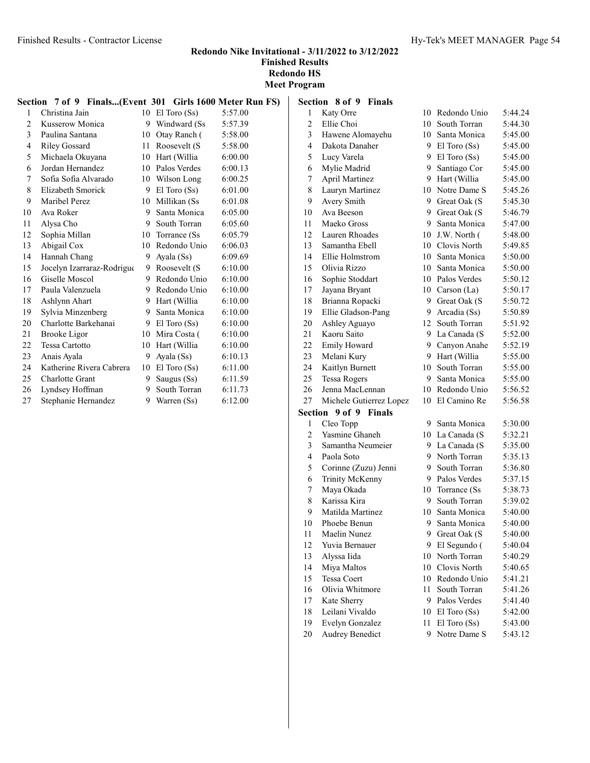Meet Program

| Section 7 of 9 Finals(Event 301 Girls 1600 Meter Run FS) |                            |    |                   |         |  |
|----------------------------------------------------------|----------------------------|----|-------------------|---------|--|
| 1                                                        | Christina Jain             |    | 10 El Toro $(Ss)$ | 5:57.00 |  |
| 2                                                        | Kusserow Monica            |    | 9 Windward (Ss)   | 5:57.39 |  |
| 3                                                        | Paulina Santana            | 10 | Otay Ranch (      | 5:58.00 |  |
| 4                                                        | <b>Riley Gossard</b>       | 11 | Roosevelt (S      | 5:58.00 |  |
| 5                                                        | Michaela Okuyana           |    | 10 Hart (Willia   | 6:00.00 |  |
| 6                                                        | Jordan Hernandez           |    | 10 Palos Verdes   | 6:00.13 |  |
| 7                                                        | Sofia Sofia Alvarado       |    | 10 Wilson Long    | 6:00.25 |  |
| 8                                                        | Elizabeth Smorick          |    | 9 El Toro $(Ss)$  | 6:01.00 |  |
| 9                                                        | Maribel Perez              |    | 10 Millikan (Ss)  | 6:01.08 |  |
| 10                                                       | Ava Roker                  | 9  | Santa Monica      | 6:05.00 |  |
| 11                                                       | Alysa Cho                  |    | 9 South Torran    | 6:05.60 |  |
| 12                                                       | Sophia Millan              |    | 10 Torrance (Ss)  | 6:05.79 |  |
| 13                                                       | Abigail Cox                | 10 | Redondo Unio      | 6:06.03 |  |
| 14                                                       | Hannah Chang               | 9  | Ayala (Ss)        | 6:09.69 |  |
| 15                                                       | Jocelyn Izarraraz-Rodrigue | 9. | Roosevelt (S      | 6:10.00 |  |
| 16                                                       | Giselle Moscol             | 9  | Redondo Unio      | 6:10.00 |  |
| 17                                                       | Paula Valenzuela           | 9  | Redondo Unio      | 6:10.00 |  |
| 18                                                       | Ashlynn Ahart              | 9  | Hart (Willia      | 6:10.00 |  |
| 19                                                       | Sylvia Minzenberg          | 9. | Santa Monica      | 6:10.00 |  |
| 20                                                       | Charlotte Barkehanai       |    | 9 El Toro $(Ss)$  | 6:10.00 |  |
| 21                                                       | <b>Brooke</b> Ligor        |    | 10 Mira Costa (   | 6:10.00 |  |
| 22                                                       | <b>Tessa Cartotto</b>      | 10 | Hart (Willia      | 6:10.00 |  |
| 23                                                       | Anais Ayala                | 9  | Ayala (Ss)        | 6:10.13 |  |
| 24                                                       | Katherine Rivera Cabrera   |    | 10 El Toro $(Ss)$ | 6:11.00 |  |
| 25                                                       | <b>Charlotte Grant</b>     | 9  | Saugus (Ss)       | 6:11.59 |  |
| 26                                                       | Lyndsey Hoffman            | 9  | South Torran      | 6:11.73 |  |
| 27                                                       | Stephanie Hernandez        | 9  | Warren (Ss)       | 6:12.00 |  |

| Section        | 8 of 9<br><b>Finals</b> |    |                  |         |
|----------------|-------------------------|----|------------------|---------|
| $\mathbf{1}$   | Katy Orre               |    | 10 Redondo Unio  | 5:44.24 |
| $\overline{c}$ | Ellie Choi              |    | 10 South Torran  | 5:44.30 |
| 3              | Hawene Alomayehu        |    | 10 Santa Monica  | 5:45.00 |
| 4              | Dakota Danaher          | 9  | $El$ Toro $(Ss)$ | 5:45.00 |
| 5              | Lucy Varela             | 9  | El Toro (Ss)     | 5:45.00 |
| 6              | Mylie Madrid            | 9  | Santiago Cor     | 5:45.00 |
| 7              | <b>April Martinez</b>   | 9  | Hart (Willia     | 5:45.00 |
| 8              | Lauryn Martinez         | 10 | Notre Dame S     | 5:45.26 |
| 9              | Avery Smith             | 9. | Great Oak (S     | 5:45.30 |
| 10             | Ava Beeson              |    | 9 Great Oak (S   | 5:46.79 |
| 11             | Maeko Gross             |    | 9 Santa Monica   | 5:47.00 |
| 12             | Lauren Rhoades          |    | 10 J.W. North (  | 5:48.00 |
| 13             | Samantha Ebell          |    | 10 Clovis North  | 5:49.85 |
| 14             | Ellie Holmstrom         |    | 10 Santa Monica  | 5:50.00 |
| 15             | Olivia Rizzo            | 10 | Santa Monica     | 5:50.00 |
| 16             | Sophie Stoddart         |    | 10 Palos Verdes  | 5:50.12 |
| 17             | Jayana Bryant           | 10 | Carson $(La)$    | 5:50.17 |
| 18             | Brianna Ropacki         | 9  | Great Oak (S     | 5:50.72 |
| 19             | Ellie Gladson-Pang      | 9  | Arcadia (Ss)     | 5:50.89 |
| 20             | Ashley Aguayo           | 12 | South Torran     | 5:51.92 |
| 21             | Kaoru Saito             | 9. | La Canada (S     | 5:52.00 |
| 22             | <b>Emily Howard</b>     |    | 9 Canyon Anahe   | 5:52.19 |
| 23             | Melani Kury             |    | 9 Hart (Willia   | 5:55.00 |
| 24             | Kaitlyn Burnett         |    | 10 South Torran  | 5:55.00 |
| 25             | <b>Tessa Rogers</b>     | 9. | Santa Monica     | 5:55.00 |
| 26             | Jenna MacLennan         |    | 10 Redondo Unio  | 5:56.52 |
| 27             | Michele Gutierrez Lopez | 10 | El Camino Re     | 5:56.58 |
| Section        | $9$ of $9$<br>Finals    |    |                  |         |
| 1              | Cleo Topp               | 9  | Santa Monica     | 5:30.00 |
| $\overline{c}$ | Yasmine Ghaneh          |    | 10 La Canada (S  | 5:32.21 |
| 3              | Samantha Neumeier       | 9  | La Canada (S     | 5:35.00 |
| 4              | Paola Soto              | 9  | North Torran     | 5:35.13 |
| 5              | Corinne (Zuzu) Jenni    | 9  | South Torran     | 5:36.80 |
| 6              | Trinity McKenny         | 9  | Palos Verdes     | 5:37.15 |
| 7              | Maya Okada              |    | 10 Torrance (Ss) | 5:38.73 |
| 8              | Karissa Kira            | 9. | South Torran     | 5:39.02 |
| 9              | Matilda Martinez        | 10 | Santa Monica     | 5:40.00 |
| 10             | Phoebe Benun            | 9  | Santa Monica     | 5:40.00 |
| 11             | Maelin Nunez            | 9  | Great Oak (S     | 5:40.00 |
| 12             | Yuvia Bernauer          | 9  | El Segundo (     | 5:40.04 |
| 13             | Alyssa Iida             | 10 | North Torran     | 5:40.29 |
| 14             | Miya Maltos             | 10 | Clovis North     | 5:40.65 |
| 15             | <b>Tessa Coert</b>      | 10 | Redondo Unio     | 5:41.21 |
| 16             | Olivia Whitmore         | 11 | South Torran     | 5:41.26 |
| 17             | Kate Sherry             | 9  | Palos Verdes     | 5:41.40 |
| 18             | Leilani Vivaldo         | 10 | El Toro (Ss)     | 5:42.00 |
| 19             | Evelyn Gonzalez         | 11 | El Toro (Ss)     | 5:43.00 |
| 20             | <b>Audrey Benedict</b>  | 9  | Notre Dame S     | 5:43.12 |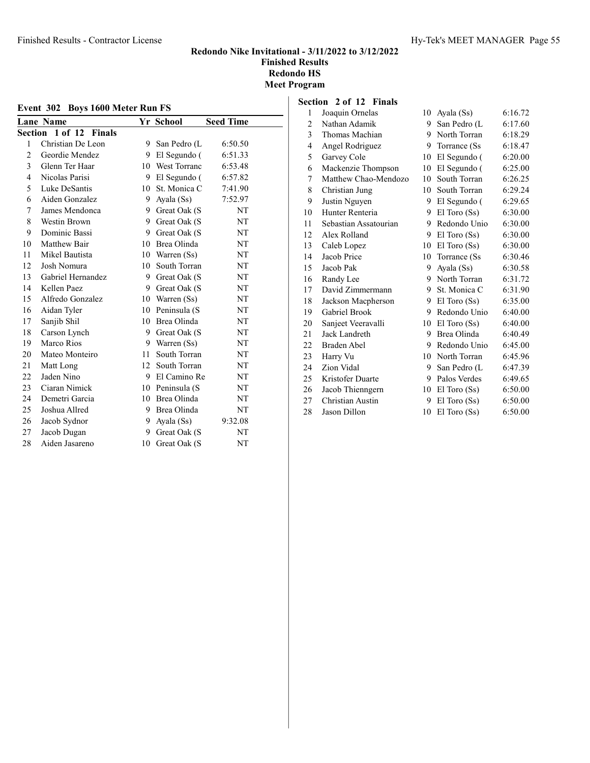| Event 302 Boys 1600 Meter Run FS |                           |    |                     |                  |  |  |  |  |
|----------------------------------|---------------------------|----|---------------------|------------------|--|--|--|--|
|                                  | <b>Lane Name</b>          |    | Yr School           | <b>Seed Time</b> |  |  |  |  |
|                                  | 1 of 12 Finals<br>Section |    |                     |                  |  |  |  |  |
| 1                                | Christian De Leon         | 9  | San Pedro (L        | 6:50.50          |  |  |  |  |
| $\overline{2}$                   | Geordie Mendez            | 9  | El Segundo (        | 6:51.33          |  |  |  |  |
| 3                                | Glenn Ter Haar            | 10 | <b>West Torranc</b> | 6:53.48          |  |  |  |  |
| 4                                | Nicolas Parisi            | 9  | El Segundo (        | 6:57.82          |  |  |  |  |
| 5                                | Luke DeSantis             | 10 | St. Monica C        | 7:41.90          |  |  |  |  |
| 6                                | Aiden Gonzalez            | 9. | Ayala (Ss)          | 7:52.97          |  |  |  |  |
| 7                                | James Mendonca            | 9. | Great Oak (S        | NT               |  |  |  |  |
| 8                                | Westin Brown              |    | 9 Great Oak (S      | NT               |  |  |  |  |
| 9                                | Dominic Bassi             | 9  | Great Oak (S        | NT               |  |  |  |  |
| 10                               | Matthew Bair              | 10 | Brea Olinda         | NT               |  |  |  |  |
| 11                               | Mikel Bautista            |    | 10 Warren (Ss)      | NT               |  |  |  |  |
| 12                               | Josh Nomura               | 10 | South Torran        | NT               |  |  |  |  |
| 13                               | Gabriel Hernandez         | 9  | Great Oak (S        | NT               |  |  |  |  |
| 14                               | Kellen Paez               | 9  | Great Oak (S        | NT               |  |  |  |  |
| 15                               | Alfredo Gonzalez          | 10 | Warren (Ss)         | NT               |  |  |  |  |
| 16                               | Aidan Tyler               | 10 | Peninsula (S        | NT               |  |  |  |  |
| 17                               | Sanjib Shil               | 10 | Brea Olinda         | NT               |  |  |  |  |
| 18                               | Carson Lynch              | 9. | Great Oak (S        | NT               |  |  |  |  |
| 19                               | Marco Rios                |    | 9 Warren (Ss)       | NT               |  |  |  |  |
| 20                               | Mateo Monteiro            | 11 | South Torran        | NT               |  |  |  |  |
| 21                               | Matt Long                 | 12 | South Torran        | NT               |  |  |  |  |
| 22                               | Jaden Nino                |    | 9 El Camino Re      | NT               |  |  |  |  |
| 23                               | Ciaran Nimick             | 10 | Peninsula (S        | NT               |  |  |  |  |
| 24                               | Demetri Garcia            | 10 | Brea Olinda         | NT               |  |  |  |  |
| 25                               | Joshua Allred             | 9  | Brea Olinda         | NT               |  |  |  |  |
| 26                               | Jacob Sydnor              | 9  | Ayala (Ss)          | 9:32.08          |  |  |  |  |
| 27                               | Jacob Dugan               | 9  | Great Oak (S        | NT               |  |  |  |  |
| 28                               | Aiden Jasareno            | 10 | Great Oak (S        | NT               |  |  |  |  |

#### Section 2 of 12 Finals

| 1  | Joaquin Ornelas       | 10 | Ayala (Ss)       | 6:16.72 |
|----|-----------------------|----|------------------|---------|
| 2  | Nathan Adamik         | 9  | San Pedro (L     | 6:17.60 |
| 3  | Thomas Machian        | 9  | North Torran     | 6:18.29 |
| 4  | Angel Rodriguez       | 9  | Torrance (Ss)    | 6:18.47 |
| 5  | Garvey Cole           | 10 | El Segundo (     | 6:20.00 |
| 6  | Mackenzie Thompson    | 10 | El Segundo (     | 6:25.00 |
| 7  | Matthew Chao-Mendozo  | 10 | South Torran     | 6:26.25 |
| 8  | Christian Jung        | 10 | South Torran     | 6:29.24 |
| 9  | Justin Nguyen         | 9  | El Segundo (     | 6:29.65 |
| 10 | Hunter Renteria       | 9  | $El$ Toro $(Ss)$ | 6:30.00 |
| 11 | Sebastian Assatourian | 9  | Redondo Unio     | 6:30.00 |
| 12 | Alex Rolland          | 9  | $El$ Toro $(Ss)$ | 6:30.00 |
| 13 | Caleb Lopez           | 10 | $El$ Toro $(Ss)$ | 6:30.00 |
| 14 | Jacob Price           | 10 | Torrance (Ss)    | 6:30.46 |
| 15 | Jacob Pak             | 9  | Ayala (Ss)       | 6:30.58 |
| 16 | Randy Lee             | 9  | North Torran     | 6:31.72 |
| 17 | David Zimmermann      | 9  | St. Monica C     | 6:31.90 |
| 18 | Jackson Macpherson    | 9  | $El$ Toro $(Ss)$ | 6:35.00 |
| 19 | Gabriel Brook         | 9  | Redondo Unio     | 6:40.00 |
| 20 | Sanjeet Veeravalli    | 10 | El Toro (Ss)     | 6:40.00 |
| 21 | Jack Landreth         | 9  | Brea Olinda      | 6:40.49 |
| 22 | Braden Abel           | 9  | Redondo Unio     | 6:45.00 |
| 23 | Harry Vu              | 10 | North Torran     | 6:45.96 |
| 24 | Zion Vidal            | 9  | San Pedro (L     | 6:47.39 |
| 25 | Kristofer Duarte      | 9  | Palos Verdes     | 6:49.65 |
| 26 | Jacob Thienngern      | 10 | $El$ Toro $(Ss)$ | 6:50.00 |
| 27 | Christian Austin      | 9  | $El$ Toro $(Ss)$ | 6:50.00 |
| 28 | Jason Dillon          | 10 | $El$ Toro $(Ss)$ | 6:50.00 |
|    |                       |    |                  |         |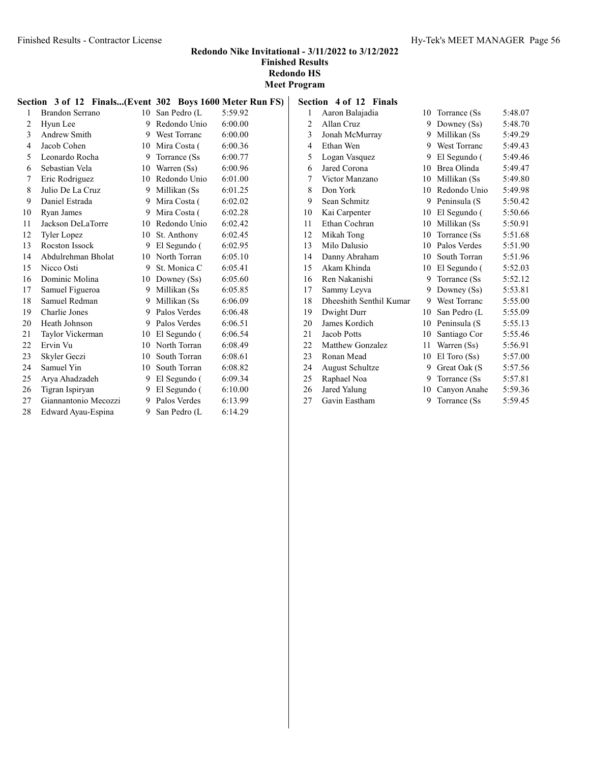|    | Section 3 of 12 Finals(Event 302 Boys 1600 Meter Run FS) |                 |                 |         |
|----|----------------------------------------------------------|-----------------|-----------------|---------|
| 1  | <b>Brandon Serrano</b>                                   | 10 <sup>1</sup> | San Pedro (L    | 5:59.92 |
| 2  | Hyun Lee                                                 | 9               | Redondo Unio    | 6:00.00 |
| 3  | Andrew Smith                                             |                 | 9 West Torranc  | 6:00.00 |
| 4  | Jacob Cohen                                              |                 | 10 Mira Costa ( | 6:00.36 |
| 5  | Leonardo Rocha                                           | 9               | Torrance (Ss)   | 6:00.77 |
| 6  | Sebastian Vela                                           |                 | 10 Warren (Ss)  | 6:00.96 |
| 7  | Eric Rodriguez                                           |                 | 10 Redondo Unio | 6:01.00 |
| 8  | Julio De La Cruz                                         |                 | 9 Millikan (Ss  | 6:01.25 |
| 9  | Daniel Estrada                                           | 9.              | Mira Costa (    | 6:02.02 |
| 10 | Ryan James                                               |                 | 9 Mira Costa (  | 6:02.28 |
| 11 | Jackson DeLaTorre                                        |                 | 10 Redondo Unio | 6:02.42 |
| 12 | <b>Tyler Lopez</b>                                       | 10              | St. Anthony     | 6:02.45 |
| 13 | Rocston Issock                                           | 9               | El Segundo (    | 6:02.95 |
| 14 | Abdulrehman Bholat                                       |                 | 10 North Torran | 6:05.10 |
| 15 | Nicco Osti                                               |                 | 9 St. Monica C  | 6:05.41 |
| 16 | Dominic Molina                                           | 10              | Downey (Ss)     | 6:05.60 |
| 17 | Samuel Figueroa                                          |                 | 9 Millikan (Ss) | 6:05.85 |
| 18 | Samuel Redman                                            |                 | 9 Millikan (Ss  | 6:06.09 |
| 19 | Charlie Jones                                            |                 | 9 Palos Verdes  | 6:06.48 |
| 20 | Heath Johnson                                            |                 | 9 Palos Verdes  | 6:06.51 |
| 21 | Taylor Vickerman                                         |                 | 10 El Segundo ( | 6:06.54 |
| 22 | Ervin Vu                                                 |                 | 10 North Torran | 6:08.49 |
| 23 | Skyler Geczi                                             | 10              | South Torran    | 6:08.61 |
| 24 | Samuel Yin                                               |                 | 10 South Torran | 6:08.82 |
| 25 | Arya Ahadzadeh                                           |                 | 9 El Segundo (  | 6:09.34 |
| 26 | Tigran Ispiryan                                          |                 | 9 El Segundo (  | 6:10.00 |
| 27 | Giannantonio Mecozzi                                     |                 | 9 Palos Verdes  | 6:13.99 |
| 28 | Edward Ayau-Espina                                       | 9               | San Pedro (L    | 6:14.29 |
|    |                                                          |                 |                 |         |

| Aaron Balajadia         | 10                     | Torrance (Ss)       | 5:48.07                                                                                                        |
|-------------------------|------------------------|---------------------|----------------------------------------------------------------------------------------------------------------|
| Allan Cruz              |                        | Downey (Ss)         | 5:48.70                                                                                                        |
| Jonah McMurray          | 9.                     | Millikan (Ss        | 5:49.29                                                                                                        |
| Ethan Wen               | 9                      | <b>West Torranc</b> | 5:49.43                                                                                                        |
| Logan Vasquez           |                        | El Segundo (        | 5:49.46                                                                                                        |
| Jared Corona            |                        |                     | 5:49.47                                                                                                        |
| Victor Manzano          | 10                     | Millikan (Ss        | 5:49.80                                                                                                        |
| Don York                |                        |                     | 5:49.98                                                                                                        |
| Sean Schmitz            |                        | Peninsula (S        | 5:50.42                                                                                                        |
| Kai Carpenter           | 10                     | El Segundo (        | 5:50.66                                                                                                        |
| Ethan Cochran           | 10                     | Millikan (Ss        | 5:50.91                                                                                                        |
| Mikah Tong              | 10                     | Torrance (Ss)       | 5:51.68                                                                                                        |
| Milo Dalusio            | 10                     | Palos Verdes        | 5:51.90                                                                                                        |
| Danny Abraham           |                        | South Torran        | 5:51.96                                                                                                        |
| Akam Khinda             |                        | El Segundo (        | 5:52.03                                                                                                        |
| Ren Nakanishi           | 9                      | Torrance (Ss)       | 5:52.12                                                                                                        |
| Sammy Leyva             | 9                      | Downey (Ss)         | 5:53.81                                                                                                        |
| Dheeshith Senthil Kumar |                        |                     | 5:55.00                                                                                                        |
| Dwight Durr             |                        | San Pedro (L        | 5:55.09                                                                                                        |
| James Kordich           |                        |                     | 5:55.13                                                                                                        |
| Jacob Potts             |                        | Santiago Cor        | 5:55.46                                                                                                        |
| Matthew Gonzalez        | 11                     | Warren (Ss)         | 5:56.91                                                                                                        |
| Ronan Mead              | 10                     | El Toro (Ss)        | 5:57.00                                                                                                        |
| <b>August Schultze</b>  | 9                      | Great Oak (S        | 5:57.56                                                                                                        |
| Raphael Noa             | 9                      | Torrance (Ss)       | 5:57.81                                                                                                        |
| Jared Yalung            | 10                     | Canvon Anahe        | 5:59.36                                                                                                        |
| Gavin Eastham           | 9                      | Torrance (Ss        | 5:59.45                                                                                                        |
|                         | Section 4 of 12 Finals |                     | 9<br>9<br>10 Brea Olinda<br>10 Redondo Unio<br>9.<br>10<br>10<br>9 West Torranc<br>10<br>10 Peninsula (S<br>10 |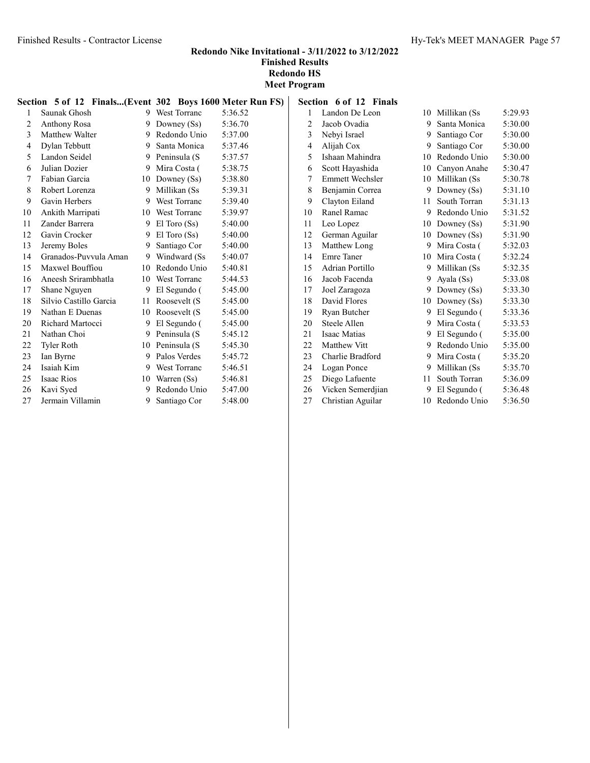Redondo Nike Invitational - 3/11/2022 to 3/12/2022 Finished Results Redondo HS

Meet Program

|                | Section 5 of 12 Finals(Event 302 Boys 1600 Meter Run FS) |    |                  |         |
|----------------|----------------------------------------------------------|----|------------------|---------|
| 1              | Saunak Ghosh                                             |    | 9 West Torranc   | 5:36.52 |
| $\overline{2}$ | Anthony Rosa                                             | 9  | Downey (Ss)      | 5:36.70 |
| 3              | Matthew Walter                                           |    | 9 Redondo Unio   | 5:37.00 |
| 4              | Dylan Tebbutt                                            |    | 9 Santa Monica   | 5:37.46 |
| 5              | Landon Seidel                                            |    | 9 Peninsula (S   | 5:37.57 |
| 6              | Julian Dozier                                            |    | 9 Mira Costa (   | 5:38.75 |
| 7              | Fabian Garcia                                            |    | 10 Downey (Ss)   | 5:38.80 |
| 8              | Robert Lorenza                                           |    | 9 Millikan (Ss   | 5:39.31 |
| 9              | Gavin Herbers                                            |    | 9 West Torranc   | 5:39.40 |
| 10             | Ankith Marripati                                         |    | 10 West Torranc  | 5:39.97 |
| 11             | Zander Barrera                                           | 9. | $El$ Toro $(Ss)$ | 5:40.00 |
| 12             | Gavin Crocker                                            |    | 9 El Toro $(Ss)$ | 5:40.00 |
| 13             | Jeremy Boles                                             | 9  | Santiago Cor     | 5:40.00 |
| 14             | Granados-Puvvula Aman                                    |    | 9 Windward (Ss   | 5:40.07 |
| 15             | Maxwel Bouffiou                                          | 10 | Redondo Unio     | 5:40.81 |
| 16             | Aneesh Srirambhatla                                      |    | 10 West Torranc  | 5:44.53 |
| 17             | Shane Nguyen                                             | 9  | El Segundo (     | 5:45.00 |
| 18             | Silvio Castillo Garcia                                   | 11 | Roosevelt (S     | 5:45.00 |
| 19             | Nathan E Duenas                                          |    | 10 Roosevelt (S) | 5:45.00 |
| 20             | Richard Martocci                                         | 9  | El Segundo (     | 5:45.00 |
| 21             | Nathan Choi                                              |    | 9 Peninsula (S   | 5:45.12 |
| 22             | <b>Tyler Roth</b>                                        |    | 10 Peninsula (S  | 5:45.30 |
| 23             | Ian Byrne                                                |    | 9 Palos Verdes   | 5:45.72 |
| 24             | Isaiah Kim                                               |    | 9 West Torranc   | 5:46.51 |
| 25             | Isaac Rios                                               |    | 10 Warren (Ss)   | 5:46.81 |
| 26             | Kavi Syed                                                | 9  | Redondo Unio     | 5:47.00 |
| 27             | Jermain Villamin                                         | 9  | Santiago Cor     | 5:48.00 |

| FS) |                | Section 6 of 12 Finals |    |                 |         |
|-----|----------------|------------------------|----|-----------------|---------|
|     | 1              | Landon De Leon         | 10 | Millikan (Ss    | 5:29.93 |
|     | $\overline{c}$ | Jacob Ovadia           | 9  | Santa Monica    | 5:30.00 |
|     | 3              | Nebyi Israel           |    | 9 Santiago Cor  | 5:30.00 |
|     | $\overline{4}$ | Alijah Cox             | 9  | Santiago Cor    | 5:30.00 |
|     | 5              | Ishaan Mahindra        | 10 | Redondo Unio    | 5:30.00 |
|     | 6              | Scott Hayashida        |    | 10 Canyon Anahe | 5:30.47 |
|     | 7              | Emmett Wechsler        | 10 | Millikan (Ss    | 5:30.78 |
|     | 8              | Benjamin Correa        | 9  | Downey $(Ss)$   | 5:31.10 |
|     | 9              | Clayton Eiland         | 11 | South Torran    | 5:31.13 |
|     | 10             | Ranel Ramac            | 9  | Redondo Unio    | 5:31.52 |
|     | 11             | Leo Lopez              |    | 10 Downey (Ss)  | 5:31.90 |
|     | 12             | German Aguilar         |    | 10 Downey (Ss)  | 5:31.90 |
|     | 13             | Matthew Long           | 9  | Mira Costa (    | 5:32.03 |
|     | 14             | <b>Emre</b> Taner      |    | 10 Mira Costa ( | 5:32.24 |
|     | 15             | Adrian Portillo        | 9  | Millikan (Ss    | 5:32.35 |
|     | 16             | Jacob Facenda          | 9  | Ayala (Ss)      | 5:33.08 |
|     | 17             | Joel Zaragoza          | 9  | Downey (Ss)     | 5:33.30 |
|     | 18             | David Flores           |    | 10 Downey (Ss)  | 5:33.30 |
|     | 19             | Ryan Butcher           | 9  | El Segundo (    | 5:33.36 |
|     | 20             | Steele Allen           | 9  | Mira Costa (    | 5:33.53 |
|     | 21             | Isaac Matias           | 9  | El Segundo (    | 5:35.00 |
|     | 22             | Matthew Vitt           | 9  | Redondo Unio    | 5:35.00 |
|     | 23             | Charlie Bradford       | 9  | Mira Costa (    | 5:35.20 |
|     | 24             | Logan Ponce            | 9  | Millikan (Ss    | 5:35.70 |
|     | 25             | Diego Lafuente         | 11 | South Torran    | 5:36.09 |
|     | 26             | Vicken Semerdjian      | 9  | El Segundo (    | 5:36.48 |
|     | 27             | Christian Aguilar      | 10 | Redondo Unio    | 5:36.50 |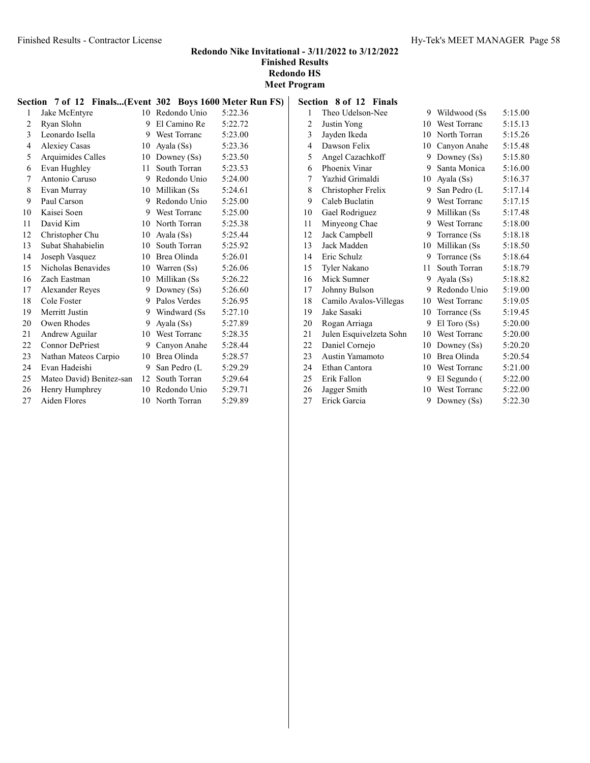| Section 7 of 12 Finals(Event 302 Boys 1600 Meter Run FS) |                          |         |                 |         |
|----------------------------------------------------------|--------------------------|---------|-----------------|---------|
| 1                                                        | Jake McEntyre            | $10-10$ | Redondo Unio    | 5:22.36 |
| 2                                                        | Ryan Slohn               |         | 9 El Camino Re  | 5:22.72 |
| 3                                                        | Leonardo Isella          |         | 9 West Torranc  | 5:23.00 |
| 4                                                        | <b>Alexiey Casas</b>     | 10      | Ayala (Ss)      | 5:23.36 |
| 5                                                        | Arquimides Calles        |         | 10 Downey (Ss)  | 5:23.50 |
| 6                                                        | Evan Hughley             | $11 -$  | South Torran    | 5:23.53 |
| 7                                                        | Antonio Caruso           |         | 9 Redondo Unio  | 5:24.00 |
| 8                                                        | Evan Murray              |         | 10 Millikan (Ss | 5:24.61 |
| 9                                                        | Paul Carson              |         | 9 Redondo Unio  | 5:25.00 |
| 10                                                       | Kaisei Soen              |         | 9 West Torranc  | 5:25.00 |
| 11                                                       | David Kim                |         | 10 North Torran | 5:25.38 |
| 12                                                       | Christopher Chu          | 10      | Ayala (Ss)      | 5:25.44 |
| 13                                                       | Subat Shahabielin        | 10      | South Torran    | 5:25.92 |
| 14                                                       | Joseph Vasquez           |         | 10 Brea Olinda  | 5:26.01 |
| 15                                                       | Nicholas Benavides       |         | 10 Warren (Ss)  | 5:26.06 |
| 16                                                       | Zach Eastman             | 10      | Millikan (Ss    | 5:26.22 |
| 17                                                       | <b>Alexander Reves</b>   |         | 9 Downey (Ss)   | 5:26.60 |
| 18                                                       | Cole Foster              |         | 9 Palos Verdes  | 5:26.95 |
| 19                                                       | Merritt Justin           |         | 9 Windward (Ss) | 5:27.10 |
| 20                                                       | Owen Rhodes              | 9       | Ayala (Ss)      | 5:27.89 |
| 21                                                       | Andrew Aguilar           |         | 10 West Torranc | 5:28.35 |
| 22                                                       | <b>Connor DePriest</b>   | 9       | Canyon Anahe    | 5:28.44 |
| 23                                                       | Nathan Mateos Carpio     |         | 10 Brea Olinda  | 5:28.57 |
| 24                                                       | Evan Hadeishi            | 9.      | San Pedro (L    | 5:29.29 |
| 25                                                       | Mateo David) Benitez-san | 12      | South Torran    | 5:29.64 |
| 26                                                       | Henry Humphrey           |         | 10 Redondo Unio | 5:29.71 |
| 27                                                       | Aiden Flores             |         | 10 North Torran | 5:29.89 |

| Section | 8 of 12 Finals          |    |                     |         |
|---------|-------------------------|----|---------------------|---------|
| 1       | Theo Udelson-Nee        | 9  | Wildwood (Ss        | 5:15.00 |
| 2       | Justin Yong             | 10 | <b>West Torranc</b> | 5:15.13 |
| 3       | Jayden Ikeda            | 10 | North Torran        | 5:15.26 |
| 4       | Dawson Felix            | 10 | Canyon Anahe        | 5:15.48 |
| 5       | Angel Cazachkoff        | 9  | Downey $(Ss)$       | 5:15.80 |
| 6       | Phoenix Vinar           | 9  | Santa Monica        | 5:16.00 |
| 7       | Yazhid Grimaldi         | 10 | Ayala (Ss)          | 5:16.37 |
| 8       | Christopher Frelix      | 9  | San Pedro (L        | 5:17.14 |
| 9       | Caleb Buclatin          | 9  | <b>West Torranc</b> | 5:17.15 |
| 10      | Gael Rodriguez          | 9  | Millikan (Ss        | 5:17.48 |
| 11      | Minyeong Chae           | 9  | West Torranc        | 5:18.00 |
| 12      | Jack Campbell           | 9  | Torrance (Ss)       | 5:18.18 |
| 13      | Jack Madden             | 10 | Millikan (Ss        | 5:18.50 |
| 14      | Eric Schulz             | 9  | Torrance (Ss)       | 5:18.64 |
| 15      | Tyler Nakano            | 11 | South Torran        | 5:18.79 |
| 16      | Mick Sumner             | 9  | Ayala (Ss)          | 5:18.82 |
| 17      | Johnny Bulson           | 9  | Redondo Unio        | 5:19.00 |
| 18      | Camilo Avalos-Villegas  | 10 | <b>West Torranc</b> | 5:19.05 |
| 19      | Jake Sasaki             | 10 | Torrance (Ss)       | 5:19.45 |
| 20      | Rogan Arriaga           | 9  | $El$ Toro $(Ss)$    | 5:20.00 |
| 21      | Julen Esquivelzeta Sohn | 10 | West Torranc        | 5:20.00 |
| 22      | Daniel Cornejo          | 10 | Downey (Ss)         | 5:20.20 |
| 23      | Austin Yamamoto         | 10 | Brea Olinda         | 5:20.54 |
| 24      | Ethan Cantora           | 10 | <b>West Torranc</b> | 5:21.00 |
| 25      | Erik Fallon             | 9  | El Segundo (        | 5:22.00 |
| 26      | Jagger Smith            | 10 | <b>West Torranc</b> | 5:22.00 |
| 27      | Erick Garcia            | 9  | Downey (Ss)         | 5:22.30 |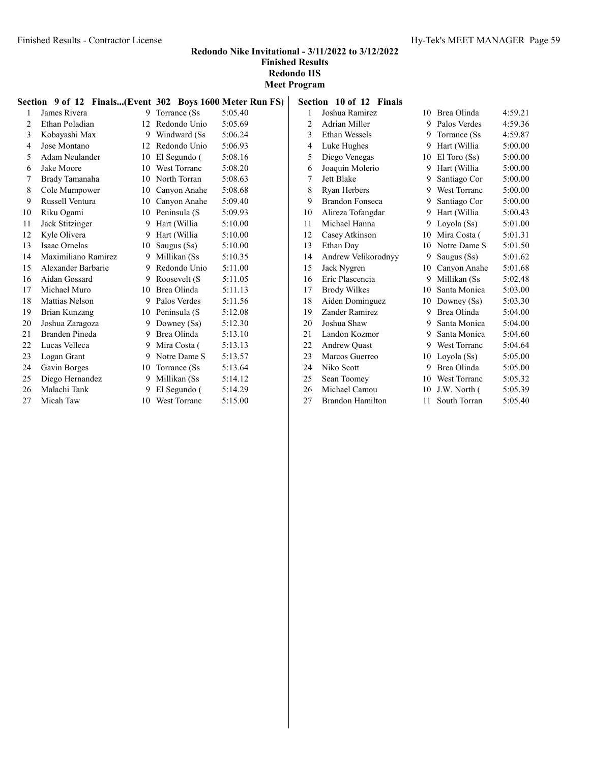| Section 9 of 12 Finals(Event 302 Boys 1600 Meter Run FS) |                     |    |                     |         |  |
|----------------------------------------------------------|---------------------|----|---------------------|---------|--|
| 1                                                        | James Rivera        | 9  | Torrance (Ss        | 5:05.40 |  |
| $\overline{2}$                                           | Ethan Poladian      |    | 12 Redondo Unio     | 5:05.69 |  |
| 3                                                        | Kobayashi Max       | 9. | Windward (Ss        | 5:06.24 |  |
| $\overline{4}$                                           | Jose Montano        |    | 12 Redondo Unio     | 5:06.93 |  |
| 5                                                        | Adam Neulander      |    | 10 El Segundo (     | 5:08.16 |  |
| 6                                                        | Jake Moore          | 10 | <b>West Torranc</b> | 5:08.20 |  |
| 7                                                        | Brady Tamanaha      |    | 10 North Torran     | 5:08.63 |  |
| 8                                                        | Cole Mumpower       | 10 | Canyon Anahe        | 5:08.68 |  |
| 9                                                        | Russell Ventura     | 10 | Canyon Anahe        | 5:09.40 |  |
| 10                                                       | Riku Ogami          |    | 10 Peninsula (S     | 5:09.93 |  |
| 11                                                       | Jack Stitzinger     |    | 9 Hart (Willia      | 5:10.00 |  |
| 12                                                       | Kyle Olivera        |    | 9 Hart (Willia      | 5:10.00 |  |
| 13                                                       | Isaac Ornelas       | 10 | Saugus (Ss)         | 5:10.00 |  |
| 14                                                       | Maximiliano Ramirez | 9  | Millikan (Ss        | 5:10.35 |  |
| 15                                                       | Alexander Barbarie  |    | 9 Redondo Unio      | 5:11.00 |  |
| 16                                                       | Aidan Gossard       | 9  | Roosevelt (S        | 5:11.05 |  |
| 17                                                       | Michael Muro        | 10 | Brea Olinda         | 5:11.13 |  |
| 18                                                       | Mattias Nelson      |    | 9 Palos Verdes      | 5:11.56 |  |
| 19                                                       | Brian Kunzang       | 10 | Peninsula (S        | 5:12.08 |  |
| 20                                                       | Joshua Zaragoza     |    | 9 Downey $(Ss)$     | 5:12.30 |  |
| 21                                                       | Branden Pineda      |    | 9 Brea Olinda       | 5:13.10 |  |
| 22                                                       | Lucas Velleca       |    | 9 Mira Costa (      | 5:13.13 |  |
| 23                                                       | Logan Grant         |    | 9 Notre Dame S      | 5:13.57 |  |
| 24                                                       | Gavin Borges        |    | 10 Torrance (Ss)    | 5:13.64 |  |
| 25                                                       | Diego Hernandez     |    | 9 Millikan (Ss      | 5:14.12 |  |
| 26                                                       | Malachi Tank        | 9  | El Segundo (        | 5:14.29 |  |
| 27                                                       | Micah Taw           |    | 10 West Torranc     | 5:15.00 |  |

| <b>Finished Results</b> |  |
|-------------------------|--|
| Redondo HS              |  |
| <b>Meet Program</b>     |  |

Section 10 of 12 Finals

| 1  | Joshua Ramirez          | 10 | Brea Olinda      | 4:59.21 |
|----|-------------------------|----|------------------|---------|
| 2  | <b>Adrian Miller</b>    | 9  | Palos Verdes     | 4:59.36 |
| 3  | <b>Ethan Wessels</b>    | 9  | Torrance (Ss)    | 4:59.87 |
| 4  | Luke Hughes             | 9  | Hart (Willia     | 5:00.00 |
| 5  | Diego Venegas           | 10 | $El$ Toro $(Ss)$ | 5:00.00 |
| 6  | Joaquin Molerio         | 9  | Hart (Willia)    | 5:00.00 |
| 7  | Jett Blake              | 9  | Santiago Cor     | 5:00.00 |
| 8  | Ryan Herbers            | 9  | West Torranc     | 5:00.00 |
| 9  | <b>Brandon Fonseca</b>  | 9. | Santiago Cor     | 5:00.00 |
| 10 | Alireza Tofangdar       | 9  | Hart (Willia     | 5:00.43 |
| 11 | Michael Hanna           | 9  | Loyola (Ss)      | 5:01.00 |
| 12 | Casey Atkinson          | 10 | Mira Costa (     | 5:01.31 |
| 13 | Ethan Day               | 10 | Notre Dame S     | 5:01.50 |
| 14 | Andrew Velikorodnyy     | 9. | Saugus (Ss)      | 5:01.62 |
| 15 | Jack Nygren             | 10 | Canyon Anahe     | 5:01.68 |
| 16 | Eric Plascencia         | 9  | Millikan (Ss     | 5:02.48 |
| 17 | <b>Brody Wilkes</b>     | 10 | Santa Monica     | 5:03.00 |
| 18 | Aiden Dominguez         | 10 | Downey $(Ss)$    | 5:03.30 |
| 19 | Zander Ramirez          | 9  | Brea Olinda      | 5:04.00 |
| 20 | Joshua Shaw             | 9  | Santa Monica     | 5:04.00 |
| 21 | Landon Kozmor           | 9  | Santa Monica     | 5:04.60 |
| 22 | <b>Andrew Quast</b>     | 9  | West Torranc     | 5:04.64 |
| 23 | Marcos Guerreo          | 10 | Loyola (Ss)      | 5:05.00 |
| 24 | Niko Scott              | 9  | Brea Olinda      | 5:05.00 |
| 25 | Sean Toomey             | 10 | West Torranc     | 5:05.32 |
| 26 | Michael Camou           | 10 | J.W. North (     | 5:05.39 |
| 27 | <b>Brandon Hamilton</b> | 11 | South Torran     | 5:05.40 |